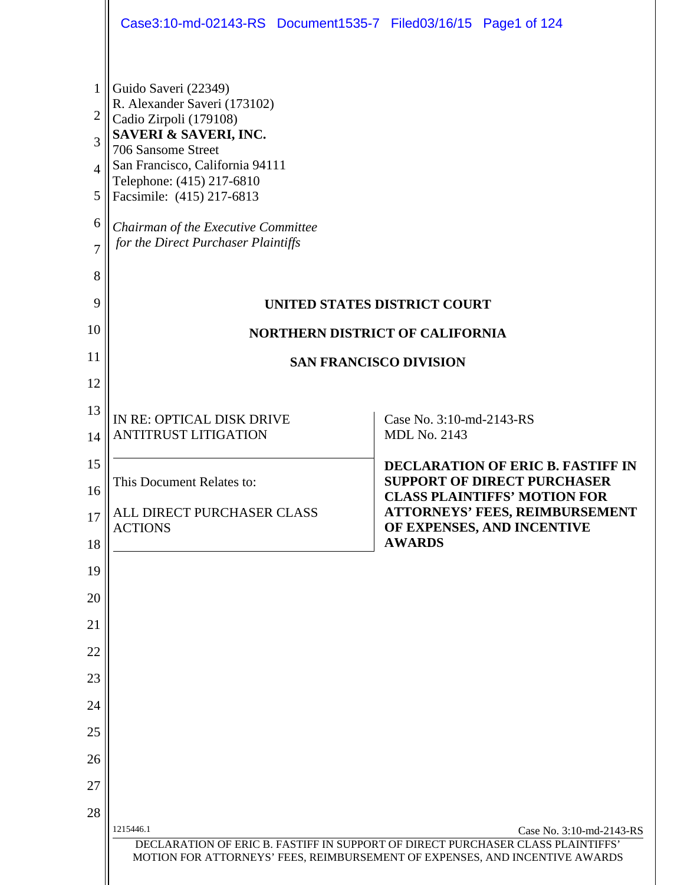|                | Case3:10-md-02143-RS Document1535-7 Filed03/16/15 Page1 of 124                                                                                                              |  |                          |                                                                                |  |
|----------------|-----------------------------------------------------------------------------------------------------------------------------------------------------------------------------|--|--------------------------|--------------------------------------------------------------------------------|--|
| 1              | Guido Saveri (22349)                                                                                                                                                        |  |                          |                                                                                |  |
| $\overline{2}$ | R. Alexander Saveri (173102)                                                                                                                                                |  |                          |                                                                                |  |
| 3              | Cadio Zirpoli (179108)<br>SAVERI & SAVERI, INC.                                                                                                                             |  |                          |                                                                                |  |
| $\Delta$       | 706 Sansome Street<br>San Francisco, California 94111                                                                                                                       |  |                          |                                                                                |  |
| 5              | Telephone: (415) 217-6810<br>Facsimile: (415) 217-6813                                                                                                                      |  |                          |                                                                                |  |
| 6              | Chairman of the Executive Committee                                                                                                                                         |  |                          |                                                                                |  |
| $\overline{7}$ | for the Direct Purchaser Plaintiffs                                                                                                                                         |  |                          |                                                                                |  |
| 8              |                                                                                                                                                                             |  |                          |                                                                                |  |
| 9              | UNITED STATES DISTRICT COURT                                                                                                                                                |  |                          |                                                                                |  |
| 10             | <b>NORTHERN DISTRICT OF CALIFORNIA</b>                                                                                                                                      |  |                          |                                                                                |  |
| 11             | <b>SAN FRANCISCO DIVISION</b>                                                                                                                                               |  |                          |                                                                                |  |
| 12             |                                                                                                                                                                             |  |                          |                                                                                |  |
| 13             | IN RE: OPTICAL DISK DRIVE                                                                                                                                                   |  | Case No. 3:10-md-2143-RS |                                                                                |  |
| 14             | <b>ANTITRUST LITIGATION</b>                                                                                                                                                 |  | <b>MDL No. 2143</b>      |                                                                                |  |
| 15             | This Document Relates to:                                                                                                                                                   |  |                          | <b>DECLARATION OF ERIC B. FASTIFF IN</b><br><b>SUPPORT OF DIRECT PURCHASER</b> |  |
| 16             | ALL DIRECT PURCHASER CLASS                                                                                                                                                  |  |                          | <b>CLASS PLAINTIFFS' MOTION FOR</b><br><b>ATTORNEYS' FEES, REIMBURSEMENT</b>   |  |
| 17             | <b>ACTIONS</b>                                                                                                                                                              |  | <b>AWARDS</b>            | OF EXPENSES, AND INCENTIVE                                                     |  |
| 18             |                                                                                                                                                                             |  |                          |                                                                                |  |
| 19<br>20       |                                                                                                                                                                             |  |                          |                                                                                |  |
| 21             |                                                                                                                                                                             |  |                          |                                                                                |  |
| 22             |                                                                                                                                                                             |  |                          |                                                                                |  |
| 23             |                                                                                                                                                                             |  |                          |                                                                                |  |
| 24             |                                                                                                                                                                             |  |                          |                                                                                |  |
| 25             |                                                                                                                                                                             |  |                          |                                                                                |  |
| 26             |                                                                                                                                                                             |  |                          |                                                                                |  |
| 27             |                                                                                                                                                                             |  |                          |                                                                                |  |
| 28             |                                                                                                                                                                             |  |                          |                                                                                |  |
|                | 1215446.1<br>DECLARATION OF ERIC B. FASTIFF IN SUPPORT OF DIRECT PURCHASER CLASS PLAINTIFFS'<br>MOTION FOR ATTORNEYS' FEES, REIMBURSEMENT OF EXPENSES, AND INCENTIVE AWARDS |  |                          | Case No. 3:10-md-2143-RS                                                       |  |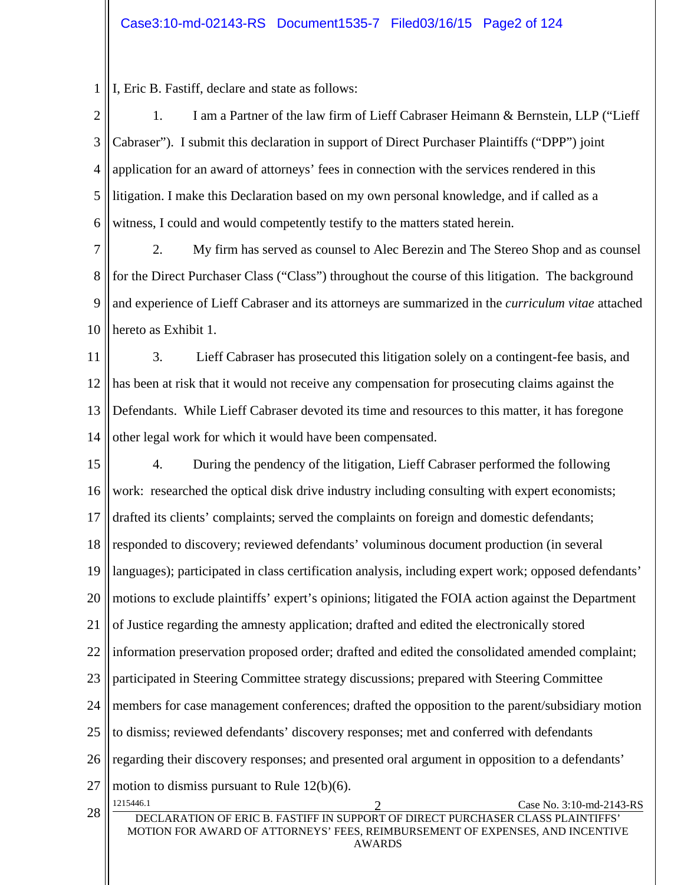1 I, Eric B. Fastiff, declare and state as follows:

2 3 4 5 6 1. I am a Partner of the law firm of Lieff Cabraser Heimann & Bernstein, LLP ("Lieff Cabraser"). I submit this declaration in support of Direct Purchaser Plaintiffs ("DPP") joint application for an award of attorneys' fees in connection with the services rendered in this litigation. I make this Declaration based on my own personal knowledge, and if called as a witness, I could and would competently testify to the matters stated herein.

7 8 9 10 2. My firm has served as counsel to Alec Berezin and The Stereo Shop and as counsel for the Direct Purchaser Class ("Class") throughout the course of this litigation. The background and experience of Lieff Cabraser and its attorneys are summarized in the *curriculum vitae* attached hereto as Exhibit 1.

11 12 13 14 3. Lieff Cabraser has prosecuted this litigation solely on a contingent-fee basis, and has been at risk that it would not receive any compensation for prosecuting claims against the Defendants. While Lieff Cabraser devoted its time and resources to this matter, it has foregone other legal work for which it would have been compensated.

15 16 17 18 19 20 21 22 23 24 25 26 27 28 1215446.1 2 Case No. 3:10-md-2143-RS DECLARATION OF ERIC B. FASTIFF IN SUPPORT OF DIRECT PURCHASER CLASS PLAINTIFFS' MOTION FOR AWARD OF ATTORNEYS' FEES, REIMBURSEMENT OF EXPENSES, AND INCENTIVE AWARDS 4. During the pendency of the litigation, Lieff Cabraser performed the following work: researched the optical disk drive industry including consulting with expert economists; drafted its clients' complaints; served the complaints on foreign and domestic defendants; responded to discovery; reviewed defendants' voluminous document production (in several languages); participated in class certification analysis, including expert work; opposed defendants' motions to exclude plaintiffs' expert's opinions; litigated the FOIA action against the Department of Justice regarding the amnesty application; drafted and edited the electronically stored information preservation proposed order; drafted and edited the consolidated amended complaint; participated in Steering Committee strategy discussions; prepared with Steering Committee members for case management conferences; drafted the opposition to the parent/subsidiary motion to dismiss; reviewed defendants' discovery responses; met and conferred with defendants regarding their discovery responses; and presented oral argument in opposition to a defendants' motion to dismiss pursuant to Rule 12(b)(6).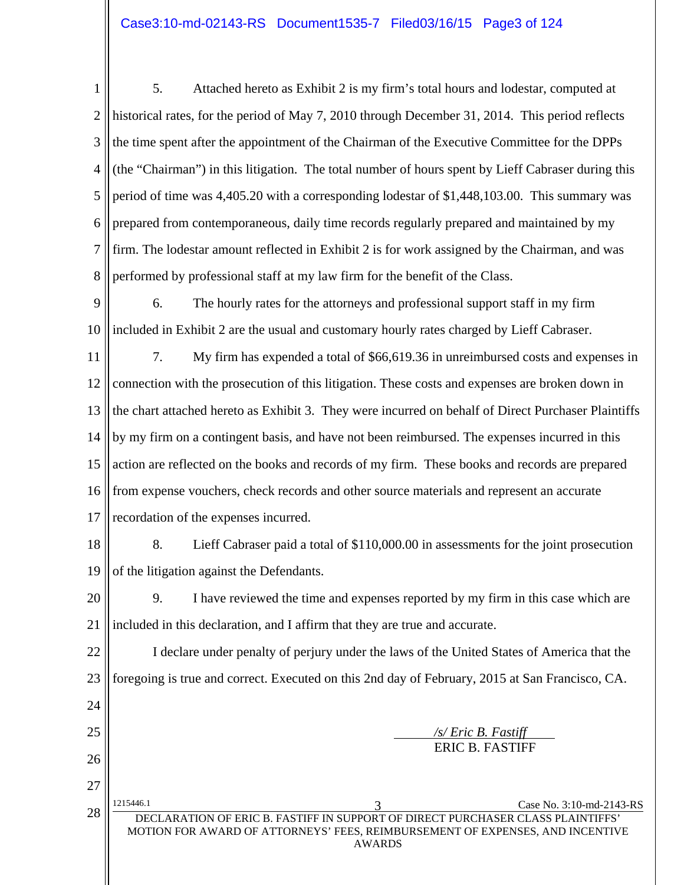1 2 3 4 5 6 7 8 5. Attached hereto as Exhibit 2 is my firm's total hours and lodestar, computed at historical rates, for the period of May 7, 2010 through December 31, 2014. This period reflects the time spent after the appointment of the Chairman of the Executive Committee for the DPPs (the "Chairman") in this litigation. The total number of hours spent by Lieff Cabraser during this period of time was 4,405.20 with a corresponding lodestar of \$1,448,103.00. This summary was prepared from contemporaneous, daily time records regularly prepared and maintained by my firm. The lodestar amount reflected in Exhibit 2 is for work assigned by the Chairman, and was performed by professional staff at my law firm for the benefit of the Class.

9 10 6. The hourly rates for the attorneys and professional support staff in my firm included in Exhibit 2 are the usual and customary hourly rates charged by Lieff Cabraser.

11 12 13 14 15 16 17 7. My firm has expended a total of \$66,619.36 in unreimbursed costs and expenses in connection with the prosecution of this litigation. These costs and expenses are broken down in the chart attached hereto as Exhibit 3. They were incurred on behalf of Direct Purchaser Plaintiffs by my firm on a contingent basis, and have not been reimbursed. The expenses incurred in this action are reflected on the books and records of my firm. These books and records are prepared from expense vouchers, check records and other source materials and represent an accurate recordation of the expenses incurred.

18 19

8. Lieff Cabraser paid a total of \$110,000.00 in assessments for the joint prosecution of the litigation against the Defendants.

20 21 9. I have reviewed the time and expenses reported by my firm in this case which are included in this declaration, and I affirm that they are true and accurate.

22 23 24 I declare under penalty of perjury under the laws of the United States of America that the foregoing is true and correct. Executed on this 2nd day of February, 2015 at San Francisco, CA.

| 25 |           |                                                                                                                                                                  | $\sqrt{s}$ Eric B. Fastiff |
|----|-----------|------------------------------------------------------------------------------------------------------------------------------------------------------------------|----------------------------|
| 26 |           |                                                                                                                                                                  | <b>ERIC B. FASTIFF</b>     |
| 27 |           |                                                                                                                                                                  |                            |
|    | 1215446.1 |                                                                                                                                                                  | Case No. 3:10-md-2143-RS   |
| 28 |           | DECLARATION OF ERIC B. FASTIFF IN SUPPORT OF DIRECT PURCHASER CLASS PLAINTIFFS'<br>MOTION FOR AWARD OF ATTORNEYS' FEES, REIMBURSEMENT OF EXPENSES, AND INCENTIVE |                            |

AWARDS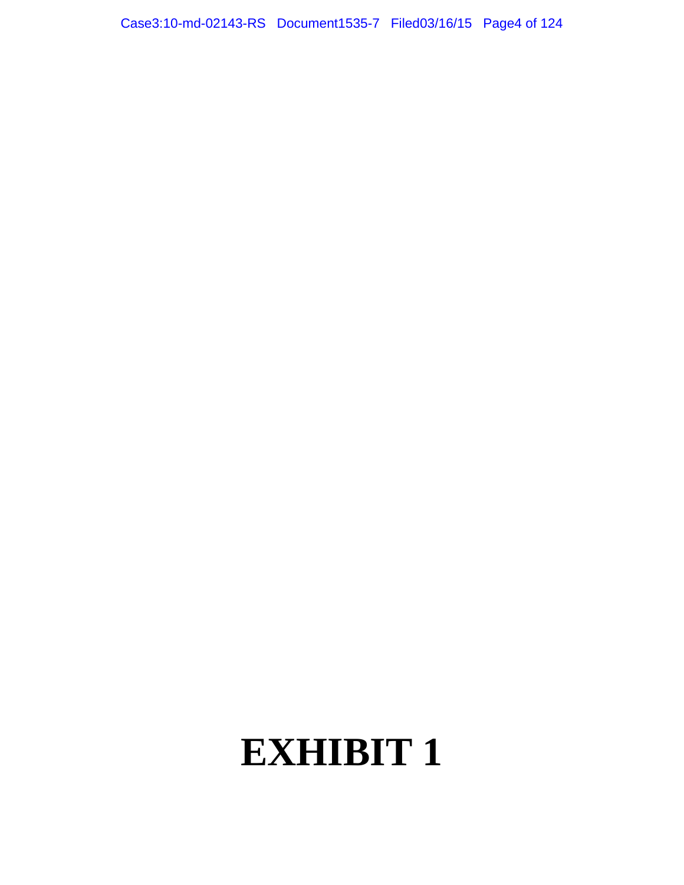Case3:10-md-02143-RS Document1535-7 Filed03/16/15 Page4 of 124

# **EXHIBIT 1**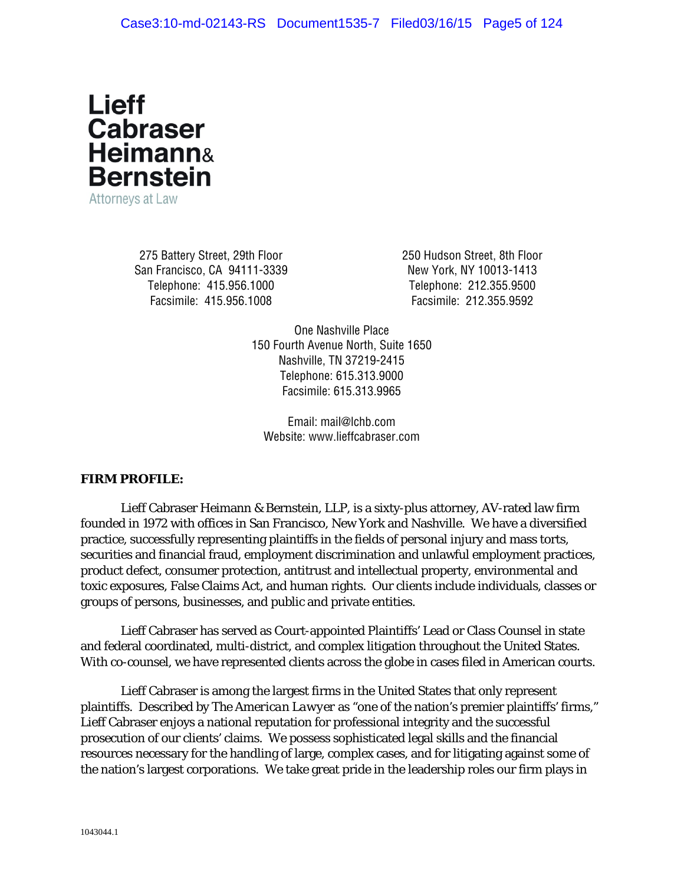

Attorneys at Law

275 Battery Street, 29th Floor San Francisco, CA 94111-3339 Telephone: 415.956.1000 Facsimile: 415.956.1008

250 Hudson Street, 8th Floor New York, NY 10013-1413 Telephone: 212.355.9500 Facsimile: 212.355.9592

One Nashville Place 150 Fourth Avenue North, Suite 1650 Nashville, TN 37219-2415 Telephone: 615.313.9000 Facsimile: 615.313.9965

Email: mail@lchb.com Website: www.lieffcabraser.com

#### *FIRM PROFILE:*

Lieff Cabraser Heimann & Bernstein, LLP, is a sixty-plus attorney, AV-rated law firm founded in 1972 with offices in San Francisco, New York and Nashville. We have a diversified practice, successfully representing plaintiffs in the fields of personal injury and mass torts, securities and financial fraud, employment discrimination and unlawful employment practices, product defect, consumer protection, antitrust and intellectual property, environmental and toxic exposures, False Claims Act, and human rights. Our clients include individuals, classes or groups of persons, businesses, and public and private entities.

Lieff Cabraser has served as Court-appointed Plaintiffs' Lead or Class Counsel in state and federal coordinated, multi-district, and complex litigation throughout the United States. With co-counsel, we have represented clients across the globe in cases filed in American courts.

Lieff Cabraser is among the largest firms in the United States that only represent plaintiffs. Described by *The American Lawyer* as "one of the nation's premier plaintiffs' firms," Lieff Cabraser enjoys a national reputation for professional integrity and the successful prosecution of our clients' claims. We possess sophisticated legal skills and the financial resources necessary for the handling of large, complex cases, and for litigating against some of the nation's largest corporations. We take great pride in the leadership roles our firm plays in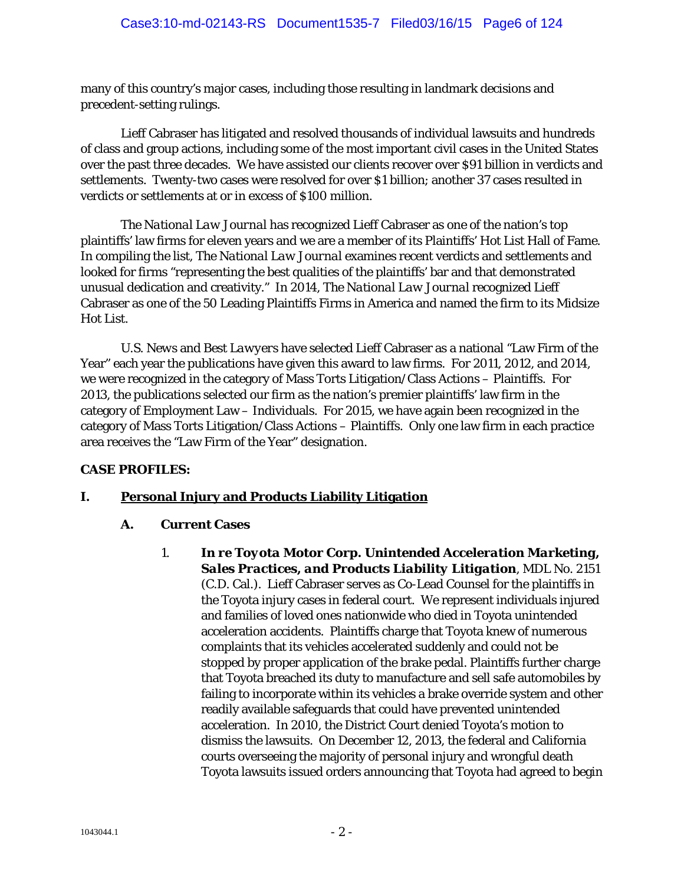many of this country's major cases, including those resulting in landmark decisions and precedent-setting rulings.

Lieff Cabraser has litigated and resolved thousands of individual lawsuits and hundreds of class and group actions, including some of the most important civil cases in the United States over the past three decades. We have assisted our clients recover over \$91 billion in verdicts and settlements. Twenty-two cases were resolved for over \$1 billion; another 37 cases resulted in verdicts or settlements at or in excess of \$100 million.

*The National Law Journal* has recognized Lieff Cabraser as one of the nation's top plaintiffs' law firms for eleven years and we are a member of its Plaintiffs' Hot List Hall of Fame. In compiling the list, *The National Law Journal* examines recent verdicts and settlements and looked for firms "representing the best qualities of the plaintiffs' bar and that demonstrated unusual dedication and creativity." In 2014, *The National Law Journal* recognized Lieff Cabraser as one of the 50 Leading Plaintiffs Firms in America and named the firm to its Midsize Hot List.

*U.S. News* and *Best Lawyers* have selected Lieff Cabraser as a national "Law Firm of the Year" each year the publications have given this award to law firms. For 2011, 2012, and 2014, we were recognized in the category of Mass Torts Litigation/Class Actions – Plaintiffs. For 2013, the publications selected our firm as the nation's premier plaintiffs' law firm in the category of Employment Law – Individuals. For 2015, we have again been recognized in the category of Mass Torts Litigation/Class Actions – Plaintiffs. Only one law firm in each practice area receives the "Law Firm of the Year" designation.

## *CASE PROFILES:*

## **I. Personal Injury and Products Liability Litigation**

## **A. Current Cases**

1. *In re Toyota Motor Corp. Unintended Acceleration Marketing, Sales Practices, and Products Liability Litigation*, MDL No. 2151 (C.D. Cal.). Lieff Cabraser serves as Co-Lead Counsel for the plaintiffs in the Toyota injury cases in federal court. We represent individuals injured and families of loved ones nationwide who died in Toyota unintended acceleration accidents. Plaintiffs charge that Toyota knew of numerous complaints that its vehicles accelerated suddenly and could not be stopped by proper application of the brake pedal. Plaintiffs further charge that Toyota breached its duty to manufacture and sell safe automobiles by failing to incorporate within its vehicles a brake override system and other readily available safeguards that could have prevented unintended acceleration. In 2010, the District Court denied Toyota's motion to dismiss the lawsuits. On December 12, 2013, the federal and California courts overseeing the majority of personal injury and wrongful death Toyota lawsuits issued orders announcing that Toyota had agreed to begin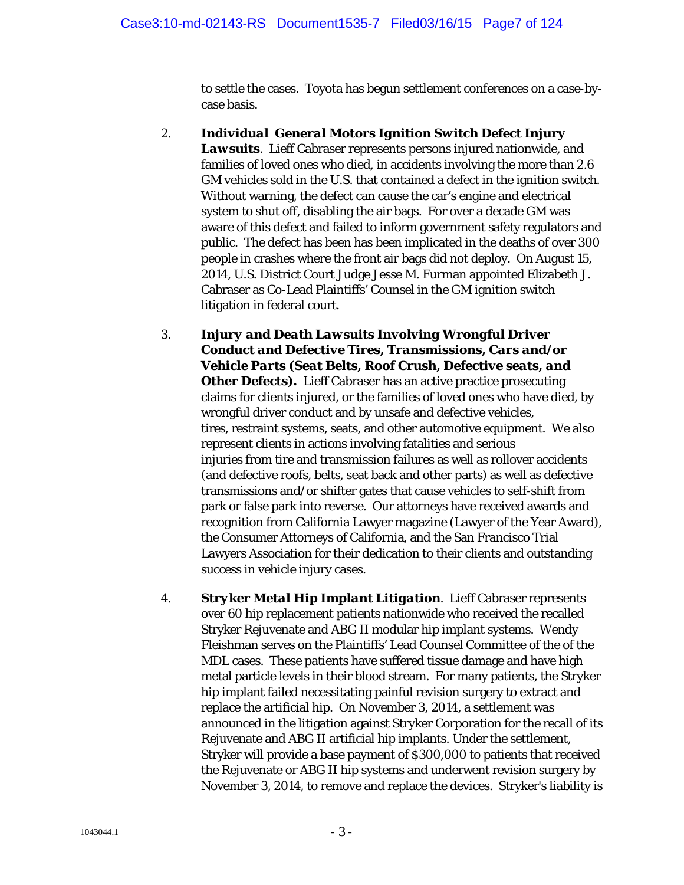to settle the cases. Toyota has begun settlement conferences on a case-bycase basis.

- 2. *Individual General Motors Ignition Switch Defect Injury Lawsuits*. Lieff Cabraser represents persons injured nationwide, and families of loved ones who died, in accidents involving the more than 2.6 GM vehicles sold in the U.S. that contained a defect in the ignition switch. Without warning, the defect can cause the car's engine and electrical system to shut off, disabling the air bags. For over a decade GM was aware of this defect and failed to inform government safety regulators and public. The defect has been has been implicated in the deaths of over 300 people in crashes where the front air bags did not deploy. On August 15, 2014, U.S. District Court Judge Jesse M. Furman appointed Elizabeth J. Cabraser as Co-Lead Plaintiffs' Counsel in the GM ignition switch litigation in federal court.
- 3. *Injury and Death Lawsuits Involving Wrongful Driver Conduct and Defective Tires, Transmissions, Cars and/or Vehicle Parts (Seat Belts, Roof Crush, Defective seats, and*  **Other Defects).** Lieff Cabraser has an active practice prosecuting claims for clients injured, or the families of loved ones who have died, by wrongful driver conduct and by unsafe and defective vehicles, tires, restraint systems, seats, and other automotive equipment. We also represent clients in actions involving fatalities and serious injuries from tire and transmission failures as well as rollover accidents (and defective roofs, belts, seat back and other parts) as well as defective transmissions and/or shifter gates that cause vehicles to self-shift from park or false park into reverse. Our attorneys have received awards and recognition from California Lawyer magazine (Lawyer of the Year Award), the Consumer Attorneys of California, and the San Francisco Trial Lawyers Association for their dedication to their clients and outstanding success in vehicle injury cases.
- 4. *Stryker Metal Hip Implant Litigation*. Lieff Cabraser represents over 60 hip replacement patients nationwide who received the recalled Stryker Rejuvenate and ABG II modular hip implant systems. Wendy Fleishman serves on the Plaintiffs' Lead Counsel Committee of the of the MDL cases. These patients have suffered tissue damage and have high metal particle levels in their blood stream. For many patients, the Stryker hip implant failed necessitating painful revision surgery to extract and replace the artificial hip. On November 3, 2014, a settlement was announced in the litigation against Stryker Corporation for the recall of its Rejuvenate and ABG II artificial hip implants. Under the settlement, Stryker will provide a base payment of \$300,000 to patients that received the Rejuvenate or ABG II hip systems and underwent revision surgery by November 3, 2014, to remove and replace the devices. Stryker's liability is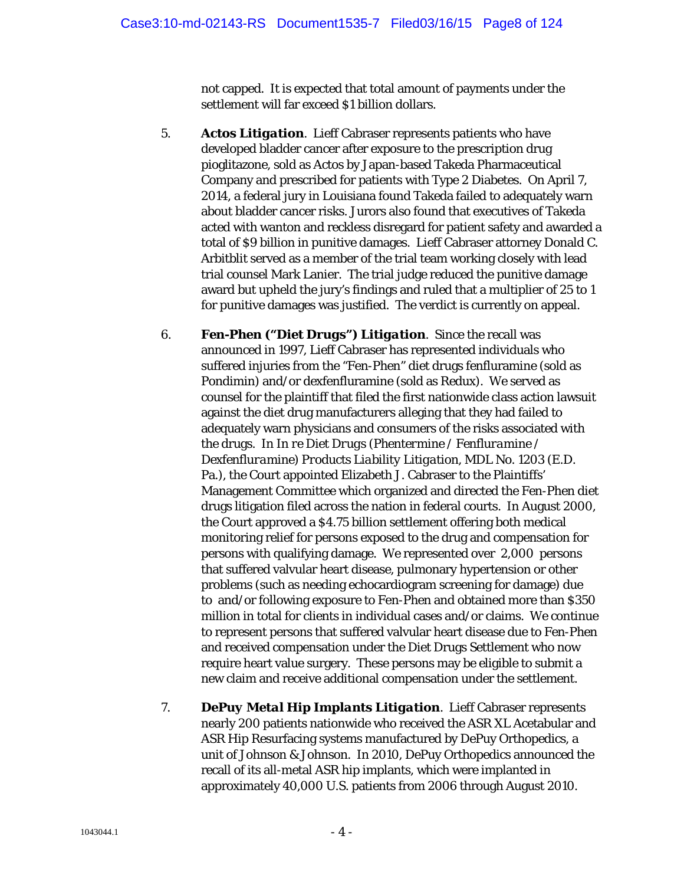not capped. It is expected that total amount of payments under the settlement will far exceed \$1 billion dollars.

- 5. *Actos Litigation*. Lieff Cabraser represents patients who have developed bladder cancer after exposure to the prescription drug pioglitazone, sold as Actos by Japan-based Takeda Pharmaceutical Company and prescribed for patients with Type 2 Diabetes. On April 7, 2014, a federal jury in Louisiana found Takeda failed to adequately warn about bladder cancer risks. Jurors also found that executives of Takeda acted with wanton and reckless disregard for patient safety and awarded a total of \$9 billion in punitive damages. Lieff Cabraser attorney Donald C. Arbitblit served as a member of the trial team working closely with lead trial counsel Mark Lanier. The trial judge reduced the punitive damage award but upheld the jury's findings and ruled that a multiplier of 25 to 1 for punitive damages was justified. The verdict is currently on appeal.
- 6. *Fen-Phen ("Diet Drugs") Litigation*. Since the recall was announced in 1997, Lieff Cabraser has represented individuals who suffered injuries from the "Fen-Phen" diet drugs fenfluramine (sold as Pondimin) and/or dexfenfluramine (sold as Redux). We served as counsel for the plaintiff that filed the first nationwide class action lawsuit against the diet drug manufacturers alleging that they had failed to adequately warn physicians and consumers of the risks associated with the drugs. In *In re Diet Drugs (Phentermine / Fenfluramine / Dexfenfluramine) Products Liability Litigation*, MDL No. 1203 (E.D. Pa.), the Court appointed Elizabeth J. Cabraser to the Plaintiffs' Management Committee which organized and directed the Fen-Phen diet drugs litigation filed across the nation in federal courts. In August 2000, the Court approved a \$4.75 billion settlement offering both medical monitoring relief for persons exposed to the drug and compensation for persons with qualifying damage. We represented over 2,000 persons that suffered valvular heart disease, pulmonary hypertension or other problems (such as needing echocardiogram screening for damage) due to and/or following exposure to Fen-Phen and obtained more than \$350 million in total for clients in individual cases and/or claims. We continue to represent persons that suffered valvular heart disease due to Fen-Phen and received compensation under the Diet Drugs Settlement who now require heart value surgery. These persons may be eligible to submit a new claim and receive additional compensation under the settlement.
- 7. *DePuy Metal Hip Implants Litigation*. Lieff Cabraser represents nearly 200 patients nationwide who received the ASR XL Acetabular and ASR Hip Resurfacing systems manufactured by DePuy Orthopedics, a unit of Johnson & Johnson. In 2010, DePuy Orthopedics announced the recall of its all-metal ASR hip implants, which were implanted in approximately 40,000 U.S. patients from 2006 through August 2010.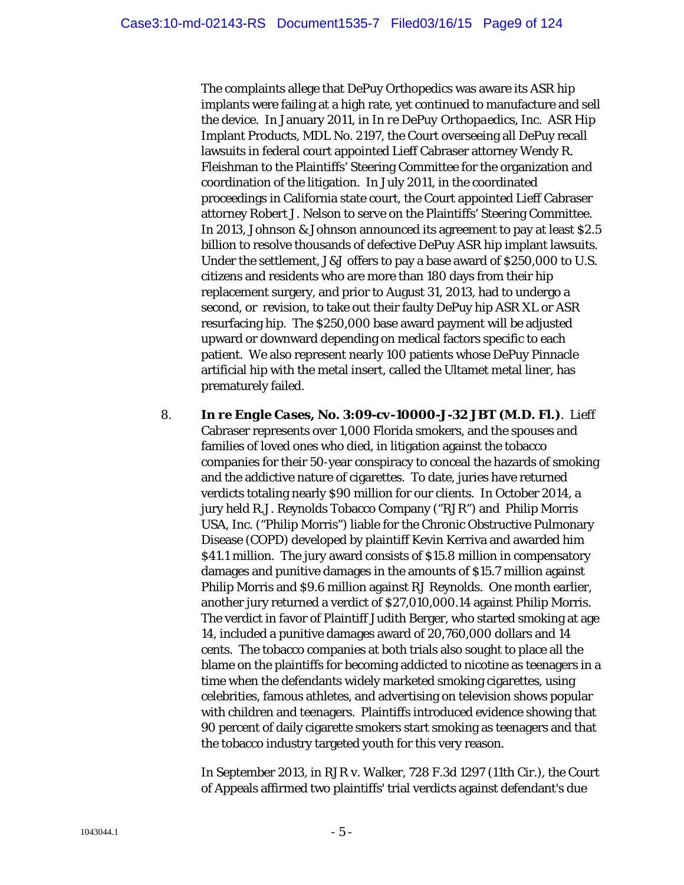The complaints allege that DePuy Orthopedics was aware its ASR hip implants were failing at a high rate, yet continued to manufacture and sell the device. In January 2011, in *In re DePuy Orthopaedics, Inc.* ASR Hip Implant Products, MDL No. 2197, the Court overseeing all DePuy recall lawsuits in federal court appointed Lieff Cabraser attorney Wendy R. Fleishman to the Plaintiffs' Steering Committee for the organization and coordination of the litigation. In July 2011, in the coordinated proceedings in California state court, the Court appointed Lieff Cabraser attorney Robert J. Nelson to serve on the Plaintiffs' Steering Committee. In 2013, Johnson & Johnson announced its agreement to pay at least \$2.5 billion to resolve thousands of defective DePuy ASR hip implant lawsuits. Under the settlement, J&J offers to pay a base award of \$250,000 to U.S. citizens and residents who are more than 180 days from their hip replacement surgery, and prior to August 31, 2013, had to undergo a second, or revision, to take out their faulty DePuy hip ASR XL or ASR resurfacing hip. The \$250,000 base award payment will be adjusted upward or downward depending on medical factors specific to each patient. We also represent nearly 100 patients whose DePuy Pinnacle artificial hip with the metal insert, called the Ultamet metal liner, has prematurely failed.

8. *In re Engle Cases, No. 3:09-cv-10000-J-32 JBT (M.D. Fl.)*. Lieff Cabraser represents over 1,000 Florida smokers, and the spouses and families of loved ones who died, in litigation against the tobacco companies for their 50-year conspiracy to conceal the hazards of smoking and the addictive nature of cigarettes. To date, juries have returned verdicts totaling nearly \$90 million for our clients. In October 2014, a jury held R.J. Reynolds Tobacco Company ("RJR") and Philip Morris USA, Inc. ("Philip Morris") liable for the Chronic Obstructive Pulmonary Disease (COPD) developed by plaintiff Kevin Kerriva and awarded him \$41.1 million. The jury award consists of \$15.8 million in compensatory damages and punitive damages in the amounts of \$15.7 million against Philip Morris and \$9.6 million against RJ Reynolds. One month earlier, another jury returned a verdict of \$27,010,000.14 against Philip Morris. The verdict in favor of Plaintiff Judith Berger, who started smoking at age 14, included a punitive damages award of 20,760,000 dollars and 14 cents. The tobacco companies at both trials also sought to place all the blame on the plaintiffs for becoming addicted to nicotine as teenagers in a time when the defendants widely marketed smoking cigarettes, using celebrities, famous athletes, and advertising on television shows popular with children and teenagers. Plaintiffs introduced evidence showing that 90 percent of daily cigarette smokers start smoking as teenagers and that the tobacco industry targeted youth for this very reason.

In September 2013, in RJR v. Walker, 728 F.3d 1297 (11th Cir.), the Court of Appeals affirmed two plaintiffs' trial verdicts against defendant's due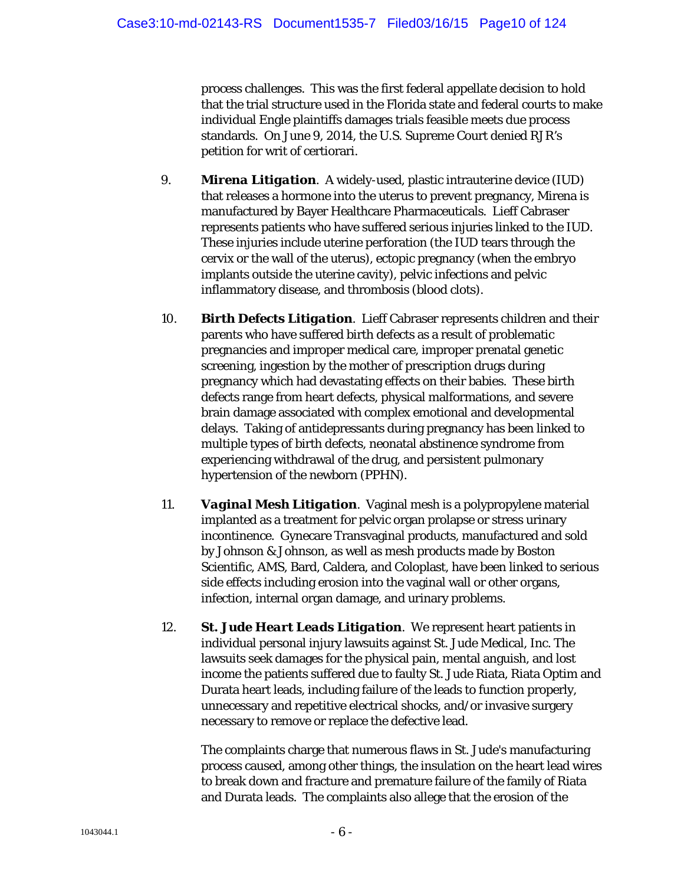process challenges. This was the first federal appellate decision to hold that the trial structure used in the Florida state and federal courts to make individual Engle plaintiffs damages trials feasible meets due process standards. On June 9, 2014, the U.S. Supreme Court denied RJR's petition for writ of certiorari.

- 9. *Mirena Litigation*. A widely-used, plastic intrauterine device (IUD) that releases a hormone into the uterus to prevent pregnancy, Mirena is manufactured by Bayer Healthcare Pharmaceuticals. Lieff Cabraser represents patients who have suffered serious injuries linked to the IUD. These injuries include uterine perforation (the IUD tears through the cervix or the wall of the uterus), ectopic pregnancy (when the embryo implants outside the uterine cavity), pelvic infections and pelvic inflammatory disease, and thrombosis (blood clots).
- 10. *Birth Defects Litigation*. Lieff Cabraser represents children and their parents who have suffered birth defects as a result of problematic pregnancies and improper medical care, improper prenatal genetic screening, ingestion by the mother of prescription drugs during pregnancy which had devastating effects on their babies. These birth defects range from heart defects, physical malformations, and severe brain damage associated with complex emotional and developmental delays. Taking of antidepressants during pregnancy has been linked to multiple types of birth defects, neonatal abstinence syndrome from experiencing withdrawal of the drug, and persistent pulmonary hypertension of the newborn (PPHN).
- 11. *Vaginal Mesh Litigation*. Vaginal mesh is a polypropylene material implanted as a treatment for pelvic organ prolapse or stress urinary incontinence. Gynecare Transvaginal products, manufactured and sold by Johnson & Johnson, as well as mesh products made by Boston Scientific, AMS, Bard, Caldera, and Coloplast, have been linked to serious side effects including erosion into the vaginal wall or other organs, infection, internal organ damage, and urinary problems.
- 12. *St. Jude Heart Leads Litigation*. We represent heart patients in individual personal injury lawsuits against St. Jude Medical, Inc. The lawsuits seek damages for the physical pain, mental anguish, and lost income the patients suffered due to faulty St. Jude Riata, Riata Optim and Durata heart leads, including failure of the leads to function properly, unnecessary and repetitive electrical shocks, and/or invasive surgery necessary to remove or replace the defective lead.

The complaints charge that numerous flaws in St. Jude's manufacturing process caused, among other things, the insulation on the heart lead wires to break down and fracture and premature failure of the family of Riata and Durata leads. The complaints also allege that the erosion of the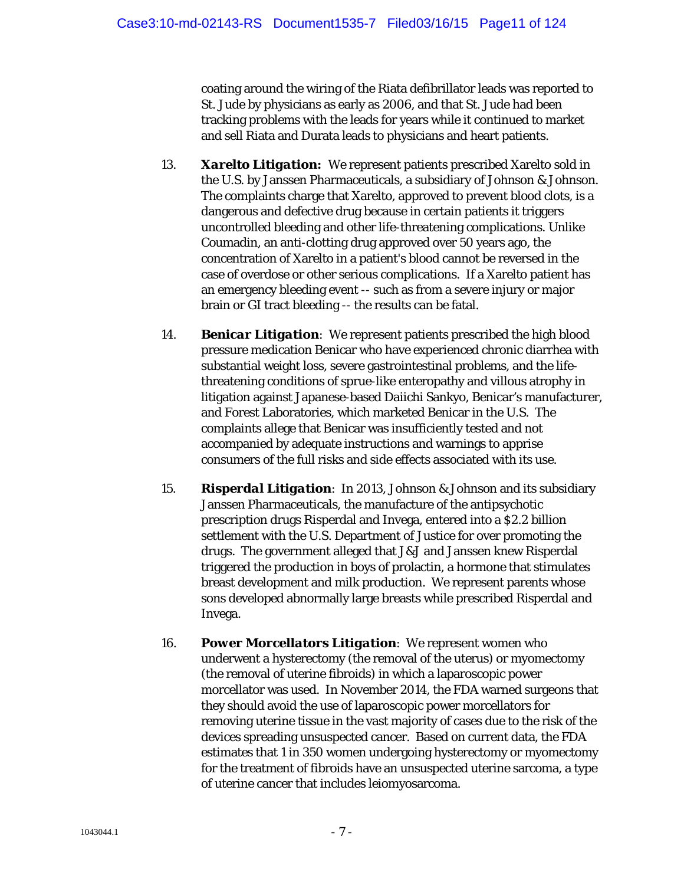coating around the wiring of the Riata defibrillator leads was reported to St. Jude by physicians as early as 2006, and that St. Jude had been tracking problems with the leads for years while it continued to market and sell Riata and Durata leads to physicians and heart patients.

- 13. *Xarelto Litigation***:** We represent patients prescribed Xarelto sold in the U.S. by Janssen Pharmaceuticals, a subsidiary of Johnson & Johnson. The complaints charge that Xarelto, approved to prevent blood clots, is a dangerous and defective drug because in certain patients it triggers uncontrolled bleeding and other life-threatening complications. Unlike Coumadin, an anti-clotting drug approved over 50 years ago, the concentration of Xarelto in a patient's blood cannot be reversed in the case of overdose or other serious complications. If a Xarelto patient has an emergency bleeding event -- such as from a severe injury or major brain or GI tract bleeding -- the results can be fatal.
- 14. *Benicar Litigation*: We represent patients prescribed the high blood pressure medication Benicar who have experienced chronic diarrhea with substantial weight loss, severe gastrointestinal problems, and the lifethreatening conditions of sprue-like enteropathy and villous atrophy in litigation against Japanese-based Daiichi Sankyo, Benicar's manufacturer, and Forest Laboratories, which marketed Benicar in the U.S. The complaints allege that Benicar was insufficiently tested and not accompanied by adequate instructions and warnings to apprise consumers of the full risks and side effects associated with its use.
- 15. *Risperdal Litigation*: In 2013, Johnson & Johnson and its subsidiary Janssen Pharmaceuticals, the manufacture of the antipsychotic prescription drugs Risperdal and Invega, entered into a \$2.2 billion settlement with the U.S. Department of Justice for over promoting the drugs. The government alleged that J&J and Janssen knew Risperdal triggered the production in boys of prolactin, a hormone that stimulates breast development and milk production. We represent parents whose sons developed abnormally large breasts while prescribed Risperdal and Invega.
- 16. *Power Morcellators Litigation*: We represent women who underwent a hysterectomy (the removal of the uterus) or myomectomy (the removal of uterine fibroids) in which a laparoscopic power morcellator was used. In November 2014, the FDA warned surgeons that they should avoid the use of laparoscopic power morcellators for removing uterine tissue in the vast majority of cases due to the risk of the devices spreading unsuspected cancer. Based on current data, the FDA estimates that 1 in 350 women undergoing hysterectomy or myomectomy for the treatment of fibroids have an unsuspected uterine sarcoma, a type of uterine cancer that includes leiomyosarcoma.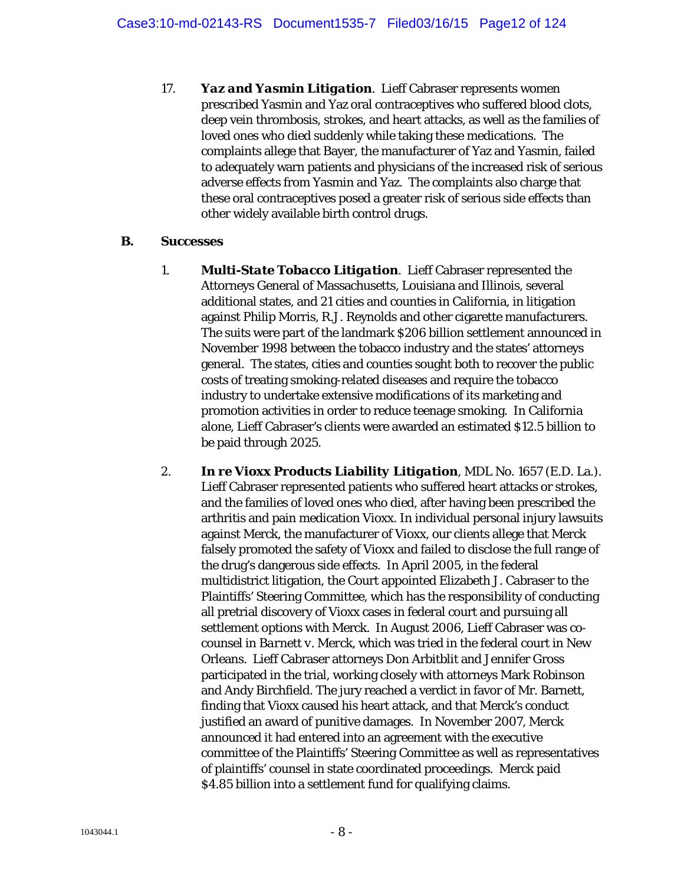17. *Yaz and Yasmin Litigation*. Lieff Cabraser represents women prescribed Yasmin and Yaz oral contraceptives who suffered blood clots, deep vein thrombosis, strokes, and heart attacks, as well as the families of loved ones who died suddenly while taking these medications. The complaints allege that Bayer, the manufacturer of Yaz and Yasmin, failed to adequately warn patients and physicians of the increased risk of serious adverse effects from Yasmin and Yaz. The complaints also charge that these oral contraceptives posed a greater risk of serious side effects than other widely available birth control drugs.

#### **B. Successes**

- 1. *Multi-State Tobacco Litigation*. Lieff Cabraser represented the Attorneys General of Massachusetts, Louisiana and Illinois, several additional states, and 21 cities and counties in California, in litigation against Philip Morris, R.J. Reynolds and other cigarette manufacturers. The suits were part of the landmark \$206 billion settlement announced in November 1998 between the tobacco industry and the states' attorneys general. The states, cities and counties sought both to recover the public costs of treating smoking-related diseases and require the tobacco industry to undertake extensive modifications of its marketing and promotion activities in order to reduce teenage smoking. In California alone, Lieff Cabraser's clients were awarded an estimated \$12.5 billion to be paid through 2025.
- 2. *In re Vioxx Products Liability Litigation*, MDL No. 1657 (E.D. La.). Lieff Cabraser represented patients who suffered heart attacks or strokes, and the families of loved ones who died, after having been prescribed the arthritis and pain medication Vioxx. In individual personal injury lawsuits against Merck, the manufacturer of Vioxx, our clients allege that Merck falsely promoted the safety of Vioxx and failed to disclose the full range of the drug's dangerous side effects. In April 2005, in the federal multidistrict litigation, the Court appointed Elizabeth J. Cabraser to the Plaintiffs' Steering Committee, which has the responsibility of conducting all pretrial discovery of Vioxx cases in federal court and pursuing all settlement options with Merck. In August 2006, Lieff Cabraser was cocounsel in *Barnett v. Merck*, which was tried in the federal court in New Orleans. Lieff Cabraser attorneys Don Arbitblit and Jennifer Gross participated in the trial, working closely with attorneys Mark Robinson and Andy Birchfield. The jury reached a verdict in favor of Mr. Barnett, finding that Vioxx caused his heart attack, and that Merck's conduct justified an award of punitive damages. In November 2007, Merck announced it had entered into an agreement with the executive committee of the Plaintiffs' Steering Committee as well as representatives of plaintiffs' counsel in state coordinated proceedings. Merck paid \$4.85 billion into a settlement fund for qualifying claims.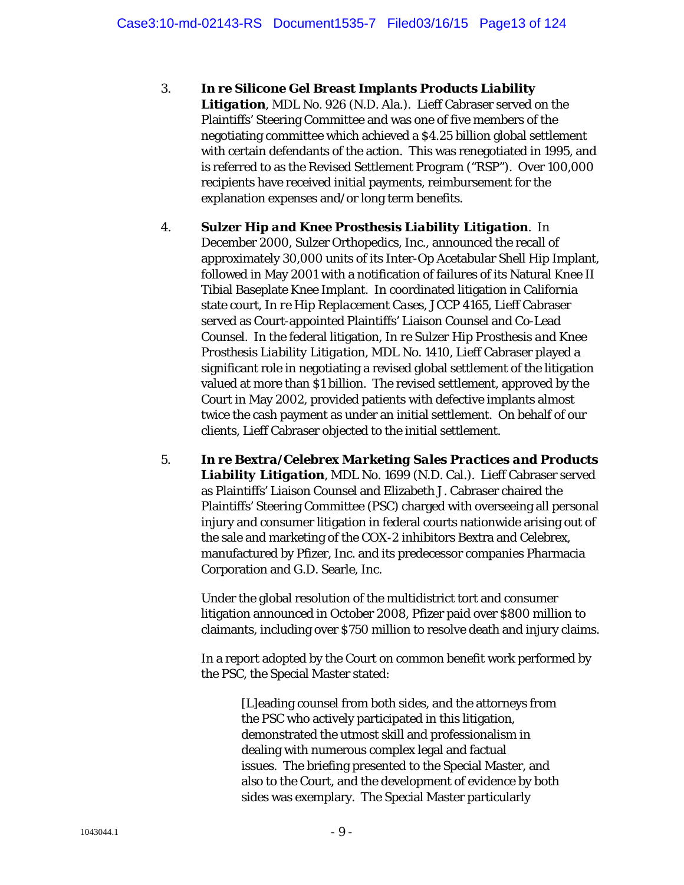- 3. *In re Silicone Gel Breast Implants Products Liability Litigation*, MDL No. 926 (N.D. Ala.). Lieff Cabraser served on the Plaintiffs' Steering Committee and was one of five members of the negotiating committee which achieved a \$4.25 billion global settlement with certain defendants of the action. This was renegotiated in 1995, and is referred to as the Revised Settlement Program ("RSP"). Over 100,000 recipients have received initial payments, reimbursement for the explanation expenses and/or long term benefits.
- 4. *Sulzer Hip and Knee Prosthesis Liability Litigation*. In December 2000, Sulzer Orthopedics, Inc., announced the recall of approximately 30,000 units of its Inter-Op Acetabular Shell Hip Implant, followed in May 2001 with a notification of failures of its Natural Knee II Tibial Baseplate Knee Implant. In coordinated litigation in California state court, *In re Hip Replacement Cases*, JCCP 4165, Lieff Cabraser served as Court-appointed Plaintiffs' Liaison Counsel and Co-Lead Counsel. In the federal litigation, *In re Sulzer Hip Prosthesis and Knee Prosthesis Liability Litigation*, MDL No. 1410, Lieff Cabraser played a significant role in negotiating a revised global settlement of the litigation valued at more than \$1 billion. The revised settlement, approved by the Court in May 2002, provided patients with defective implants almost twice the cash payment as under an initial settlement. On behalf of our clients, Lieff Cabraser objected to the initial settlement.
- 5. *In re Bextra/Celebrex Marketing Sales Practices and Products Liability Litigation*, MDL No. 1699 (N.D. Cal.). Lieff Cabraser served as Plaintiffs' Liaison Counsel and Elizabeth J. Cabraser chaired the Plaintiffs' Steering Committee (PSC) charged with overseeing all personal injury and consumer litigation in federal courts nationwide arising out of the sale and marketing of the COX-2 inhibitors Bextra and Celebrex, manufactured by Pfizer, Inc. and its predecessor companies Pharmacia Corporation and G.D. Searle, Inc.

Under the global resolution of the multidistrict tort and consumer litigation announced in October 2008, Pfizer paid over \$800 million to claimants, including over \$750 million to resolve death and injury claims.

In a report adopted by the Court on common benefit work performed by the PSC, the Special Master stated:

> [L]eading counsel from both sides, and the attorneys from the PSC who actively participated in this litigation, demonstrated the utmost skill and professionalism in dealing with numerous complex legal and factual issues. The briefing presented to the Special Master, and also to the Court, and the development of evidence by both sides was exemplary. The Special Master particularly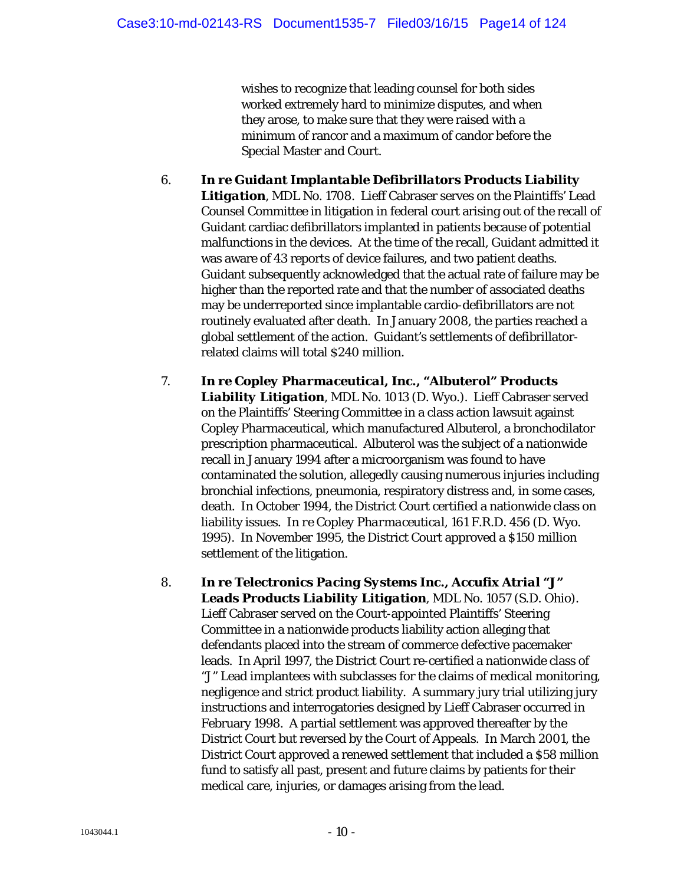wishes to recognize that leading counsel for both sides worked extremely hard to minimize disputes, and when they arose, to make sure that they were raised with a minimum of rancor and a maximum of candor before the Special Master and Court.

- 6. *In re Guidant Implantable Defibrillators Products Liability Litigation*, MDL No. 1708. Lieff Cabraser serves on the Plaintiffs' Lead Counsel Committee in litigation in federal court arising out of the recall of Guidant cardiac defibrillators implanted in patients because of potential malfunctions in the devices. At the time of the recall, Guidant admitted it was aware of 43 reports of device failures, and two patient deaths. Guidant subsequently acknowledged that the actual rate of failure may be higher than the reported rate and that the number of associated deaths may be underreported since implantable cardio-defibrillators are not routinely evaluated after death. In January 2008, the parties reached a global settlement of the action. Guidant's settlements of defibrillatorrelated claims will total \$240 million.
- 7. *In re Copley Pharmaceutical, Inc., "Albuterol" Products Liability Litigation*, MDL No. 1013 (D. Wyo.). Lieff Cabraser served on the Plaintiffs' Steering Committee in a class action lawsuit against Copley Pharmaceutical, which manufactured Albuterol, a bronchodilator prescription pharmaceutical. Albuterol was the subject of a nationwide recall in January 1994 after a microorganism was found to have contaminated the solution, allegedly causing numerous injuries including bronchial infections, pneumonia, respiratory distress and, in some cases, death. In October 1994, the District Court certified a nationwide class on liability issues. *In re Copley Pharmaceutical*, 161 F.R.D. 456 (D. Wyo. 1995). In November 1995, the District Court approved a \$150 million settlement of the litigation.
- 8. *In re Telectronics Pacing Systems Inc., Accufix Atrial "J" Leads Products Liability Litigation*, MDL No. 1057 (S.D. Ohio). Lieff Cabraser served on the Court-appointed Plaintiffs' Steering Committee in a nationwide products liability action alleging that defendants placed into the stream of commerce defective pacemaker leads. In April 1997, the District Court re-certified a nationwide class of "J" Lead implantees with subclasses for the claims of medical monitoring, negligence and strict product liability. A summary jury trial utilizing jury instructions and interrogatories designed by Lieff Cabraser occurred in February 1998. A partial settlement was approved thereafter by the District Court but reversed by the Court of Appeals. In March 2001, the District Court approved a renewed settlement that included a \$58 million fund to satisfy all past, present and future claims by patients for their medical care, injuries, or damages arising from the lead.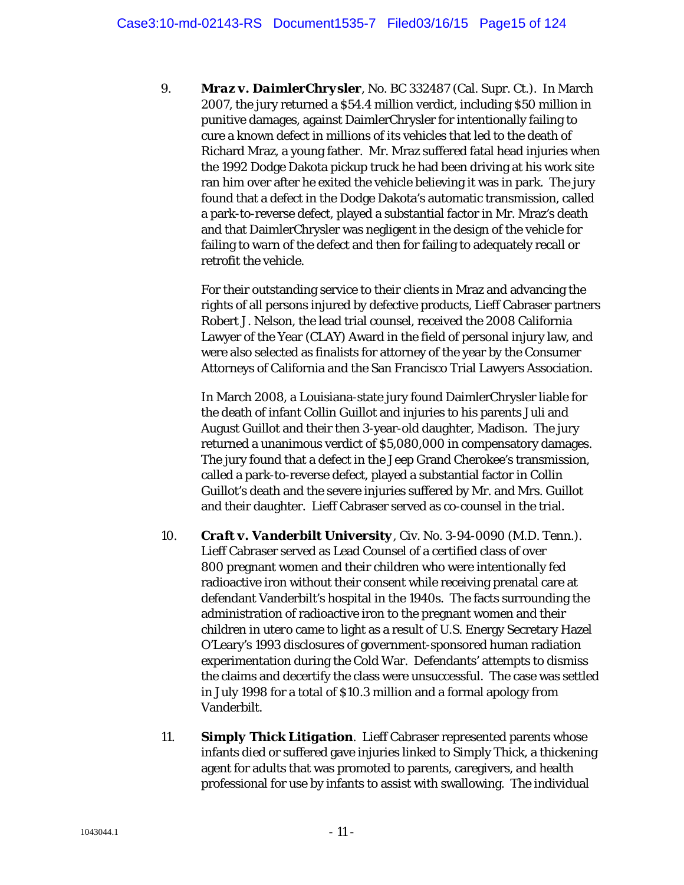9. *Mraz v. DaimlerChrysler*, No. BC 332487 (Cal. Supr. Ct.). In March 2007, the jury returned a \$54.4 million verdict, including \$50 million in punitive damages, against DaimlerChrysler for intentionally failing to cure a known defect in millions of its vehicles that led to the death of Richard Mraz, a young father. Mr. Mraz suffered fatal head injuries when the 1992 Dodge Dakota pickup truck he had been driving at his work site ran him over after he exited the vehicle believing it was in park. The jury found that a defect in the Dodge Dakota's automatic transmission, called a park-to-reverse defect, played a substantial factor in Mr. Mraz's death and that DaimlerChrysler was negligent in the design of the vehicle for failing to warn of the defect and then for failing to adequately recall or retrofit the vehicle.

For their outstanding service to their clients in Mraz and advancing the rights of all persons injured by defective products, Lieff Cabraser partners Robert J. Nelson, the lead trial counsel, received the 2008 California Lawyer of the Year (CLAY) Award in the field of personal injury law, and were also selected as finalists for attorney of the year by the Consumer Attorneys of California and the San Francisco Trial Lawyers Association.

In March 2008, a Louisiana-state jury found DaimlerChrysler liable for the death of infant Collin Guillot and injuries to his parents Juli and August Guillot and their then 3-year-old daughter, Madison. The jury returned a unanimous verdict of \$5,080,000 in compensatory damages. The jury found that a defect in the Jeep Grand Cherokee's transmission, called a park-to-reverse defect, played a substantial factor in Collin Guillot's death and the severe injuries suffered by Mr. and Mrs. Guillot and their daughter. Lieff Cabraser served as co-counsel in the trial.

- 10. *Craft v. Vanderbilt University*, Civ. No. 3-94-0090 (M.D. Tenn.). Lieff Cabraser served as Lead Counsel of a certified class of over 800 pregnant women and their children who were intentionally fed radioactive iron without their consent while receiving prenatal care at defendant Vanderbilt's hospital in the 1940s. The facts surrounding the administration of radioactive iron to the pregnant women and their children *in utero* came to light as a result of U.S. Energy Secretary Hazel O'Leary's 1993 disclosures of government-sponsored human radiation experimentation during the Cold War. Defendants' attempts to dismiss the claims and decertify the class were unsuccessful. The case was settled in July 1998 for a total of \$10.3 million and a formal apology from Vanderbilt.
- 11. *Simply Thick Litigation*. Lieff Cabraser represented parents whose infants died or suffered gave injuries linked to Simply Thick, a thickening agent for adults that was promoted to parents, caregivers, and health professional for use by infants to assist with swallowing. The individual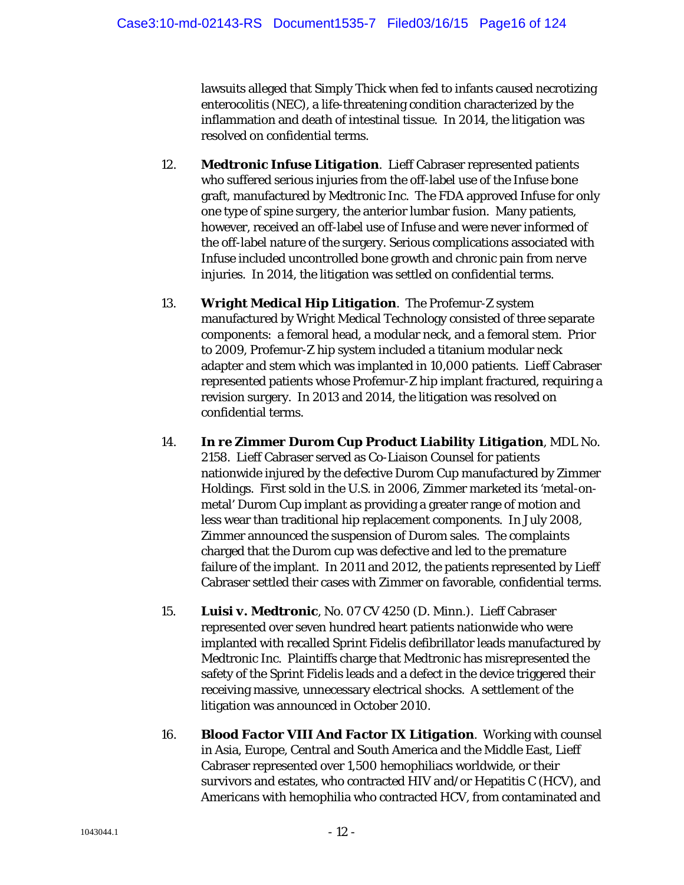lawsuits alleged that Simply Thick when fed to infants caused necrotizing enterocolitis (NEC), a life-threatening condition characterized by the inflammation and death of intestinal tissue. In 2014, the litigation was resolved on confidential terms.

- 12. *Medtronic Infuse Litigation*. Lieff Cabraser represented patients who suffered serious injuries from the off-label use of the Infuse bone graft, manufactured by Medtronic Inc. The FDA approved Infuse for only one type of spine surgery, the anterior lumbar fusion. Many patients, however, received an off-label use of Infuse and were never informed of the off-label nature of the surgery. Serious complications associated with Infuse included uncontrolled bone growth and chronic pain from nerve injuries. In 2014, the litigation was settled on confidential terms.
- 13. *Wright Medical Hip Litigation*. The Profemur-Z system manufactured by Wright Medical Technology consisted of three separate components: a femoral head, a modular neck, and a femoral stem. Prior to 2009, Profemur-Z hip system included a titanium modular neck adapter and stem which was implanted in 10,000 patients. Lieff Cabraser represented patients whose Profemur-Z hip implant fractured, requiring a revision surgery. In 2013 and 2014, the litigation was resolved on confidential terms.
- 14. *In re Zimmer Durom Cup Product Liability Litigation*, MDL No. 2158. Lieff Cabraser served as Co-Liaison Counsel for patients nationwide injured by the defective Durom Cup manufactured by Zimmer Holdings. First sold in the U.S. in 2006, Zimmer marketed its 'metal-onmetal' Durom Cup implant as providing a greater range of motion and less wear than traditional hip replacement components. In July 2008, Zimmer announced the suspension of Durom sales. The complaints charged that the Durom cup was defective and led to the premature failure of the implant. In 2011 and 2012, the patients represented by Lieff Cabraser settled their cases with Zimmer on favorable, confidential terms.
- 15. *Luisi v. Medtronic*, No. 07 CV 4250 (D. Minn.). Lieff Cabraser represented over seven hundred heart patients nationwide who were implanted with recalled Sprint Fidelis defibrillator leads manufactured by Medtronic Inc. Plaintiffs charge that Medtronic has misrepresented the safety of the Sprint Fidelis leads and a defect in the device triggered their receiving massive, unnecessary electrical shocks. A settlement of the litigation was announced in October 2010.
- 16. *Blood Factor VIII And Factor IX Litigation*. Working with counsel in Asia, Europe, Central and South America and the Middle East, Lieff Cabraser represented over 1,500 hemophiliacs worldwide, or their survivors and estates, who contracted HIV and/or Hepatitis C (HCV), and Americans with hemophilia who contracted HCV, from contaminated and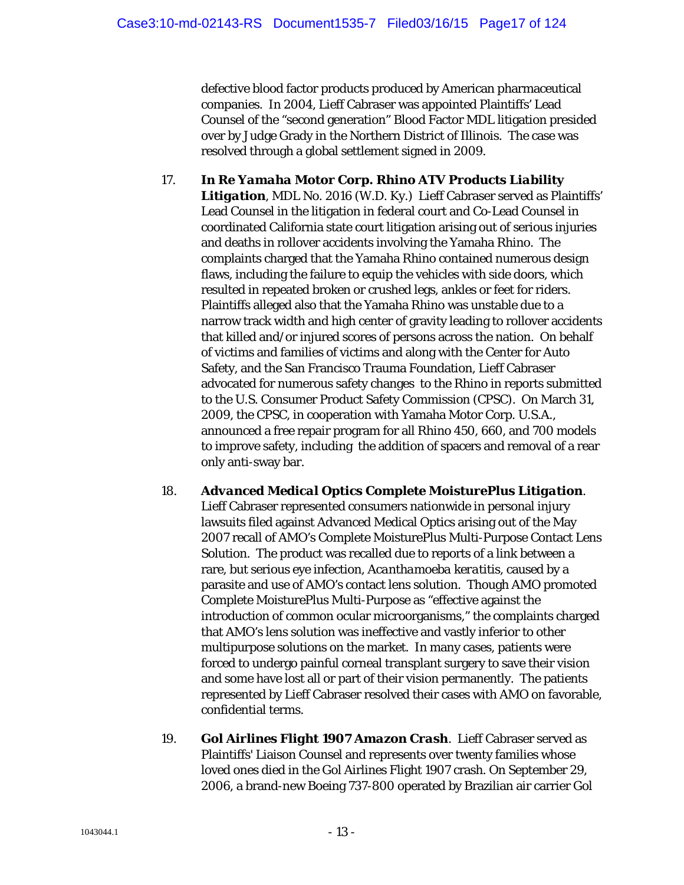defective blood factor products produced by American pharmaceutical companies. In 2004, Lieff Cabraser was appointed Plaintiffs' Lead Counsel of the "second generation" Blood Factor MDL litigation presided over by Judge Grady in the Northern District of Illinois. The case was resolved through a global settlement signed in 2009.

- 17. *In Re Yamaha Motor Corp. Rhino ATV Products Liability Litigation*, MDL No. 2016 (W.D. Ky.) Lieff Cabraser served as Plaintiffs' Lead Counsel in the litigation in federal court and Co-Lead Counsel in coordinated California state court litigation arising out of serious injuries and deaths in rollover accidents involving the Yamaha Rhino. The complaints charged that the Yamaha Rhino contained numerous design flaws, including the failure to equip the vehicles with side doors, which resulted in repeated broken or crushed legs, ankles or feet for riders. Plaintiffs alleged also that the Yamaha Rhino was unstable due to a narrow track width and high center of gravity leading to rollover accidents that killed and/or injured scores of persons across the nation. On behalf of victims and families of victims and along with the Center for Auto Safety, and the San Francisco Trauma Foundation, Lieff Cabraser advocated for numerous safety changes to the Rhino in reports submitted to the U.S. Consumer Product Safety Commission (CPSC). On March 31, 2009, the CPSC, in cooperation with Yamaha Motor Corp. U.S.A., announced a free repair program for all Rhino 450, 660, and 700 models to improve safety, including the addition of spacers and removal of a rear only anti-sway bar.
- 18. *Advanced Medical Optics Complete MoisturePlus Litigation*. Lieff Cabraser represented consumers nationwide in personal injury lawsuits filed against Advanced Medical Optics arising out of the May 2007 recall of AMO's Complete MoisturePlus Multi-Purpose Contact Lens Solution. The product was recalled due to reports of a link between a rare, but serious eye infection, *Acanthamoeba keratitis*, caused by a parasite and use of AMO's contact lens solution. Though AMO promoted Complete MoisturePlus Multi-Purpose as "effective against the introduction of common ocular microorganisms," the complaints charged that AMO's lens solution was ineffective and vastly inferior to other multipurpose solutions on the market. In many cases, patients were forced to undergo painful corneal transplant surgery to save their vision and some have lost all or part of their vision permanently. The patients represented by Lieff Cabraser resolved their cases with AMO on favorable, confidential terms.
- 19. *Gol Airlines Flight 1907 Amazon Crash*. Lieff Cabraser served as Plaintiffs' Liaison Counsel and represents over twenty families whose loved ones died in the Gol Airlines Flight 1907 crash. On September 29, 2006, a brand-new Boeing 737-800 operated by Brazilian air carrier Gol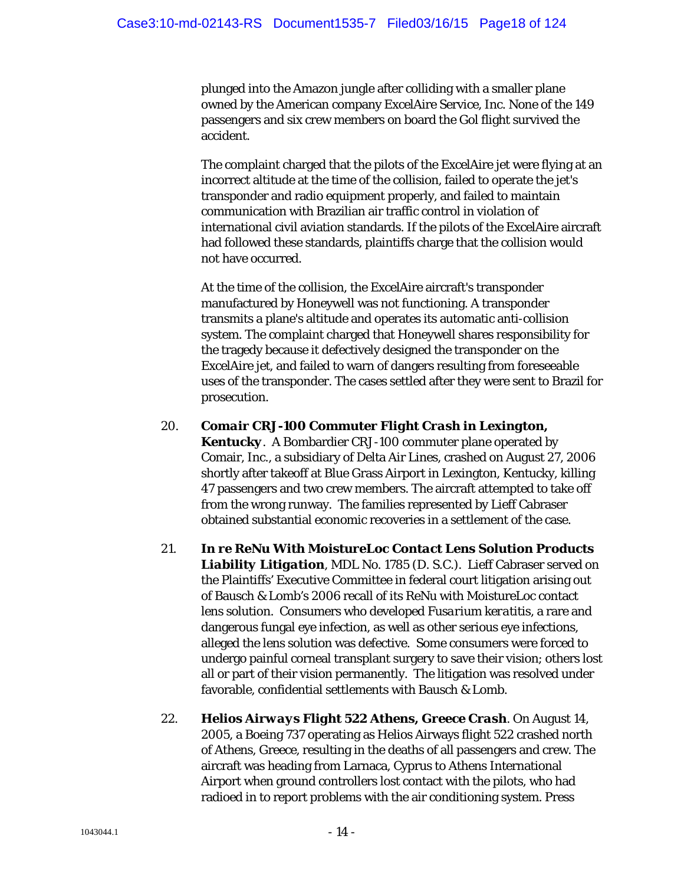plunged into the Amazon jungle after colliding with a smaller plane owned by the American company ExcelAire Service, Inc. None of the 149 passengers and six crew members on board the Gol flight survived the accident.

The complaint charged that the pilots of the ExcelAire jet were flying at an incorrect altitude at the time of the collision, failed to operate the jet's transponder and radio equipment properly, and failed to maintain communication with Brazilian air traffic control in violation of international civil aviation standards. If the pilots of the ExcelAire aircraft had followed these standards, plaintiffs charge that the collision would not have occurred.

At the time of the collision, the ExcelAire aircraft's transponder manufactured by Honeywell was not functioning. A transponder transmits a plane's altitude and operates its automatic anti-collision system. The complaint charged that Honeywell shares responsibility for the tragedy because it defectively designed the transponder on the ExcelAire jet, and failed to warn of dangers resulting from foreseeable uses of the transponder. The cases settled after they were sent to Brazil for prosecution.

#### 20. *Comair CRJ-100 Commuter Flight Crash in Lexington,*

*Kentucky*. A Bombardier CRJ-100 commuter plane operated by Comair, Inc., a subsidiary of Delta Air Lines, crashed on August 27, 2006 shortly after takeoff at Blue Grass Airport in Lexington, Kentucky, killing 47 passengers and two crew members. The aircraft attempted to take off from the wrong runway. The families represented by Lieff Cabraser obtained substantial economic recoveries in a settlement of the case.

- 21. *In re ReNu With MoistureLoc Contact Lens Solution Products Liability Litigation*, MDL No. 1785 (D. S.C.). Lieff Cabraser served on the Plaintiffs' Executive Committee in federal court litigation arising out of Bausch & Lomb's 2006 recall of its ReNu with MoistureLoc contact lens solution. Consumers who developed *Fusarium keratitis*, a rare and dangerous fungal eye infection, as well as other serious eye infections, alleged the lens solution was defective. Some consumers were forced to undergo painful corneal transplant surgery to save their vision; others lost all or part of their vision permanently. The litigation was resolved under favorable, confidential settlements with Bausch & Lomb.
- 22. *Helios Airways Flight 522 Athens, Greece Crash*. On August 14, 2005, a Boeing 737 operating as Helios Airways flight 522 crashed north of Athens, Greece, resulting in the deaths of all passengers and crew. The aircraft was heading from Larnaca, Cyprus to Athens International Airport when ground controllers lost contact with the pilots, who had radioed in to report problems with the air conditioning system. Press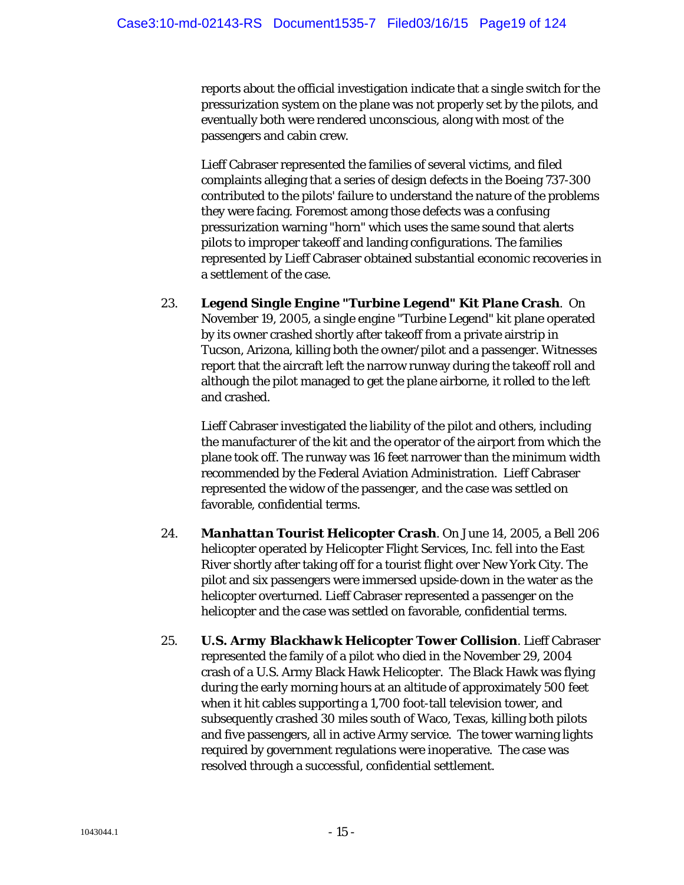reports about the official investigation indicate that a single switch for the pressurization system on the plane was not properly set by the pilots, and eventually both were rendered unconscious, along with most of the passengers and cabin crew.

Lieff Cabraser represented the families of several victims, and filed complaints alleging that a series of design defects in the Boeing 737-300 contributed to the pilots' failure to understand the nature of the problems they were facing. Foremost among those defects was a confusing pressurization warning "horn" which uses the same sound that alerts pilots to improper takeoff and landing configurations. The families represented by Lieff Cabraser obtained substantial economic recoveries in a settlement of the case.

23. *Legend Single Engine "Turbine Legend" Kit Plane Crash*. On November 19, 2005, a single engine "Turbine Legend" kit plane operated by its owner crashed shortly after takeoff from a private airstrip in Tucson, Arizona, killing both the owner/pilot and a passenger. Witnesses report that the aircraft left the narrow runway during the takeoff roll and although the pilot managed to get the plane airborne, it rolled to the left and crashed.

Lieff Cabraser investigated the liability of the pilot and others, including the manufacturer of the kit and the operator of the airport from which the plane took off. The runway was 16 feet narrower than the minimum width recommended by the Federal Aviation Administration. Lieff Cabraser represented the widow of the passenger, and the case was settled on favorable, confidential terms.

- 24. *Manhattan Tourist Helicopter Crash*. On June 14, 2005, a Bell 206 helicopter operated by Helicopter Flight Services, Inc. fell into the East River shortly after taking off for a tourist flight over New York City. The pilot and six passengers were immersed upside-down in the water as the helicopter overturned. Lieff Cabraser represented a passenger on the helicopter and the case was settled on favorable, confidential terms.
- 25. *U.S. Army Blackhawk Helicopter Tower Collision*. Lieff Cabraser represented the family of a pilot who died in the November 29, 2004 crash of a U.S. Army Black Hawk Helicopter. The Black Hawk was flying during the early morning hours at an altitude of approximately 500 feet when it hit cables supporting a 1,700 foot-tall television tower, and subsequently crashed 30 miles south of Waco, Texas, killing both pilots and five passengers, all in active Army service. The tower warning lights required by government regulations were inoperative. The case was resolved through a successful, confidential settlement.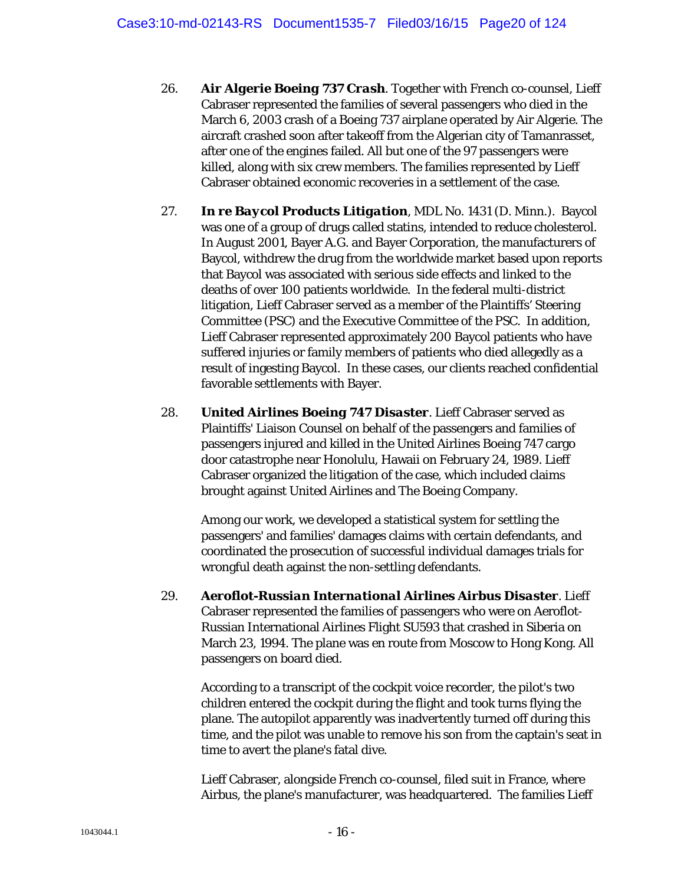- 26. *Air Algerie Boeing 737 Crash*. Together with French co-counsel, Lieff Cabraser represented the families of several passengers who died in the March 6, 2003 crash of a Boeing 737 airplane operated by Air Algerie. The aircraft crashed soon after takeoff from the Algerian city of Tamanrasset, after one of the engines failed. All but one of the 97 passengers were killed, along with six crew members. The families represented by Lieff Cabraser obtained economic recoveries in a settlement of the case.
- 27. *In re Baycol Products Litigation*, MDL No. 1431 (D. Minn.). Baycol was one of a group of drugs called statins, intended to reduce cholesterol. In August 2001, Bayer A.G. and Bayer Corporation, the manufacturers of Baycol, withdrew the drug from the worldwide market based upon reports that Baycol was associated with serious side effects and linked to the deaths of over 100 patients worldwide. In the federal multi-district litigation, Lieff Cabraser served as a member of the Plaintiffs' Steering Committee (PSC) and the Executive Committee of the PSC. In addition, Lieff Cabraser represented approximately 200 Baycol patients who have suffered injuries or family members of patients who died allegedly as a result of ingesting Baycol. In these cases, our clients reached confidential favorable settlements with Bayer.
- 28. *United Airlines Boeing 747 Disaster*. Lieff Cabraser served as Plaintiffs' Liaison Counsel on behalf of the passengers and families of passengers injured and killed in the United Airlines Boeing 747 cargo door catastrophe near Honolulu, Hawaii on February 24, 1989. Lieff Cabraser organized the litigation of the case, which included claims brought against United Airlines and The Boeing Company.

Among our work, we developed a statistical system for settling the passengers' and families' damages claims with certain defendants, and coordinated the prosecution of successful individual damages trials for wrongful death against the non-settling defendants.

29. *Aeroflot-Russian International Airlines Airbus Disaster*. Lieff Cabraser represented the families of passengers who were on Aeroflot-Russian International Airlines Flight SU593 that crashed in Siberia on March 23, 1994. The plane was en route from Moscow to Hong Kong. All passengers on board died.

According to a transcript of the cockpit voice recorder, the pilot's two children entered the cockpit during the flight and took turns flying the plane. The autopilot apparently was inadvertently turned off during this time, and the pilot was unable to remove his son from the captain's seat in time to avert the plane's fatal dive.

Lieff Cabraser, alongside French co-counsel, filed suit in France, where Airbus, the plane's manufacturer, was headquartered. The families Lieff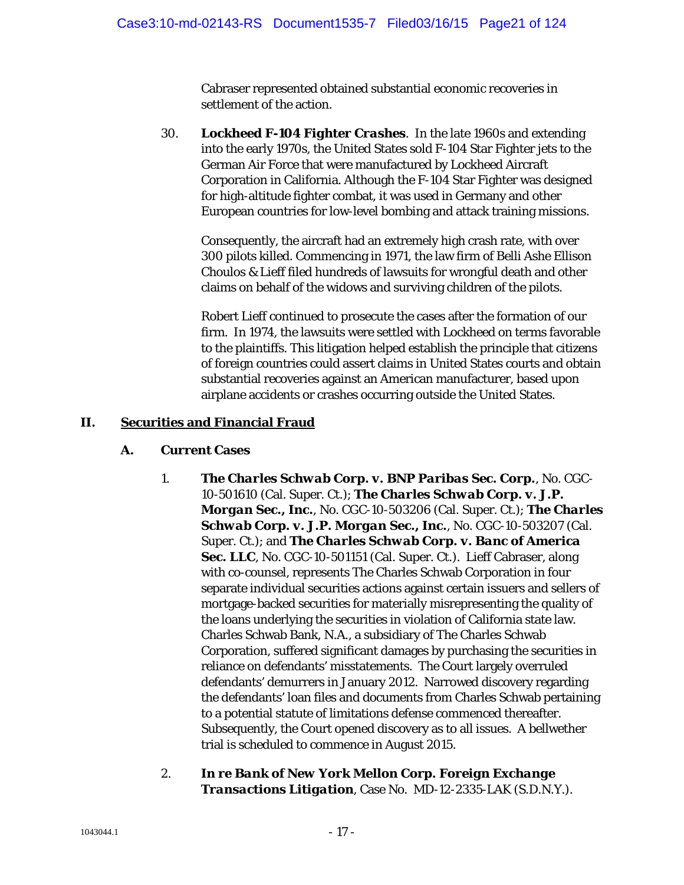Cabraser represented obtained substantial economic recoveries in settlement of the action.

30. *Lockheed F-104 Fighter Crashes*. In the late 1960s and extending into the early 1970s, the United States sold F-104 Star Fighter jets to the German Air Force that were manufactured by Lockheed Aircraft Corporation in California. Although the F-104 Star Fighter was designed for high-altitude fighter combat, it was used in Germany and other European countries for low-level bombing and attack training missions.

Consequently, the aircraft had an extremely high crash rate, with over 300 pilots killed. Commencing in 1971, the law firm of Belli Ashe Ellison Choulos & Lieff filed hundreds of lawsuits for wrongful death and other claims on behalf of the widows and surviving children of the pilots.

Robert Lieff continued to prosecute the cases after the formation of our firm. In 1974, the lawsuits were settled with Lockheed on terms favorable to the plaintiffs. This litigation helped establish the principle that citizens of foreign countries could assert claims in United States courts and obtain substantial recoveries against an American manufacturer, based upon airplane accidents or crashes occurring outside the United States.

## **II. Securities and Financial Fraud**

## **A. Current Cases**

- 1. *The Charles Schwab Corp. v. BNP Paribas Sec. Corp.*, No. CGC-10-501610 (Cal. Super. Ct.); *The Charles Schwab Corp. v. J.P. Morgan Sec., Inc.*, No. CGC-10-503206 (Cal. Super. Ct.); *The Charles Schwab Corp. v. J.P. Morgan Sec., Inc.*, No. CGC-10-503207 (Cal. Super. Ct.); and *The Charles Schwab Corp. v. Banc of America*  Sec. LLC, No. CGC-10-501151 (Cal. Super. Ct.). Lieff Cabraser, along with co-counsel, represents The Charles Schwab Corporation in four separate individual securities actions against certain issuers and sellers of mortgage-backed securities for materially misrepresenting the quality of the loans underlying the securities in violation of California state law. Charles Schwab Bank, N.A., a subsidiary of The Charles Schwab Corporation, suffered significant damages by purchasing the securities in reliance on defendants' misstatements. The Court largely overruled defendants' demurrers in January 2012. Narrowed discovery regarding the defendants' loan files and documents from Charles Schwab pertaining to a potential statute of limitations defense commenced thereafter. Subsequently, the Court opened discovery as to all issues. A bellwether trial is scheduled to commence in August 2015.
- 2. *In re Bank of New York Mellon Corp. Foreign Exchange Transactions Litigation*, Case No. MD-12-2335-LAK (S.D.N.Y.).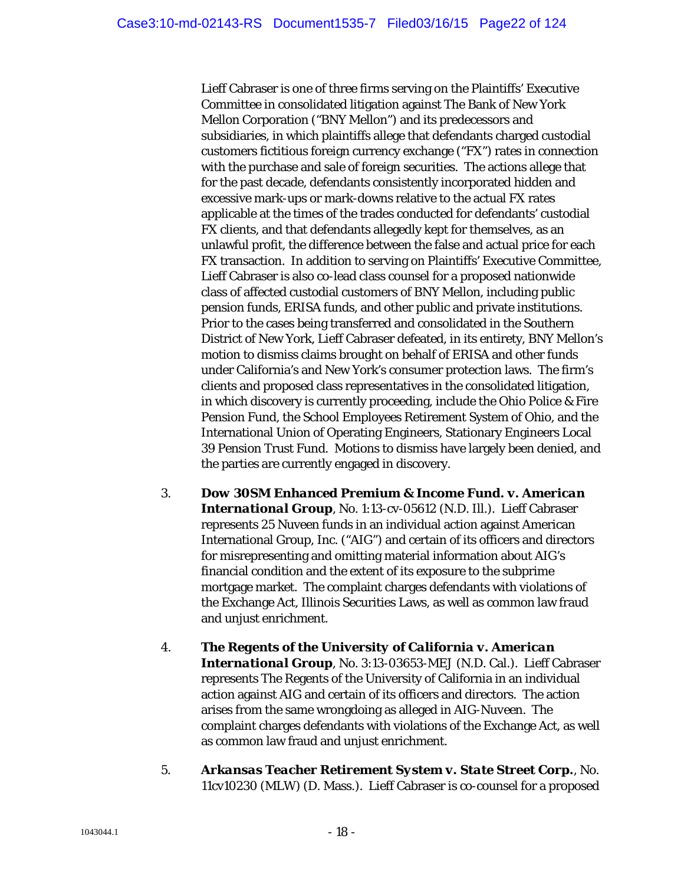Lieff Cabraser is one of three firms serving on the Plaintiffs' Executive Committee in consolidated litigation against The Bank of New York Mellon Corporation ("BNY Mellon") and its predecessors and subsidiaries, in which plaintiffs allege that defendants charged custodial customers fictitious foreign currency exchange ("FX") rates in connection with the purchase and sale of foreign securities. The actions allege that for the past decade, defendants consistently incorporated hidden and excessive mark-ups or mark-downs relative to the actual FX rates applicable at the times of the trades conducted for defendants' custodial FX clients, and that defendants allegedly kept for themselves, as an unlawful profit, the difference between the false and actual price for each FX transaction. In addition to serving on Plaintiffs' Executive Committee, Lieff Cabraser is also co-lead class counsel for a proposed nationwide class of affected custodial customers of BNY Mellon, including public pension funds, ERISA funds, and other public and private institutions. Prior to the cases being transferred and consolidated in the Southern District of New York, Lieff Cabraser defeated, in its entirety, BNY Mellon's motion to dismiss claims brought on behalf of ERISA and other funds under California's and New York's consumer protection laws. The firm's clients and proposed class representatives in the consolidated litigation, in which discovery is currently proceeding, include the Ohio Police & Fire Pension Fund, the School Employees Retirement System of Ohio, and the International Union of Operating Engineers, Stationary Engineers Local 39 Pension Trust Fund. Motions to dismiss have largely been denied, and the parties are currently engaged in discovery.

- 3. *Dow 30SM Enhanced Premium & Income Fund. v. American International Group*, No. 1:13-cv-05612 (N.D. Ill.). Lieff Cabraser represents 25 Nuveen funds in an individual action against American International Group, Inc. ("AIG") and certain of its officers and directors for misrepresenting and omitting material information about AIG's financial condition and the extent of its exposure to the subprime mortgage market. The complaint charges defendants with violations of the Exchange Act, Illinois Securities Laws, as well as common law fraud and unjust enrichment.
- 4. *The Regents of the University of California v. American International Group*, No. 3:13-03653-MEJ (N.D. Cal.). Lieff Cabraser represents The Regents of the University of California in an individual action against AIG and certain of its officers and directors. The action arises from the same wrongdoing as alleged in *AIG-Nuveen*. The complaint charges defendants with violations of the Exchange Act, as well as common law fraud and unjust enrichment.
- 5. *Arkansas Teacher Retirement System v. State Street Corp.*, No. 11cv10230 (MLW) (D. Mass.). Lieff Cabraser is co-counsel for a proposed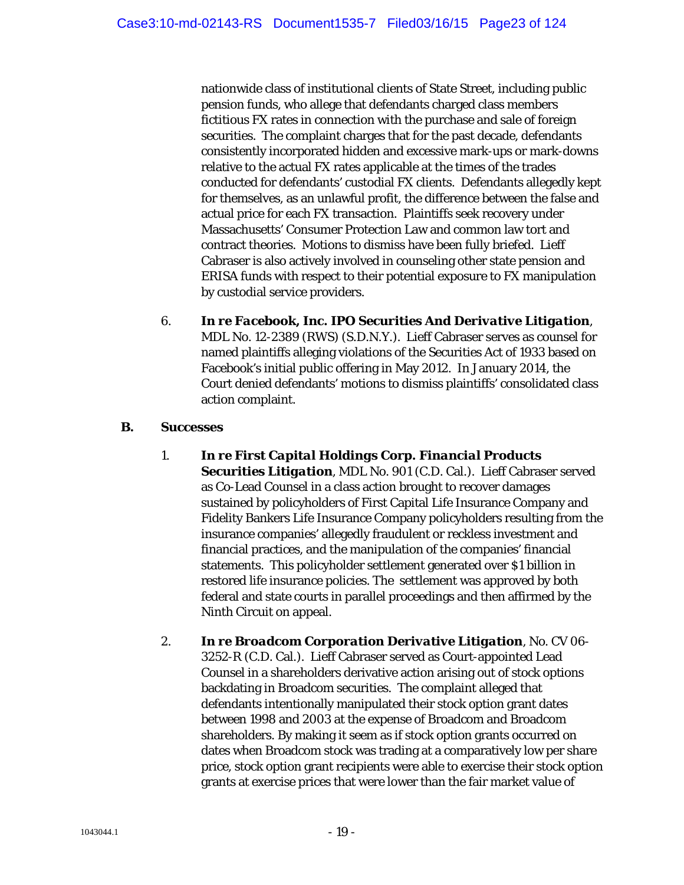nationwide class of institutional clients of State Street, including public pension funds, who allege that defendants charged class members fictitious FX rates in connection with the purchase and sale of foreign securities. The complaint charges that for the past decade, defendants consistently incorporated hidden and excessive mark-ups or mark-downs relative to the actual FX rates applicable at the times of the trades conducted for defendants' custodial FX clients. Defendants allegedly kept for themselves, as an unlawful profit, the difference between the false and actual price for each FX transaction. Plaintiffs seek recovery under Massachusetts' Consumer Protection Law and common law tort and contract theories. Motions to dismiss have been fully briefed. Lieff Cabraser is also actively involved in counseling other state pension and ERISA funds with respect to their potential exposure to FX manipulation by custodial service providers.

6. *In re Facebook, Inc. IPO Securities And Derivative Litigation*, MDL No. 12-2389 (RWS) (S.D.N.Y.). Lieff Cabraser serves as counsel for named plaintiffs alleging violations of the Securities Act of 1933 based on Facebook's initial public offering in May 2012. In January 2014, the Court denied defendants' motions to dismiss plaintiffs' consolidated class action complaint.

## **B. Successes**

- 1. *In re First Capital Holdings Corp. Financial Products Securities Litigation*, MDL No. 901 (C.D. Cal.). Lieff Cabraser served as Co-Lead Counsel in a class action brought to recover damages sustained by policyholders of First Capital Life Insurance Company and Fidelity Bankers Life Insurance Company policyholders resulting from the insurance companies' allegedly fraudulent or reckless investment and financial practices, and the manipulation of the companies' financial statements. This policyholder settlement generated over \$1 billion in restored life insurance policies. The settlement was approved by both federal and state courts in parallel proceedings and then affirmed by the Ninth Circuit on appeal.
- 2. *In re Broadcom Corporation Derivative Litigation*, No. CV 06- 3252-R (C.D. Cal.). Lieff Cabraser served as Court-appointed Lead Counsel in a shareholders derivative action arising out of stock options backdating in Broadcom securities. The complaint alleged that defendants intentionally manipulated their stock option grant dates between 1998 and 2003 at the expense of Broadcom and Broadcom shareholders. By making it seem as if stock option grants occurred on dates when Broadcom stock was trading at a comparatively low per share price, stock option grant recipients were able to exercise their stock option grants at exercise prices that were lower than the fair market value of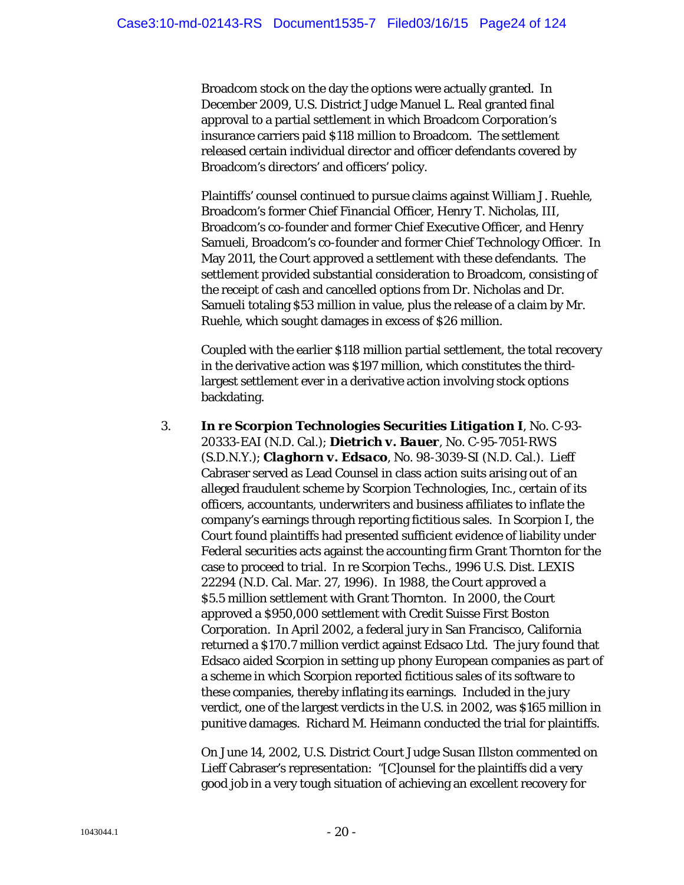Broadcom stock on the day the options were actually granted. In December 2009, U.S. District Judge Manuel L. Real granted final approval to a partial settlement in which Broadcom Corporation's insurance carriers paid \$118 million to Broadcom. The settlement released certain individual director and officer defendants covered by Broadcom's directors' and officers' policy.

Plaintiffs' counsel continued to pursue claims against William J. Ruehle, Broadcom's former Chief Financial Officer, Henry T. Nicholas, III, Broadcom's co-founder and former Chief Executive Officer, and Henry Samueli, Broadcom's co-founder and former Chief Technology Officer. In May 2011, the Court approved a settlement with these defendants. The settlement provided substantial consideration to Broadcom, consisting of the receipt of cash and cancelled options from Dr. Nicholas and Dr. Samueli totaling \$53 million in value, plus the release of a claim by Mr. Ruehle, which sought damages in excess of \$26 million.

Coupled with the earlier \$118 million partial settlement, the total recovery in the derivative action was \$197 million, which constitutes the thirdlargest settlement ever in a derivative action involving stock options backdating.

3. *In re Scorpion Technologies Securities Litigation I*, No. C-93- 20333-EAI (N.D. Cal.); *Dietrich v. Bauer*, No. C-95-7051-RWS (S.D.N.Y.); *Claghorn v. Edsaco*, No. 98-3039-SI (N.D. Cal.). Lieff Cabraser served as Lead Counsel in class action suits arising out of an alleged fraudulent scheme by Scorpion Technologies, Inc., certain of its officers, accountants, underwriters and business affiliates to inflate the company's earnings through reporting fictitious sales. In Scorpion I, the Court found plaintiffs had presented sufficient evidence of liability under Federal securities acts against the accounting firm Grant Thornton for the case to proceed to trial. In re Scorpion Techs., 1996 U.S. Dist. LEXIS 22294 (N.D. Cal. Mar. 27, 1996). In 1988, the Court approved a \$5.5 million settlement with Grant Thornton. In 2000, the Court approved a \$950,000 settlement with Credit Suisse First Boston Corporation. In April 2002, a federal jury in San Francisco, California returned a \$170.7 million verdict against Edsaco Ltd. The jury found that Edsaco aided Scorpion in setting up phony European companies as part of a scheme in which Scorpion reported fictitious sales of its software to these companies, thereby inflating its earnings. Included in the jury verdict, one of the largest verdicts in the U.S. in 2002, was \$165 million in punitive damages. Richard M. Heimann conducted the trial for plaintiffs.

On June 14, 2002, U.S. District Court Judge Susan Illston commented on Lieff Cabraser's representation: "[C]ounsel for the plaintiffs did a very good job in a very tough situation of achieving an excellent recovery for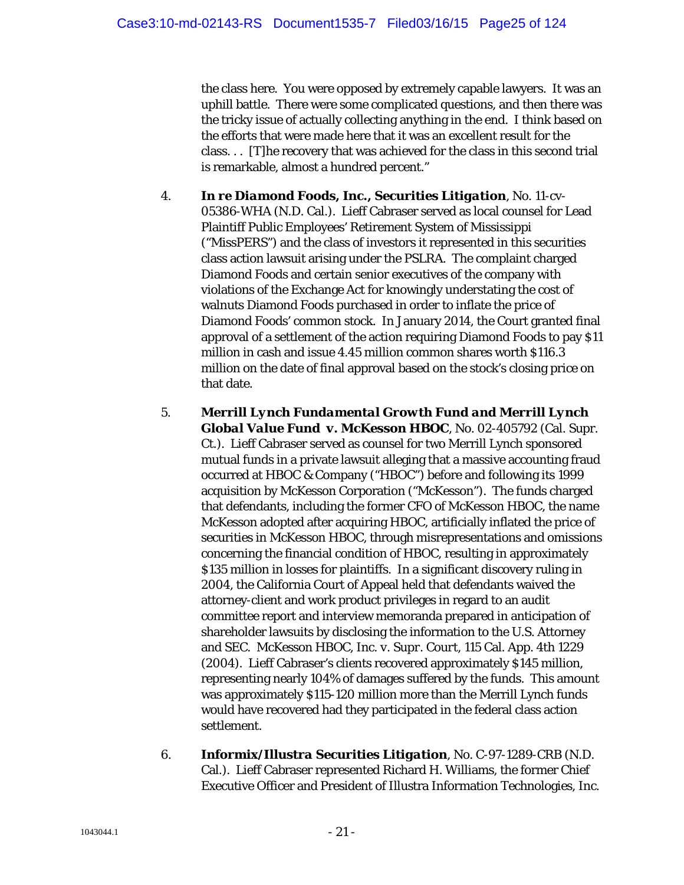the class here. You were opposed by extremely capable lawyers. It was an uphill battle. There were some complicated questions, and then there was the tricky issue of actually collecting anything in the end. I think based on the efforts that were made here that it was an excellent result for the class. . . [T]he recovery that was achieved for the class in this second trial is remarkable, almost a hundred percent."

- 4. *In re Diamond Foods, Inc., Securities Litigation*, No. 11-cv-05386-WHA (N.D. Cal.). Lieff Cabraser served as local counsel for Lead Plaintiff Public Employees' Retirement System of Mississippi ("MissPERS") and the class of investors it represented in this securities class action lawsuit arising under the PSLRA. The complaint charged Diamond Foods and certain senior executives of the company with violations of the Exchange Act for knowingly understating the cost of walnuts Diamond Foods purchased in order to inflate the price of Diamond Foods' common stock. In January 2014, the Court granted final approval of a settlement of the action requiring Diamond Foods to pay \$11 million in cash and issue 4.45 million common shares worth \$116.3 million on the date of final approval based on the stock's closing price on that date.
- 5. *Merrill Lynch Fundamental Growth Fund and Merrill Lynch Global Value Fund v. McKesson HBOC*, No. 02-405792 (Cal. Supr. Ct.). Lieff Cabraser served as counsel for two Merrill Lynch sponsored mutual funds in a private lawsuit alleging that a massive accounting fraud occurred at HBOC & Company ("HBOC") before and following its 1999 acquisition by McKesson Corporation ("McKesson"). The funds charged that defendants, including the former CFO of McKesson HBOC, the name McKesson adopted after acquiring HBOC, artificially inflated the price of securities in McKesson HBOC, through misrepresentations and omissions concerning the financial condition of HBOC, resulting in approximately \$135 million in losses for plaintiffs. In a significant discovery ruling in 2004, the California Court of Appeal held that defendants waived the attorney-client and work product privileges in regard to an audit committee report and interview memoranda prepared in anticipation of shareholder lawsuits by disclosing the information to the U.S. Attorney and SEC. *McKesson HBOC, Inc. v. Supr. Court*, 115 Cal. App. 4th 1229 (2004). Lieff Cabraser's clients recovered approximately \$145 million, representing nearly 104% of damages suffered by the funds. This amount was approximately \$115-120 million more than the Merrill Lynch funds would have recovered had they participated in the federal class action settlement.
- 6. *Informix/Illustra Securities Litigation*, No. C-97-1289-CRB (N.D. Cal.). Lieff Cabraser represented Richard H. Williams, the former Chief Executive Officer and President of Illustra Information Technologies, Inc.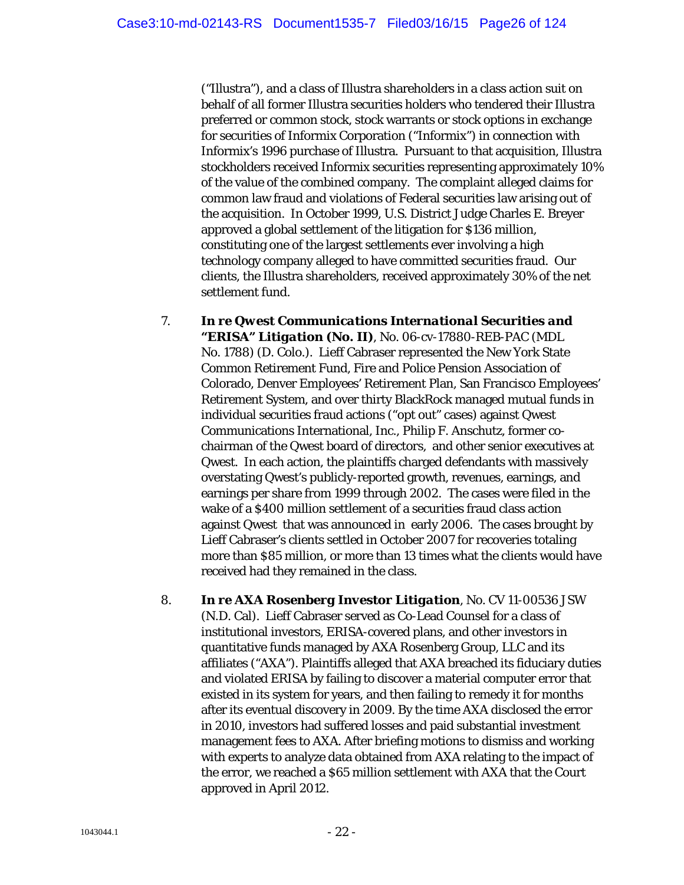("Illustra"), and a class of Illustra shareholders in a class action suit on behalf of all former Illustra securities holders who tendered their Illustra preferred or common stock, stock warrants or stock options in exchange for securities of Informix Corporation ("Informix") in connection with Informix's 1996 purchase of Illustra. Pursuant to that acquisition, Illustra stockholders received Informix securities representing approximately 10% of the value of the combined company. The complaint alleged claims for common law fraud and violations of Federal securities law arising out of the acquisition. In October 1999, U.S. District Judge Charles E. Breyer approved a global settlement of the litigation for \$136 million, constituting one of the largest settlements ever involving a high technology company alleged to have committed securities fraud. Our clients, the Illustra shareholders, received approximately 30% of the net settlement fund.

- 7. *In re Qwest Communications International Securities and "ERISA" Litigation (No. II)*, No. 06-cv-17880-REB-PAC (MDL No. 1788) (D. Colo.). Lieff Cabraser represented the New York State Common Retirement Fund, Fire and Police Pension Association of Colorado, Denver Employees' Retirement Plan, San Francisco Employees' Retirement System, and over thirty BlackRock managed mutual funds in individual securities fraud actions ("opt out" cases) against Qwest Communications International, Inc., Philip F. Anschutz, former cochairman of the Qwest board of directors, and other senior executives at Qwest. In each action, the plaintiffs charged defendants with massively overstating Qwest's publicly-reported growth, revenues, earnings, and earnings per share from 1999 through 2002. The cases were filed in the wake of a \$400 million settlement of a securities fraud class action against Qwest that was announced in early 2006. The cases brought by Lieff Cabraser's clients settled in October 2007 for recoveries totaling more than \$85 million, or more than 13 times what the clients would have received had they remained in the class.
- 8. *In re AXA Rosenberg Investor Litigation*, No. CV 11-00536 JSW (N.D. Cal). Lieff Cabraser served as Co-Lead Counsel for a class of institutional investors, ERISA-covered plans, and other investors in quantitative funds managed by AXA Rosenberg Group, LLC and its affiliates ("AXA"). Plaintiffs alleged that AXA breached its fiduciary duties and violated ERISA by failing to discover a material computer error that existed in its system for years, and then failing to remedy it for months after its eventual discovery in 2009. By the time AXA disclosed the error in 2010, investors had suffered losses and paid substantial investment management fees to AXA. After briefing motions to dismiss and working with experts to analyze data obtained from AXA relating to the impact of the error, we reached a \$65 million settlement with AXA that the Court approved in April 2012.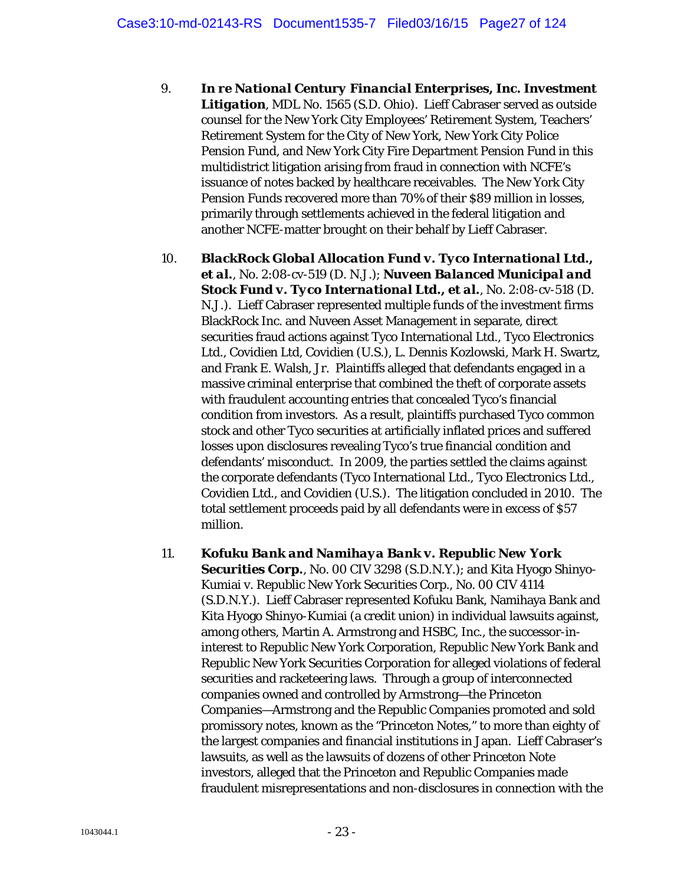- 9. *In re National Century Financial Enterprises, Inc. Investment Litigation*, MDL No. 1565 (S.D. Ohio). Lieff Cabraser served as outside counsel for the New York City Employees' Retirement System, Teachers' Retirement System for the City of New York, New York City Police Pension Fund, and New York City Fire Department Pension Fund in this multidistrict litigation arising from fraud in connection with NCFE's issuance of notes backed by healthcare receivables. The New York City Pension Funds recovered more than 70% of their \$89 million in losses, primarily through settlements achieved in the federal litigation and another NCFE-matter brought on their behalf by Lieff Cabraser.
- 10. *BlackRock Global Allocation Fund v. Tyco International Ltd., et al.*, No. 2:08-cv-519 (D. N.J.); *Nuveen Balanced Municipal and Stock Fund v. Tyco International Ltd., et al.*, No. 2:08-cv-518 (D. N.J.). Lieff Cabraser represented multiple funds of the investment firms BlackRock Inc. and Nuveen Asset Management in separate, direct securities fraud actions against Tyco International Ltd., Tyco Electronics Ltd., Covidien Ltd, Covidien (U.S.), L. Dennis Kozlowski, Mark H. Swartz, and Frank E. Walsh, Jr. Plaintiffs alleged that defendants engaged in a massive criminal enterprise that combined the theft of corporate assets with fraudulent accounting entries that concealed Tyco's financial condition from investors. As a result, plaintiffs purchased Tyco common stock and other Tyco securities at artificially inflated prices and suffered losses upon disclosures revealing Tyco's true financial condition and defendants' misconduct. In 2009, the parties settled the claims against the corporate defendants (Tyco International Ltd., Tyco Electronics Ltd., Covidien Ltd., and Covidien (U.S.). The litigation concluded in 2010. The total settlement proceeds paid by all defendants were in excess of \$57 million.
- 11. *Kofuku Bank and Namihaya Bank v. Republic New York Securities Corp.*, No. 00 CIV 3298 (S.D.N.Y.); and Kita Hyogo Shinyo-Kumiai v. Republic New York Securities Corp., No. 00 CIV 4114 (S.D.N.Y.). Lieff Cabraser represented Kofuku Bank, Namihaya Bank and Kita Hyogo Shinyo-Kumiai (a credit union) in individual lawsuits against, among others, Martin A. Armstrong and HSBC, Inc., the successor-ininterest to Republic New York Corporation, Republic New York Bank and Republic New York Securities Corporation for alleged violations of federal securities and racketeering laws. Through a group of interconnected companies owned and controlled by Armstrong—the Princeton Companies—Armstrong and the Republic Companies promoted and sold promissory notes, known as the "Princeton Notes," to more than eighty of the largest companies and financial institutions in Japan. Lieff Cabraser's lawsuits, as well as the lawsuits of dozens of other Princeton Note investors, alleged that the Princeton and Republic Companies made fraudulent misrepresentations and non-disclosures in connection with the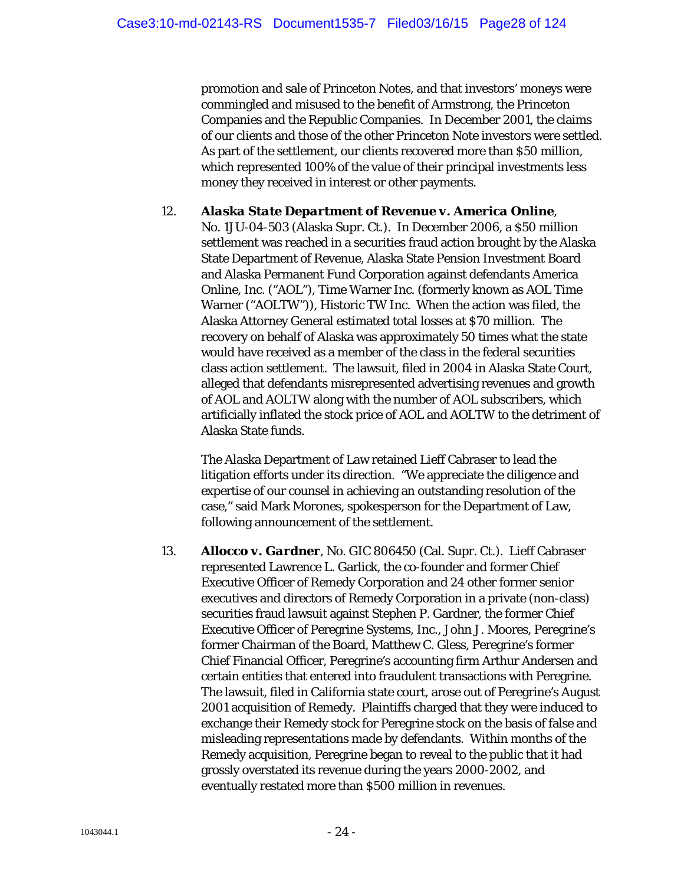promotion and sale of Princeton Notes, and that investors' moneys were commingled and misused to the benefit of Armstrong, the Princeton Companies and the Republic Companies. In December 2001, the claims of our clients and those of the other Princeton Note investors were settled. As part of the settlement, our clients recovered more than \$50 million, which represented 100% of the value of their principal investments less money they received in interest or other payments.

## 12. *Alaska State Department of Revenue v. America Online*, No. 1JU-04-503 (Alaska Supr. Ct.). In December 2006, a \$50 million settlement was reached in a securities fraud action brought by the Alaska State Department of Revenue, Alaska State Pension Investment Board and Alaska Permanent Fund Corporation against defendants America Online, Inc. ("AOL"), Time Warner Inc. (formerly known as AOL Time Warner ("AOLTW")), Historic TW Inc. When the action was filed, the Alaska Attorney General estimated total losses at \$70 million. The recovery on behalf of Alaska was approximately 50 times what the state would have received as a member of the class in the federal securities class action settlement. The lawsuit, filed in 2004 in Alaska State Court, alleged that defendants misrepresented advertising revenues and growth of AOL and AOLTW along with the number of AOL subscribers, which artificially inflated the stock price of AOL and AOLTW to the detriment of Alaska State funds.

The Alaska Department of Law retained Lieff Cabraser to lead the litigation efforts under its direction. "We appreciate the diligence and expertise of our counsel in achieving an outstanding resolution of the case," said Mark Morones, spokesperson for the Department of Law, following announcement of the settlement.

13. *Allocco v. Gardner*, No. GIC 806450 (Cal. Supr. Ct.). Lieff Cabraser represented Lawrence L. Garlick, the co-founder and former Chief Executive Officer of Remedy Corporation and 24 other former senior executives and directors of Remedy Corporation in a private (non-class) securities fraud lawsuit against Stephen P. Gardner, the former Chief Executive Officer of Peregrine Systems, Inc., John J. Moores, Peregrine's former Chairman of the Board, Matthew C. Gless, Peregrine's former Chief Financial Officer, Peregrine's accounting firm Arthur Andersen and certain entities that entered into fraudulent transactions with Peregrine. The lawsuit, filed in California state court, arose out of Peregrine's August 2001 acquisition of Remedy. Plaintiffs charged that they were induced to exchange their Remedy stock for Peregrine stock on the basis of false and misleading representations made by defendants. Within months of the Remedy acquisition, Peregrine began to reveal to the public that it had grossly overstated its revenue during the years 2000-2002, and eventually restated more than \$500 million in revenues.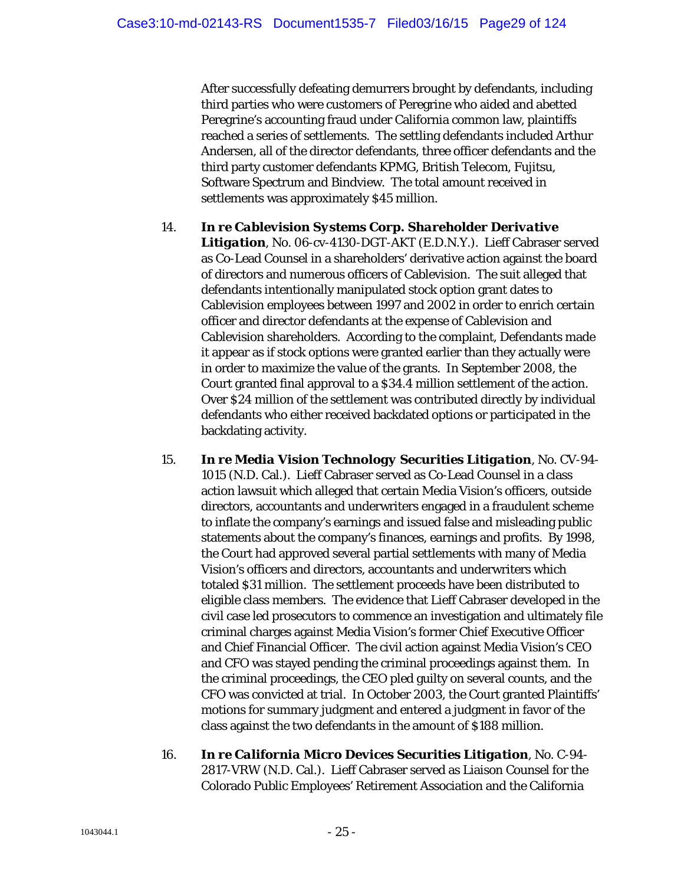After successfully defeating demurrers brought by defendants, including third parties who were customers of Peregrine who aided and abetted Peregrine's accounting fraud under California common law, plaintiffs reached a series of settlements. The settling defendants included Arthur Andersen, all of the director defendants, three officer defendants and the third party customer defendants KPMG, British Telecom, Fujitsu, Software Spectrum and Bindview. The total amount received in settlements was approximately \$45 million.

#### 14. *In re Cablevision Systems Corp. Shareholder Derivative*

*Litigation*, No. 06-cv-4130-DGT-AKT (E.D.N.Y.). Lieff Cabraser served as Co-Lead Counsel in a shareholders' derivative action against the board of directors and numerous officers of Cablevision. The suit alleged that defendants intentionally manipulated stock option grant dates to Cablevision employees between 1997 and 2002 in order to enrich certain officer and director defendants at the expense of Cablevision and Cablevision shareholders. According to the complaint, Defendants made it appear as if stock options were granted earlier than they actually were in order to maximize the value of the grants. In September 2008, the Court granted final approval to a \$34.4 million settlement of the action. Over \$24 million of the settlement was contributed directly by individual defendants who either received backdated options or participated in the backdating activity.

- 15. *In re Media Vision Technology Securities Litigation*, No. CV-94- 1015 (N.D. Cal.). Lieff Cabraser served as Co-Lead Counsel in a class action lawsuit which alleged that certain Media Vision's officers, outside directors, accountants and underwriters engaged in a fraudulent scheme to inflate the company's earnings and issued false and misleading public statements about the company's finances, earnings and profits. By 1998, the Court had approved several partial settlements with many of Media Vision's officers and directors, accountants and underwriters which totaled \$31 million. The settlement proceeds have been distributed to eligible class members. The evidence that Lieff Cabraser developed in the civil case led prosecutors to commence an investigation and ultimately file criminal charges against Media Vision's former Chief Executive Officer and Chief Financial Officer. The civil action against Media Vision's CEO and CFO was stayed pending the criminal proceedings against them. In the criminal proceedings, the CEO pled guilty on several counts, and the CFO was convicted at trial. In October 2003, the Court granted Plaintiffs' motions for summary judgment and entered a judgment in favor of the class against the two defendants in the amount of \$188 million.
- 16. *In re California Micro Devices Securities Litigation*, No. C-94- 2817-VRW (N.D. Cal.). Lieff Cabraser served as Liaison Counsel for the Colorado Public Employees' Retirement Association and the California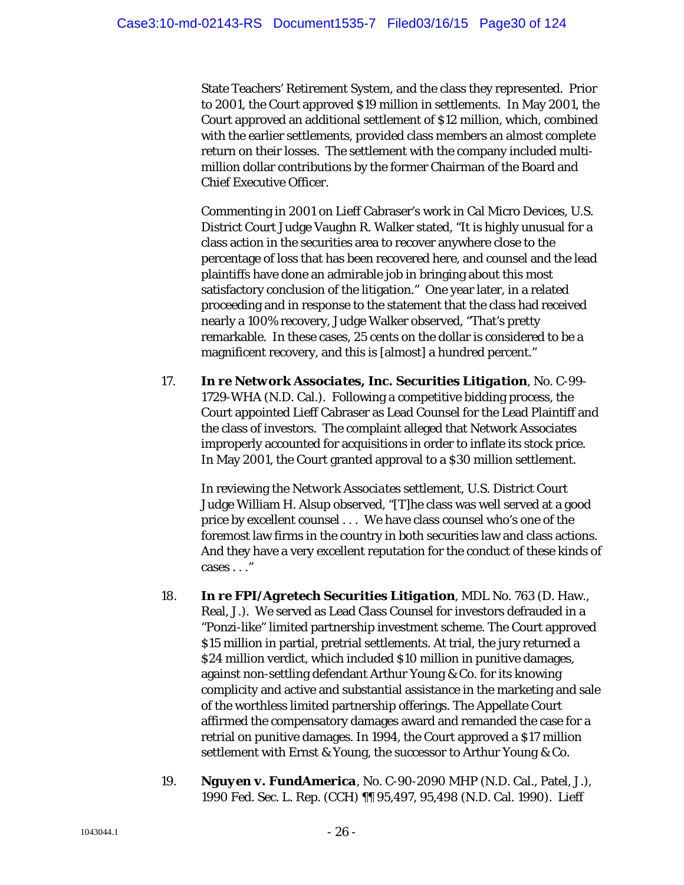State Teachers' Retirement System, and the class they represented. Prior to 2001, the Court approved \$19 million in settlements. In May 2001, the Court approved an additional settlement of \$12 million, which, combined with the earlier settlements, provided class members an almost complete return on their losses. The settlement with the company included multimillion dollar contributions by the former Chairman of the Board and Chief Executive Officer.

Commenting in 2001 on Lieff Cabraser's work in Cal Micro Devices, U.S. District Court Judge Vaughn R. Walker stated, "It is highly unusual for a class action in the securities area to recover anywhere close to the percentage of loss that has been recovered here, and counsel and the lead plaintiffs have done an admirable job in bringing about this most satisfactory conclusion of the litigation." One year later, in a related proceeding and in response to the statement that the class had received nearly a 100% recovery, Judge Walker observed, "That's pretty remarkable. In these cases, 25 cents on the dollar is considered to be a magnificent recovery, and this is [almost] a hundred percent."

17. *In re Network Associates, Inc. Securities Litigation*, No. C-99- 1729-WHA (N.D. Cal.). Following a competitive bidding process, the Court appointed Lieff Cabraser as Lead Counsel for the Lead Plaintiff and the class of investors. The complaint alleged that Network Associates improperly accounted for acquisitions in order to inflate its stock price. In May 2001, the Court granted approval to a \$30 million settlement.

In reviewing the *Network Associates* settlement, U.S. District Court Judge William H. Alsup observed, "[T]he class was well served at a good price by excellent counsel . . . We have class counsel who's one of the foremost law firms in the country in both securities law and class actions. And they have a very excellent reputation for the conduct of these kinds of cases . . ."

- 18. *In re FPI/Agretech Securities Litigation*, MDL No. 763 (D. Haw., Real, J.). We served as Lead Class Counsel for investors defrauded in a "Ponzi-like" limited partnership investment scheme. The Court approved \$15 million in partial, pretrial settlements. At trial, the jury returned a \$24 million verdict, which included \$10 million in punitive damages, against non-settling defendant Arthur Young & Co. for its knowing complicity and active and substantial assistance in the marketing and sale of the worthless limited partnership offerings. The Appellate Court affirmed the compensatory damages award and remanded the case for a retrial on punitive damages. In 1994, the Court approved a \$17 million settlement with Ernst & Young, the successor to Arthur Young & Co.
- 19. *Nguyen v. FundAmerica*, No. C-90-2090 MHP (N.D. Cal., Patel, J.), 1990 Fed. Sec. L. Rep. (CCH) ¶¶ 95,497, 95,498 (N.D. Cal. 1990). Lieff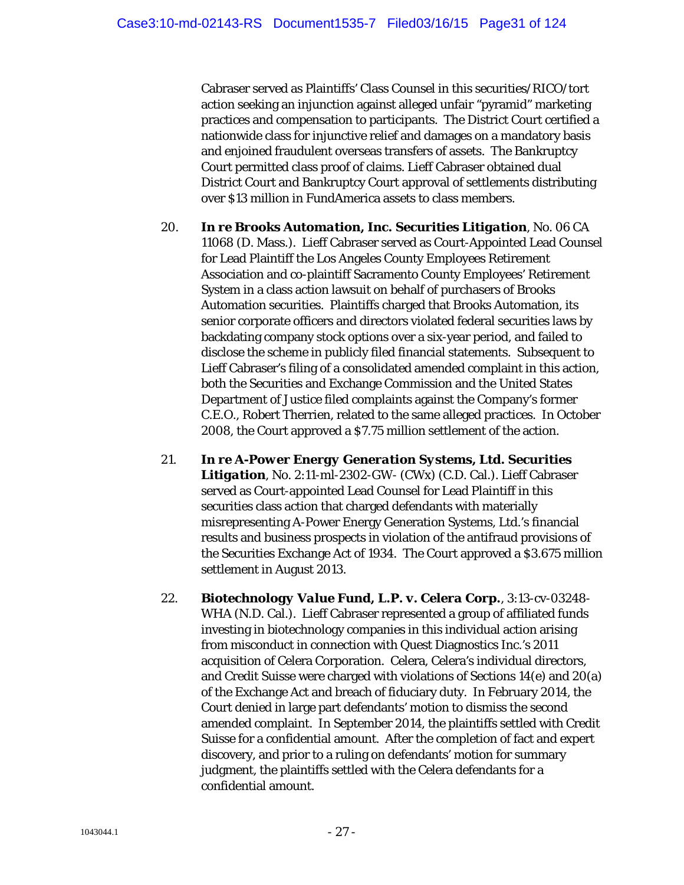Cabraser served as Plaintiffs' Class Counsel in this securities/RICO/tort action seeking an injunction against alleged unfair "pyramid" marketing practices and compensation to participants. The District Court certified a nationwide class for injunctive relief and damages on a mandatory basis and enjoined fraudulent overseas transfers of assets. The Bankruptcy Court permitted class proof of claims. Lieff Cabraser obtained dual District Court and Bankruptcy Court approval of settlements distributing over \$13 million in FundAmerica assets to class members.

- 20. *In re Brooks Automation, Inc. Securities Litigation*, No. 06 CA 11068 (D. Mass.). Lieff Cabraser served as Court-Appointed Lead Counsel for Lead Plaintiff the Los Angeles County Employees Retirement Association and co-plaintiff Sacramento County Employees' Retirement System in a class action lawsuit on behalf of purchasers of Brooks Automation securities. Plaintiffs charged that Brooks Automation, its senior corporate officers and directors violated federal securities laws by backdating company stock options over a six-year period, and failed to disclose the scheme in publicly filed financial statements. Subsequent to Lieff Cabraser's filing of a consolidated amended complaint in this action, both the Securities and Exchange Commission and the United States Department of Justice filed complaints against the Company's former C.E.O., Robert Therrien, related to the same alleged practices. In October 2008, the Court approved a \$7.75 million settlement of the action.
- 21. *In re A-Power Energy Generation Systems, Ltd. Securities Litigation*, No. 2:11-ml-2302-GW- (CWx) (C.D. Cal.). Lieff Cabraser served as Court-appointed Lead Counsel for Lead Plaintiff in this securities class action that charged defendants with materially misrepresenting A-Power Energy Generation Systems, Ltd.'s financial results and business prospects in violation of the antifraud provisions of the Securities Exchange Act of 1934. The Court approved a \$3.675 million settlement in August 2013.
- 22. *Biotechnology Value Fund, L.P. v. Celera Corp.*, 3:13-cv-03248- WHA (N.D. Cal.). Lieff Cabraser represented a group of affiliated funds investing in biotechnology companies in this individual action arising from misconduct in connection with Quest Diagnostics Inc.'s 2011 acquisition of Celera Corporation. Celera, Celera's individual directors, and Credit Suisse were charged with violations of Sections 14(e) and 20(a) of the Exchange Act and breach of fiduciary duty. In February 2014, the Court denied in large part defendants' motion to dismiss the second amended complaint. In September 2014, the plaintiffs settled with Credit Suisse for a confidential amount. After the completion of fact and expert discovery, and prior to a ruling on defendants' motion for summary judgment, the plaintiffs settled with the Celera defendants for a confidential amount.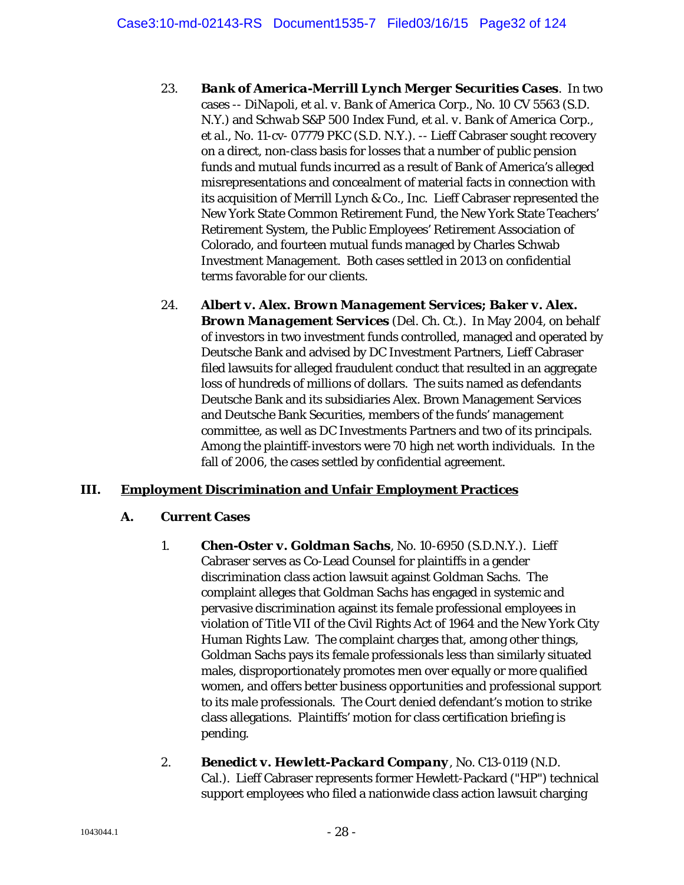- 23. *Bank of America-Merrill Lynch Merger Securities Cases*. In two cases -- *DiNapoli, et al. v. Bank of America Corp.*, No. 10 CV 5563 (S.D. N.Y.) and *Schwab S&P 500 Index Fund, et al. v. Bank of America Corp., et al.*, No. 11-cv- 07779 PKC (S.D. N.Y.). -- Lieff Cabraser sought recovery on a direct, non-class basis for losses that a number of public pension funds and mutual funds incurred as a result of Bank of America's alleged misrepresentations and concealment of material facts in connection with its acquisition of Merrill Lynch & Co., Inc. Lieff Cabraser represented the New York State Common Retirement Fund, the New York State Teachers' Retirement System, the Public Employees' Retirement Association of Colorado, and fourteen mutual funds managed by Charles Schwab Investment Management. Both cases settled in 2013 on confidential terms favorable for our clients.
- 24. *Albert v. Alex. Brown Management Services; Baker v. Alex. Brown Management Services* (Del. Ch. Ct.). In May 2004, on behalf of investors in two investment funds controlled, managed and operated by Deutsche Bank and advised by DC Investment Partners, Lieff Cabraser filed lawsuits for alleged fraudulent conduct that resulted in an aggregate loss of hundreds of millions of dollars. The suits named as defendants Deutsche Bank and its subsidiaries Alex. Brown Management Services and Deutsche Bank Securities, members of the funds' management committee, as well as DC Investments Partners and two of its principals. Among the plaintiff-investors were 70 high net worth individuals. In the fall of 2006, the cases settled by confidential agreement.

## **III. Employment Discrimination and Unfair Employment Practices**

## **A. Current Cases**

- 1. *Chen-Oster v. Goldman Sachs*, No. 10-6950 (S.D.N.Y.). Lieff Cabraser serves as Co-Lead Counsel for plaintiffs in a gender discrimination class action lawsuit against Goldman Sachs. The complaint alleges that Goldman Sachs has engaged in systemic and pervasive discrimination against its female professional employees in violation of Title VII of the Civil Rights Act of 1964 and the New York City Human Rights Law. The complaint charges that, among other things, Goldman Sachs pays its female professionals less than similarly situated males, disproportionately promotes men over equally or more qualified women, and offers better business opportunities and professional support to its male professionals. The Court denied defendant's motion to strike class allegations. Plaintiffs' motion for class certification briefing is pending.
- 2. *Benedict v. Hewlett-Packard Company*, No. C13-0119 (N.D. Cal.). Lieff Cabraser represents former Hewlett-Packard ("HP") technical support employees who filed a nationwide class action lawsuit charging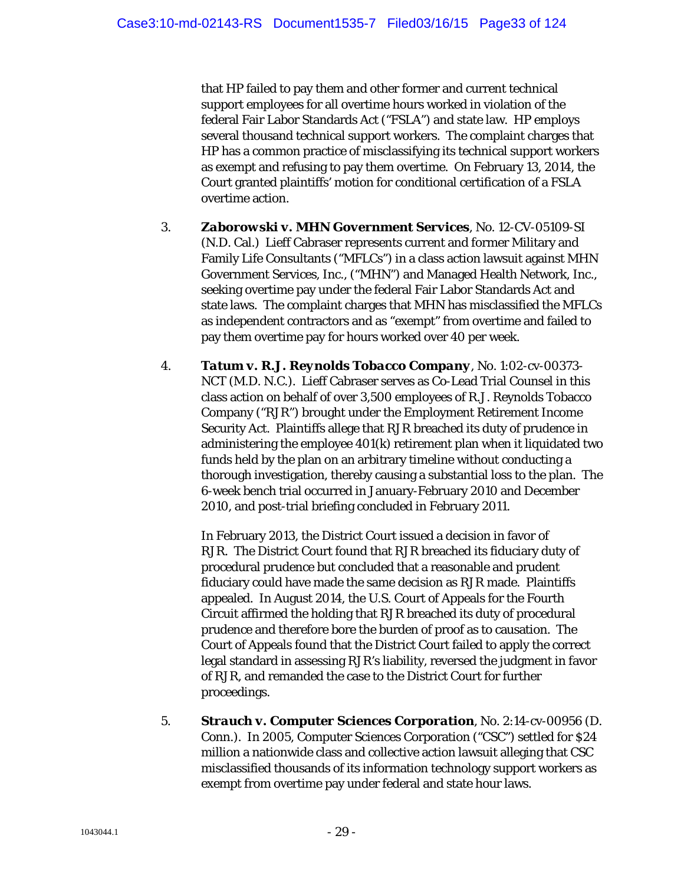that HP failed to pay them and other former and current technical support employees for all overtime hours worked in violation of the federal Fair Labor Standards Act ("FSLA") and state law. HP employs several thousand technical support workers. The complaint charges that HP has a common practice of misclassifying its technical support workers as exempt and refusing to pay them overtime. On February 13, 2014, the Court granted plaintiffs' motion for conditional certification of a FSLA overtime action.

- 3. *Zaborowski v. MHN Government Services*, No. 12-CV-05109-SI (N.D. Cal.) Lieff Cabraser represents current and former Military and Family Life Consultants ("MFLCs") in a class action lawsuit against MHN Government Services, Inc., ("MHN") and Managed Health Network, Inc., seeking overtime pay under the federal Fair Labor Standards Act and state laws. The complaint charges that MHN has misclassified the MFLCs as independent contractors and as "exempt" from overtime and failed to pay them overtime pay for hours worked over 40 per week.
- 4. *Tatum v. R.J. Reynolds Tobacco Company*, No. 1:02-cv-00373- NCT (M.D. N.C.). Lieff Cabraser serves as Co-Lead Trial Counsel in this class action on behalf of over 3,500 employees of R.J. Reynolds Tobacco Company ("RJR") brought under the Employment Retirement Income Security Act. Plaintiffs allege that RJR breached its duty of prudence in administering the employee 401(k) retirement plan when it liquidated two funds held by the plan on an arbitrary timeline without conducting a thorough investigation, thereby causing a substantial loss to the plan. The 6-week bench trial occurred in January-February 2010 and December 2010, and post-trial briefing concluded in February 2011.

In February 2013, the District Court issued a decision in favor of RJR. The District Court found that RJR breached its fiduciary duty of procedural prudence but concluded that a reasonable and prudent fiduciary could have made the same decision as RJR made. Plaintiffs appealed. In August 2014, the U.S. Court of Appeals for the Fourth Circuit affirmed the holding that RJR breached its duty of procedural prudence and therefore bore the burden of proof as to causation. The Court of Appeals found that the District Court failed to apply the correct legal standard in assessing RJR's liability, reversed the judgment in favor of RJR, and remanded the case to the District Court for further proceedings.

5. *Strauch v. Computer Sciences Corporation*, No. 2:14-cv-00956 (D. Conn.). In 2005, Computer Sciences Corporation ("CSC") settled for \$24 million a nationwide class and collective action lawsuit alleging that CSC misclassified thousands of its information technology support workers as exempt from overtime pay under federal and state hour laws.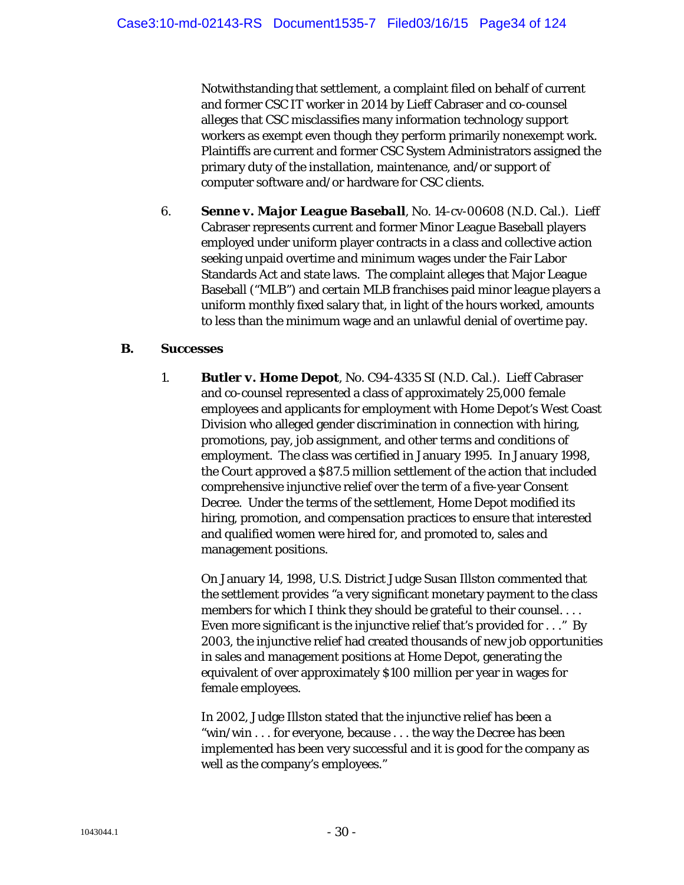Notwithstanding that settlement, a complaint filed on behalf of current and former CSC IT worker in 2014 by Lieff Cabraser and co-counsel alleges that CSC misclassifies many information technology support workers as exempt even though they perform primarily nonexempt work. Plaintiffs are current and former CSC System Administrators assigned the primary duty of the installation, maintenance, and/or support of computer software and/or hardware for CSC clients.

6. *Senne v. Major League Baseball*, No. 14-cv-00608 (N.D. Cal.). Lieff Cabraser represents current and former Minor League Baseball players employed under uniform player contracts in a class and collective action seeking unpaid overtime and minimum wages under the Fair Labor Standards Act and state laws. The complaint alleges that Major League Baseball ("MLB") and certain MLB franchises paid minor league players a uniform monthly fixed salary that, in light of the hours worked, amounts to less than the minimum wage and an unlawful denial of overtime pay.

#### **B. Successes**

1. *Butler v. Home Depot*, No. C94-4335 SI (N.D. Cal.). Lieff Cabraser and co-counsel represented a class of approximately 25,000 female employees and applicants for employment with Home Depot's West Coast Division who alleged gender discrimination in connection with hiring, promotions, pay, job assignment, and other terms and conditions of employment. The class was certified in January 1995. In January 1998, the Court approved a \$87.5 million settlement of the action that included comprehensive injunctive relief over the term of a five-year Consent Decree. Under the terms of the settlement, Home Depot modified its hiring, promotion, and compensation practices to ensure that interested and qualified women were hired for, and promoted to, sales and management positions.

On January 14, 1998, U.S. District Judge Susan Illston commented that the settlement provides "a very significant monetary payment to the class members for which I think they should be grateful to their counsel. . . . Even more significant is the injunctive relief that's provided for . . ." By 2003, the injunctive relief had created thousands of new job opportunities in sales and management positions at Home Depot, generating the equivalent of over approximately \$100 million per year in wages for female employees.

In 2002, Judge Illston stated that the injunctive relief has been a "win/win . . . for everyone, because . . . the way the Decree has been implemented has been very successful and it is good for the company as well as the company's employees."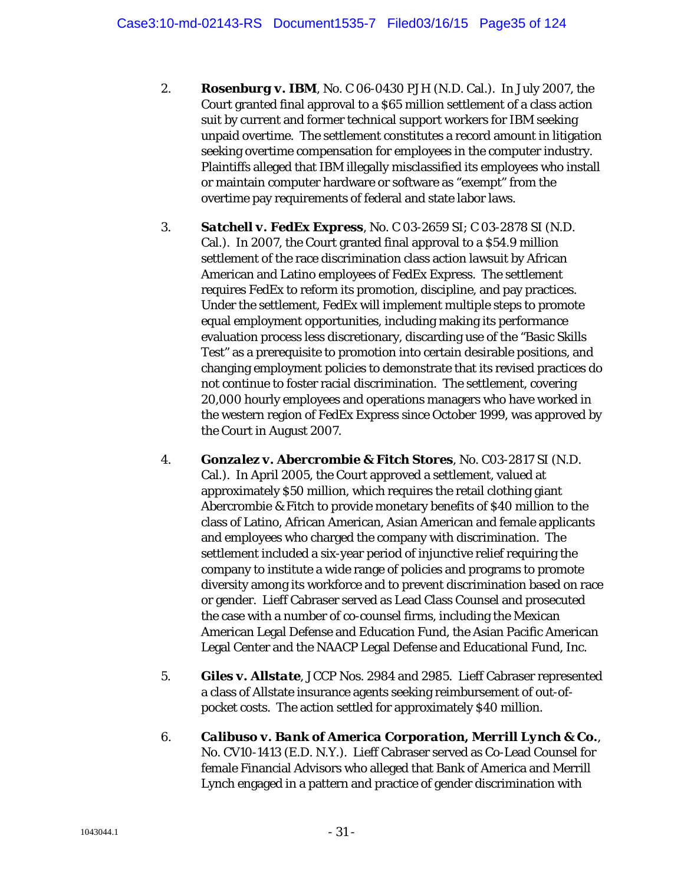- 2. *Rosenburg v. IBM*, No. C 06-0430 PJH (N.D. Cal.). In July 2007, the Court granted final approval to a \$65 million settlement of a class action suit by current and former technical support workers for IBM seeking unpaid overtime. The settlement constitutes a record amount in litigation seeking overtime compensation for employees in the computer industry. Plaintiffs alleged that IBM illegally misclassified its employees who install or maintain computer hardware or software as "exempt" from the overtime pay requirements of federal and state labor laws.
- 3. *Satchell v. FedEx Express*, No. C 03-2659 SI; C 03-2878 SI (N.D. Cal.). In 2007, the Court granted final approval to a \$54.9 million settlement of the race discrimination class action lawsuit by African American and Latino employees of FedEx Express. The settlement requires FedEx to reform its promotion, discipline, and pay practices. Under the settlement, FedEx will implement multiple steps to promote equal employment opportunities, including making its performance evaluation process less discretionary, discarding use of the "Basic Skills Test" as a prerequisite to promotion into certain desirable positions, and changing employment policies to demonstrate that its revised practices do not continue to foster racial discrimination. The settlement, covering 20,000 hourly employees and operations managers who have worked in the western region of FedEx Express since October 1999, was approved by the Court in August 2007.
- 4. *Gonzalez v. Abercrombie & Fitch Stores*, No. C03-2817 SI (N.D. Cal.). In April 2005, the Court approved a settlement, valued at approximately \$50 million, which requires the retail clothing giant Abercrombie & Fitch to provide monetary benefits of \$40 million to the class of Latino, African American, Asian American and female applicants and employees who charged the company with discrimination. The settlement included a six-year period of injunctive relief requiring the company to institute a wide range of policies and programs to promote diversity among its workforce and to prevent discrimination based on race or gender. Lieff Cabraser served as Lead Class Counsel and prosecuted the case with a number of co-counsel firms, including the Mexican American Legal Defense and Education Fund, the Asian Pacific American Legal Center and the NAACP Legal Defense and Educational Fund, Inc.
- 5. *Giles v. Allstate*, JCCP Nos. 2984 and 2985. Lieff Cabraser represented a class of Allstate insurance agents seeking reimbursement of out-ofpocket costs. The action settled for approximately \$40 million.
- 6. *Calibuso v. Bank of America Corporation, Merrill Lynch & Co.*, No. CV10-1413 (E.D. N.Y.). Lieff Cabraser served as Co-Lead Counsel for female Financial Advisors who alleged that Bank of America and Merrill Lynch engaged in a pattern and practice of gender discrimination with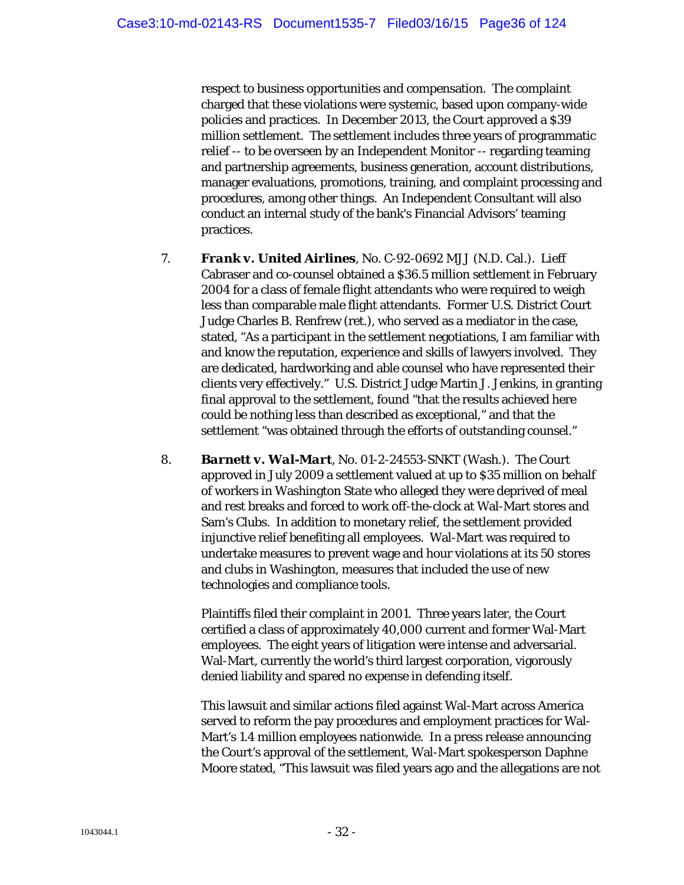respect to business opportunities and compensation. The complaint charged that these violations were systemic, based upon company-wide policies and practices. In December 2013, the Court approved a \$39 million settlement. The settlement includes three years of programmatic relief -- to be overseen by an Independent Monitor -- regarding teaming and partnership agreements, business generation, account distributions, manager evaluations, promotions, training, and complaint processing and procedures, among other things. An Independent Consultant will also conduct an internal study of the bank's Financial Advisors' teaming practices.

- 7. *Frank v. United Airlines*, No. C-92-0692 MJJ (N.D. Cal.). Lieff Cabraser and co-counsel obtained a \$36.5 million settlement in February 2004 for a class of female flight attendants who were required to weigh less than comparable male flight attendants. Former U.S. District Court Judge Charles B. Renfrew (ret.), who served as a mediator in the case, stated, "As a participant in the settlement negotiations, I am familiar with and know the reputation, experience and skills of lawyers involved. They are dedicated, hardworking and able counsel who have represented their clients very effectively." U.S. District Judge Martin J. Jenkins, in granting final approval to the settlement, found "that the results achieved here could be nothing less than described as exceptional," and that the settlement "was obtained through the efforts of outstanding counsel."
- 8. *Barnett v. Wal-Mart*, No. 01-2-24553-SNKT (Wash.). The Court approved in July 2009 a settlement valued at up to \$35 million on behalf of workers in Washington State who alleged they were deprived of meal and rest breaks and forced to work off-the-clock at Wal-Mart stores and Sam's Clubs. In addition to monetary relief, the settlement provided injunctive relief benefiting all employees. Wal-Mart was required to undertake measures to prevent wage and hour violations at its 50 stores and clubs in Washington, measures that included the use of new technologies and compliance tools.

Plaintiffs filed their complaint in 2001. Three years later, the Court certified a class of approximately 40,000 current and former Wal-Mart employees. The eight years of litigation were intense and adversarial. Wal-Mart, currently the world's third largest corporation, vigorously denied liability and spared no expense in defending itself.

This lawsuit and similar actions filed against Wal-Mart across America served to reform the pay procedures and employment practices for Wal-Mart's 1.4 million employees nationwide. In a press release announcing the Court's approval of the settlement, Wal-Mart spokesperson Daphne Moore stated, "This lawsuit was filed years ago and the allegations are not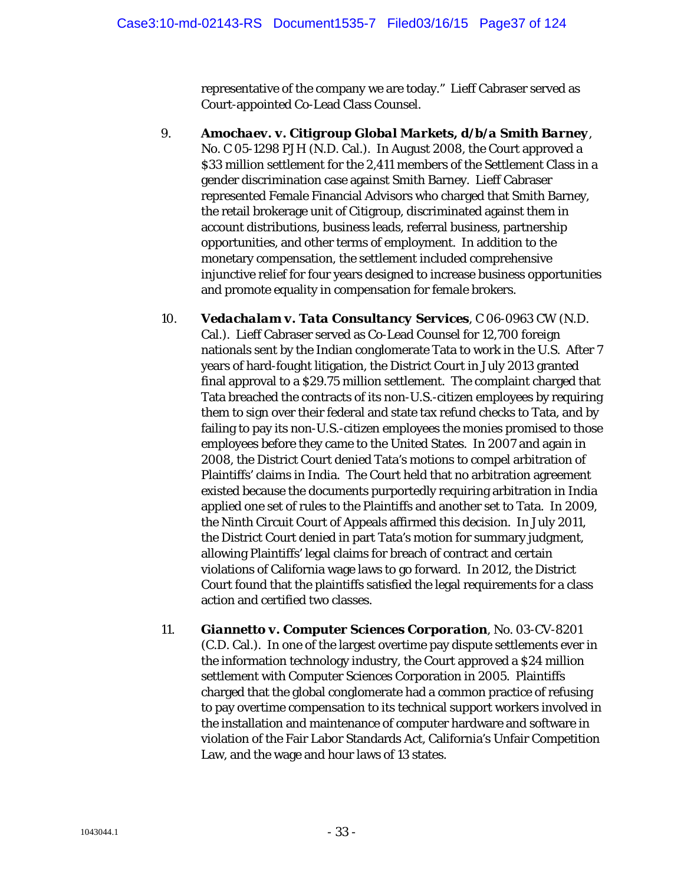representative of the company we are today." Lieff Cabraser served as Court-appointed Co-Lead Class Counsel.

- 9. *Amochaev. v. Citigroup Global Markets, d/b/a Smith Barney*, No. C 05-1298 PJH (N.D. Cal.). In August 2008, the Court approved a \$33 million settlement for the 2,411 members of the Settlement Class in a gender discrimination case against Smith Barney. Lieff Cabraser represented Female Financial Advisors who charged that Smith Barney, the retail brokerage unit of Citigroup, discriminated against them in account distributions, business leads, referral business, partnership opportunities, and other terms of employment. In addition to the monetary compensation, the settlement included comprehensive injunctive relief for four years designed to increase business opportunities and promote equality in compensation for female brokers.
- 10. *Vedachalam v. Tata Consultancy Services*, C 06-0963 CW (N.D. Cal.). Lieff Cabraser served as Co-Lead Counsel for 12,700 foreign nationals sent by the Indian conglomerate Tata to work in the U.S. After 7 years of hard-fought litigation, the District Court in July 2013 granted final approval to a \$29.75 million settlement. The complaint charged that Tata breached the contracts of its non-U.S.-citizen employees by requiring them to sign over their federal and state tax refund checks to Tata, and by failing to pay its non-U.S.-citizen employees the monies promised to those employees before they came to the United States. In 2007 and again in 2008, the District Court denied Tata's motions to compel arbitration of Plaintiffs' claims in India. The Court held that no arbitration agreement existed because the documents purportedly requiring arbitration in India applied one set of rules to the Plaintiffs and another set to Tata. In 2009, the Ninth Circuit Court of Appeals affirmed this decision. In July 2011, the District Court denied in part Tata's motion for summary judgment, allowing Plaintiffs' legal claims for breach of contract and certain violations of California wage laws to go forward. In 2012, the District Court found that the plaintiffs satisfied the legal requirements for a class action and certified two classes.
- 11. *Giannetto v. Computer Sciences Corporation*, No. 03-CV-8201 (C.D. Cal.). In one of the largest overtime pay dispute settlements ever in the information technology industry, the Court approved a \$24 million settlement with Computer Sciences Corporation in 2005. Plaintiffs charged that the global conglomerate had a common practice of refusing to pay overtime compensation to its technical support workers involved in the installation and maintenance of computer hardware and software in violation of the Fair Labor Standards Act, California's Unfair Competition Law, and the wage and hour laws of 13 states.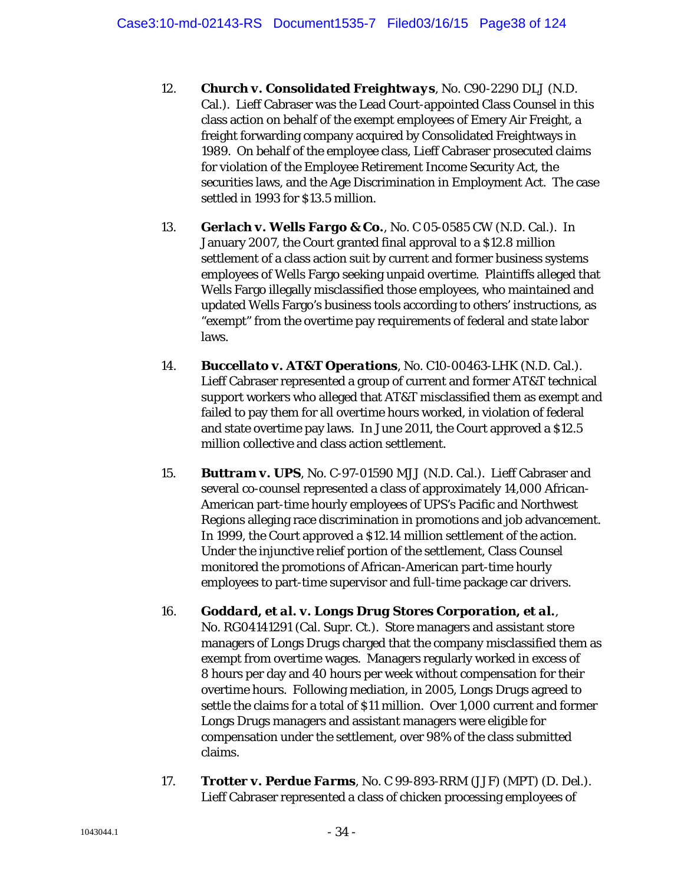- 12. *Church v. Consolidated Freightways*, No. C90-2290 DLJ (N.D. Cal.). Lieff Cabraser was the Lead Court-appointed Class Counsel in this class action on behalf of the exempt employees of Emery Air Freight, a freight forwarding company acquired by Consolidated Freightways in 1989. On behalf of the employee class, Lieff Cabraser prosecuted claims for violation of the Employee Retirement Income Security Act, the securities laws, and the Age Discrimination in Employment Act. The case settled in 1993 for \$13.5 million.
- 13. *Gerlach v. Wells Fargo & Co.*, No. C 05-0585 CW (N.D. Cal.). In January 2007, the Court granted final approval to a \$12.8 million settlement of a class action suit by current and former business systems employees of Wells Fargo seeking unpaid overtime. Plaintiffs alleged that Wells Fargo illegally misclassified those employees, who maintained and updated Wells Fargo's business tools according to others' instructions, as "exempt" from the overtime pay requirements of federal and state labor laws.
- 14. *Buccellato v. AT&T Operations*, No. C10-00463-LHK (N.D. Cal.). Lieff Cabraser represented a group of current and former AT&T technical support workers who alleged that AT&T misclassified them as exempt and failed to pay them for all overtime hours worked, in violation of federal and state overtime pay laws. In June 2011, the Court approved a \$12.5 million collective and class action settlement.
- 15. *Buttram v. UPS*, No. C-97-01590 MJJ (N.D. Cal.). Lieff Cabraser and several co-counsel represented a class of approximately 14,000 African-American part-time hourly employees of UPS's Pacific and Northwest Regions alleging race discrimination in promotions and job advancement. In 1999, the Court approved a \$12.14 million settlement of the action. Under the injunctive relief portion of the settlement, Class Counsel monitored the promotions of African-American part-time hourly employees to part-time supervisor and full-time package car drivers.
- 16. *Goddard, et al. v. Longs Drug Stores Corporation, et al.*, No. RG04141291 (Cal. Supr. Ct.). Store managers and assistant store managers of Longs Drugs charged that the company misclassified them as exempt from overtime wages. Managers regularly worked in excess of 8 hours per day and 40 hours per week without compensation for their overtime hours. Following mediation, in 2005, Longs Drugs agreed to settle the claims for a total of \$11 million. Over 1,000 current and former Longs Drugs managers and assistant managers were eligible for compensation under the settlement, over 98% of the class submitted claims.
- 17. *Trotter v. Perdue Farms*, No. C 99-893-RRM (JJF) (MPT) (D. Del.). Lieff Cabraser represented a class of chicken processing employees of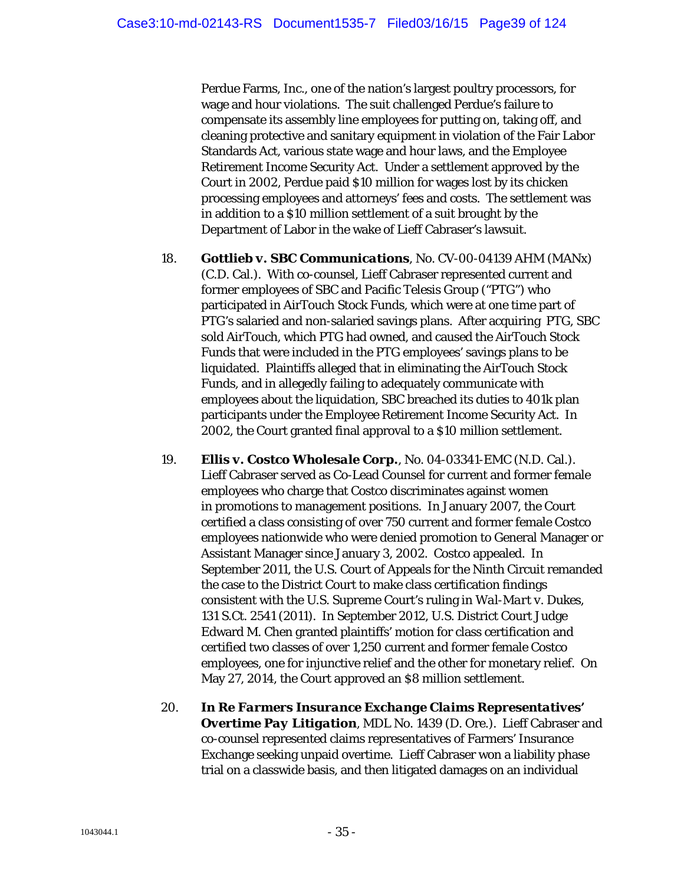Perdue Farms, Inc., one of the nation's largest poultry processors, for wage and hour violations. The suit challenged Perdue's failure to compensate its assembly line employees for putting on, taking off, and cleaning protective and sanitary equipment in violation of the Fair Labor Standards Act, various state wage and hour laws, and the Employee Retirement Income Security Act. Under a settlement approved by the Court in 2002, Perdue paid \$10 million for wages lost by its chicken processing employees and attorneys' fees and costs. The settlement was in addition to a \$10 million settlement of a suit brought by the Department of Labor in the wake of Lieff Cabraser's lawsuit.

- 18. *Gottlieb v. SBC Communications*, No. CV-00-04139 AHM (MANx) (C.D. Cal.). With co-counsel, Lieff Cabraser represented current and former employees of SBC and Pacific Telesis Group ("PTG") who participated in AirTouch Stock Funds, which were at one time part of PTG's salaried and non-salaried savings plans. After acquiring PTG, SBC sold AirTouch, which PTG had owned, and caused the AirTouch Stock Funds that were included in the PTG employees' savings plans to be liquidated. Plaintiffs alleged that in eliminating the AirTouch Stock Funds, and in allegedly failing to adequately communicate with employees about the liquidation, SBC breached its duties to 401k plan participants under the Employee Retirement Income Security Act. In 2002, the Court granted final approval to a \$10 million settlement.
- 19. *Ellis v. Costco Wholesale Corp.*, No. 04-03341-EMC (N.D. Cal.). Lieff Cabraser served as Co-Lead Counsel for current and former female employees who charge that Costco discriminates against women in promotions to management positions. In January 2007, the Court certified a class consisting of over 750 current and former female Costco employees nationwide who were denied promotion to General Manager or Assistant Manager since January 3, 2002. Costco appealed. In September 2011, the U.S. Court of Appeals for the Ninth Circuit remanded the case to the District Court to make class certification findings consistent with the U.S. Supreme Court's ruling in *Wal-Mart v. Dukes*, 131 S.Ct. 2541 (2011). In September 2012, U.S. District Court Judge Edward M. Chen granted plaintiffs' motion for class certification and certified two classes of over 1,250 current and former female Costco employees, one for injunctive relief and the other for monetary relief. On May 27, 2014, the Court approved an \$8 million settlement.
- 20. *In Re Farmers Insurance Exchange Claims Representatives' Overtime Pay Litigation*, MDL No. 1439 (D. Ore.). Lieff Cabraser and co-counsel represented claims representatives of Farmers' Insurance Exchange seeking unpaid overtime. Lieff Cabraser won a liability phase trial on a classwide basis, and then litigated damages on an individual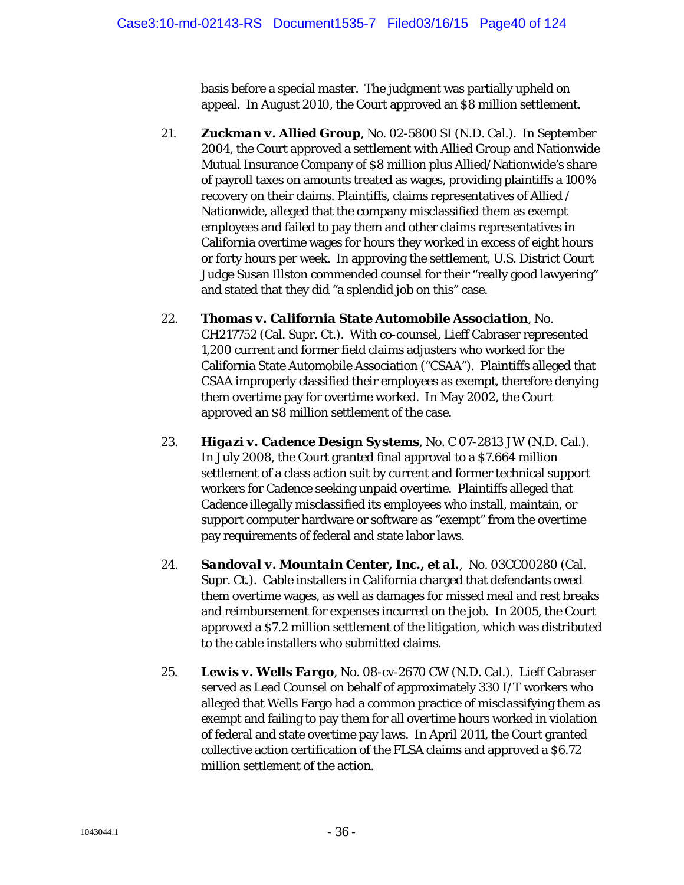basis before a special master. The judgment was partially upheld on appeal. In August 2010, the Court approved an \$8 million settlement.

- 21. *Zuckman v. Allied Group*, No. 02-5800 SI (N.D. Cal.). In September 2004, the Court approved a settlement with Allied Group and Nationwide Mutual Insurance Company of \$8 million plus Allied/Nationwide's share of payroll taxes on amounts treated as wages, providing plaintiffs a 100% recovery on their claims. Plaintiffs, claims representatives of Allied / Nationwide, alleged that the company misclassified them as exempt employees and failed to pay them and other claims representatives in California overtime wages for hours they worked in excess of eight hours or forty hours per week. In approving the settlement, U.S. District Court Judge Susan Illston commended counsel for their "really good lawyering" and stated that they did "a splendid job on this" case.
- 22. *Thomas v. California State Automobile Association*, No. CH217752 (Cal. Supr. Ct.). With co-counsel, Lieff Cabraser represented 1,200 current and former field claims adjusters who worked for the California State Automobile Association ("CSAA"). Plaintiffs alleged that CSAA improperly classified their employees as exempt, therefore denying them overtime pay for overtime worked. In May 2002, the Court approved an \$8 million settlement of the case.
- 23. *Higazi v. Cadence Design Systems*, No. C 07-2813 JW (N.D. Cal.). In July 2008, the Court granted final approval to a \$7.664 million settlement of a class action suit by current and former technical support workers for Cadence seeking unpaid overtime. Plaintiffs alleged that Cadence illegally misclassified its employees who install, maintain, or support computer hardware or software as "exempt" from the overtime pay requirements of federal and state labor laws.
- 24. *Sandoval v. Mountain Center, Inc., et al.*, No. 03CC00280 (Cal. Supr. Ct.). Cable installers in California charged that defendants owed them overtime wages, as well as damages for missed meal and rest breaks and reimbursement for expenses incurred on the job. In 2005, the Court approved a \$7.2 million settlement of the litigation, which was distributed to the cable installers who submitted claims.
- 25. *Lewis v. Wells Fargo*, No. 08-cv-2670 CW (N.D. Cal.). Lieff Cabraser served as Lead Counsel on behalf of approximately 330 I/T workers who alleged that Wells Fargo had a common practice of misclassifying them as exempt and failing to pay them for all overtime hours worked in violation of federal and state overtime pay laws. In April 2011, the Court granted collective action certification of the FLSA claims and approved a \$6.72 million settlement of the action.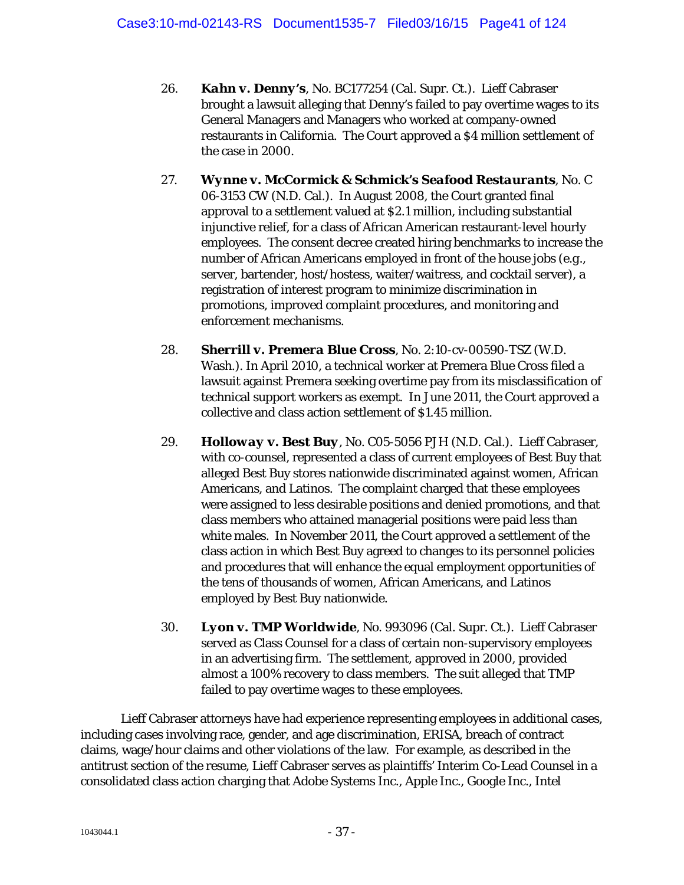- 26. *Kahn v. Denny's*, No. BC177254 (Cal. Supr. Ct.). Lieff Cabraser brought a lawsuit alleging that Denny's failed to pay overtime wages to its General Managers and Managers who worked at company-owned restaurants in California. The Court approved a \$4 million settlement of the case in 2000.
- 27. *Wynne v. McCormick & Schmick's Seafood Restaurants*, No. C 06-3153 CW (N.D. Cal.). In August 2008, the Court granted final approval to a settlement valued at \$2.1 million, including substantial injunctive relief, for a class of African American restaurant-level hourly employees. The consent decree created hiring benchmarks to increase the number of African Americans employed in front of the house jobs (*e.g.*, server, bartender, host/hostess, waiter/waitress, and cocktail server), a registration of interest program to minimize discrimination in promotions, improved complaint procedures, and monitoring and enforcement mechanisms.
- 28. *Sherrill v. Premera Blue Cross*, No. 2:10-cv-00590-TSZ (W.D. Wash.). In April 2010, a technical worker at Premera Blue Cross filed a lawsuit against Premera seeking overtime pay from its misclassification of technical support workers as exempt. In June 2011, the Court approved a collective and class action settlement of \$1.45 million.
- 29. *Holloway v. Best Buy*, No. C05-5056 PJH (N.D. Cal.). Lieff Cabraser, with co-counsel, represented a class of current employees of Best Buy that alleged Best Buy stores nationwide discriminated against women, African Americans, and Latinos. The complaint charged that these employees were assigned to less desirable positions and denied promotions, and that class members who attained managerial positions were paid less than white males. In November 2011, the Court approved a settlement of the class action in which Best Buy agreed to changes to its personnel policies and procedures that will enhance the equal employment opportunities of the tens of thousands of women, African Americans, and Latinos employed by Best Buy nationwide.
- 30. *Lyon v. TMP Worldwide*, No. 993096 (Cal. Supr. Ct.). Lieff Cabraser served as Class Counsel for a class of certain non-supervisory employees in an advertising firm. The settlement, approved in 2000, provided almost a 100% recovery to class members. The suit alleged that TMP failed to pay overtime wages to these employees.

Lieff Cabraser attorneys have had experience representing employees in additional cases, including cases involving race, gender, and age discrimination, ERISA, breach of contract claims, wage/hour claims and other violations of the law. For example, as described in the antitrust section of the resume, Lieff Cabraser serves as plaintiffs' Interim Co-Lead Counsel in a consolidated class action charging that Adobe Systems Inc., Apple Inc., Google Inc., Intel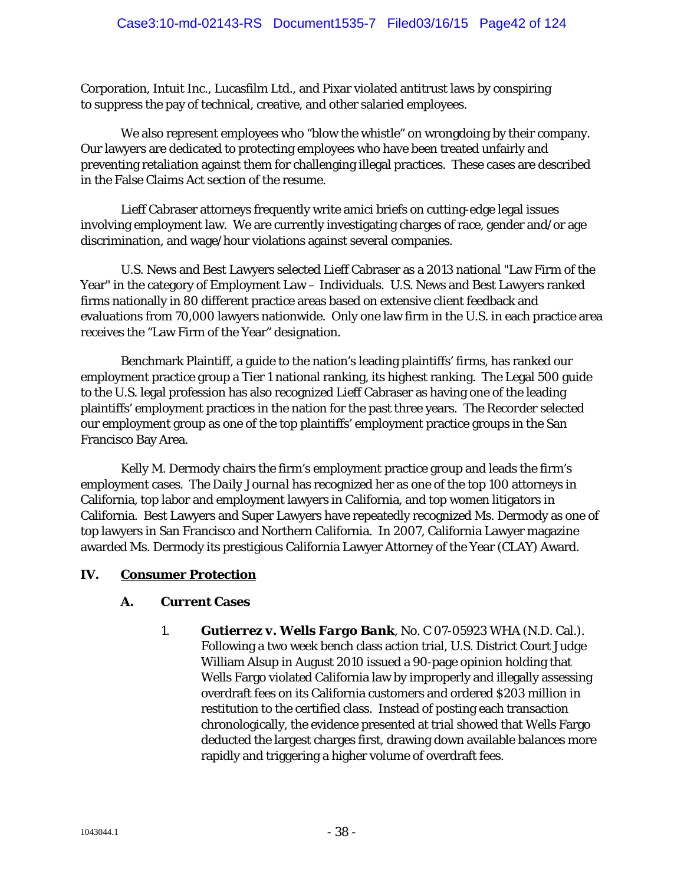Corporation, Intuit Inc., Lucasfilm Ltd., and Pixar violated antitrust laws by conspiring to suppress the pay of technical, creative, and other salaried employees.

We also represent employees who "blow the whistle" on wrongdoing by their company. Our lawyers are dedicated to protecting employees who have been treated unfairly and preventing retaliation against them for challenging illegal practices. These cases are described in the False Claims Act section of the resume.

Lieff Cabraser attorneys frequently write amici briefs on cutting-edge legal issues involving employment law. We are currently investigating charges of race, gender and/or age discrimination, and wage/hour violations against several companies.

U.S. News and Best Lawyers selected Lieff Cabraser as a 2013 national "Law Firm of the Year" in the category of Employment Law – Individuals. U.S. News and Best Lawyers ranked firms nationally in 80 different practice areas based on extensive client feedback and evaluations from 70,000 lawyers nationwide. Only one law firm in the U.S. in each practice area receives the "Law Firm of the Year" designation.

Benchmark Plaintiff, a guide to the nation's leading plaintiffs' firms, has ranked our employment practice group a Tier 1 national ranking, its highest ranking. The Legal 500 guide to the U.S. legal profession has also recognized Lieff Cabraser as having one of the leading plaintiffs' employment practices in the nation for the past three years. *The Recorder* selected our employment group as one of the top plaintiffs' employment practice groups in the San Francisco Bay Area.

Kelly M. Dermody chairs the firm's employment practice group and leads the firm's employment cases. *The Daily Journal* has recognized her as one of the top 100 attorneys in California, top labor and employment lawyers in California, and top women litigators in California. Best Lawyers and Super Lawyers have repeatedly recognized Ms. Dermody as one of top lawyers in San Francisco and Northern California. In 2007, California Lawyer magazine awarded Ms. Dermody its prestigious California Lawyer Attorney of the Year (CLAY) Award.

# **IV. Consumer Protection**

# **A. Current Cases**

1. *Gutierrez v. Wells Fargo Bank*, No. C 07-05923 WHA (N.D. Cal.). Following a two week bench class action trial, U.S. District Court Judge William Alsup in August 2010 issued a 90-page opinion holding that Wells Fargo violated California law by improperly and illegally assessing overdraft fees on its California customers and ordered \$203 million in restitution to the certified class. Instead of posting each transaction chronologically, the evidence presented at trial showed that Wells Fargo deducted the largest charges first, drawing down available balances more rapidly and triggering a higher volume of overdraft fees.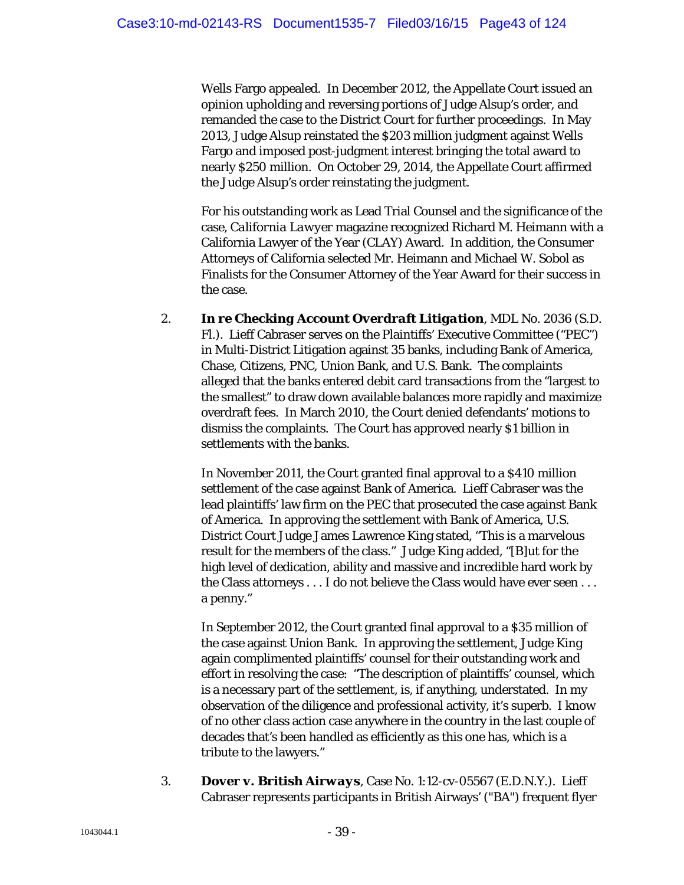Wells Fargo appealed. In December 2012, the Appellate Court issued an opinion upholding and reversing portions of Judge Alsup's order, and remanded the case to the District Court for further proceedings. In May 2013, Judge Alsup reinstated the \$203 million judgment against Wells Fargo and imposed post-judgment interest bringing the total award to nearly \$250 million. On October 29, 2014, the Appellate Court affirmed the Judge Alsup's order reinstating the judgment.

For his outstanding work as Lead Trial Counsel and the significance of the case, *California Lawyer* magazine recognized Richard M. Heimann with a California Lawyer of the Year (CLAY) Award. In addition, the Consumer Attorneys of California selected Mr. Heimann and Michael W. Sobol as Finalists for the Consumer Attorney of the Year Award for their success in the case.

2. *In re Checking Account Overdraft Litigation*, MDL No. 2036 (S.D. Fl.). Lieff Cabraser serves on the Plaintiffs' Executive Committee ("PEC") in Multi-District Litigation against 35 banks, including Bank of America, Chase, Citizens, PNC, Union Bank, and U.S. Bank. The complaints alleged that the banks entered debit card transactions from the "largest to the smallest" to draw down available balances more rapidly and maximize overdraft fees. In March 2010, the Court denied defendants' motions to dismiss the complaints. The Court has approved nearly \$1 billion in settlements with the banks.

In November 2011, the Court granted final approval to a \$410 million settlement of the case against Bank of America. Lieff Cabraser was the lead plaintiffs' law firm on the PEC that prosecuted the case against Bank of America. In approving the settlement with Bank of America, U.S. District Court Judge James Lawrence King stated, "This is a marvelous result for the members of the class." Judge King added, "[B]ut for the high level of dedication, ability and massive and incredible hard work by the Class attorneys . . . I do not believe the Class would have ever seen . . . a penny."

In September 2012, the Court granted final approval to a \$35 million of the case against Union Bank. In approving the settlement, Judge King again complimented plaintiffs' counsel for their outstanding work and effort in resolving the case: "The description of plaintiffs' counsel, which is a necessary part of the settlement, is, if anything, understated. In my observation of the diligence and professional activity, it's superb. I know of no other class action case anywhere in the country in the last couple of decades that's been handled as efficiently as this one has, which is a tribute to the lawyers."

3. *Dover v. British Airways*, Case No. 1:12-cv-05567 (E.D.N.Y.). Lieff Cabraser represents participants in British Airways' ("BA") frequent flyer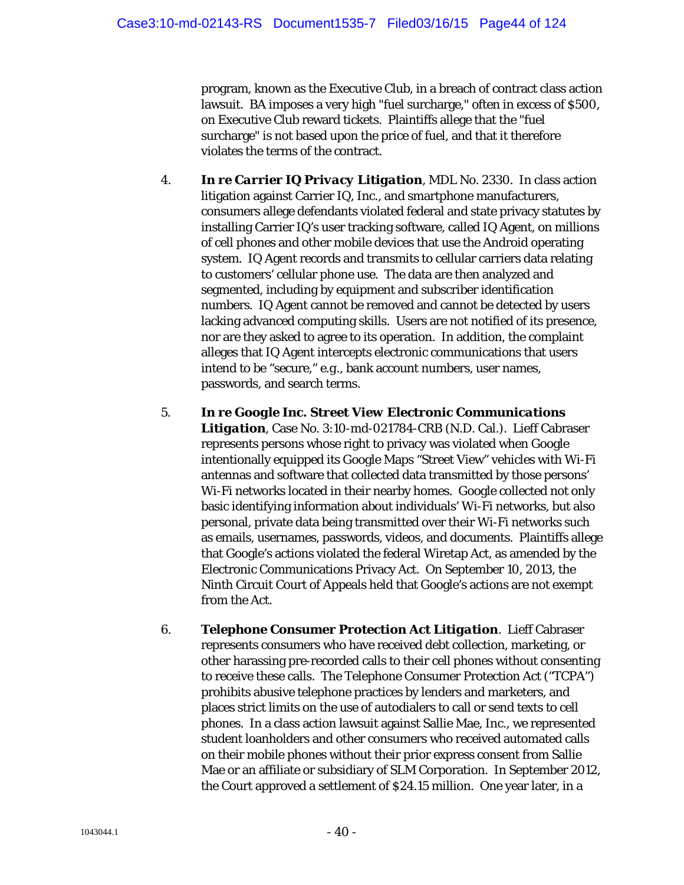program, known as the Executive Club, in a breach of contract class action lawsuit. BA imposes a very high "fuel surcharge," often in excess of \$500, on Executive Club reward tickets. Plaintiffs allege that the "fuel surcharge" is not based upon the price of fuel, and that it therefore violates the terms of the contract.

- 4. *In re Carrier IQ Privacy Litigation*, MDL No. 2330. In class action litigation against Carrier IQ, Inc., and smartphone manufacturers, consumers allege defendants violated federal and state privacy statutes by installing Carrier IQ's user tracking software, called IQ Agent, on millions of cell phones and other mobile devices that use the Android operating system. IQ Agent records and transmits to cellular carriers data relating to customers' cellular phone use. The data are then analyzed and segmented, including by equipment and subscriber identification numbers. IQ Agent cannot be removed and cannot be detected by users lacking advanced computing skills. Users are not notified of its presence, nor are they asked to agree to its operation. In addition, the complaint alleges that IQ Agent intercepts electronic communications that users intend to be "secure," *e.g.*, bank account numbers, user names, passwords, and search terms.
- 5. *In re Google Inc. Street View Electronic Communications Litigation*, Case No. 3:10-md-021784-CRB (N.D. Cal.). Lieff Cabraser represents persons whose right to privacy was violated when Google intentionally equipped its Google Maps "Street View" vehicles with Wi-Fi antennas and software that collected data transmitted by those persons' Wi-Fi networks located in their nearby homes. Google collected not only basic identifying information about individuals' Wi-Fi networks, but also personal, private data being transmitted over their Wi-Fi networks such as emails, usernames, passwords, videos, and documents. Plaintiffs allege that Google's actions violated the federal Wiretap Act, as amended by the Electronic Communications Privacy Act. On September 10, 2013, the Ninth Circuit Court of Appeals held that Google's actions are not exempt from the Act.
- 6. *Telephone Consumer Protection Act Litigation*. Lieff Cabraser represents consumers who have received debt collection, marketing, or other harassing pre-recorded calls to their cell phones without consenting to receive these calls. The Telephone Consumer Protection Act ("TCPA") prohibits abusive telephone practices by lenders and marketers, and places strict limits on the use of autodialers to call or send texts to cell phones. In a class action lawsuit against Sallie Mae, Inc., we represented student loanholders and other consumers who received automated calls on their mobile phones without their prior express consent from Sallie Mae or an affiliate or subsidiary of SLM Corporation. In September 2012, the Court approved a settlement of \$24.15 million. One year later, in a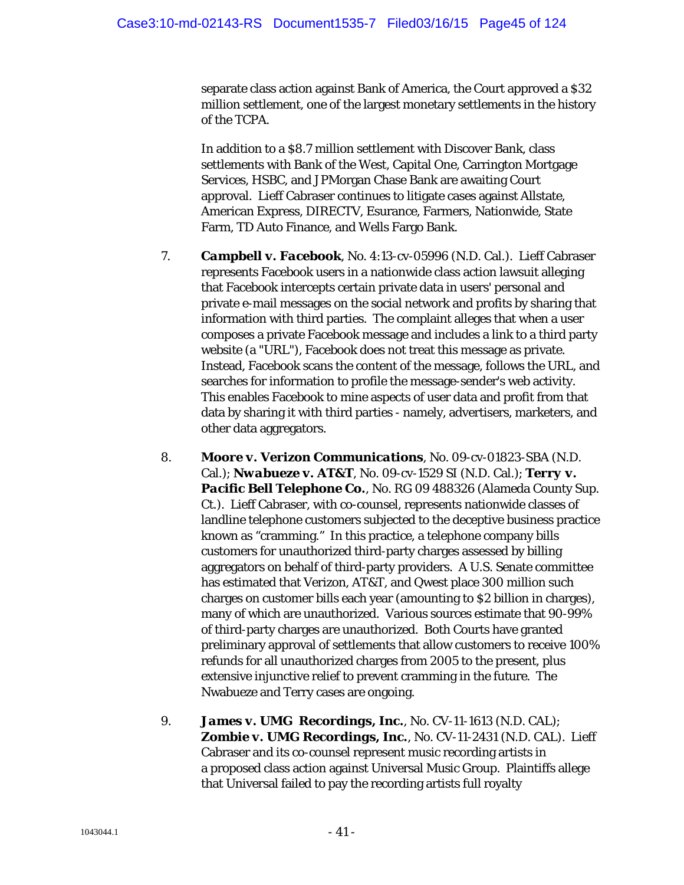separate class action against Bank of America, the Court approved a \$32 million settlement, one of the largest monetary settlements in the history of the TCPA.

In addition to a \$8.7 million settlement with Discover Bank, class settlements with Bank of the West, Capital One, Carrington Mortgage Services, HSBC, and JPMorgan Chase Bank are awaiting Court approval. Lieff Cabraser continues to litigate cases against Allstate, American Express, DIRECTV, Esurance, Farmers, Nationwide, State Farm, TD Auto Finance, and Wells Fargo Bank.

- 7. *Campbell v. Facebook*, No. 4:13-cv-05996 (N.D. Cal.). Lieff Cabraser represents Facebook users in a nationwide class action lawsuit alleging that Facebook intercepts certain private data in users' personal and private e-mail messages on the social network and profits by sharing that information with third parties. The complaint alleges that when a user composes a private Facebook message and includes a link to a third party website (a "URL"), Facebook does not treat this message as private. Instead, Facebook scans the content of the message, follows the URL, and searches for information to profile the message-sender's web activity. This enables Facebook to mine aspects of user data and profit from that data by sharing it with third parties - namely, advertisers, marketers, and other data aggregators.
- 8. *Moore v. Verizon Communications*, No. 09-cv-01823-SBA (N.D. Cal.); *Nwabueze v. AT&T*, No. 09-cv-1529 SI (N.D. Cal.); *Terry v.*  Pacific Bell Telephone Co., No. RG 09 488326 (Alameda County Sup. Ct.). Lieff Cabraser, with co-counsel, represents nationwide classes of landline telephone customers subjected to the deceptive business practice known as "cramming." In this practice, a telephone company bills customers for unauthorized third-party charges assessed by billing aggregators on behalf of third-party providers. A U.S. Senate committee has estimated that Verizon, AT&T, and Qwest place 300 million such charges on customer bills each year (amounting to \$2 billion in charges), many of which are unauthorized. Various sources estimate that 90-99% of third-party charges are unauthorized. Both Courts have granted preliminary approval of settlements that allow customers to receive 100% refunds for all unauthorized charges from 2005 to the present, plus extensive injunctive relief to prevent cramming in the future. The Nwabueze and Terry cases are ongoing.
- 9. *James v. UMG Recordings, Inc.*, No. CV-11-1613 (N.D. CAL); *Zombie v. UMG Recordings, Inc.*, No. CV-11-2431 (N.D. CAL). Lieff Cabraser and its co-counsel represent music recording artists in a proposed class action against Universal Music Group. Plaintiffs allege that Universal failed to pay the recording artists full royalty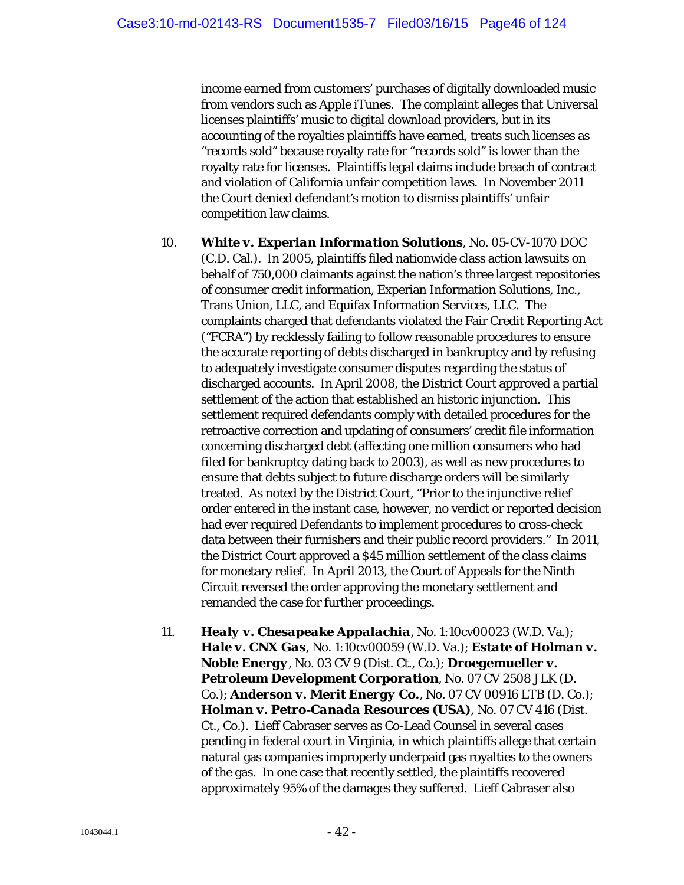income earned from customers' purchases of digitally downloaded music from vendors such as Apple iTunes. The complaint alleges that Universal licenses plaintiffs' music to digital download providers, but in its accounting of the royalties plaintiffs have earned, treats such licenses as "records sold" because royalty rate for "records sold" is lower than the royalty rate for licenses. Plaintiffs legal claims include breach of contract and violation of California unfair competition laws. In November 2011 the Court denied defendant's motion to dismiss plaintiffs' unfair competition law claims.

- 10. *White v. Experian Information Solutions*, No. 05-CV-1070 DOC (C.D. Cal.). In 2005, plaintiffs filed nationwide class action lawsuits on behalf of 750,000 claimants against the nation's three largest repositories of consumer credit information, Experian Information Solutions, Inc., Trans Union, LLC, and Equifax Information Services, LLC. The complaints charged that defendants violated the Fair Credit Reporting Act ("FCRA") by recklessly failing to follow reasonable procedures to ensure the accurate reporting of debts discharged in bankruptcy and by refusing to adequately investigate consumer disputes regarding the status of discharged accounts. In April 2008, the District Court approved a partial settlement of the action that established an historic injunction. This settlement required defendants comply with detailed procedures for the retroactive correction and updating of consumers' credit file information concerning discharged debt (affecting one million consumers who had filed for bankruptcy dating back to 2003), as well as new procedures to ensure that debts subject to future discharge orders will be similarly treated. As noted by the District Court, "Prior to the injunctive relief order entered in the instant case, however, no verdict or reported decision had ever required Defendants to implement procedures to cross-check data between their furnishers and their public record providers." In 2011, the District Court approved a \$45 million settlement of the class claims for monetary relief. In April 2013, the Court of Appeals for the Ninth Circuit reversed the order approving the monetary settlement and remanded the case for further proceedings.
- 11. *Healy v. Chesapeake Appalachia*, No. 1:10cv00023 (W.D. Va.); *Hale v. CNX Gas*, No. 1:10cv00059 (W.D. Va.); *Estate of Holman v. Noble Energy*, No. 03 CV 9 (Dist. Ct., Co.); *Droegemueller v. Petroleum Development Corporation*, No. 07 CV 2508 JLK (D. Co.); *Anderson v. Merit Energy Co.*, No. 07 CV 00916 LTB (D. Co.); *Holman v. Petro-Canada Resources (USA)*, No. 07 CV 416 (Dist. Ct., Co.). Lieff Cabraser serves as Co-Lead Counsel in several cases pending in federal court in Virginia, in which plaintiffs allege that certain natural gas companies improperly underpaid gas royalties to the owners of the gas. In one case that recently settled, the plaintiffs recovered approximately 95% of the damages they suffered. Lieff Cabraser also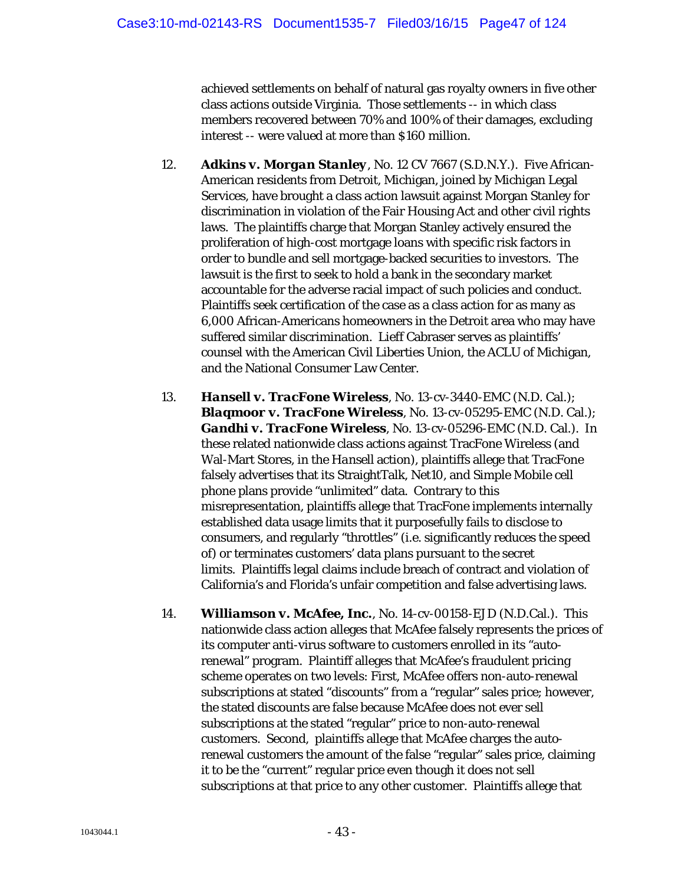achieved settlements on behalf of natural gas royalty owners in five other class actions outside Virginia. Those settlements -- in which class members recovered between 70% and 100% of their damages, excluding interest -- were valued at more than \$160 million.

- 12. *Adkins v. Morgan Stanley*, No. 12 CV 7667 (S.D.N.Y.). Five African-American residents from Detroit, Michigan, joined by Michigan Legal Services, have brought a class action lawsuit against Morgan Stanley for discrimination in violation of the Fair Housing Act and other civil rights laws. The plaintiffs charge that Morgan Stanley actively ensured the proliferation of high-cost mortgage loans with specific risk factors in order to bundle and sell mortgage-backed securities to investors. The lawsuit is the first to seek to hold a bank in the secondary market accountable for the adverse racial impact of such policies and conduct. Plaintiffs seek certification of the case as a class action for as many as 6,000 African-Americans homeowners in the Detroit area who may have suffered similar discrimination. Lieff Cabraser serves as plaintiffs' counsel with the American Civil Liberties Union, the ACLU of Michigan, and the National Consumer Law Center.
- 13. *Hansell v. TracFone Wireless*, No. 13-cv-3440-EMC (N.D. Cal.); *Blaqmoor v. TracFone Wireless*, No. 13-cv-05295-EMC (N.D. Cal.); *Gandhi v. TracFone Wireless*, No. 13-cv-05296-EMC (N.D. Cal.). In these related nationwide class actions against TracFone Wireless (and Wal-Mart Stores, in the *Hansell* action), plaintiffs allege that TracFone falsely advertises that its StraightTalk, Net10, and Simple Mobile cell phone plans provide "unlimited" data. Contrary to this misrepresentation, plaintiffs allege that TracFone implements internally established data usage limits that it purposefully fails to disclose to consumers, and regularly "throttles" (i.e. significantly reduces the speed of) or terminates customers' data plans pursuant to the secret limits. Plaintiffs legal claims include breach of contract and violation of California's and Florida's unfair competition and false advertising laws.
- 14. *Williamson v. McAfee, Inc.*, No. 14-cv-00158-EJD (N.D.Cal.). This nationwide class action alleges that McAfee falsely represents the prices of its computer anti-virus software to customers enrolled in its "autorenewal" program. Plaintiff alleges that McAfee's fraudulent pricing scheme operates on two levels: First, McAfee offers *non*-auto-renewal subscriptions at stated "discounts" from a "regular" sales price; however, the stated discounts are false because McAfee does not ever sell subscriptions at the stated "regular" price to *non*-auto-renewal customers. Second, plaintiffs allege that McAfee charges the autorenewal customers the amount of the false "regular" sales price, claiming it to be the "current" regular price even though it does not sell subscriptions at that price to any other customer. Plaintiffs allege that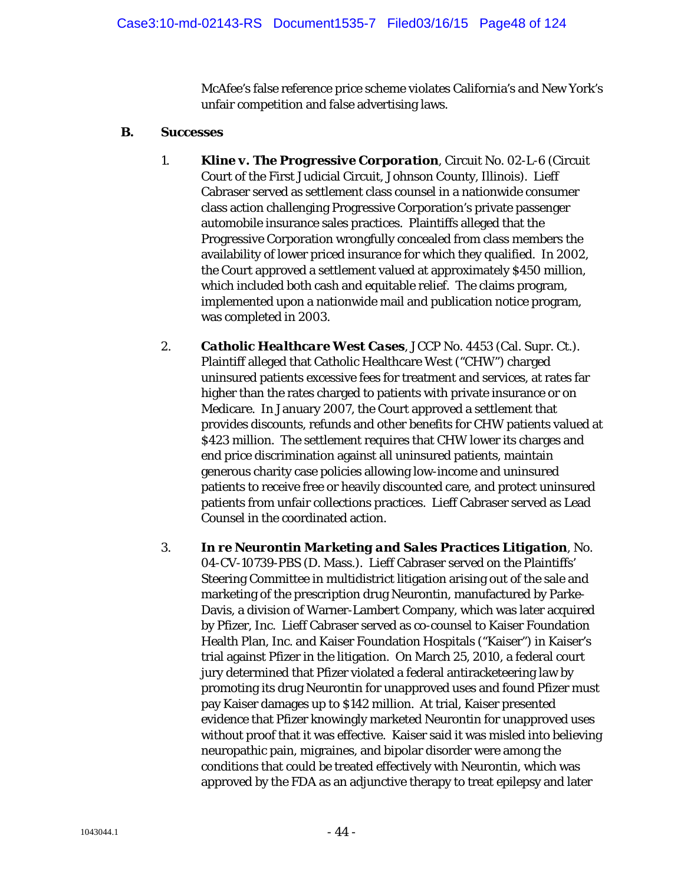McAfee's false reference price scheme violates California's and New York's unfair competition and false advertising laws.

### **B. Successes**

- 1. *Kline v. The Progressive Corporation*, Circuit No. 02-L-6 (Circuit Court of the First Judicial Circuit, Johnson County, Illinois). Lieff Cabraser served as settlement class counsel in a nationwide consumer class action challenging Progressive Corporation's private passenger automobile insurance sales practices. Plaintiffs alleged that the Progressive Corporation wrongfully concealed from class members the availability of lower priced insurance for which they qualified. In 2002, the Court approved a settlement valued at approximately \$450 million, which included both cash and equitable relief. The claims program, implemented upon a nationwide mail and publication notice program, was completed in 2003.
- 2. *Catholic Healthcare West Cases*, JCCP No. 4453 (Cal. Supr. Ct.). Plaintiff alleged that Catholic Healthcare West ("CHW") charged uninsured patients excessive fees for treatment and services, at rates far higher than the rates charged to patients with private insurance or on Medicare. In January 2007, the Court approved a settlement that provides discounts, refunds and other benefits for CHW patients valued at \$423 million. The settlement requires that CHW lower its charges and end price discrimination against all uninsured patients, maintain generous charity case policies allowing low-income and uninsured patients to receive free or heavily discounted care, and protect uninsured patients from unfair collections practices. Lieff Cabraser served as Lead Counsel in the coordinated action.
- 3. *In re Neurontin Marketing and Sales Practices Litigation*, No. 04-CV-10739-PBS (D. Mass.). Lieff Cabraser served on the Plaintiffs' Steering Committee in multidistrict litigation arising out of the sale and marketing of the prescription drug Neurontin, manufactured by Parke-Davis, a division of Warner-Lambert Company, which was later acquired by Pfizer, Inc. Lieff Cabraser served as co-counsel to Kaiser Foundation Health Plan, Inc. and Kaiser Foundation Hospitals ("Kaiser") in Kaiser's trial against Pfizer in the litigation. On March 25, 2010, a federal court jury determined that Pfizer violated a federal antiracketeering law by promoting its drug Neurontin for unapproved uses and found Pfizer must pay Kaiser damages up to \$142 million. At trial, Kaiser presented evidence that Pfizer knowingly marketed Neurontin for unapproved uses without proof that it was effective. Kaiser said it was misled into believing neuropathic pain, migraines, and bipolar disorder were among the conditions that could be treated effectively with Neurontin, which was approved by the FDA as an adjunctive therapy to treat epilepsy and later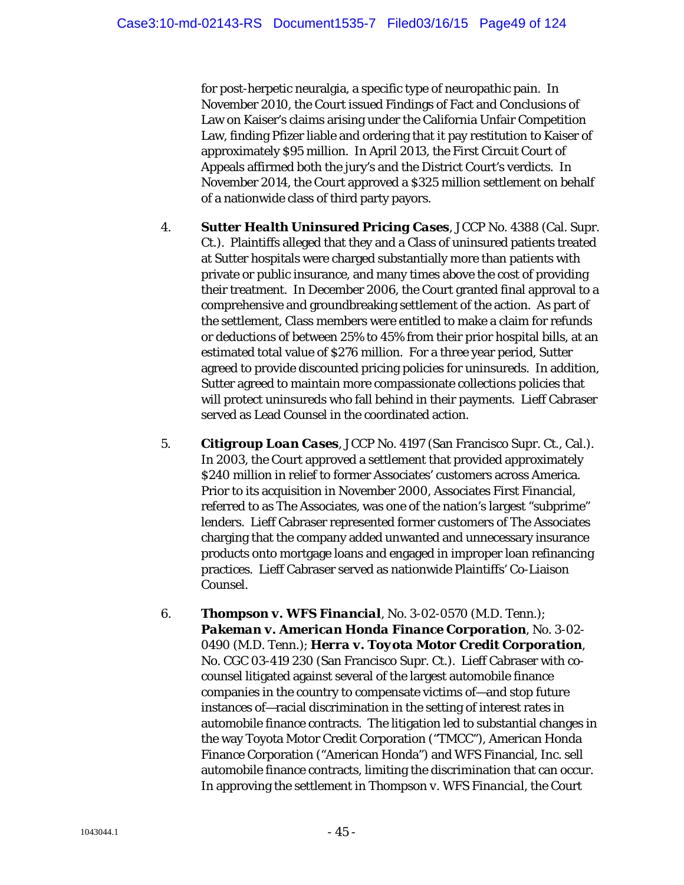for post-herpetic neuralgia, a specific type of neuropathic pain. In November 2010, the Court issued Findings of Fact and Conclusions of Law on Kaiser's claims arising under the California Unfair Competition Law, finding Pfizer liable and ordering that it pay restitution to Kaiser of approximately \$95 million. In April 2013, the First Circuit Court of Appeals affirmed both the jury's and the District Court's verdicts. In November 2014, the Court approved a \$325 million settlement on behalf of a nationwide class of third party payors.

- 4. *Sutter Health Uninsured Pricing Cases*, JCCP No. 4388 (Cal. Supr. Ct.). Plaintiffs alleged that they and a Class of uninsured patients treated at Sutter hospitals were charged substantially more than patients with private or public insurance, and many times above the cost of providing their treatment. In December 2006, the Court granted final approval to a comprehensive and groundbreaking settlement of the action. As part of the settlement, Class members were entitled to make a claim for refunds or deductions of between 25% to 45% from their prior hospital bills, at an estimated total value of \$276 million. For a three year period, Sutter agreed to provide discounted pricing policies for uninsureds. In addition, Sutter agreed to maintain more compassionate collections policies that will protect uninsureds who fall behind in their payments. Lieff Cabraser served as Lead Counsel in the coordinated action.
- 5. *Citigroup Loan Cases*, JCCP No. 4197 (San Francisco Supr. Ct., Cal.). In 2003, the Court approved a settlement that provided approximately \$240 million in relief to former Associates' customers across America. Prior to its acquisition in November 2000, Associates First Financial, referred to as The Associates, was one of the nation's largest "subprime" lenders. Lieff Cabraser represented former customers of The Associates charging that the company added unwanted and unnecessary insurance products onto mortgage loans and engaged in improper loan refinancing practices. Lieff Cabraser served as nationwide Plaintiffs' Co-Liaison Counsel.
- 6. *Thompson v. WFS Financial*, No. 3-02-0570 (M.D. Tenn.); *Pakeman v. American Honda Finance Corporation*, No. 3-02- 0490 (M.D. Tenn.); *Herra v. Toyota Motor Credit Corporation*, No. CGC 03-419 230 (San Francisco Supr. Ct.). Lieff Cabraser with cocounsel litigated against several of the largest automobile finance companies in the country to compensate victims of—and stop future instances of—racial discrimination in the setting of interest rates in automobile finance contracts. The litigation led to substantial changes in the way Toyota Motor Credit Corporation ("TMCC"), American Honda Finance Corporation ("American Honda") and WFS Financial, Inc. sell automobile finance contracts, limiting the discrimination that can occur. In approving the settlement in *Thompson v. WFS Financial*, the Court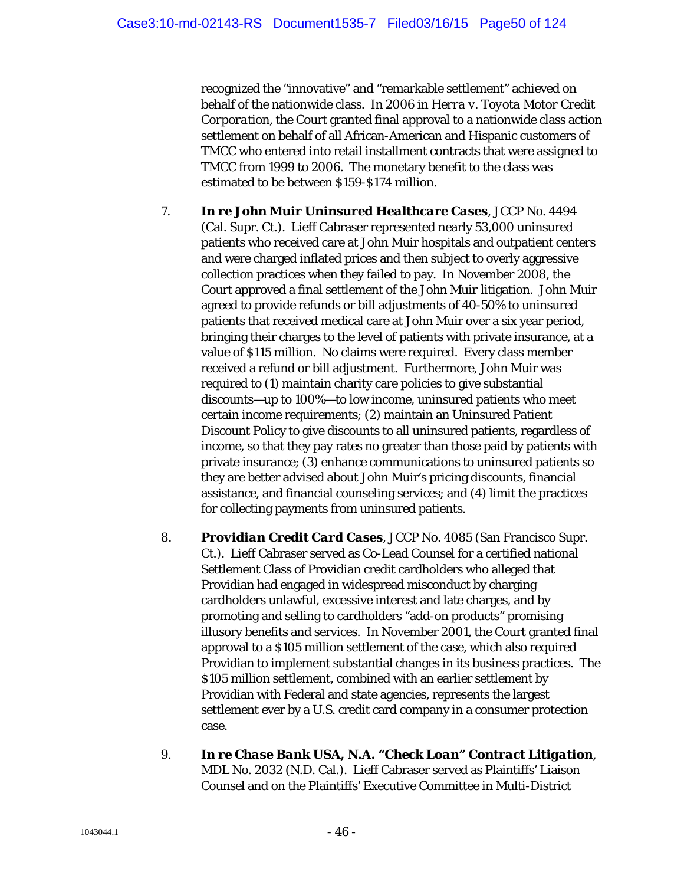recognized the "innovative" and "remarkable settlement" achieved on behalf of the nationwide class. In 2006 in *Herra v. Toyota Motor Credit Corporation*, the Court granted final approval to a nationwide class action settlement on behalf of all African-American and Hispanic customers of TMCC who entered into retail installment contracts that were assigned to TMCC from 1999 to 2006. The monetary benefit to the class was estimated to be between \$159-\$174 million.

- 7. *In re John Muir Uninsured Healthcare Cases*, JCCP No. 4494 (Cal. Supr. Ct.). Lieff Cabraser represented nearly 53,000 uninsured patients who received care at John Muir hospitals and outpatient centers and were charged inflated prices and then subject to overly aggressive collection practices when they failed to pay. In November 2008, the Court approved a final settlement of the *John Muir* litigation. John Muir agreed to provide refunds or bill adjustments of 40-50% to uninsured patients that received medical care at John Muir over a six year period, bringing their charges to the level of patients with private insurance, at a value of \$115 million. No claims were required. Every class member received a refund or bill adjustment. Furthermore, John Muir was required to (1) maintain charity care policies to give substantial discounts—up to 100%—to low income, uninsured patients who meet certain income requirements; (2) maintain an Uninsured Patient Discount Policy to give discounts to all uninsured patients, regardless of income, so that they pay rates no greater than those paid by patients with private insurance; (3) enhance communications to uninsured patients so they are better advised about John Muir's pricing discounts, financial assistance, and financial counseling services; and (4) limit the practices for collecting payments from uninsured patients.
- 8. *Providian Credit Card Cases*, JCCP No. 4085 (San Francisco Supr. Ct.). Lieff Cabraser served as Co-Lead Counsel for a certified national Settlement Class of Providian credit cardholders who alleged that Providian had engaged in widespread misconduct by charging cardholders unlawful, excessive interest and late charges, and by promoting and selling to cardholders "add-on products" promising illusory benefits and services. In November 2001, the Court granted final approval to a \$105 million settlement of the case, which also required Providian to implement substantial changes in its business practices. The \$105 million settlement, combined with an earlier settlement by Providian with Federal and state agencies, represents the largest settlement ever by a U.S. credit card company in a consumer protection case.
- 9. *In re Chase Bank USA, N.A. "Check Loan" Contract Litigation*, MDL No. 2032 (N.D. Cal.). Lieff Cabraser served as Plaintiffs' Liaison Counsel and on the Plaintiffs' Executive Committee in Multi-District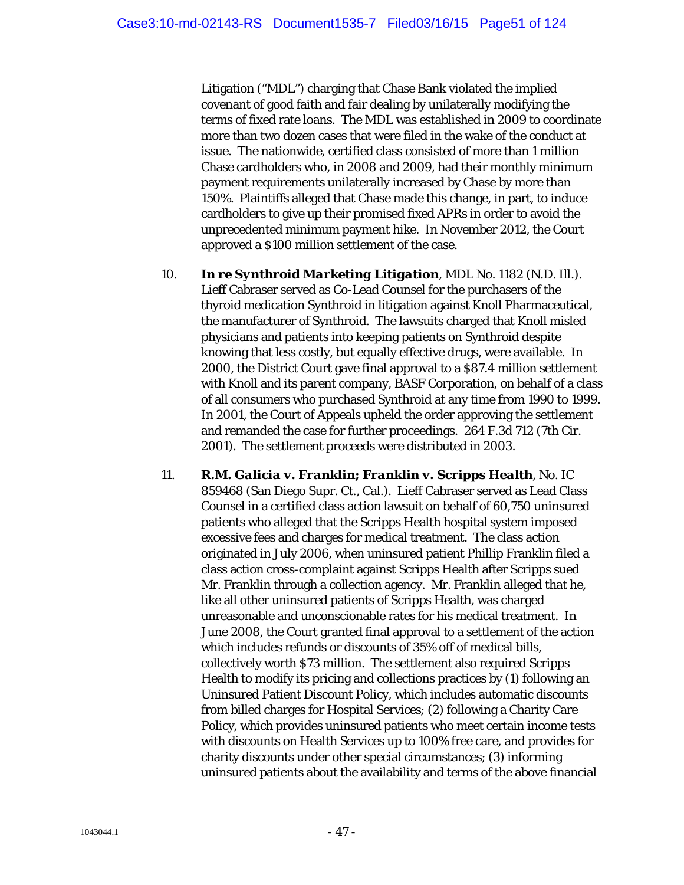Litigation ("MDL") charging that Chase Bank violated the implied covenant of good faith and fair dealing by unilaterally modifying the terms of fixed rate loans. The MDL was established in 2009 to coordinate more than two dozen cases that were filed in the wake of the conduct at issue. The nationwide, certified class consisted of more than 1 million Chase cardholders who, in 2008 and 2009, had their monthly minimum payment requirements unilaterally increased by Chase by more than 150%. Plaintiffs alleged that Chase made this change, in part, to induce cardholders to give up their promised fixed APRs in order to avoid the unprecedented minimum payment hike. In November 2012, the Court approved a \$100 million settlement of the case.

- 10. *In re Synthroid Marketing Litigation*, MDL No. 1182 (N.D. Ill.). Lieff Cabraser served as Co-Lead Counsel for the purchasers of the thyroid medication Synthroid in litigation against Knoll Pharmaceutical, the manufacturer of Synthroid. The lawsuits charged that Knoll misled physicians and patients into keeping patients on Synthroid despite knowing that less costly, but equally effective drugs, were available. In 2000, the District Court gave final approval to a \$87.4 million settlement with Knoll and its parent company, BASF Corporation, on behalf of a class of all consumers who purchased Synthroid at any time from 1990 to 1999. In 2001, the Court of Appeals upheld the order approving the settlement and remanded the case for further proceedings. 264 F.3d 712 (7th Cir. 2001). The settlement proceeds were distributed in 2003.
- 11. *R.M. Galicia v. Franklin; Franklin v. Scripps Health*, No. IC 859468 (San Diego Supr. Ct., Cal.). Lieff Cabraser served as Lead Class Counsel in a certified class action lawsuit on behalf of 60,750 uninsured patients who alleged that the Scripps Health hospital system imposed excessive fees and charges for medical treatment. The class action originated in July 2006, when uninsured patient Phillip Franklin filed a class action cross-complaint against Scripps Health after Scripps sued Mr. Franklin through a collection agency. Mr. Franklin alleged that he, like all other uninsured patients of Scripps Health, was charged unreasonable and unconscionable rates for his medical treatment. In June 2008, the Court granted final approval to a settlement of the action which includes refunds or discounts of 35% off of medical bills, collectively worth \$73 million. The settlement also required Scripps Health to modify its pricing and collections practices by (1) following an Uninsured Patient Discount Policy, which includes automatic discounts from billed charges for Hospital Services; (2) following a Charity Care Policy, which provides uninsured patients who meet certain income tests with discounts on Health Services up to 100% free care, and provides for charity discounts under other special circumstances; (3) informing uninsured patients about the availability and terms of the above financial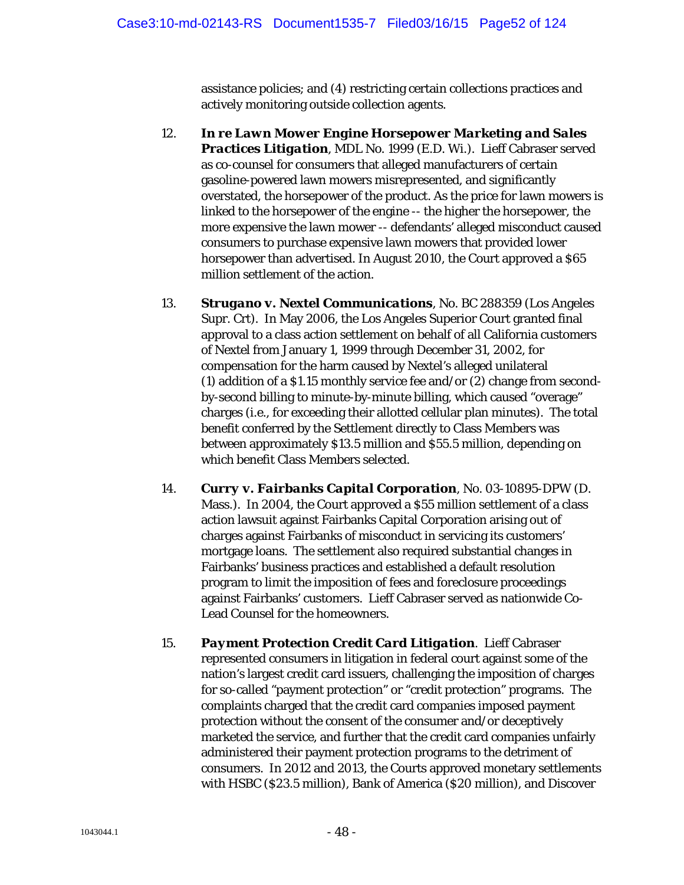assistance policies; and (4) restricting certain collections practices and actively monitoring outside collection agents.

- 12. *In re Lawn Mower Engine Horsepower Marketing and Sales Practices Litigation*, MDL No. 1999 (E.D. Wi.). Lieff Cabraser served as co-counsel for consumers that alleged manufacturers of certain gasoline-powered lawn mowers misrepresented, and significantly overstated, the horsepower of the product. As the price for lawn mowers is linked to the horsepower of the engine -- the higher the horsepower, the more expensive the lawn mower -- defendants' alleged misconduct caused consumers to purchase expensive lawn mowers that provided lower horsepower than advertised. In August 2010, the Court approved a \$65 million settlement of the action.
- 13. *Strugano v. Nextel Communications*, No. BC 288359 (Los Angeles Supr. Crt). In May 2006, the Los Angeles Superior Court granted final approval to a class action settlement on behalf of all California customers of Nextel from January 1, 1999 through December 31, 2002, for compensation for the harm caused by Nextel's alleged unilateral (1) addition of a \$1.15 monthly service fee and/or (2) change from secondby-second billing to minute-by-minute billing, which caused "overage" charges (i.e., for exceeding their allotted cellular plan minutes). The total benefit conferred by the Settlement directly to Class Members was between approximately \$13.5 million and \$55.5 million, depending on which benefit Class Members selected.
- 14. *Curry v. Fairbanks Capital Corporation*, No. 03-10895-DPW (D. Mass.). In 2004, the Court approved a \$55 million settlement of a class action lawsuit against Fairbanks Capital Corporation arising out of charges against Fairbanks of misconduct in servicing its customers' mortgage loans. The settlement also required substantial changes in Fairbanks' business practices and established a default resolution program to limit the imposition of fees and foreclosure proceedings against Fairbanks' customers. Lieff Cabraser served as nationwide Co-Lead Counsel for the homeowners.
- 15. *Payment Protection Credit Card Litigation*. Lieff Cabraser represented consumers in litigation in federal court against some of the nation's largest credit card issuers, challenging the imposition of charges for so-called "payment protection" or "credit protection" programs. The complaints charged that the credit card companies imposed payment protection without the consent of the consumer and/or deceptively marketed the service, and further that the credit card companies unfairly administered their payment protection programs to the detriment of consumers. In 2012 and 2013, the Courts approved monetary settlements with HSBC (\$23.5 million), Bank of America (\$20 million), and Discover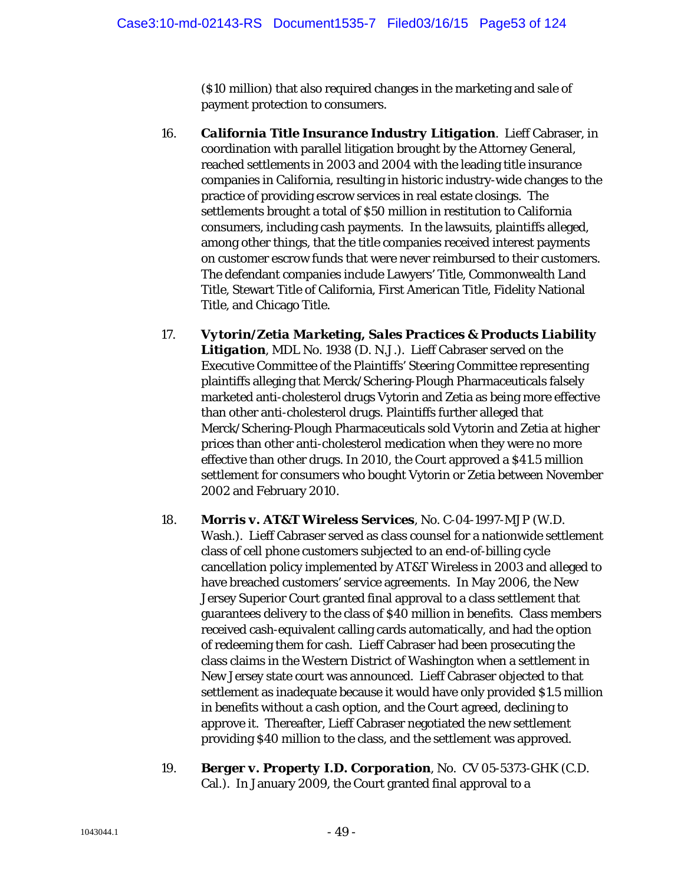(\$10 million) that also required changes in the marketing and sale of payment protection to consumers.

- 16. *California Title Insurance Industry Litigation*. Lieff Cabraser, in coordination with parallel litigation brought by the Attorney General, reached settlements in 2003 and 2004 with the leading title insurance companies in California, resulting in historic industry-wide changes to the practice of providing escrow services in real estate closings. The settlements brought a total of \$50 million in restitution to California consumers, including cash payments. In the lawsuits, plaintiffs alleged, among other things, that the title companies received interest payments on customer escrow funds that were never reimbursed to their customers. The defendant companies include Lawyers' Title, Commonwealth Land Title, Stewart Title of California, First American Title, Fidelity National Title, and Chicago Title.
- 17. *Vytorin/Zetia Marketing, Sales Practices & Products Liability Litigation*, MDL No. 1938 (D. N.J.). Lieff Cabraser served on the Executive Committee of the Plaintiffs' Steering Committee representing plaintiffs alleging that Merck/Schering-Plough Pharmaceuticals falsely marketed anti-cholesterol drugs Vytorin and Zetia as being more effective than other anti-cholesterol drugs. Plaintiffs further alleged that Merck/Schering-Plough Pharmaceuticals sold Vytorin and Zetia at higher prices than other anti-cholesterol medication when they were no more effective than other drugs. In 2010, the Court approved a \$41.5 million settlement for consumers who bought Vytorin or Zetia between November 2002 and February 2010.
- 18. *Morris v. AT&T Wireless Services*, No. C-04-1997-MJP (W.D. Wash.). Lieff Cabraser served as class counsel for a nationwide settlement class of cell phone customers subjected to an end-of-billing cycle cancellation policy implemented by AT&T Wireless in 2003 and alleged to have breached customers' service agreements. In May 2006, the New Jersey Superior Court granted final approval to a class settlement that guarantees delivery to the class of \$40 million in benefits. Class members received cash-equivalent calling cards automatically, and had the option of redeeming them for cash. Lieff Cabraser had been prosecuting the class claims in the Western District of Washington when a settlement in New Jersey state court was announced. Lieff Cabraser objected to that settlement as inadequate because it would have only provided \$1.5 million in benefits without a cash option, and the Court agreed, declining to approve it. Thereafter, Lieff Cabraser negotiated the new settlement providing \$40 million to the class, and the settlement was approved.
- 19. *Berger v. Property I.D. Corporation*, No. CV 05-5373-GHK (C.D. Cal.). In January 2009, the Court granted final approval to a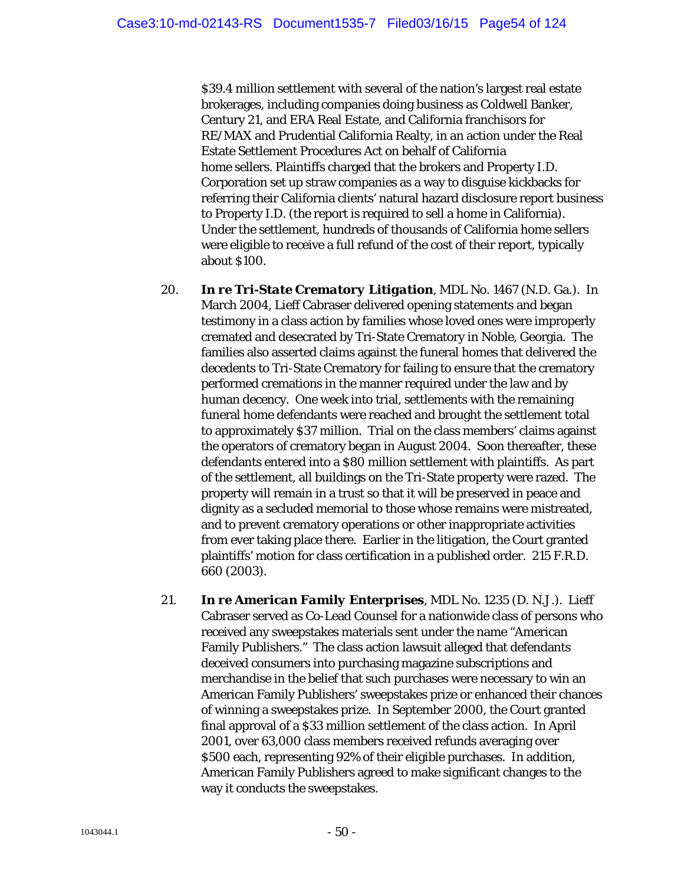\$39.4 million settlement with several of the nation's largest real estate brokerages, including companies doing business as Coldwell Banker, Century 21, and ERA Real Estate, and California franchisors for RE/MAX and Prudential California Realty, in an action under the Real Estate Settlement Procedures Act on behalf of California home sellers. Plaintiffs charged that the brokers and Property I.D. Corporation set up straw companies as a way to disguise kickbacks for referring their California clients' natural hazard disclosure report business to Property I.D. (the report is required to sell a home in California). Under the settlement, hundreds of thousands of California home sellers were eligible to receive a full refund of the cost of their report, typically about \$100.

- 20. *In re Tri-State Crematory Litigation*, MDL No. 1467 (N.D. Ga.). In March 2004, Lieff Cabraser delivered opening statements and began testimony in a class action by families whose loved ones were improperly cremated and desecrated by Tri-State Crematory in Noble, Georgia. The families also asserted claims against the funeral homes that delivered the decedents to Tri-State Crematory for failing to ensure that the crematory performed cremations in the manner required under the law and by human decency. One week into trial, settlements with the remaining funeral home defendants were reached and brought the settlement total to approximately \$37 million. Trial on the class members' claims against the operators of crematory began in August 2004. Soon thereafter, these defendants entered into a \$80 million settlement with plaintiffs. As part of the settlement, all buildings on the Tri-State property were razed. The property will remain in a trust so that it will be preserved in peace and dignity as a secluded memorial to those whose remains were mistreated, and to prevent crematory operations or other inappropriate activities from ever taking place there. Earlier in the litigation, the Court granted plaintiffs' motion for class certification in a published order. 215 F.R.D. 660 (2003).
- 21. *In re American Family Enterprises*, MDL No. 1235 (D. N.J.). Lieff Cabraser served as Co-Lead Counsel for a nationwide class of persons who received any sweepstakes materials sent under the name "American Family Publishers." The class action lawsuit alleged that defendants deceived consumers into purchasing magazine subscriptions and merchandise in the belief that such purchases were necessary to win an American Family Publishers' sweepstakes prize or enhanced their chances of winning a sweepstakes prize. In September 2000, the Court granted final approval of a \$33 million settlement of the class action. In April 2001, over 63,000 class members received refunds averaging over \$500 each, representing 92% of their eligible purchases. In addition, American Family Publishers agreed to make significant changes to the way it conducts the sweepstakes.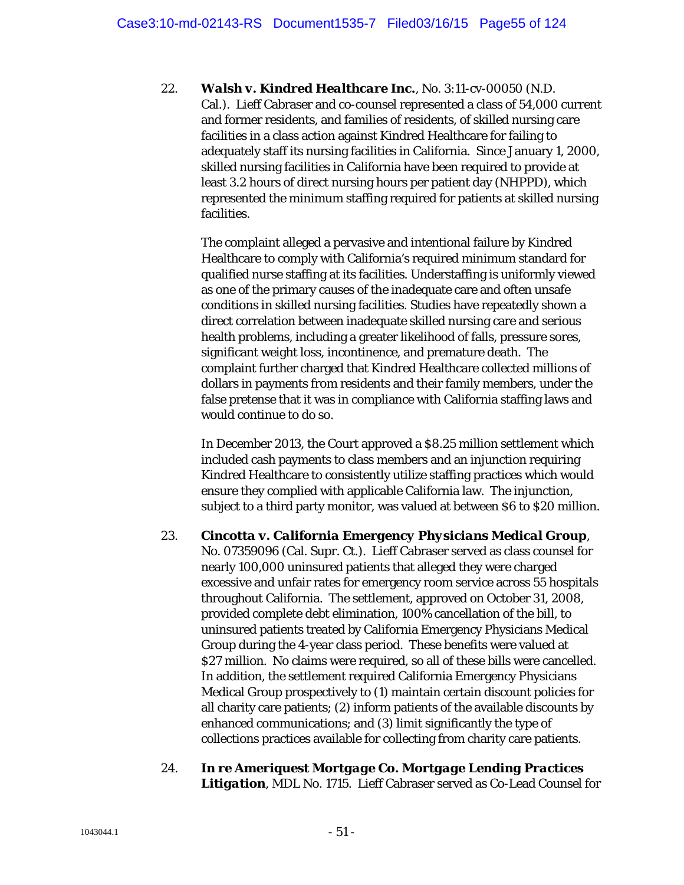22. *Walsh v. Kindred Healthcare Inc.*, No. 3:11-cv-00050 (N.D. Cal.). Lieff Cabraser and co-counsel represented a class of 54,000 current and former residents, and families of residents, of skilled nursing care facilities in a class action against Kindred Healthcare for failing to adequately staff its nursing facilities in California. Since January 1, 2000, skilled nursing facilities in California have been required to provide at least 3.2 hours of direct nursing hours per patient day (NHPPD), which represented the minimum staffing required for patients at skilled nursing facilities.

The complaint alleged a pervasive and intentional failure by Kindred Healthcare to comply with California's required minimum standard for qualified nurse staffing at its facilities. Understaffing is uniformly viewed as one of the primary causes of the inadequate care and often unsafe conditions in skilled nursing facilities. Studies have repeatedly shown a direct correlation between inadequate skilled nursing care and serious health problems, including a greater likelihood of falls, pressure sores, significant weight loss, incontinence, and premature death. The complaint further charged that Kindred Healthcare collected millions of dollars in payments from residents and their family members, under the false pretense that it was in compliance with California staffing laws and would continue to do so.

In December 2013, the Court approved a \$8.25 million settlement which included cash payments to class members and an injunction requiring Kindred Healthcare to consistently utilize staffing practices which would ensure they complied with applicable California law. The injunction, subject to a third party monitor, was valued at between \$6 to \$20 million.

- 23. *Cincotta v. California Emergency Physicians Medical Group*, No. 07359096 (Cal. Supr. Ct.). Lieff Cabraser served as class counsel for nearly 100,000 uninsured patients that alleged they were charged excessive and unfair rates for emergency room service across 55 hospitals throughout California. The settlement, approved on October 31, 2008, provided complete debt elimination, 100% cancellation of the bill, to uninsured patients treated by California Emergency Physicians Medical Group during the 4-year class period. These benefits were valued at \$27 million. No claims were required, so all of these bills were cancelled. In addition, the settlement required California Emergency Physicians Medical Group prospectively to (1) maintain certain discount policies for all charity care patients; (2) inform patients of the available discounts by enhanced communications; and (3) limit significantly the type of collections practices available for collecting from charity care patients.
- 24. *In re Ameriquest Mortgage Co. Mortgage Lending Practices Litigation*, MDL No. 1715. Lieff Cabraser served as Co-Lead Counsel for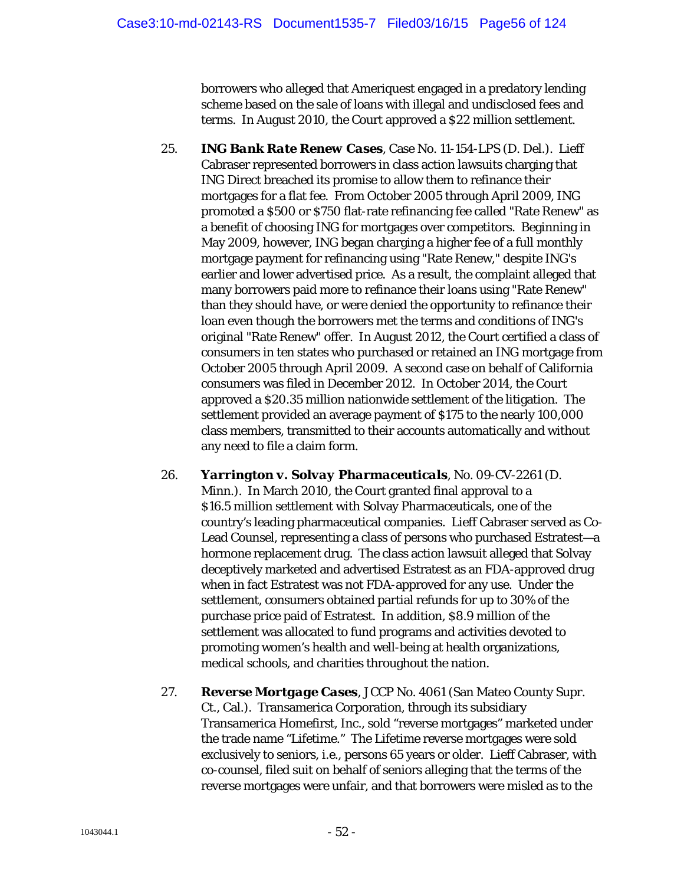borrowers who alleged that Ameriquest engaged in a predatory lending scheme based on the sale of loans with illegal and undisclosed fees and terms. In August 2010, the Court approved a \$22 million settlement.

- 25. *ING Bank Rate Renew Cases*, Case No. 11-154-LPS (D. Del.). Lieff Cabraser represented borrowers in class action lawsuits charging that ING Direct breached its promise to allow them to refinance their mortgages for a flat fee. From October 2005 through April 2009, ING promoted a \$500 or \$750 flat-rate refinancing fee called "Rate Renew" as a benefit of choosing ING for mortgages over competitors. Beginning in May 2009, however, ING began charging a higher fee of a full monthly mortgage payment for refinancing using "Rate Renew," despite ING's earlier and lower advertised price. As a result, the complaint alleged that many borrowers paid more to refinance their loans using "Rate Renew" than they should have, or were denied the opportunity to refinance their loan even though the borrowers met the terms and conditions of ING's original "Rate Renew" offer. In August 2012, the Court certified a class of consumers in ten states who purchased or retained an ING mortgage from October 2005 through April 2009. A second case on behalf of California consumers was filed in December 2012. In October 2014, the Court approved a \$20.35 million nationwide settlement of the litigation. The settlement provided an average payment of \$175 to the nearly 100,000 class members, transmitted to their accounts automatically and without any need to file a claim form.
- 26. *Yarrington v. Solvay Pharmaceuticals*, No. 09-CV-2261 (D. Minn.). In March 2010, the Court granted final approval to a \$16.5 million settlement with Solvay Pharmaceuticals, one of the country's leading pharmaceutical companies. Lieff Cabraser served as Co-Lead Counsel, representing a class of persons who purchased Estratest—a hormone replacement drug. The class action lawsuit alleged that Solvay deceptively marketed and advertised Estratest as an FDA-approved drug when in fact Estratest was not FDA-approved for any use. Under the settlement, consumers obtained partial refunds for up to 30% of the purchase price paid of Estratest. In addition, \$8.9 million of the settlement was allocated to fund programs and activities devoted to promoting women's health and well-being at health organizations, medical schools, and charities throughout the nation.
- 27. *Reverse Mortgage Cases*, JCCP No. 4061 (San Mateo County Supr. Ct., Cal.). Transamerica Corporation, through its subsidiary Transamerica Homefirst, Inc., sold "reverse mortgages" marketed under the trade name "Lifetime." The Lifetime reverse mortgages were sold exclusively to seniors, *i.e.*, persons 65 years or older. Lieff Cabraser, with co-counsel, filed suit on behalf of seniors alleging that the terms of the reverse mortgages were unfair, and that borrowers were misled as to the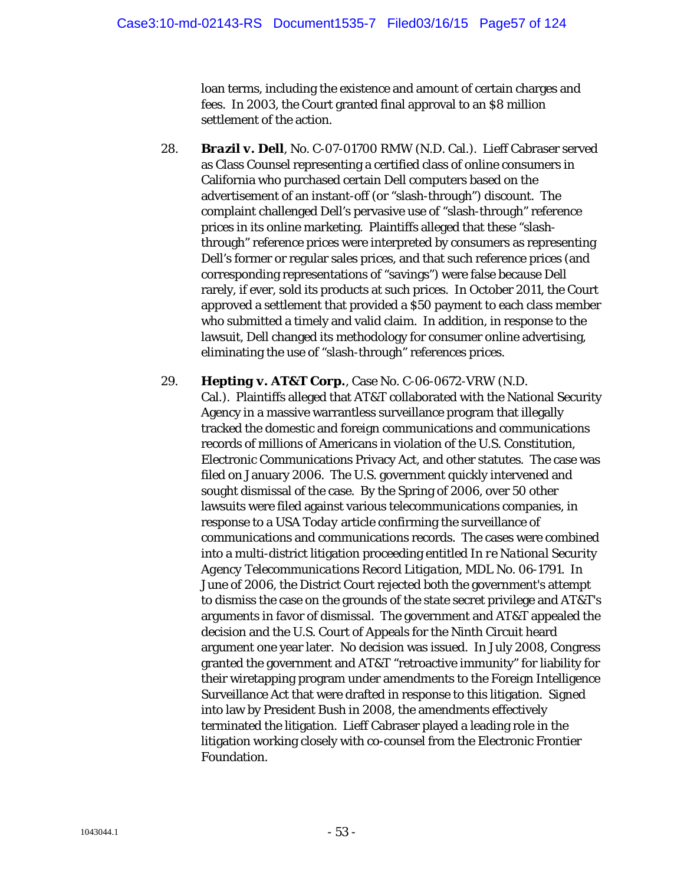loan terms, including the existence and amount of certain charges and fees. In 2003, the Court granted final approval to an \$8 million settlement of the action.

- 28. *Brazil v. Dell*, No. C-07-01700 RMW (N.D. Cal.). Lieff Cabraser served as Class Counsel representing a certified class of online consumers in California who purchased certain Dell computers based on the advertisement of an instant-off (or "slash-through") discount. The complaint challenged Dell's pervasive use of "slash-through" reference prices in its online marketing. Plaintiffs alleged that these "slashthrough" reference prices were interpreted by consumers as representing Dell's former or regular sales prices, and that such reference prices (and corresponding representations of "savings") were false because Dell rarely, if ever, sold its products at such prices. In October 2011, the Court approved a settlement that provided a \$50 payment to each class member who submitted a timely and valid claim. In addition, in response to the lawsuit, Dell changed its methodology for consumer online advertising, eliminating the use of "slash-through" references prices.
- 29. *Hepting v. AT&T Corp.*, Case No. C-06-0672-VRW (N.D. Cal.). Plaintiffs alleged that AT&T collaborated with the National Security Agency in a massive warrantless surveillance program that illegally tracked the domestic and foreign communications and communications records of millions of Americans in violation of the U.S. Constitution, Electronic Communications Privacy Act, and other statutes. The case was filed on January 2006. The U.S. government quickly intervened and sought dismissal of the case. By the Spring of 2006, over 50 other lawsuits were filed against various telecommunications companies, in response to a *USA Today* article confirming the surveillance of communications and communications records. The cases were combined into a multi-district litigation proceeding entitled *In re National Security Agency Telecommunications Record Litigation*, MDL No. 06-1791. In June of 2006, the District Court rejected both the government's attempt to dismiss the case on the grounds of the state secret privilege and AT&T's arguments in favor of dismissal. The government and AT&T appealed the decision and the U.S. Court of Appeals for the Ninth Circuit heard argument one year later. No decision was issued. In July 2008, Congress granted the government and AT&T "retroactive immunity" for liability for their wiretapping program under amendments to the Foreign Intelligence Surveillance Act that were drafted in response to this litigation. Signed into law by President Bush in 2008, the amendments effectively terminated the litigation. Lieff Cabraser played a leading role in the litigation working closely with co-counsel from the Electronic Frontier Foundation.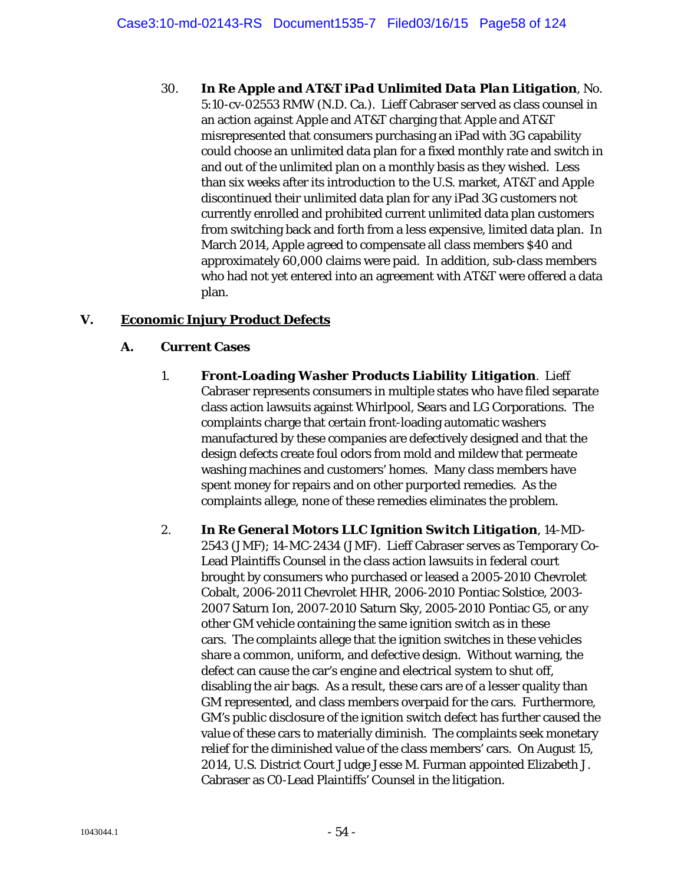30. *In Re Apple and AT&T iPad Unlimited Data Plan Litigation*, No. 5:10-cv-02553 RMW (N.D. Ca.). Lieff Cabraser served as class counsel in an action against Apple and AT&T charging that Apple and AT&T misrepresented that consumers purchasing an iPad with 3G capability could choose an unlimited data plan for a fixed monthly rate and switch in and out of the unlimited plan on a monthly basis as they wished. Less than six weeks after its introduction to the U.S. market, AT&T and Apple discontinued their unlimited data plan for any iPad 3G customers not currently enrolled and prohibited current unlimited data plan customers from switching back and forth from a less expensive, limited data plan. In March 2014, Apple agreed to compensate all class members \$40 and approximately 60,000 claims were paid. In addition, sub-class members who had not yet entered into an agreement with AT&T were offered a data plan.

# **V. Economic Injury Product Defects**

## **A. Current Cases**

- 1. *Front-Loading Washer Products Liability Litigation*. Lieff Cabraser represents consumers in multiple states who have filed separate class action lawsuits against Whirlpool, Sears and LG Corporations. The complaints charge that certain front-loading automatic washers manufactured by these companies are defectively designed and that the design defects create foul odors from mold and mildew that permeate washing machines and customers' homes. Many class members have spent money for repairs and on other purported remedies. As the complaints allege, none of these remedies eliminates the problem.
- 2. *In Re General Motors LLC Ignition Switch Litigation*, 14-MD-2543 (JMF); 14-MC-2434 (JMF). Lieff Cabraser serves as Temporary Co-Lead Plaintiffs Counsel in the class action lawsuits in federal court brought by consumers who purchased or leased a 2005-2010 Chevrolet Cobalt, 2006-2011 Chevrolet HHR, 2006-2010 Pontiac Solstice, 2003- 2007 Saturn Ion, 2007-2010 Saturn Sky, 2005-2010 Pontiac G5, or any other GM vehicle containing the same ignition switch as in these cars. The complaints allege that the ignition switches in these vehicles share a common, uniform, and defective design. Without warning, the defect can cause the car's engine and electrical system to shut off, disabling the air bags. As a result, these cars are of a lesser quality than GM represented, and class members overpaid for the cars. Furthermore, GM's public disclosure of the ignition switch defect has further caused the value of these cars to materially diminish. The complaints seek monetary relief for the diminished value of the class members' cars. On August 15, 2014, U.S. District Court Judge Jesse M. Furman appointed Elizabeth J. Cabraser as C0-Lead Plaintiffs' Counsel in the litigation.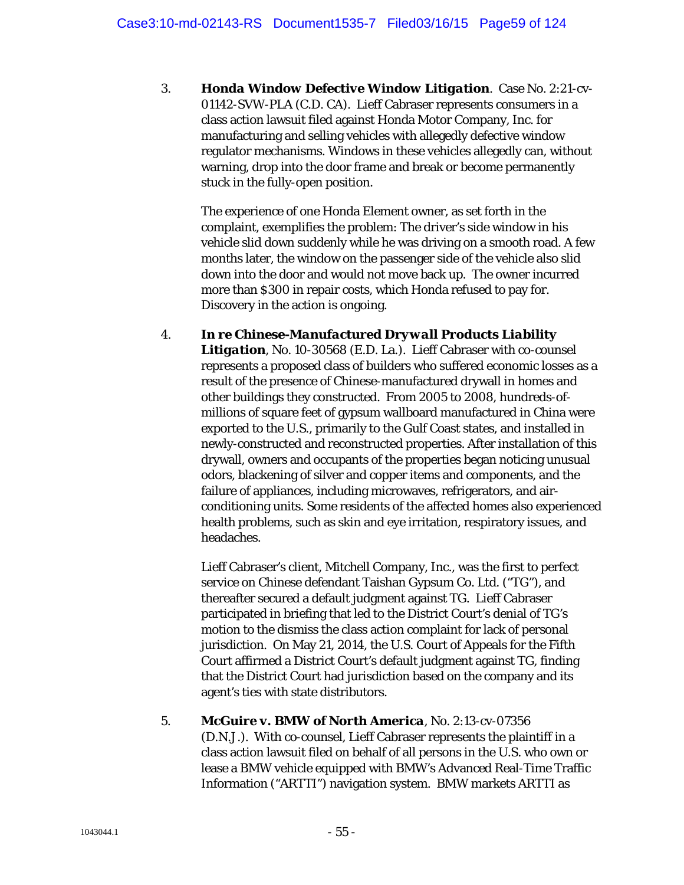3. *Honda Window Defective Window Litigation*. Case No. 2:21-cv-01142-SVW-PLA (C.D. CA). Lieff Cabraser represents consumers in a class action lawsuit filed against Honda Motor Company, Inc. for manufacturing and selling vehicles with allegedly defective window regulator mechanisms. Windows in these vehicles allegedly can, without warning, drop into the door frame and break or become permanently stuck in the fully-open position.

The experience of one Honda Element owner, as set forth in the complaint, exemplifies the problem: The driver's side window in his vehicle slid down suddenly while he was driving on a smooth road. A few months later, the window on the passenger side of the vehicle also slid down into the door and would not move back up. The owner incurred more than \$300 in repair costs, which Honda refused to pay for. Discovery in the action is ongoing.

4. *In re Chinese-Manufactured Drywall Products Liability Litigation*, No. 10-30568 (E.D. La.). Lieff Cabraser with co-counsel represents a proposed class of builders who suffered economic losses as a result of the presence of Chinese-manufactured drywall in homes and other buildings they constructed. From 2005 to 2008, hundreds-ofmillions of square feet of gypsum wallboard manufactured in China were exported to the U.S., primarily to the Gulf Coast states, and installed in newly-constructed and reconstructed properties. After installation of this drywall, owners and occupants of the properties began noticing unusual odors, blackening of silver and copper items and components, and the failure of appliances, including microwaves, refrigerators, and airconditioning units. Some residents of the affected homes also experienced health problems, such as skin and eye irritation, respiratory issues, and headaches.

Lieff Cabraser's client, Mitchell Company, Inc., was the first to perfect service on Chinese defendant Taishan Gypsum Co. Ltd. ("TG"), and thereafter secured a default judgment against TG. Lieff Cabraser participated in briefing that led to the District Court's denial of TG's motion to the dismiss the class action complaint for lack of personal jurisdiction. On May 21, 2014, the U.S. Court of Appeals for the Fifth Court affirmed a District Court's default judgment against TG, finding that the District Court had jurisdiction based on the company and its agent's ties with state distributors.

5. *McGuire v. BMW of North America*, No. 2:13-cv-07356 (D.N.J.). With co-counsel, Lieff Cabraser represents the plaintiff in a class action lawsuit filed on behalf of all persons in the U.S. who own or lease a BMW vehicle equipped with BMW's Advanced Real-Time Traffic Information ("ARTTI") navigation system. BMW markets ARTTI as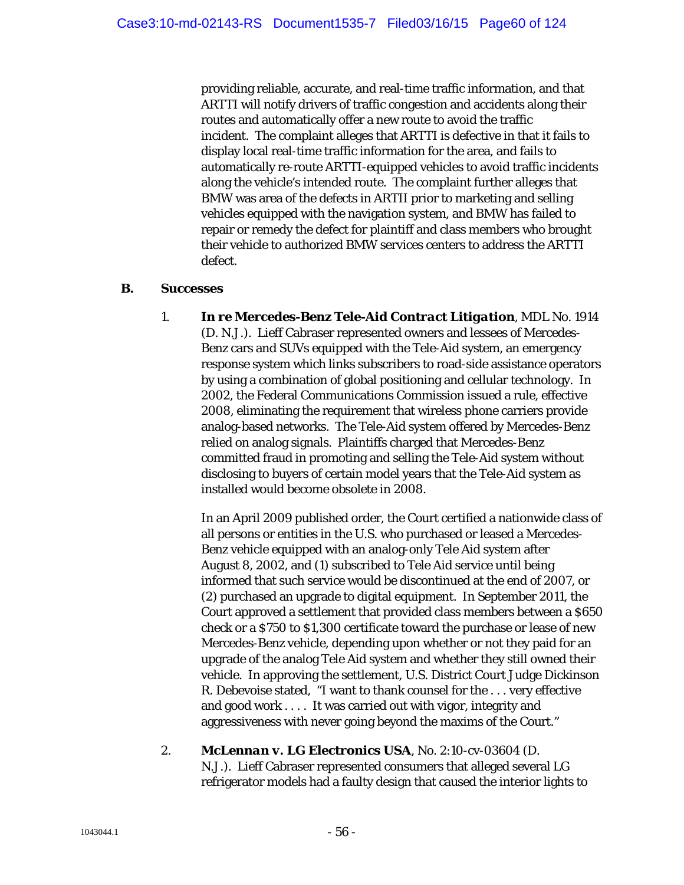providing reliable, accurate, and real-time traffic information, and that ARTTI will notify drivers of traffic congestion and accidents along their routes and automatically offer a new route to avoid the traffic incident. The complaint alleges that ARTTI is defective in that it fails to display local real-time traffic information for the area, and fails to automatically re-route ARTTI-equipped vehicles to avoid traffic incidents along the vehicle's intended route. The complaint further alleges that BMW was area of the defects in ARTII prior to marketing and selling vehicles equipped with the navigation system, and BMW has failed to repair or remedy the defect for plaintiff and class members who brought their vehicle to authorized BMW services centers to address the ARTTI defect.

#### **B. Successes**

1. *In re Mercedes-Benz Tele-Aid Contract Litigation*, MDL No. 1914 (D. N.J.). Lieff Cabraser represented owners and lessees of Mercedes-Benz cars and SUVs equipped with the Tele-Aid system, an emergency response system which links subscribers to road-side assistance operators by using a combination of global positioning and cellular technology. In 2002, the Federal Communications Commission issued a rule, effective 2008, eliminating the requirement that wireless phone carriers provide analog-based networks. The Tele-Aid system offered by Mercedes-Benz relied on analog signals. Plaintiffs charged that Mercedes-Benz committed fraud in promoting and selling the Tele-Aid system without disclosing to buyers of certain model years that the Tele-Aid system as installed would become obsolete in 2008.

In an April 2009 published order, the Court certified a nationwide class of all persons or entities in the U.S. who purchased or leased a Mercedes-Benz vehicle equipped with an analog-only Tele Aid system after August 8, 2002, and (1) subscribed to Tele Aid service until being informed that such service would be discontinued at the end of 2007, or (2) purchased an upgrade to digital equipment. In September 2011, the Court approved a settlement that provided class members between a \$650 check or a \$750 to \$1,300 certificate toward the purchase or lease of new Mercedes-Benz vehicle, depending upon whether or not they paid for an upgrade of the analog Tele Aid system and whether they still owned their vehicle. In approving the settlement, U.S. District Court Judge Dickinson R. Debevoise stated, "I want to thank counsel for the . . . very effective and good work . . . . It was carried out with vigor, integrity and aggressiveness with never going beyond the maxims of the Court."

2. *McLennan v. LG Electronics USA*, No. 2:10-cv-03604 (D. N.J.). Lieff Cabraser represented consumers that alleged several LG refrigerator models had a faulty design that caused the interior lights to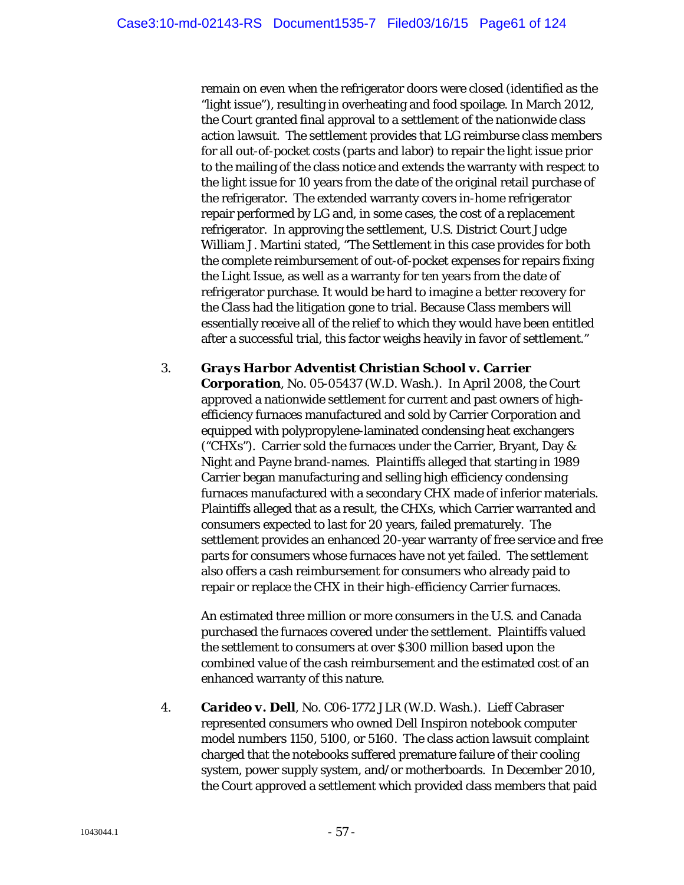remain on even when the refrigerator doors were closed (identified as the "light issue"), resulting in overheating and food spoilage. In March 2012, the Court granted final approval to a settlement of the nationwide class action lawsuit. The settlement provides that LG reimburse class members for all out-of-pocket costs (parts and labor) to repair the light issue prior to the mailing of the class notice and extends the warranty with respect to the light issue for 10 years from the date of the original retail purchase of the refrigerator. The extended warranty covers in-home refrigerator repair performed by LG and, in some cases, the cost of a replacement refrigerator. In approving the settlement, U.S. District Court Judge William J. Martini stated, "The Settlement in this case provides for both the complete reimbursement of out-of-pocket expenses for repairs fixing the Light Issue, as well as a warranty for ten years from the date of refrigerator purchase. It would be hard to imagine a better recovery for the Class had the litigation gone to trial. Because Class members will essentially receive all of the relief to which they would have been entitled after a successful trial, this factor weighs heavily in favor of settlement."

3. *Grays Harbor Adventist Christian School v. Carrier Corporation*, No. 05-05437 (W.D. Wash.). In April 2008, the Court approved a nationwide settlement for current and past owners of highefficiency furnaces manufactured and sold by Carrier Corporation and equipped with polypropylene-laminated condensing heat exchangers ("CHXs"). Carrier sold the furnaces under the Carrier, Bryant, Day & Night and Payne brand-names. Plaintiffs alleged that starting in 1989 Carrier began manufacturing and selling high efficiency condensing furnaces manufactured with a secondary CHX made of inferior materials. Plaintiffs alleged that as a result, the CHXs, which Carrier warranted and consumers expected to last for 20 years, failed prematurely. The settlement provides an enhanced 20-year warranty of free service and free parts for consumers whose furnaces have not yet failed. The settlement also offers a cash reimbursement for consumers who already paid to repair or replace the CHX in their high-efficiency Carrier furnaces.

An estimated three million or more consumers in the U.S. and Canada purchased the furnaces covered under the settlement. Plaintiffs valued the settlement to consumers at over \$300 million based upon the combined value of the cash reimbursement and the estimated cost of an enhanced warranty of this nature.

4. *Carideo v. Dell*, No. C06-1772 JLR (W.D. Wash.). Lieff Cabraser represented consumers who owned Dell Inspiron notebook computer model numbers 1150, 5100, or 5160. The class action lawsuit complaint charged that the notebooks suffered premature failure of their cooling system, power supply system, and/or motherboards. In December 2010, the Court approved a settlement which provided class members that paid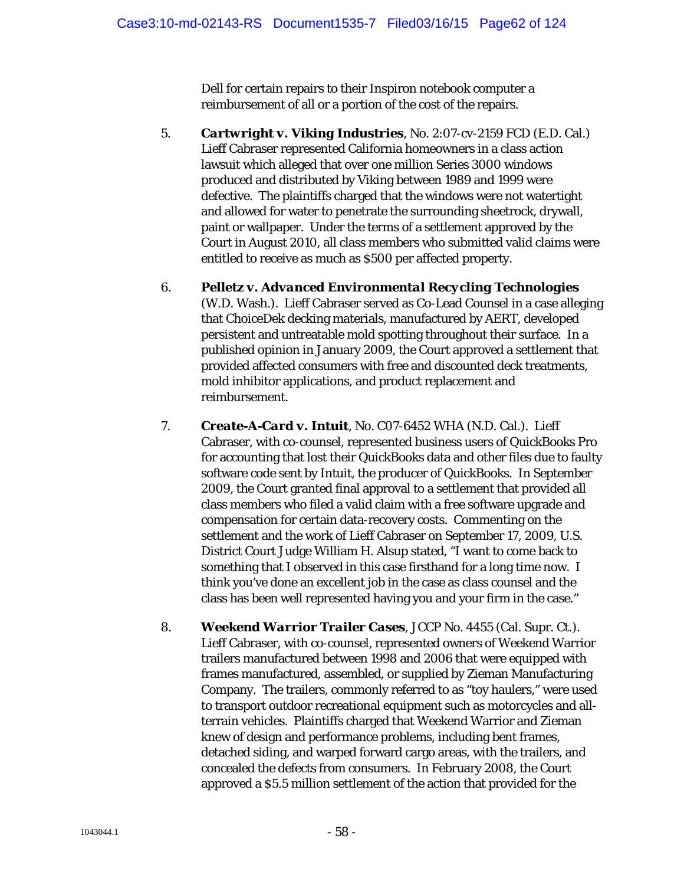Dell for certain repairs to their Inspiron notebook computer a reimbursement of all or a portion of the cost of the repairs.

- 5. *Cartwright v. Viking Industries*, No. 2:07-cv-2159 FCD (E.D. Cal.) Lieff Cabraser represented California homeowners in a class action lawsuit which alleged that over one million Series 3000 windows produced and distributed by Viking between 1989 and 1999 were defective. The plaintiffs charged that the windows were not watertight and allowed for water to penetrate the surrounding sheetrock, drywall, paint or wallpaper. Under the terms of a settlement approved by the Court in August 2010, all class members who submitted valid claims were entitled to receive as much as \$500 per affected property.
- 6. *Pelletz v. Advanced Environmental Recycling Technologies* (W.D. Wash.). Lieff Cabraser served as Co-Lead Counsel in a case alleging that ChoiceDek decking materials, manufactured by AERT, developed persistent and untreatable mold spotting throughout their surface. In a published opinion in January 2009, the Court approved a settlement that provided affected consumers with free and discounted deck treatments, mold inhibitor applications, and product replacement and reimbursement.
- 7. *Create-A-Card v. Intuit*, No. C07-6452 WHA (N.D. Cal.). Lieff Cabraser, with co-counsel, represented business users of QuickBooks Pro for accounting that lost their QuickBooks data and other files due to faulty software code sent by Intuit, the producer of QuickBooks. In September 2009, the Court granted final approval to a settlement that provided all class members who filed a valid claim with a free software upgrade and compensation for certain data-recovery costs. Commenting on the settlement and the work of Lieff Cabraser on September 17, 2009, U.S. District Court Judge William H. Alsup stated, "I want to come back to something that I observed in this case firsthand for a long time now. I think you've done an excellent job in the case as class counsel and the class has been well represented having you and your firm in the case."
- 8. *Weekend Warrior Trailer Cases*, JCCP No. 4455 (Cal. Supr. Ct.). Lieff Cabraser, with co-counsel, represented owners of Weekend Warrior trailers manufactured between 1998 and 2006 that were equipped with frames manufactured, assembled, or supplied by Zieman Manufacturing Company. The trailers, commonly referred to as "toy haulers," were used to transport outdoor recreational equipment such as motorcycles and allterrain vehicles. Plaintiffs charged that Weekend Warrior and Zieman knew of design and performance problems, including bent frames, detached siding, and warped forward cargo areas, with the trailers, and concealed the defects from consumers. In February 2008, the Court approved a \$5.5 million settlement of the action that provided for the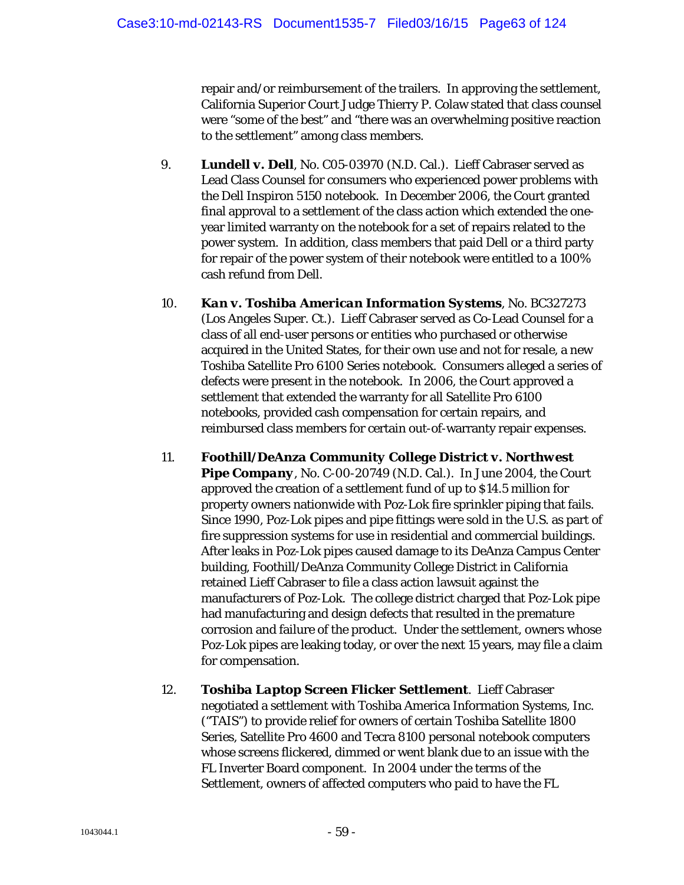repair and/or reimbursement of the trailers. In approving the settlement, California Superior Court Judge Thierry P. Colaw stated that class counsel were "some of the best" and "there was an overwhelming positive reaction to the settlement" among class members.

- 9. *Lundell v. Dell*, No. C05-03970 (N.D. Cal.). Lieff Cabraser served as Lead Class Counsel for consumers who experienced power problems with the Dell Inspiron 5150 notebook. In December 2006, the Court granted final approval to a settlement of the class action which extended the oneyear limited warranty on the notebook for a set of repairs related to the power system. In addition, class members that paid Dell or a third party for repair of the power system of their notebook were entitled to a 100% cash refund from Dell.
- 10. *Kan v. Toshiba American Information Systems*, No. BC327273 (Los Angeles Super. Ct.). Lieff Cabraser served as Co-Lead Counsel for a class of all end-user persons or entities who purchased or otherwise acquired in the United States, for their own use and not for resale, a new Toshiba Satellite Pro 6100 Series notebook. Consumers alleged a series of defects were present in the notebook. In 2006, the Court approved a settlement that extended the warranty for all Satellite Pro 6100 notebooks, provided cash compensation for certain repairs, and reimbursed class members for certain out-of-warranty repair expenses.
- 11. *Foothill/DeAnza Community College District v. Northwest*  **Pipe Company**, No. C-00-20749 (N.D. Cal.). In June 2004, the Court approved the creation of a settlement fund of up to \$14.5 million for property owners nationwide with Poz-Lok fire sprinkler piping that fails. Since 1990, Poz-Lok pipes and pipe fittings were sold in the U.S. as part of fire suppression systems for use in residential and commercial buildings. After leaks in Poz-Lok pipes caused damage to its DeAnza Campus Center building, Foothill/DeAnza Community College District in California retained Lieff Cabraser to file a class action lawsuit against the manufacturers of Poz-Lok. The college district charged that Poz-Lok pipe had manufacturing and design defects that resulted in the premature corrosion and failure of the product. Under the settlement, owners whose Poz-Lok pipes are leaking today, or over the next 15 years, may file a claim for compensation.
- 12. *Toshiba Laptop Screen Flicker Settlement*. Lieff Cabraser negotiated a settlement with Toshiba America Information Systems, Inc. ("TAIS") to provide relief for owners of certain Toshiba Satellite 1800 Series, Satellite Pro 4600 and Tecra 8100 personal notebook computers whose screens flickered, dimmed or went blank due to an issue with the FL Inverter Board component. In 2004 under the terms of the Settlement, owners of affected computers who paid to have the FL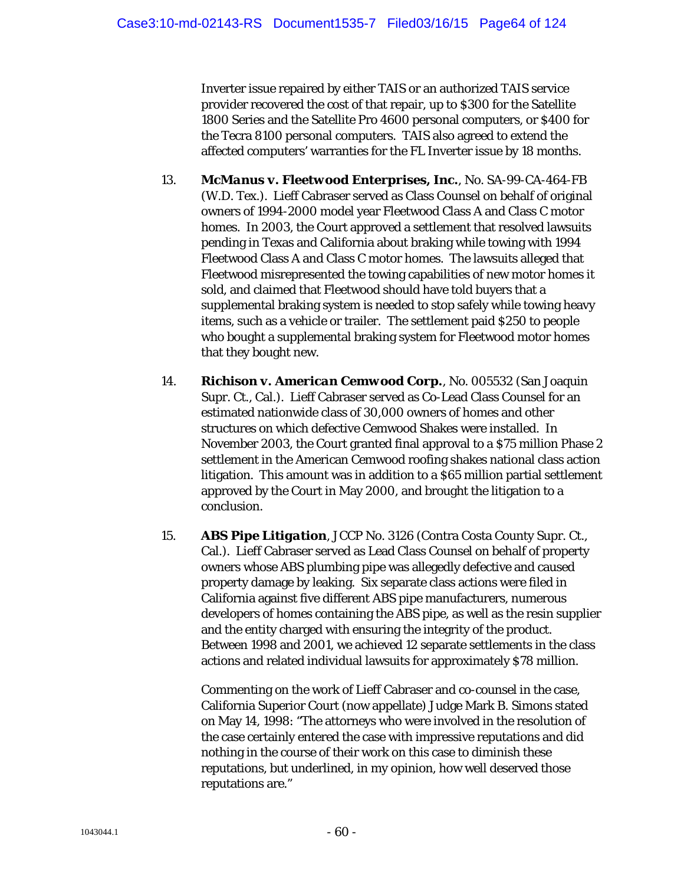Inverter issue repaired by either TAIS or an authorized TAIS service provider recovered the cost of that repair, up to \$300 for the Satellite 1800 Series and the Satellite Pro 4600 personal computers, or \$400 for the Tecra 8100 personal computers. TAIS also agreed to extend the affected computers' warranties for the FL Inverter issue by 18 months.

- 13. *McManus v. Fleetwood Enterprises, Inc.*, No. SA-99-CA-464-FB (W.D. Tex.). Lieff Cabraser served as Class Counsel on behalf of original owners of 1994-2000 model year Fleetwood Class A and Class C motor homes. In 2003, the Court approved a settlement that resolved lawsuits pending in Texas and California about braking while towing with 1994 Fleetwood Class A and Class C motor homes. The lawsuits alleged that Fleetwood misrepresented the towing capabilities of new motor homes it sold, and claimed that Fleetwood should have told buyers that a supplemental braking system is needed to stop safely while towing heavy items, such as a vehicle or trailer. The settlement paid \$250 to people who bought a supplemental braking system for Fleetwood motor homes that they bought new.
- 14. *Richison v. American Cemwood Corp.*, No. 005532 (San Joaquin Supr. Ct., Cal.). Lieff Cabraser served as Co-Lead Class Counsel for an estimated nationwide class of 30,000 owners of homes and other structures on which defective Cemwood Shakes were installed. In November 2003, the Court granted final approval to a \$75 million Phase 2 settlement in the American Cemwood roofing shakes national class action litigation. This amount was in addition to a \$65 million partial settlement approved by the Court in May 2000, and brought the litigation to a conclusion.
- 15. *ABS Pipe Litigation*, JCCP No. 3126 (Contra Costa County Supr. Ct., Cal.). Lieff Cabraser served as Lead Class Counsel on behalf of property owners whose ABS plumbing pipe was allegedly defective and caused property damage by leaking. Six separate class actions were filed in California against five different ABS pipe manufacturers, numerous developers of homes containing the ABS pipe, as well as the resin supplier and the entity charged with ensuring the integrity of the product. Between 1998 and 2001, we achieved 12 separate settlements in the class actions and related individual lawsuits for approximately \$78 million.

Commenting on the work of Lieff Cabraser and co-counsel in the case, California Superior Court (now appellate) Judge Mark B. Simons stated on May 14, 1998: "The attorneys who were involved in the resolution of the case certainly entered the case with impressive reputations and did nothing in the course of their work on this case to diminish these reputations, but underlined, in my opinion, how well deserved those reputations are."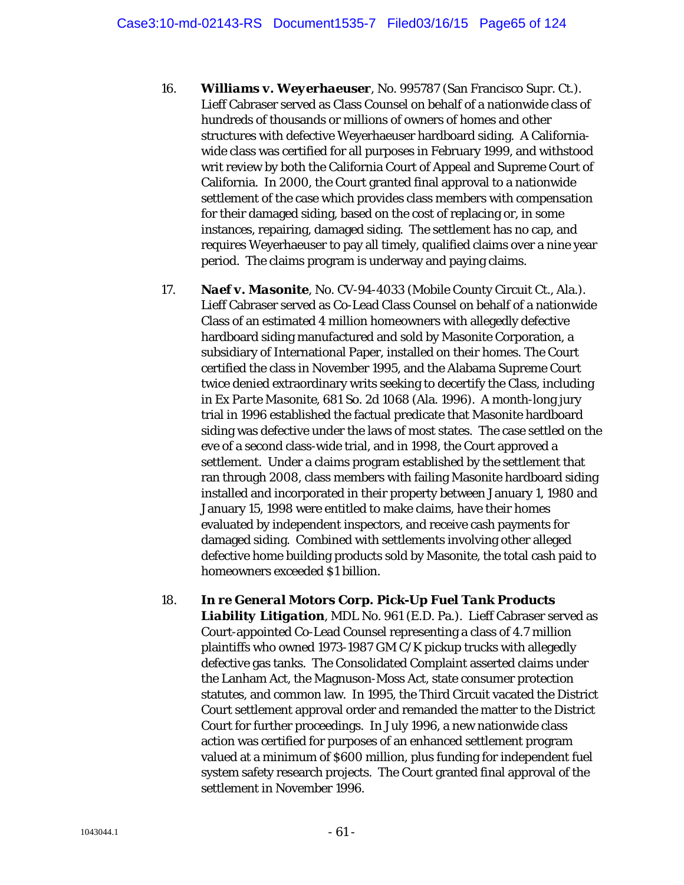- 16. *Williams v. Weyerhaeuser*, No. 995787 (San Francisco Supr. Ct.). Lieff Cabraser served as Class Counsel on behalf of a nationwide class of hundreds of thousands or millions of owners of homes and other structures with defective Weyerhaeuser hardboard siding. A Californiawide class was certified for all purposes in February 1999, and withstood writ review by both the California Court of Appeal and Supreme Court of California. In 2000, the Court granted final approval to a nationwide settlement of the case which provides class members with compensation for their damaged siding, based on the cost of replacing or, in some instances, repairing, damaged siding. The settlement has no cap, and requires Weyerhaeuser to pay all timely, qualified claims over a nine year period. The claims program is underway and paying claims.
- 17. *Naef v. Masonite*, No. CV-94-4033 (Mobile County Circuit Ct., Ala.). Lieff Cabraser served as Co-Lead Class Counsel on behalf of a nationwide Class of an estimated 4 million homeowners with allegedly defective hardboard siding manufactured and sold by Masonite Corporation, a subsidiary of International Paper, installed on their homes. The Court certified the class in November 1995, and the Alabama Supreme Court twice denied extraordinary writs seeking to decertify the Class, including in *Ex Parte Masonite*, 681 So. 2d 1068 (Ala. 1996). A month-long jury trial in 1996 established the factual predicate that Masonite hardboard siding was defective under the laws of most states. The case settled on the eve of a second class-wide trial, and in 1998, the Court approved a settlement. Under a claims program established by the settlement that ran through 2008, class members with failing Masonite hardboard siding installed and incorporated in their property between January 1, 1980 and January 15, 1998 were entitled to make claims, have their homes evaluated by independent inspectors, and receive cash payments for damaged siding. Combined with settlements involving other alleged defective home building products sold by Masonite, the total cash paid to homeowners exceeded \$1 billion.
- 18. *In re General Motors Corp. Pick-Up Fuel Tank Products Liability Litigation*, MDL No. 961 (E.D. Pa.). Lieff Cabraser served as Court-appointed Co-Lead Counsel representing a class of 4.7 million plaintiffs who owned 1973-1987 GM C/K pickup trucks with allegedly defective gas tanks. The Consolidated Complaint asserted claims under the Lanham Act, the Magnuson-Moss Act, state consumer protection statutes, and common law. In 1995, the Third Circuit vacated the District Court settlement approval order and remanded the matter to the District Court for further proceedings. In July 1996, a new nationwide class action was certified for purposes of an enhanced settlement program valued at a minimum of \$600 million, plus funding for independent fuel system safety research projects. The Court granted final approval of the settlement in November 1996.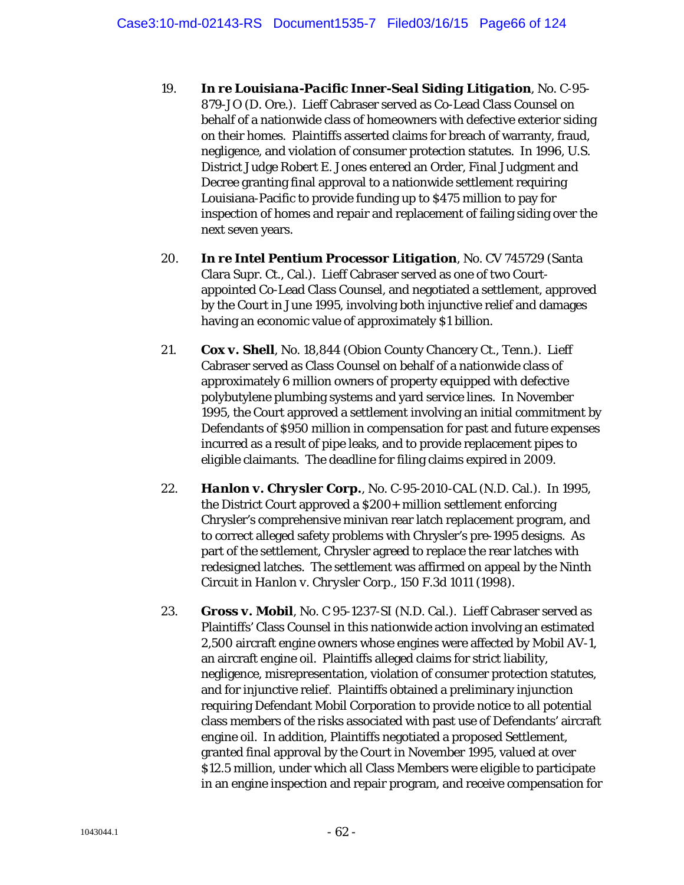- 19. *In re Louisiana-Pacific Inner-Seal Siding Litigation*, No. C-95- 879-JO (D. Ore.). Lieff Cabraser served as Co-Lead Class Counsel on behalf of a nationwide class of homeowners with defective exterior siding on their homes. Plaintiffs asserted claims for breach of warranty, fraud, negligence, and violation of consumer protection statutes. In 1996, U.S. District Judge Robert E. Jones entered an Order, Final Judgment and Decree granting final approval to a nationwide settlement requiring Louisiana-Pacific to provide funding up to \$475 million to pay for inspection of homes and repair and replacement of failing siding over the next seven years.
- 20. *In re Intel Pentium Processor Litigation*, No. CV 745729 (Santa Clara Supr. Ct., Cal.). Lieff Cabraser served as one of two Courtappointed Co-Lead Class Counsel, and negotiated a settlement, approved by the Court in June 1995, involving both injunctive relief and damages having an economic value of approximately \$1 billion.
- 21. *Cox v. Shell*, No. 18,844 (Obion County Chancery Ct., Tenn.). Lieff Cabraser served as Class Counsel on behalf of a nationwide class of approximately 6 million owners of property equipped with defective polybutylene plumbing systems and yard service lines. In November 1995, the Court approved a settlement involving an initial commitment by Defendants of \$950 million in compensation for past and future expenses incurred as a result of pipe leaks, and to provide replacement pipes to eligible claimants. The deadline for filing claims expired in 2009.
- 22. *Hanlon v. Chrysler Corp.*, No. C-95-2010-CAL (N.D. Cal.). In 1995, the District Court approved a \$200+ million settlement enforcing Chrysler's comprehensive minivan rear latch replacement program, and to correct alleged safety problems with Chrysler's pre-1995 designs. As part of the settlement, Chrysler agreed to replace the rear latches with redesigned latches. The settlement was affirmed on appeal by the Ninth Circuit in *Hanlon v. Chrysler Corp.*, 150 F.3d 1011 (1998).
- 23. *Gross v. Mobil*, No. C 95-1237-SI (N.D. Cal.). Lieff Cabraser served as Plaintiffs' Class Counsel in this nationwide action involving an estimated 2,500 aircraft engine owners whose engines were affected by Mobil AV-1, an aircraft engine oil. Plaintiffs alleged claims for strict liability, negligence, misrepresentation, violation of consumer protection statutes, and for injunctive relief. Plaintiffs obtained a preliminary injunction requiring Defendant Mobil Corporation to provide notice to all potential class members of the risks associated with past use of Defendants' aircraft engine oil. In addition, Plaintiffs negotiated a proposed Settlement, granted final approval by the Court in November 1995, valued at over \$12.5 million, under which all Class Members were eligible to participate in an engine inspection and repair program, and receive compensation for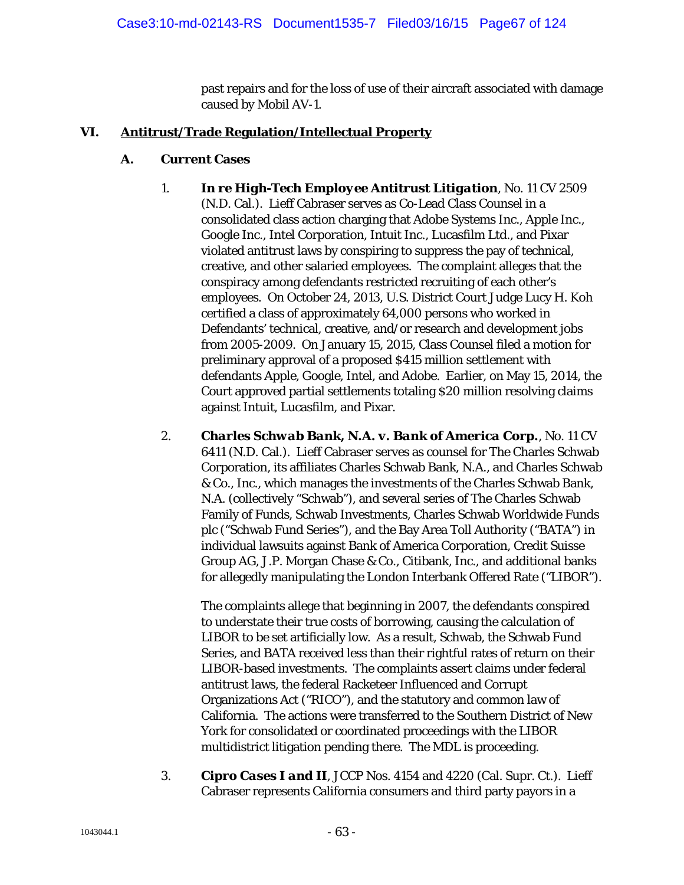past repairs and for the loss of use of their aircraft associated with damage caused by Mobil AV-1.

## **VI. Antitrust/Trade Regulation/Intellectual Property**

#### **A. Current Cases**

- 1. *In re High-Tech Employee Antitrust Litigation*, No. 11 CV 2509 (N.D. Cal.). Lieff Cabraser serves as Co-Lead Class Counsel in a consolidated class action charging that Adobe Systems Inc., Apple Inc., Google Inc., Intel Corporation, Intuit Inc., Lucasfilm Ltd., and Pixar violated antitrust laws by conspiring to suppress the pay of technical, creative, and other salaried employees. The complaint alleges that the conspiracy among defendants restricted recruiting of each other's employees. On October 24, 2013, U.S. District Court Judge Lucy H. Koh certified a class of approximately 64,000 persons who worked in Defendants' technical, creative, and/or research and development jobs from 2005-2009. On January 15, 2015, Class Counsel filed a motion for preliminary approval of a proposed \$415 million settlement with defendants Apple, Google, Intel, and Adobe. Earlier, on May 15, 2014, the Court approved partial settlements totaling \$20 million resolving claims against Intuit, Lucasfilm, and Pixar.
- 2. *Charles Schwab Bank, N.A. v. Bank of America Corp.*, No. 11 CV 6411 (N.D. Cal.). Lieff Cabraser serves as counsel for The Charles Schwab Corporation, its affiliates Charles Schwab Bank, N.A., and Charles Schwab & Co., Inc., which manages the investments of the Charles Schwab Bank, N.A. (collectively "Schwab"), and several series of The Charles Schwab Family of Funds, Schwab Investments, Charles Schwab Worldwide Funds plc ("Schwab Fund Series"), and the Bay Area Toll Authority ("BATA") in individual lawsuits against Bank of America Corporation, Credit Suisse Group AG, J.P. Morgan Chase & Co., Citibank, Inc., and additional banks for allegedly manipulating the London Interbank Offered Rate ("LIBOR").

The complaints allege that beginning in 2007, the defendants conspired to understate their true costs of borrowing, causing the calculation of LIBOR to be set artificially low. As a result, Schwab, the Schwab Fund Series, and BATA received less than their rightful rates of return on their LIBOR-based investments. The complaints assert claims under federal antitrust laws, the federal Racketeer Influenced and Corrupt Organizations Act ("RICO"), and the statutory and common law of California. The actions were transferred to the Southern District of New York for consolidated or coordinated proceedings with the LIBOR multidistrict litigation pending there. The MDL is proceeding.

3. *Cipro Cases I and II*, JCCP Nos. 4154 and 4220 (Cal. Supr. Ct.). Lieff Cabraser represents California consumers and third party payors in a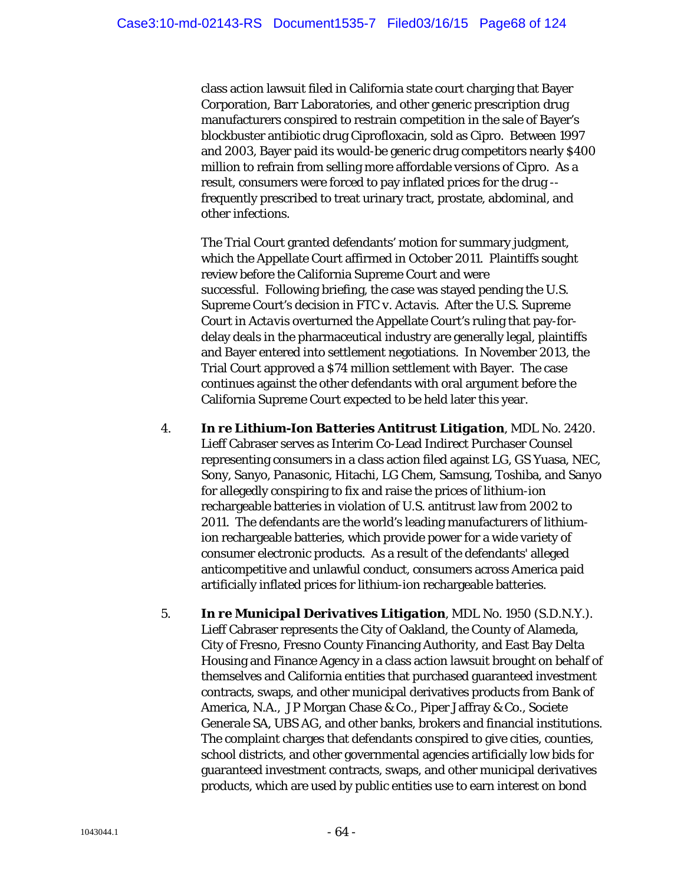class action lawsuit filed in California state court charging that Bayer Corporation, Barr Laboratories, and other generic prescription drug manufacturers conspired to restrain competition in the sale of Bayer's blockbuster antibiotic drug Ciprofloxacin, sold as Cipro. Between 1997 and 2003, Bayer paid its would-be generic drug competitors nearly \$400 million to refrain from selling more affordable versions of Cipro. As a result, consumers were forced to pay inflated prices for the drug - frequently prescribed to treat urinary tract, prostate, abdominal, and other infections.

The Trial Court granted defendants' motion for summary judgment, which the Appellate Court affirmed in October 2011. Plaintiffs sought review before the California Supreme Court and were successful. Following briefing, the case was stayed pending the U.S. Supreme Court's decision in *FTC v. Actavis*. After the U.S. Supreme Court in *Actavis* overturned the Appellate Court's ruling that pay-fordelay deals in the pharmaceutical industry are generally legal, plaintiffs and Bayer entered into settlement negotiations. In November 2013, the Trial Court approved a \$74 million settlement with Bayer. The case continues against the other defendants with oral argument before the California Supreme Court expected to be held later this year.

- 4. *In re Lithium-Ion Batteries Antitrust Litigation*, MDL No. 2420. Lieff Cabraser serves as Interim Co-Lead Indirect Purchaser Counsel representing consumers in a class action filed against LG, GS Yuasa, NEC, Sony, Sanyo, Panasonic, Hitachi, LG Chem, Samsung, Toshiba, and Sanyo for allegedly conspiring to fix and raise the prices of lithium-ion rechargeable batteries in violation of U.S. antitrust law from 2002 to 2011. The defendants are the world's leading manufacturers of lithiumion rechargeable batteries, which provide power for a wide variety of consumer electronic products. As a result of the defendants' alleged anticompetitive and unlawful conduct, consumers across America paid artificially inflated prices for lithium-ion rechargeable batteries.
- 5. *In re Municipal Derivatives Litigation*, MDL No. 1950 (S.D.N.Y.). Lieff Cabraser represents the City of Oakland, the County of Alameda, City of Fresno, Fresno County Financing Authority, and East Bay Delta Housing and Finance Agency in a class action lawsuit brought on behalf of themselves and California entities that purchased guaranteed investment contracts, swaps, and other municipal derivatives products from Bank of America, N.A., JP Morgan Chase & Co., Piper Jaffray & Co., Societe Generale SA, UBS AG, and other banks, brokers and financial institutions. The complaint charges that defendants conspired to give cities, counties, school districts, and other governmental agencies artificially low bids for guaranteed investment contracts, swaps, and other municipal derivatives products, which are used by public entities use to earn interest on bond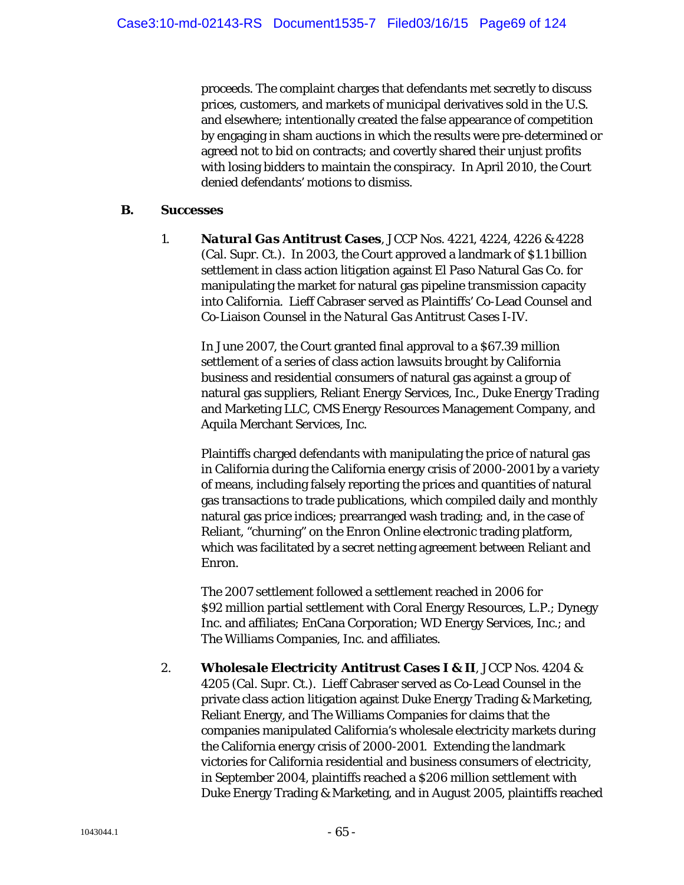proceeds. The complaint charges that defendants met secretly to discuss prices, customers, and markets of municipal derivatives sold in the U.S. and elsewhere; intentionally created the false appearance of competition by engaging in sham auctions in which the results were pre-determined or agreed not to bid on contracts; and covertly shared their unjust profits with losing bidders to maintain the conspiracy. In April 2010, the Court denied defendants' motions to dismiss.

#### **B. Successes**

1. *Natural Gas Antitrust Cases*, JCCP Nos. 4221, 4224, 4226 & 4228 (Cal. Supr. Ct.). In 2003, the Court approved a landmark of \$1.1 billion settlement in class action litigation against El Paso Natural Gas Co. for manipulating the market for natural gas pipeline transmission capacity into California. Lieff Cabraser served as Plaintiffs' Co-Lead Counsel and Co-Liaison Counsel in the *Natural Gas Antitrust Cases I-IV*.

In June 2007, the Court granted final approval to a \$67.39 million settlement of a series of class action lawsuits brought by California business and residential consumers of natural gas against a group of natural gas suppliers, Reliant Energy Services, Inc., Duke Energy Trading and Marketing LLC, CMS Energy Resources Management Company, and Aquila Merchant Services, Inc.

Plaintiffs charged defendants with manipulating the price of natural gas in California during the California energy crisis of 2000-2001 by a variety of means, including falsely reporting the prices and quantities of natural gas transactions to trade publications, which compiled daily and monthly natural gas price indices; prearranged wash trading; and, in the case of Reliant, "churning" on the Enron Online electronic trading platform, which was facilitated by a secret netting agreement between Reliant and Enron.

The 2007 settlement followed a settlement reached in 2006 for \$92 million partial settlement with Coral Energy Resources, L.P.; Dynegy Inc. and affiliates; EnCana Corporation; WD Energy Services, Inc.; and The Williams Companies, Inc. and affiliates.

2. *Wholesale Electricity Antitrust Cases I & II*, JCCP Nos. 4204 & 4205 (Cal. Supr. Ct.). Lieff Cabraser served as Co-Lead Counsel in the private class action litigation against Duke Energy Trading & Marketing, Reliant Energy, and The Williams Companies for claims that the companies manipulated California's wholesale electricity markets during the California energy crisis of 2000-2001. Extending the landmark victories for California residential and business consumers of electricity, in September 2004, plaintiffs reached a \$206 million settlement with Duke Energy Trading & Marketing, and in August 2005, plaintiffs reached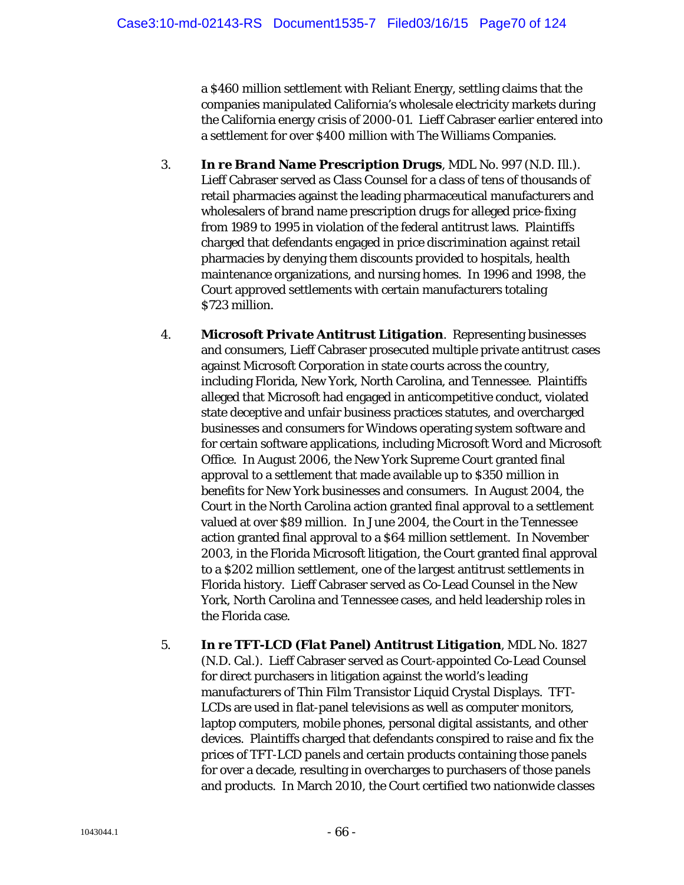a \$460 million settlement with Reliant Energy, settling claims that the companies manipulated California's wholesale electricity markets during the California energy crisis of 2000-01. Lieff Cabraser earlier entered into a settlement for over \$400 million with The Williams Companies.

- 3. *In re Brand Name Prescription Drugs*, MDL No. 997 (N.D. Ill.). Lieff Cabraser served as Class Counsel for a class of tens of thousands of retail pharmacies against the leading pharmaceutical manufacturers and wholesalers of brand name prescription drugs for alleged price-fixing from 1989 to 1995 in violation of the federal antitrust laws. Plaintiffs charged that defendants engaged in price discrimination against retail pharmacies by denying them discounts provided to hospitals, health maintenance organizations, and nursing homes. In 1996 and 1998, the Court approved settlements with certain manufacturers totaling \$723 million.
- 4. *Microsoft Private Antitrust Litigation*. Representing businesses and consumers, Lieff Cabraser prosecuted multiple private antitrust cases against Microsoft Corporation in state courts across the country, including Florida, New York, North Carolina, and Tennessee. Plaintiffs alleged that Microsoft had engaged in anticompetitive conduct, violated state deceptive and unfair business practices statutes, and overcharged businesses and consumers for Windows operating system software and for certain software applications, including Microsoft Word and Microsoft Office. In August 2006, the New York Supreme Court granted final approval to a settlement that made available up to \$350 million in benefits for New York businesses and consumers. In August 2004, the Court in the North Carolina action granted final approval to a settlement valued at over \$89 million. In June 2004, the Court in the Tennessee action granted final approval to a \$64 million settlement. In November 2003, in the Florida Microsoft litigation, the Court granted final approval to a \$202 million settlement, one of the largest antitrust settlements in Florida history. Lieff Cabraser served as Co-Lead Counsel in the New York, North Carolina and Tennessee cases, and held leadership roles in the Florida case.
- 5. *In re TFT-LCD (Flat Panel) Antitrust Litigation*, MDL No. 1827 (N.D. Cal.). Lieff Cabraser served as Court-appointed Co-Lead Counsel for direct purchasers in litigation against the world's leading manufacturers of Thin Film Transistor Liquid Crystal Displays. TFT-LCDs are used in flat-panel televisions as well as computer monitors, laptop computers, mobile phones, personal digital assistants, and other devices. Plaintiffs charged that defendants conspired to raise and fix the prices of TFT-LCD panels and certain products containing those panels for over a decade, resulting in overcharges to purchasers of those panels and products. In March 2010, the Court certified two nationwide classes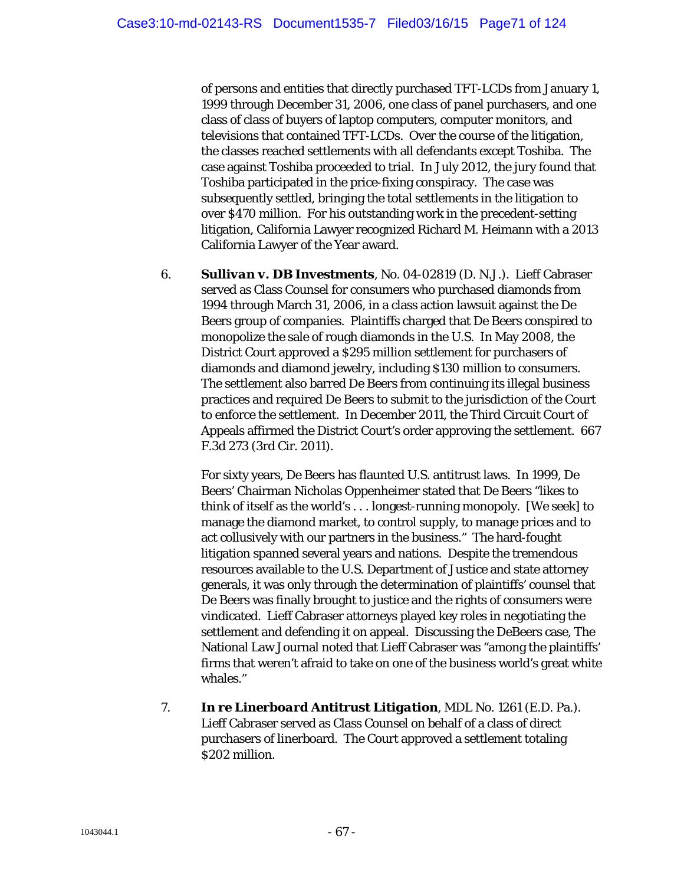of persons and entities that directly purchased TFT-LCDs from January 1, 1999 through December 31, 2006, one class of panel purchasers, and one class of class of buyers of laptop computers, computer monitors, and televisions that contained TFT-LCDs. Over the course of the litigation, the classes reached settlements with all defendants except Toshiba. The case against Toshiba proceeded to trial. In July 2012, the jury found that Toshiba participated in the price-fixing conspiracy. The case was subsequently settled, bringing the total settlements in the litigation to over \$470 million. For his outstanding work in the precedent-setting litigation, California Lawyer recognized Richard M. Heimann with a 2013 California Lawyer of the Year award.

6. *Sullivan v. DB Investments*, No. 04-02819 (D. N.J.). Lieff Cabraser served as Class Counsel for consumers who purchased diamonds from 1994 through March 31, 2006, in a class action lawsuit against the De Beers group of companies. Plaintiffs charged that De Beers conspired to monopolize the sale of rough diamonds in the U.S. In May 2008, the District Court approved a \$295 million settlement for purchasers of diamonds and diamond jewelry, including \$130 million to consumers. The settlement also barred De Beers from continuing its illegal business practices and required De Beers to submit to the jurisdiction of the Court to enforce the settlement. In December 2011, the Third Circuit Court of Appeals affirmed the District Court's order approving the settlement. 667 F.3d 273 (3rd Cir. 2011).

For sixty years, De Beers has flaunted U.S. antitrust laws. In 1999, De Beers' Chairman Nicholas Oppenheimer stated that De Beers "likes to think of itself as the world's . . . longest-running monopoly. [We seek] to manage the diamond market, to control supply, to manage prices and to act collusively with our partners in the business." The hard-fought litigation spanned several years and nations. Despite the tremendous resources available to the U.S. Department of Justice and state attorney generals, it was only through the determination of plaintiffs' counsel that De Beers was finally brought to justice and the rights of consumers were vindicated. Lieff Cabraser attorneys played key roles in negotiating the settlement and defending it on appeal. Discussing the DeBeers case, The National Law Journal noted that Lieff Cabraser was "among the plaintiffs' firms that weren't afraid to take on one of the business world's great white whales."

7. *In re Linerboard Antitrust Litigation*, MDL No. 1261 (E.D. Pa.). Lieff Cabraser served as Class Counsel on behalf of a class of direct purchasers of linerboard. The Court approved a settlement totaling \$202 million.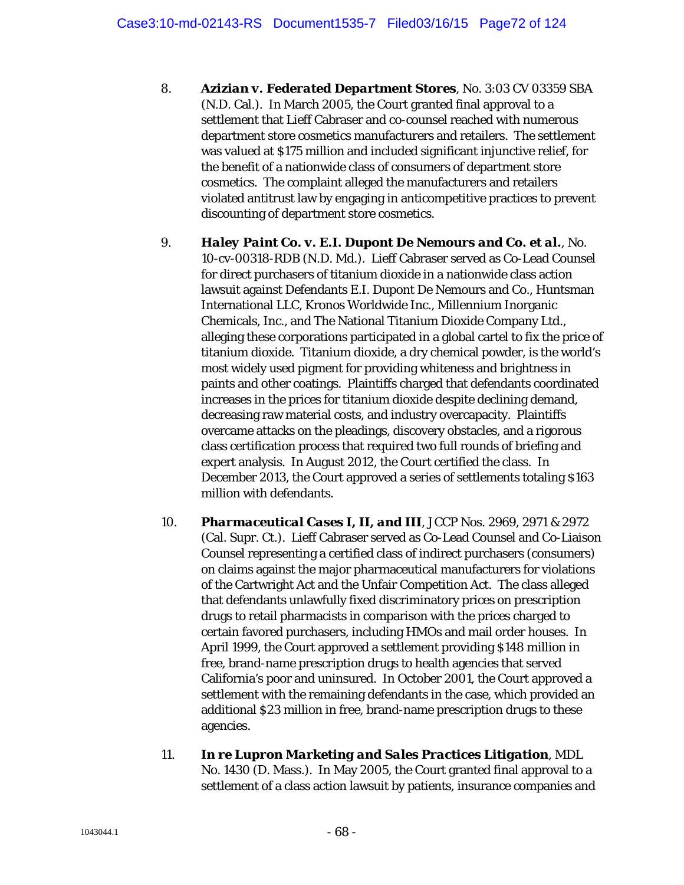- 8. *Azizian v. Federated Department Stores*, No. 3:03 CV 03359 SBA (N.D. Cal.). In March 2005, the Court granted final approval to a settlement that Lieff Cabraser and co-counsel reached with numerous department store cosmetics manufacturers and retailers. The settlement was valued at \$175 million and included significant injunctive relief, for the benefit of a nationwide class of consumers of department store cosmetics. The complaint alleged the manufacturers and retailers violated antitrust law by engaging in anticompetitive practices to prevent discounting of department store cosmetics.
- 9. *Haley Paint Co. v. E.I. Dupont De Nemours and Co. et al.*, No. 10-cv-00318-RDB (N.D. Md.). Lieff Cabraser served as Co-Lead Counsel for direct purchasers of titanium dioxide in a nationwide class action lawsuit against Defendants E.I. Dupont De Nemours and Co., Huntsman International LLC, Kronos Worldwide Inc., Millennium Inorganic Chemicals, Inc., and The National Titanium Dioxide Company Ltd., alleging these corporations participated in a global cartel to fix the price of titanium dioxide. Titanium dioxide, a dry chemical powder, is the world's most widely used pigment for providing whiteness and brightness in paints and other coatings. Plaintiffs charged that defendants coordinated increases in the prices for titanium dioxide despite declining demand, decreasing raw material costs, and industry overcapacity. Plaintiffs overcame attacks on the pleadings, discovery obstacles, and a rigorous class certification process that required two full rounds of briefing and expert analysis. In August 2012, the Court certified the class. In December 2013, the Court approved a series of settlements totaling \$163 million with defendants.
- 10. *Pharmaceutical Cases I, II, and III*, JCCP Nos. 2969, 2971 & 2972 (Cal. Supr. Ct.). Lieff Cabraser served as Co-Lead Counsel and Co-Liaison Counsel representing a certified class of indirect purchasers (consumers) on claims against the major pharmaceutical manufacturers for violations of the Cartwright Act and the Unfair Competition Act. The class alleged that defendants unlawfully fixed discriminatory prices on prescription drugs to retail pharmacists in comparison with the prices charged to certain favored purchasers, including HMOs and mail order houses. In April 1999, the Court approved a settlement providing \$148 million in free, brand-name prescription drugs to health agencies that served California's poor and uninsured. In October 2001, the Court approved a settlement with the remaining defendants in the case, which provided an additional \$23 million in free, brand-name prescription drugs to these agencies.
- 11. *In re Lupron Marketing and Sales Practices Litigation*, MDL No. 1430 (D. Mass.). In May 2005, the Court granted final approval to a settlement of a class action lawsuit by patients, insurance companies and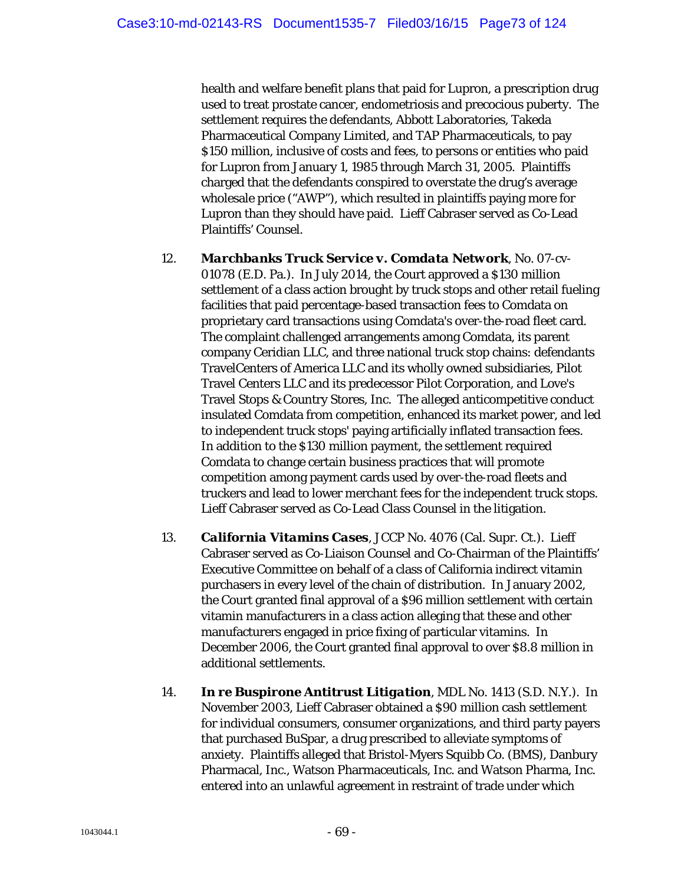health and welfare benefit plans that paid for Lupron, a prescription drug used to treat prostate cancer, endometriosis and precocious puberty. The settlement requires the defendants, Abbott Laboratories, Takeda Pharmaceutical Company Limited, and TAP Pharmaceuticals, to pay \$150 million, inclusive of costs and fees, to persons or entities who paid for Lupron from January 1, 1985 through March 31, 2005. Plaintiffs charged that the defendants conspired to overstate the drug's average wholesale price ("AWP"), which resulted in plaintiffs paying more for Lupron than they should have paid. Lieff Cabraser served as Co-Lead Plaintiffs' Counsel.

- 12. *Marchbanks Truck Service v. Comdata Network*, No. 07-cv-01078 (E.D. Pa.). In July 2014, the Court approved a \$130 million settlement of a class action brought by truck stops and other retail fueling facilities that paid percentage-based transaction fees to Comdata on proprietary card transactions using Comdata's over-the-road fleet card. The complaint challenged arrangements among Comdata, its parent company Ceridian LLC, and three national truck stop chains: defendants TravelCenters of America LLC and its wholly owned subsidiaries, Pilot Travel Centers LLC and its predecessor Pilot Corporation, and Love's Travel Stops & Country Stores, Inc. The alleged anticompetitive conduct insulated Comdata from competition, enhanced its market power, and led to independent truck stops' paying artificially inflated transaction fees. In addition to the \$130 million payment, the settlement required Comdata to change certain business practices that will promote competition among payment cards used by over-the-road fleets and truckers and lead to lower merchant fees for the independent truck stops. Lieff Cabraser served as Co-Lead Class Counsel in the litigation.
- 13. *California Vitamins Cases*, JCCP No. 4076 (Cal. Supr. Ct.). Lieff Cabraser served as Co-Liaison Counsel and Co-Chairman of the Plaintiffs' Executive Committee on behalf of a class of California indirect vitamin purchasers in every level of the chain of distribution. In January 2002, the Court granted final approval of a \$96 million settlement with certain vitamin manufacturers in a class action alleging that these and other manufacturers engaged in price fixing of particular vitamins. In December 2006, the Court granted final approval to over \$8.8 million in additional settlements.
- 14. *In re Buspirone Antitrust Litigation*, MDL No. 1413 (S.D. N.Y.). In November 2003, Lieff Cabraser obtained a \$90 million cash settlement for individual consumers, consumer organizations, and third party payers that purchased BuSpar, a drug prescribed to alleviate symptoms of anxiety. Plaintiffs alleged that Bristol-Myers Squibb Co. (BMS), Danbury Pharmacal, Inc., Watson Pharmaceuticals, Inc. and Watson Pharma, Inc. entered into an unlawful agreement in restraint of trade under which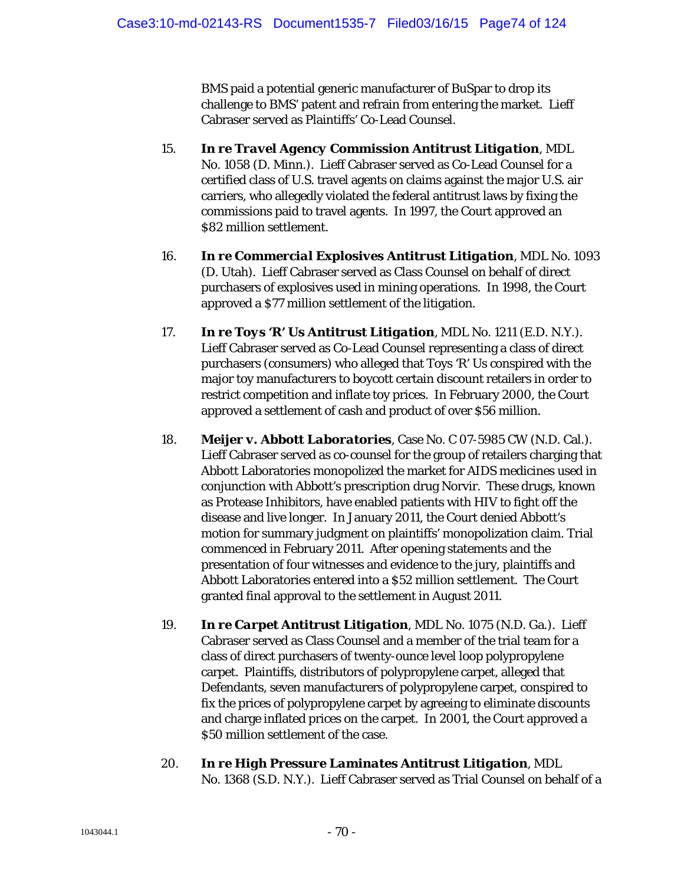BMS paid a potential generic manufacturer of BuSpar to drop its challenge to BMS' patent and refrain from entering the market. Lieff Cabraser served as Plaintiffs' Co-Lead Counsel.

- 15. *In re Travel Agency Commission Antitrust Litigation*, MDL No. 1058 (D. Minn.). Lieff Cabraser served as Co-Lead Counsel for a certified class of U.S. travel agents on claims against the major U.S. air carriers, who allegedly violated the federal antitrust laws by fixing the commissions paid to travel agents. In 1997, the Court approved an \$82 million settlement.
- 16. *In re Commercial Explosives Antitrust Litigation*, MDL No. 1093 (D. Utah). Lieff Cabraser served as Class Counsel on behalf of direct purchasers of explosives used in mining operations. In 1998, the Court approved a \$77 million settlement of the litigation.
- 17. *In re Toys 'R' Us Antitrust Litigation*, MDL No. 1211 (E.D. N.Y.). Lieff Cabraser served as Co-Lead Counsel representing a class of direct purchasers (consumers) who alleged that Toys 'R' Us conspired with the major toy manufacturers to boycott certain discount retailers in order to restrict competition and inflate toy prices. In February 2000, the Court approved a settlement of cash and product of over \$56 million.
- 18. *Meijer v. Abbott Laboratories*, Case No. C 07-5985 CW (N.D. Cal.). Lieff Cabraser served as co-counsel for the group of retailers charging that Abbott Laboratories monopolized the market for AIDS medicines used in conjunction with Abbott's prescription drug Norvir. These drugs, known as Protease Inhibitors, have enabled patients with HIV to fight off the disease and live longer. In January 2011, the Court denied Abbott's motion for summary judgment on plaintiffs' monopolization claim. Trial commenced in February 2011. After opening statements and the presentation of four witnesses and evidence to the jury, plaintiffs and Abbott Laboratories entered into a \$52 million settlement. The Court granted final approval to the settlement in August 2011.
- 19. *In re Carpet Antitrust Litigation*, MDL No. 1075 (N.D. Ga.). Lieff Cabraser served as Class Counsel and a member of the trial team for a class of direct purchasers of twenty-ounce level loop polypropylene carpet. Plaintiffs, distributors of polypropylene carpet, alleged that Defendants, seven manufacturers of polypropylene carpet, conspired to fix the prices of polypropylene carpet by agreeing to eliminate discounts and charge inflated prices on the carpet. In 2001, the Court approved a \$50 million settlement of the case.
- 20. *In re High Pressure Laminates Antitrust Litigation*, MDL No. 1368 (S.D. N.Y.). Lieff Cabraser served as Trial Counsel on behalf of a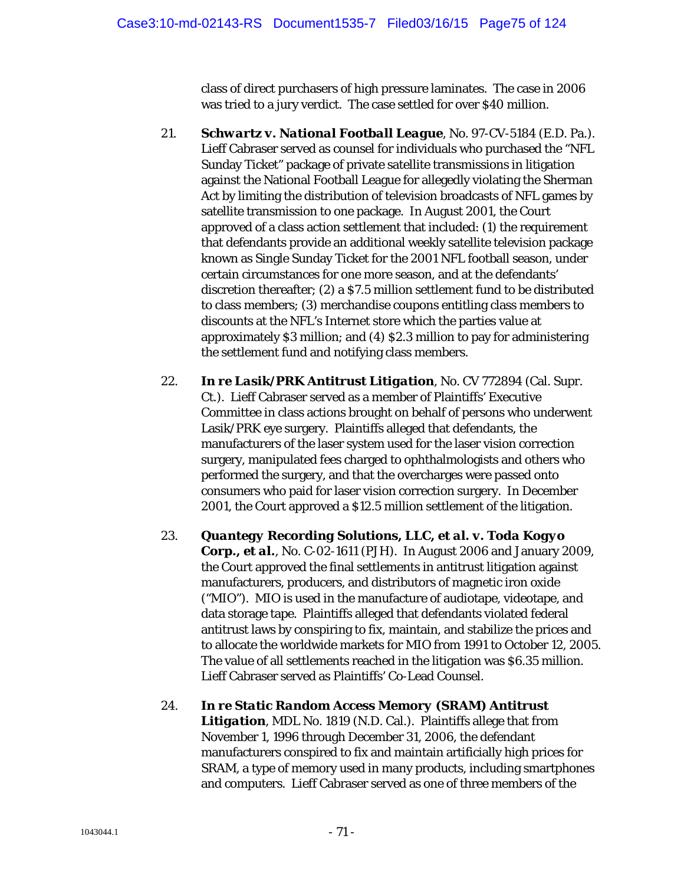class of direct purchasers of high pressure laminates. The case in 2006 was tried to a jury verdict. The case settled for over \$40 million.

- 21. *Schwartz v. National Football League*, No. 97-CV-5184 (E.D. Pa.). Lieff Cabraser served as counsel for individuals who purchased the "NFL Sunday Ticket" package of private satellite transmissions in litigation against the National Football League for allegedly violating the Sherman Act by limiting the distribution of television broadcasts of NFL games by satellite transmission to one package. In August 2001, the Court approved of a class action settlement that included: (1) the requirement that defendants provide an additional weekly satellite television package known as Single Sunday Ticket for the 2001 NFL football season, under certain circumstances for one more season, and at the defendants' discretion thereafter; (2) a \$7.5 million settlement fund to be distributed to class members; (3) merchandise coupons entitling class members to discounts at the NFL's Internet store which the parties value at approximately \$3 million; and (4) \$2.3 million to pay for administering the settlement fund and notifying class members.
- 22. *In re Lasik/PRK Antitrust Litigation*, No. CV 772894 (Cal. Supr. Ct.). Lieff Cabraser served as a member of Plaintiffs' Executive Committee in class actions brought on behalf of persons who underwent Lasik/PRK eye surgery. Plaintiffs alleged that defendants, the manufacturers of the laser system used for the laser vision correction surgery, manipulated fees charged to ophthalmologists and others who performed the surgery, and that the overcharges were passed onto consumers who paid for laser vision correction surgery. In December 2001, the Court approved a \$12.5 million settlement of the litigation.
- 23. *Quantegy Recording Solutions, LLC, et al. v. Toda Kogyo Corp., et al.*, No. C-02-1611 (PJH). In August 2006 and January 2009, the Court approved the final settlements in antitrust litigation against manufacturers, producers, and distributors of magnetic iron oxide ("MIO"). MIO is used in the manufacture of audiotape, videotape, and data storage tape. Plaintiffs alleged that defendants violated federal antitrust laws by conspiring to fix, maintain, and stabilize the prices and to allocate the worldwide markets for MIO from 1991 to October 12, 2005. The value of all settlements reached in the litigation was \$6.35 million. Lieff Cabraser served as Plaintiffs' Co-Lead Counsel.
- 24. *In re Static Random Access Memory (SRAM) Antitrust Litigation*, MDL No. 1819 (N.D. Cal.). Plaintiffs allege that from November 1, 1996 through December 31, 2006, the defendant manufacturers conspired to fix and maintain artificially high prices for SRAM, a type of memory used in many products, including smartphones and computers. Lieff Cabraser served as one of three members of the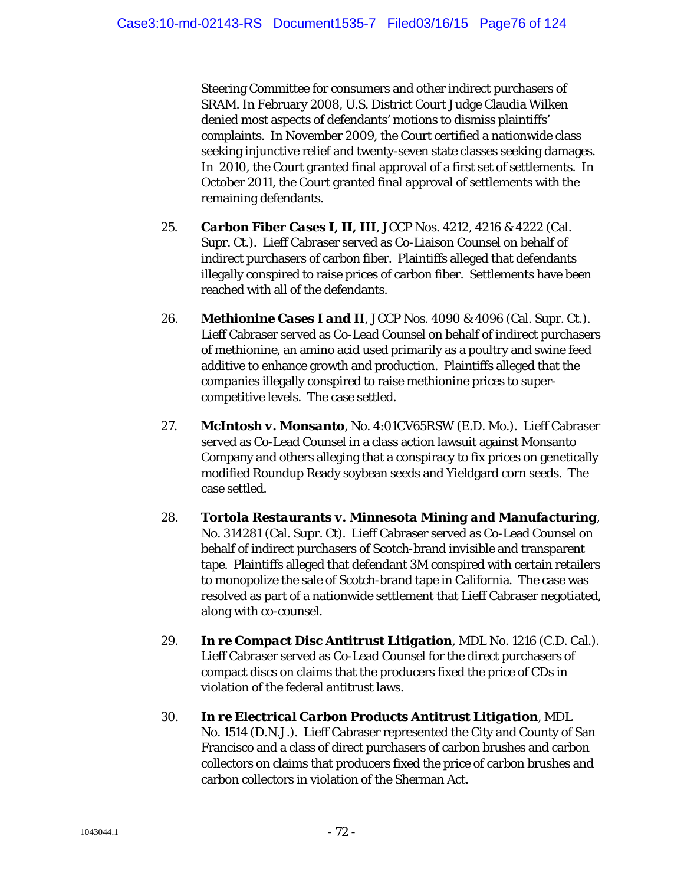Steering Committee for consumers and other indirect purchasers of SRAM. In February 2008, U.S. District Court Judge Claudia Wilken denied most aspects of defendants' motions to dismiss plaintiffs' complaints. In November 2009, the Court certified a nationwide class seeking injunctive relief and twenty-seven state classes seeking damages. In 2010, the Court granted final approval of a first set of settlements. In October 2011, the Court granted final approval of settlements with the remaining defendants.

- 25. *Carbon Fiber Cases I, II, III*, JCCP Nos. 4212, 4216 & 4222 (Cal. Supr. Ct.). Lieff Cabraser served as Co-Liaison Counsel on behalf of indirect purchasers of carbon fiber. Plaintiffs alleged that defendants illegally conspired to raise prices of carbon fiber. Settlements have been reached with all of the defendants.
- 26. *Methionine Cases I and II*, JCCP Nos. 4090 & 4096 (Cal. Supr. Ct.). Lieff Cabraser served as Co-Lead Counsel on behalf of indirect purchasers of methionine, an amino acid used primarily as a poultry and swine feed additive to enhance growth and production. Plaintiffs alleged that the companies illegally conspired to raise methionine prices to supercompetitive levels. The case settled.
- 27. *McIntosh v. Monsanto*, No. 4:01CV65RSW (E.D. Mo.). Lieff Cabraser served as Co-Lead Counsel in a class action lawsuit against Monsanto Company and others alleging that a conspiracy to fix prices on genetically modified Roundup Ready soybean seeds and Yieldgard corn seeds. The case settled.
- 28. *Tortola Restaurants v. Minnesota Mining and Manufacturing*, No. 314281 (Cal. Supr. Ct). Lieff Cabraser served as Co-Lead Counsel on behalf of indirect purchasers of Scotch-brand invisible and transparent tape. Plaintiffs alleged that defendant 3M conspired with certain retailers to monopolize the sale of Scotch-brand tape in California. The case was resolved as part of a nationwide settlement that Lieff Cabraser negotiated, along with co-counsel.
- 29. *In re Compact Disc Antitrust Litigation*, MDL No. 1216 (C.D. Cal.). Lieff Cabraser served as Co-Lead Counsel for the direct purchasers of compact discs on claims that the producers fixed the price of CDs in violation of the federal antitrust laws.
- 30. *In re Electrical Carbon Products Antitrust Litigation*, MDL No. 1514 (D.N.J.). Lieff Cabraser represented the City and County of San Francisco and a class of direct purchasers of carbon brushes and carbon collectors on claims that producers fixed the price of carbon brushes and carbon collectors in violation of the Sherman Act.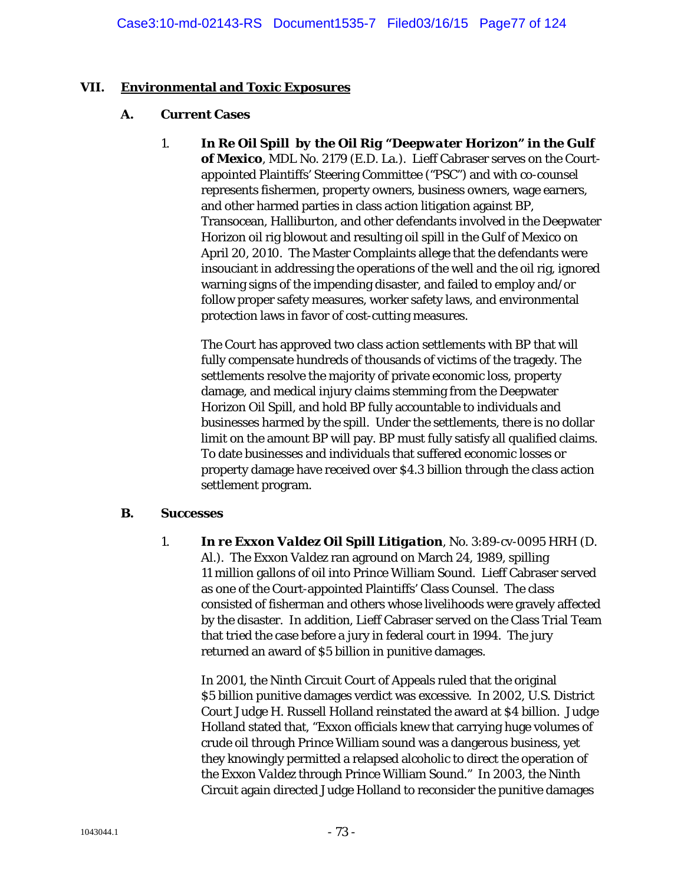## **VII. Environmental and Toxic Exposures**

### **A. Current Cases**

1. *In Re Oil Spill by the Oil Rig "Deepwater Horizon" in the Gulf of Mexico*, MDL No. 2179 (E.D. La.). Lieff Cabraser serves on the Courtappointed Plaintiffs' Steering Committee ("PSC") and with co-counsel represents fishermen, property owners, business owners, wage earners, and other harmed parties in class action litigation against BP, Transocean, Halliburton, and other defendants involved in the Deepwater Horizon oil rig blowout and resulting oil spill in the Gulf of Mexico on April 20, 2010. The Master Complaints allege that the defendants were insouciant in addressing the operations of the well and the oil rig, ignored warning signs of the impending disaster, and failed to employ and/or follow proper safety measures, worker safety laws, and environmental protection laws in favor of cost-cutting measures.

The Court has approved two class action settlements with BP that will fully compensate hundreds of thousands of victims of the tragedy. The settlements resolve the majority of private economic loss, property damage, and medical injury claims stemming from the Deepwater Horizon Oil Spill, and hold BP fully accountable to individuals and businesses harmed by the spill. Under the settlements, there is no dollar limit on the amount BP will pay. BP must fully satisfy all qualified claims. To date businesses and individuals that suffered economic losses or property damage have received over \$4.3 billion through the class action settlement program.

### **B. Successes**

1. *In re Exxon Valdez Oil Spill Litigation*, No. 3:89-cv-0095 HRH (D. Al.). The *Exxon Valdez* ran aground on March 24, 1989, spilling 11 million gallons of oil into Prince William Sound. Lieff Cabraser served as one of the Court-appointed Plaintiffs' Class Counsel. The class consisted of fisherman and others whose livelihoods were gravely affected by the disaster. In addition, Lieff Cabraser served on the Class Trial Team that tried the case before a jury in federal court in 1994. The jury returned an award of \$5 billion in punitive damages.

In 2001, the Ninth Circuit Court of Appeals ruled that the original \$5 billion punitive damages verdict was excessive. In 2002, U.S. District Court Judge H. Russell Holland reinstated the award at \$4 billion. Judge Holland stated that, "Exxon officials knew that carrying huge volumes of crude oil through Prince William sound was a dangerous business, yet they knowingly permitted a relapsed alcoholic to direct the operation of the *Exxon Valdez* through Prince William Sound." In 2003, the Ninth Circuit again directed Judge Holland to reconsider the punitive damages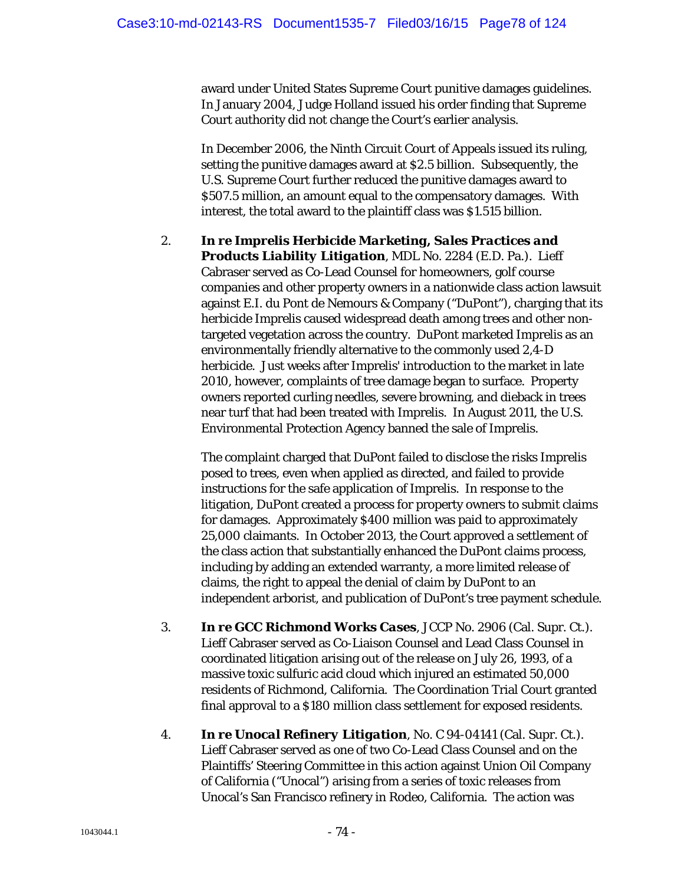award under United States Supreme Court punitive damages guidelines. In January 2004, Judge Holland issued his order finding that Supreme Court authority did not change the Court's earlier analysis.

In December 2006, the Ninth Circuit Court of Appeals issued its ruling, setting the punitive damages award at \$2.5 billion. Subsequently, the U.S. Supreme Court further reduced the punitive damages award to \$507.5 million, an amount equal to the compensatory damages. With interest, the total award to the plaintiff class was \$1.515 billion.

2. *In re Imprelis Herbicide Marketing, Sales Practices and Products Liability Litigation*, MDL No. 2284 (E.D. Pa.). Lieff Cabraser served as Co-Lead Counsel for homeowners, golf course companies and other property owners in a nationwide class action lawsuit against E.I. du Pont de Nemours & Company ("DuPont"), charging that its herbicide Imprelis caused widespread death among trees and other nontargeted vegetation across the country. DuPont marketed Imprelis as an environmentally friendly alternative to the commonly used 2,4-D herbicide. Just weeks after Imprelis' introduction to the market in late 2010, however, complaints of tree damage began to surface. Property owners reported curling needles, severe browning, and dieback in trees near turf that had been treated with Imprelis. In August 2011, the U.S. Environmental Protection Agency banned the sale of Imprelis.

The complaint charged that DuPont failed to disclose the risks Imprelis posed to trees, even when applied as directed, and failed to provide instructions for the safe application of Imprelis. In response to the litigation, DuPont created a process for property owners to submit claims for damages. Approximately \$400 million was paid to approximately 25,000 claimants. In October 2013, the Court approved a settlement of the class action that substantially enhanced the DuPont claims process, including by adding an extended warranty, a more limited release of claims, the right to appeal the denial of claim by DuPont to an independent arborist, and publication of DuPont's tree payment schedule.

- 3. *In re GCC Richmond Works Cases*, JCCP No. 2906 (Cal. Supr. Ct.). Lieff Cabraser served as Co-Liaison Counsel and Lead Class Counsel in coordinated litigation arising out of the release on July 26, 1993, of a massive toxic sulfuric acid cloud which injured an estimated 50,000 residents of Richmond, California. The Coordination Trial Court granted final approval to a \$180 million class settlement for exposed residents.
- 4. *In re Unocal Refinery Litigation*, No. C 94-04141 (Cal. Supr. Ct.). Lieff Cabraser served as one of two Co-Lead Class Counsel and on the Plaintiffs' Steering Committee in this action against Union Oil Company of California ("Unocal") arising from a series of toxic releases from Unocal's San Francisco refinery in Rodeo, California. The action was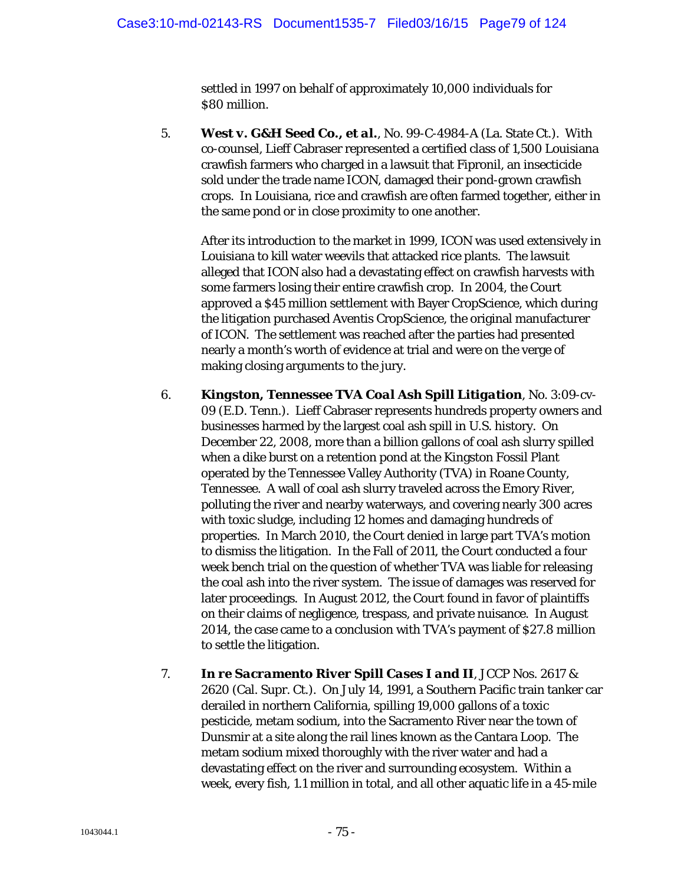settled in 1997 on behalf of approximately 10,000 individuals for \$80 million.

5. *West v. G&H Seed Co., et al.*, No. 99-C-4984-A (La. State Ct.). With co-counsel, Lieff Cabraser represented a certified class of 1,500 Louisiana crawfish farmers who charged in a lawsuit that Fipronil, an insecticide sold under the trade name ICON, damaged their pond-grown crawfish crops. In Louisiana, rice and crawfish are often farmed together, either in the same pond or in close proximity to one another.

After its introduction to the market in 1999, ICON was used extensively in Louisiana to kill water weevils that attacked rice plants. The lawsuit alleged that ICON also had a devastating effect on crawfish harvests with some farmers losing their entire crawfish crop. In 2004, the Court approved a \$45 million settlement with Bayer CropScience, which during the litigation purchased Aventis CropScience, the original manufacturer of ICON. The settlement was reached after the parties had presented nearly a month's worth of evidence at trial and were on the verge of making closing arguments to the jury.

- 6. *Kingston, Tennessee TVA Coal Ash Spill Litigation*, No. 3:09-cv-09 (E.D. Tenn.). Lieff Cabraser represents hundreds property owners and businesses harmed by the largest coal ash spill in U.S. history. On December 22, 2008, more than a billion gallons of coal ash slurry spilled when a dike burst on a retention pond at the Kingston Fossil Plant operated by the Tennessee Valley Authority (TVA) in Roane County, Tennessee. A wall of coal ash slurry traveled across the Emory River, polluting the river and nearby waterways, and covering nearly 300 acres with toxic sludge, including 12 homes and damaging hundreds of properties. In March 2010, the Court denied in large part TVA's motion to dismiss the litigation. In the Fall of 2011, the Court conducted a four week bench trial on the question of whether TVA was liable for releasing the coal ash into the river system. The issue of damages was reserved for later proceedings. In August 2012, the Court found in favor of plaintiffs on their claims of negligence, trespass, and private nuisance. In August 2014, the case came to a conclusion with TVA's payment of \$27.8 million to settle the litigation.
- 7. *In re Sacramento River Spill Cases I and II*, JCCP Nos. 2617 & 2620 (Cal. Supr. Ct.). On July 14, 1991, a Southern Pacific train tanker car derailed in northern California, spilling 19,000 gallons of a toxic pesticide, metam sodium, into the Sacramento River near the town of Dunsmir at a site along the rail lines known as the Cantara Loop. The metam sodium mixed thoroughly with the river water and had a devastating effect on the river and surrounding ecosystem. Within a week, every fish, 1.1 million in total, and all other aquatic life in a 45-mile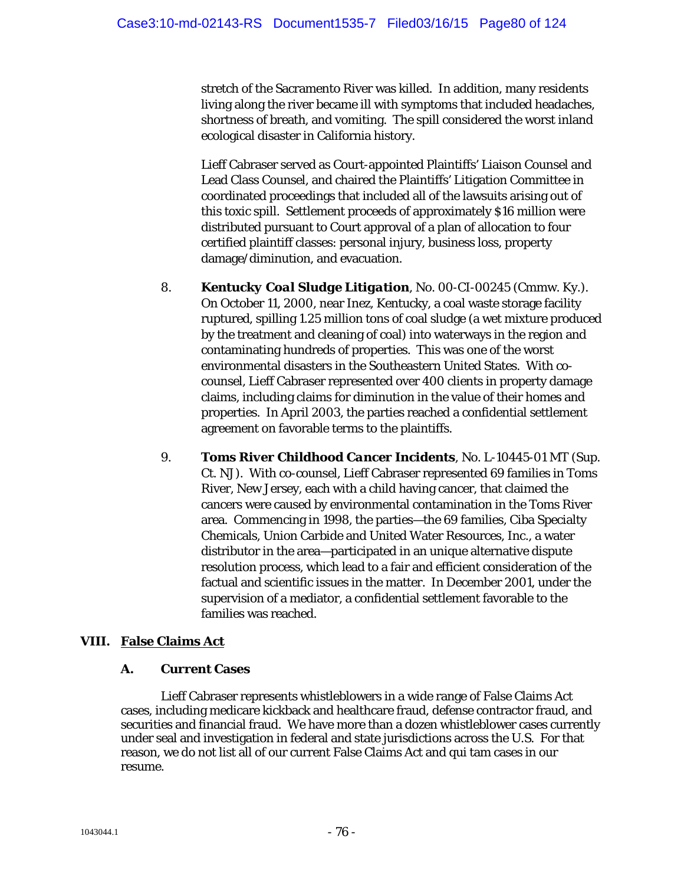stretch of the Sacramento River was killed. In addition, many residents living along the river became ill with symptoms that included headaches, shortness of breath, and vomiting. The spill considered the worst inland ecological disaster in California history.

Lieff Cabraser served as Court-appointed Plaintiffs' Liaison Counsel and Lead Class Counsel, and chaired the Plaintiffs' Litigation Committee in coordinated proceedings that included all of the lawsuits arising out of this toxic spill. Settlement proceeds of approximately \$16 million were distributed pursuant to Court approval of a plan of allocation to four certified plaintiff classes: personal injury, business loss, property damage/diminution, and evacuation.

- 8. *Kentucky Coal Sludge Litigation*, No. 00-CI-00245 (Cmmw. Ky.). On October 11, 2000, near Inez, Kentucky, a coal waste storage facility ruptured, spilling 1.25 million tons of coal sludge (a wet mixture produced by the treatment and cleaning of coal) into waterways in the region and contaminating hundreds of properties. This was one of the worst environmental disasters in the Southeastern United States. With cocounsel, Lieff Cabraser represented over 400 clients in property damage claims, including claims for diminution in the value of their homes and properties. In April 2003, the parties reached a confidential settlement agreement on favorable terms to the plaintiffs.
- 9. *Toms River Childhood Cancer Incidents*, No. L-10445-01 MT (Sup. Ct. NJ). With co-counsel, Lieff Cabraser represented 69 families in Toms River, New Jersey, each with a child having cancer, that claimed the cancers were caused by environmental contamination in the Toms River area. Commencing in 1998, the parties—the 69 families, Ciba Specialty Chemicals, Union Carbide and United Water Resources, Inc., a water distributor in the area—participated in an unique alternative dispute resolution process, which lead to a fair and efficient consideration of the factual and scientific issues in the matter. In December 2001, under the supervision of a mediator, a confidential settlement favorable to the families was reached.

# **VIII. False Claims Act**

## **A. Current Cases**

Lieff Cabraser represents whistleblowers in a wide range of False Claims Act cases, including medicare kickback and healthcare fraud, defense contractor fraud, and securities and financial fraud. We have more than a dozen whistleblower cases currently under seal and investigation in federal and state jurisdictions across the U.S. For that reason, we do not list all of our current False Claims Act and qui tam cases in our resume.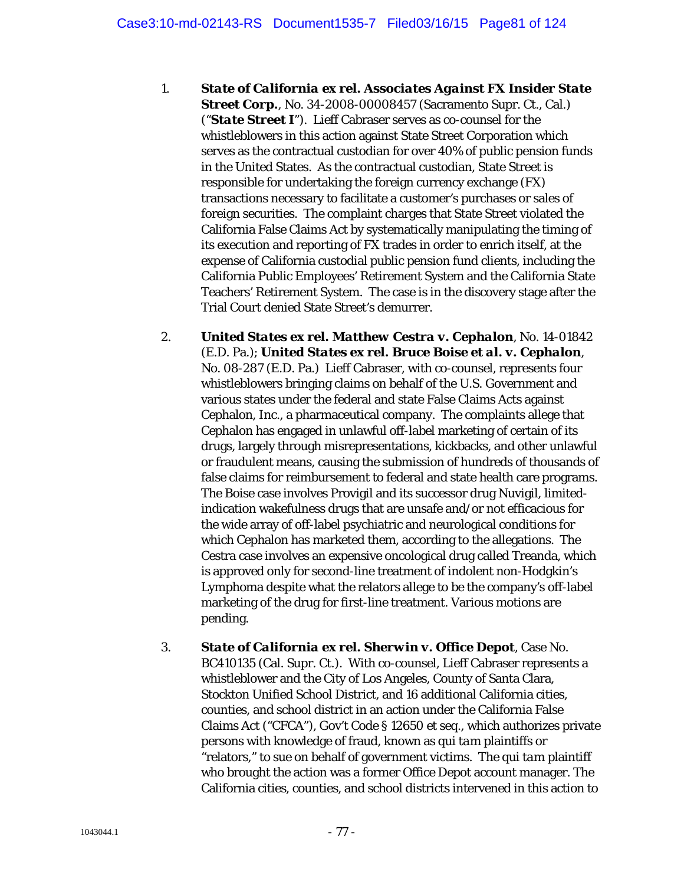- 1. *State of California ex rel. Associates Against FX Insider State Street Corp.*, No. 34-2008-00008457 (Sacramento Supr. Ct., Cal.) ("*State Street I*"). Lieff Cabraser serves as co-counsel for the whistleblowers in this action against State Street Corporation which serves as the contractual custodian for over 40% of public pension funds in the United States. As the contractual custodian, State Street is responsible for undertaking the foreign currency exchange (FX) transactions necessary to facilitate a customer's purchases or sales of foreign securities. The complaint charges that State Street violated the California False Claims Act by systematically manipulating the timing of its execution and reporting of FX trades in order to enrich itself, at the expense of California custodial public pension fund clients, including the California Public Employees' Retirement System and the California State Teachers' Retirement System. The case is in the discovery stage after the Trial Court denied State Street's demurrer.
- 2. *United States ex rel. Matthew Cestra v. Cephalon*, No. 14-01842 (E.D. Pa.); *United States ex rel. Bruce Boise et al. v. Cephalon*, No. 08-287 (E.D. Pa.) Lieff Cabraser, with co-counsel, represents four whistleblowers bringing claims on behalf of the U.S. Government and various states under the federal and state False Claims Acts against Cephalon, Inc., a pharmaceutical company. The complaints allege that Cephalon has engaged in unlawful off-label marketing of certain of its drugs, largely through misrepresentations, kickbacks, and other unlawful or fraudulent means, causing the submission of hundreds of thousands of false claims for reimbursement to federal and state health care programs. The Boise case involves Provigil and its successor drug Nuvigil, limitedindication wakefulness drugs that are unsafe and/or not efficacious for the wide array of off-label psychiatric and neurological conditions for which Cephalon has marketed them, according to the allegations. The Cestra case involves an expensive oncological drug called Treanda, which is approved only for second-line treatment of indolent non-Hodgkin's Lymphoma despite what the relators allege to be the company's off-label marketing of the drug for first-line treatment. Various motions are pending.
- 3. *State of California ex rel. Sherwin v. Office Depot*, Case No. BC410135 (Cal. Supr. Ct.). With co-counsel, Lieff Cabraser represents a whistleblower and the City of Los Angeles, County of Santa Clara, Stockton Unified School District, and 16 additional California cities, counties, and school district in an action under the California False Claims Act ("CFCA"), Gov't Code § 12650 *et seq.*, which authorizes private persons with knowledge of fraud, known as *qui tam* plaintiffs or "relators," to sue on behalf of government victims. The *qui tam* plaintiff who brought the action was a former Office Depot account manager. The California cities, counties, and school districts intervened in this action to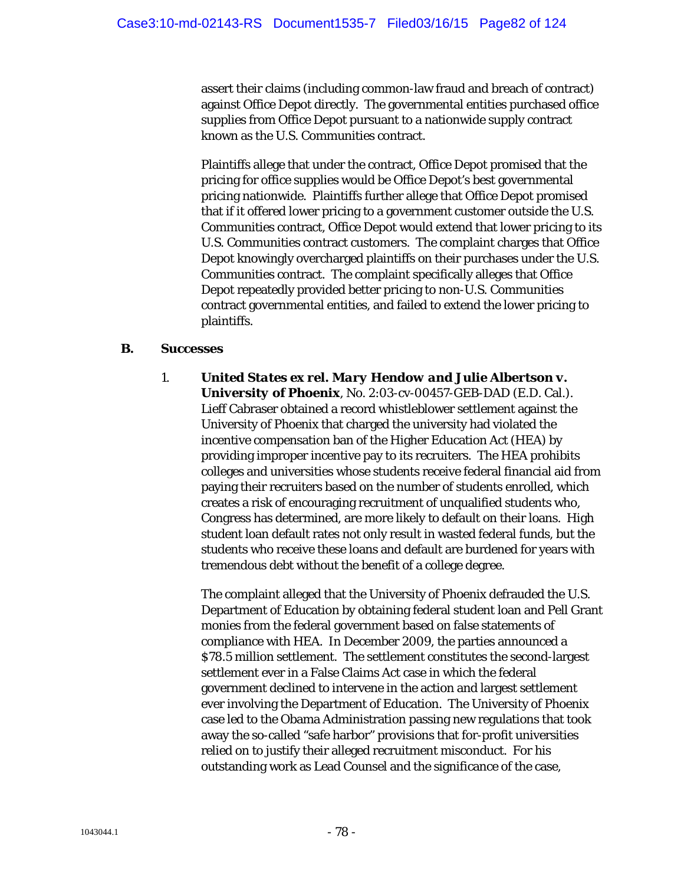assert their claims (including common-law fraud and breach of contract) against Office Depot directly. The governmental entities purchased office supplies from Office Depot pursuant to a nationwide supply contract known as the U.S. Communities contract.

Plaintiffs allege that under the contract, Office Depot promised that the pricing for office supplies would be Office Depot's best governmental pricing nationwide. Plaintiffs further allege that Office Depot promised that if it offered lower pricing to a government customer outside the U.S. Communities contract, Office Depot would extend that lower pricing to its U.S. Communities contract customers. The complaint charges that Office Depot knowingly overcharged plaintiffs on their purchases under the U.S. Communities contract. The complaint specifically alleges that Office Depot repeatedly provided better pricing to non-U.S. Communities contract governmental entities, and failed to extend the lower pricing to plaintiffs.

### **B. Successes**

1. *United States ex rel. Mary Hendow and Julie Albertson v. University of Phoenix*, No. 2:03-cv-00457-GEB-DAD (E.D. Cal.). Lieff Cabraser obtained a record whistleblower settlement against the University of Phoenix that charged the university had violated the incentive compensation ban of the Higher Education Act (HEA) by providing improper incentive pay to its recruiters. The HEA prohibits colleges and universities whose students receive federal financial aid from paying their recruiters based on the number of students enrolled, which creates a risk of encouraging recruitment of unqualified students who, Congress has determined, are more likely to default on their loans. High student loan default rates not only result in wasted federal funds, but the students who receive these loans and default are burdened for years with tremendous debt without the benefit of a college degree.

The complaint alleged that the University of Phoenix defrauded the U.S. Department of Education by obtaining federal student loan and Pell Grant monies from the federal government based on false statements of compliance with HEA. In December 2009, the parties announced a \$78.5 million settlement. The settlement constitutes the second-largest settlement ever in a False Claims Act case in which the federal government declined to intervene in the action and largest settlement ever involving the Department of Education. The University of Phoenix case led to the Obama Administration passing new regulations that took away the so-called "safe harbor" provisions that for-profit universities relied on to justify their alleged recruitment misconduct. For his outstanding work as Lead Counsel and the significance of the case,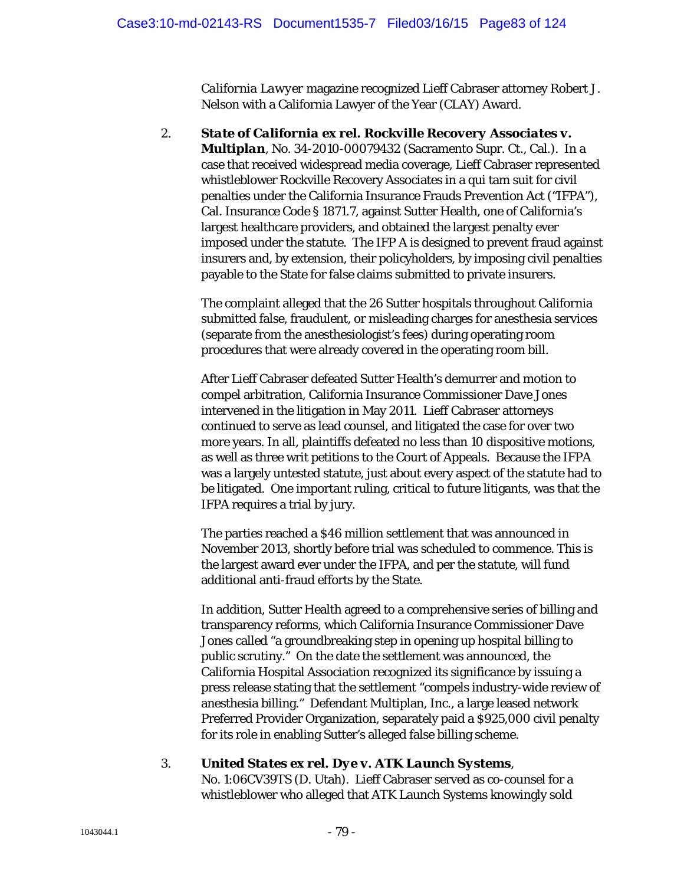*California Lawyer* magazine recognized Lieff Cabraser attorney Robert J. Nelson with a California Lawyer of the Year (CLAY) Award.

2. *State of California ex rel. Rockville Recovery Associates v. Multiplan*, No. 34-2010-00079432 (Sacramento Supr. Ct., Cal.). In a case that received widespread media coverage, Lieff Cabraser represented whistleblower Rockville Recovery Associates in a qui tam suit for civil penalties under the California Insurance Frauds Prevention Act ("IFPA"), Cal. Insurance Code § 1871.7, against Sutter Health, one of California's largest healthcare providers, and obtained the largest penalty ever imposed under the statute. The IFP A is designed to prevent fraud against insurers and, by extension, their policyholders, by imposing civil penalties payable to the State for false claims submitted to private insurers.

The complaint alleged that the 26 Sutter hospitals throughout California submitted false, fraudulent, or misleading charges for anesthesia services (separate from the anesthesiologist's fees) during operating room procedures that were already covered in the operating room bill.

After Lieff Cabraser defeated Sutter Health's demurrer and motion to compel arbitration, California Insurance Commissioner Dave Jones intervened in the litigation in May 2011. Lieff Cabraser attorneys continued to serve as lead counsel, and litigated the case for over two more years. In all, plaintiffs defeated no less than 10 dispositive motions, as well as three writ petitions to the Court of Appeals. Because the IFPA was a largely untested statute, just about every aspect of the statute had to be litigated. One important ruling, critical to future litigants, was that the IFPA requires a trial by jury.

The parties reached a \$46 million settlement that was announced in November 2013, shortly before trial was scheduled to commence. This is the largest award ever under the IFPA, and per the statute, will fund additional anti-fraud efforts by the State.

In addition, Sutter Health agreed to a comprehensive series of billing and transparency reforms, which California Insurance Commissioner Dave Jones called "a groundbreaking step in opening up hospital billing to public scrutiny." On the date the settlement was announced, the California Hospital Association recognized its significance by issuing a press release stating that the settlement "compels industry-wide review of anesthesia billing." Defendant Multiplan, Inc., a large leased network Preferred Provider Organization, separately paid a \$925,000 civil penalty for its role in enabling Sutter's alleged false billing scheme.

## 3. *United States ex rel. Dye v. ATK Launch Systems*,

No. 1:06CV39TS (D. Utah). Lieff Cabraser served as co-counsel for a whistleblower who alleged that ATK Launch Systems knowingly sold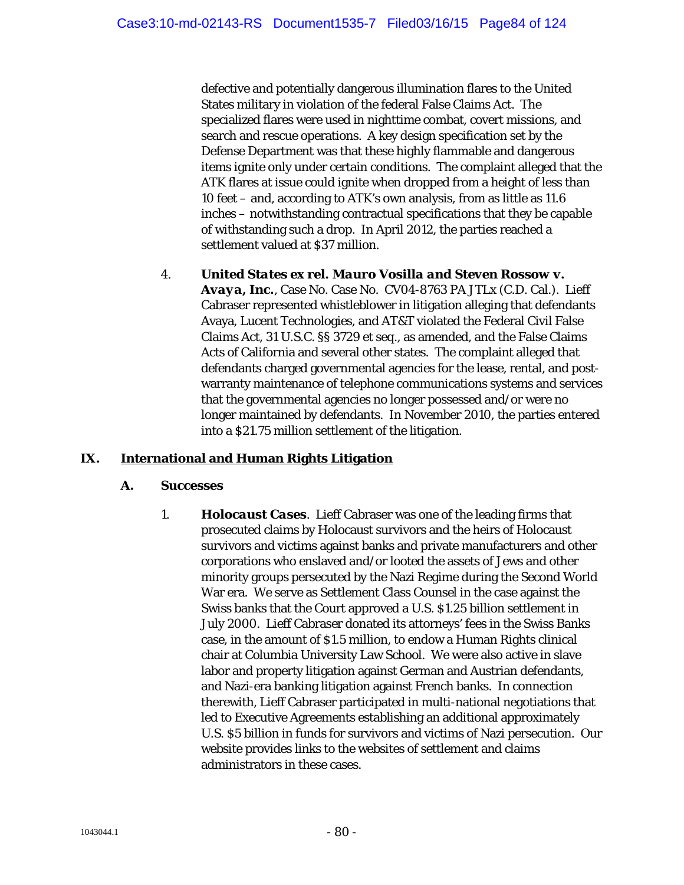defective and potentially dangerous illumination flares to the United States military in violation of the federal False Claims Act. The specialized flares were used in nighttime combat, covert missions, and search and rescue operations. A key design specification set by the Defense Department was that these highly flammable and dangerous items ignite only under certain conditions. The complaint alleged that the ATK flares at issue could ignite when dropped from a height of less than 10 feet – and, according to ATK's own analysis, from as little as 11.6 inches – notwithstanding contractual specifications that they be capable of withstanding such a drop. In April 2012, the parties reached a settlement valued at \$37 million.

4. *United States ex rel. Mauro Vosilla and Steven Rossow v. Avaya, Inc.*, Case No. Case No. CV04-8763 PA JTLx (C.D. Cal.). Lieff Cabraser represented whistleblower in litigation alleging that defendants Avaya, Lucent Technologies, and AT&T violated the Federal Civil False Claims Act, 31 U.S.C. §§ 3729 et seq., as amended, and the False Claims Acts of California and several other states. The complaint alleged that defendants charged governmental agencies for the lease, rental, and postwarranty maintenance of telephone communications systems and services that the governmental agencies no longer possessed and/or were no longer maintained by defendants. In November 2010, the parties entered into a \$21.75 million settlement of the litigation.

# **IX. International and Human Rights Litigation**

### **A. Successes**

1. *Holocaust Cases*. Lieff Cabraser was one of the leading firms that prosecuted claims by Holocaust survivors and the heirs of Holocaust survivors and victims against banks and private manufacturers and other corporations who enslaved and/or looted the assets of Jews and other minority groups persecuted by the Nazi Regime during the Second World War era. We serve as Settlement Class Counsel in the case against the Swiss banks that the Court approved a U.S. \$1.25 billion settlement in July 2000. Lieff Cabraser donated its attorneys' fees in the Swiss Banks case, in the amount of \$1.5 million, to endow a Human Rights clinical chair at Columbia University Law School. We were also active in slave labor and property litigation against German and Austrian defendants, and Nazi-era banking litigation against French banks. In connection therewith, Lieff Cabraser participated in multi-national negotiations that led to Executive Agreements establishing an additional approximately U.S. \$5 billion in funds for survivors and victims of Nazi persecution. Our website provides links to the websites of settlement and claims administrators in these cases.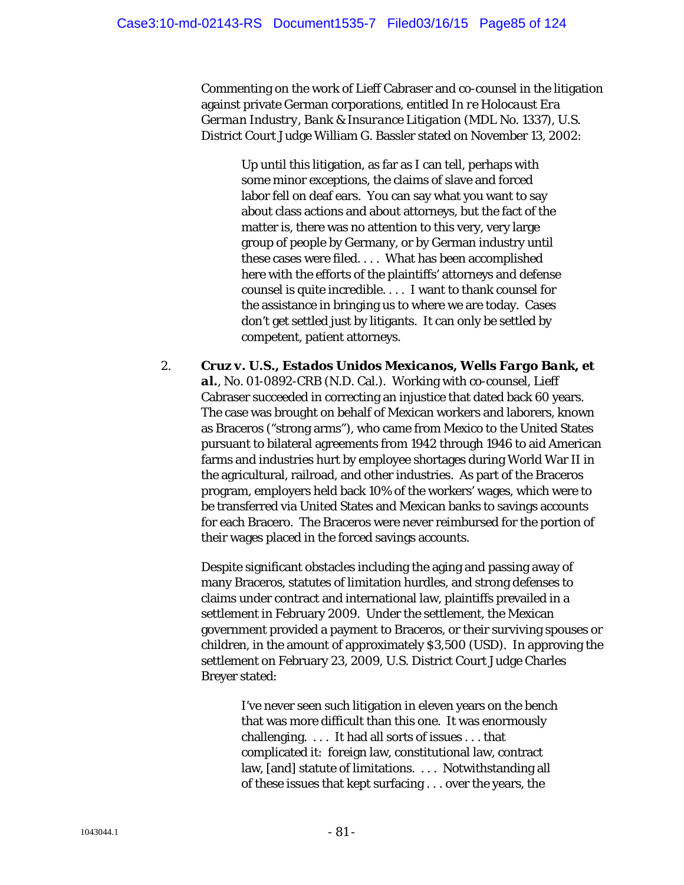Commenting on the work of Lieff Cabraser and co-counsel in the litigation against private German corporations, entitled *In re Holocaust Era German Industry, Bank & Insurance Litigation* (MDL No. 1337), U.S. District Court Judge William G. Bassler stated on November 13, 2002:

Up until this litigation, as far as I can tell, perhaps with some minor exceptions, the claims of slave and forced labor fell on deaf ears. You can say what you want to say about class actions and about attorneys, but the fact of the matter is, there was no attention to this very, very large group of people by Germany, or by German industry until these cases were filed. . . . What has been accomplished here with the efforts of the plaintiffs' attorneys and defense counsel is quite incredible. . . . I want to thank counsel for the assistance in bringing us to where we are today. Cases don't get settled just by litigants. It can only be settled by competent, patient attorneys.

2. *Cruz v. U.S., Estados Unidos Mexicanos, Wells Fargo Bank, et al.*, No. 01-0892-CRB (N.D. Cal.). Working with co-counsel, Lieff Cabraser succeeded in correcting an injustice that dated back 60 years. The case was brought on behalf of Mexican workers and laborers, known as Braceros ("strong arms"), who came from Mexico to the United States pursuant to bilateral agreements from 1942 through 1946 to aid American farms and industries hurt by employee shortages during World War II in the agricultural, railroad, and other industries. As part of the Braceros program, employers held back 10% of the workers' wages, which were to be transferred via United States and Mexican banks to savings accounts for each Bracero. The Braceros were never reimbursed for the portion of their wages placed in the forced savings accounts.

Despite significant obstacles including the aging and passing away of many Braceros, statutes of limitation hurdles, and strong defenses to claims under contract and international law, plaintiffs prevailed in a settlement in February 2009. Under the settlement, the Mexican government provided a payment to Braceros, or their surviving spouses or children, in the amount of approximately \$3,500 (USD). In approving the settlement on February 23, 2009, U.S. District Court Judge Charles Breyer stated:

I've never seen such litigation in eleven years on the bench that was more difficult than this one. It was enormously challenging. . . . It had all sorts of issues . . . that complicated it: foreign law, constitutional law, contract law, [and] statute of limitations. . . . Notwithstanding all of these issues that kept surfacing . . . over the years, the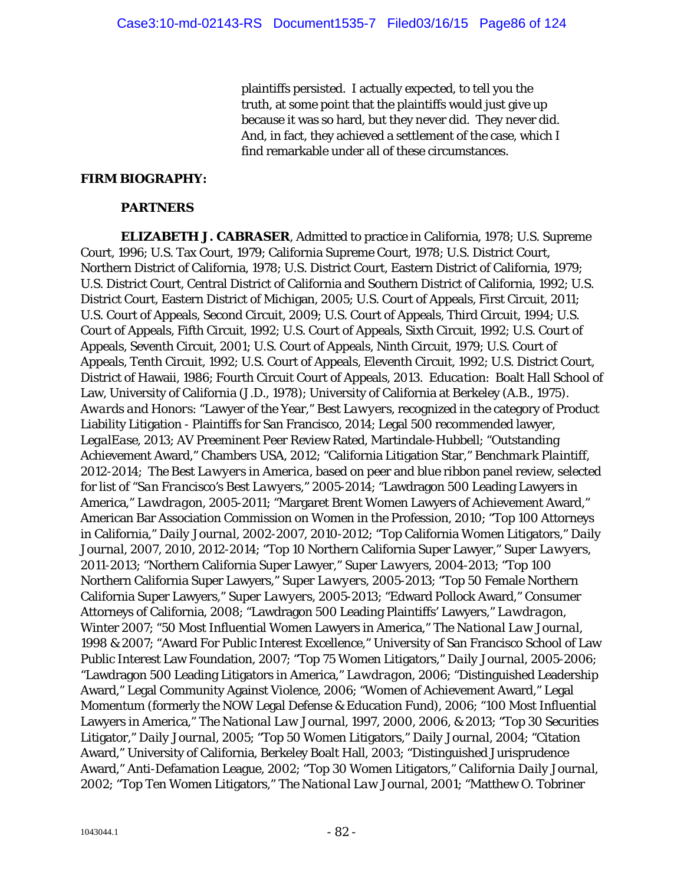plaintiffs persisted. I actually expected, to tell you the truth, at some point that the plaintiffs would just give up because it was so hard, but they never did. They never did. And, in fact, they achieved a settlement of the case, which I find remarkable under all of these circumstances.

#### *FIRM BIOGRAPHY:*

#### **PARTNERS**

*ELIZABETH J. CABRASER*, Admitted to practice in California, 1978; U.S. Supreme Court, 1996; U.S. Tax Court, 1979; California Supreme Court, 1978; U.S. District Court, Northern District of California, 1978; U.S. District Court, Eastern District of California, 1979; U.S. District Court, Central District of California and Southern District of California, 1992; U.S. District Court, Eastern District of Michigan, 2005; U.S. Court of Appeals, First Circuit, 2011; U.S. Court of Appeals, Second Circuit, 2009; U.S. Court of Appeals, Third Circuit, 1994; U.S. Court of Appeals, Fifth Circuit, 1992; U.S. Court of Appeals, Sixth Circuit, 1992; U.S. Court of Appeals, Seventh Circuit, 2001; U.S. Court of Appeals, Ninth Circuit, 1979; U.S. Court of Appeals, Tenth Circuit, 1992; U.S. Court of Appeals, Eleventh Circuit, 1992; U.S. District Court, District of Hawaii, 1986; Fourth Circuit Court of Appeals, 2013. *Education*: Boalt Hall School of Law, University of California (J.D., 1978); University of California at Berkeley (A.B., 1975). *Awards and Honors*: "Lawyer of the Year," *Best Lawyers*, recognized in the category of Product Liability Litigation - Plaintiffs for San Francisco, 2014; Legal 500 recommended lawyer, *LegalEase*, 2013; AV Preeminent Peer Review Rated, Martindale-Hubbell; "Outstanding Achievement Award," Chambers USA, 2012; "California Litigation Star," *Benchmark Plaintiff*, 2012-2014; *The Best Lawyers in America*, based on peer and blue ribbon panel review, selected for list of "*San Francisco's Best Lawyers*," 2005-2014; "Lawdragon 500 Leading Lawyers in America," *Lawdragon*, 2005-2011; "Margaret Brent Women Lawyers of Achievement Award," American Bar Association Commission on Women in the Profession, 2010; "Top 100 Attorneys in California," *Daily Journal*, 2002-2007, 2010-2012; "Top California Women Litigators," *Daily Journal*, 2007, 2010, 2012-2014; "Top 10 Northern California Super Lawyer," *Super Lawyers*, 2011-2013; "Northern California Super Lawyer," *Super Lawyers*, 2004-2013; "Top 100 Northern California Super Lawyers," *Super Lawyers*, 2005-2013; "Top 50 Female Northern California Super Lawyers," *Super Lawyers*, 2005-2013; "Edward Pollock Award," Consumer Attorneys of California, 2008; "Lawdragon 500 Leading Plaintiffs' Lawyers," *Lawdragon*, Winter 2007; "50 Most Influential Women Lawyers in America," *The National Law Journal*, 1998 & 2007; "Award For Public Interest Excellence," University of San Francisco School of Law Public Interest Law Foundation, 2007; "Top 75 Women Litigators," *Daily Journal*, 2005-2006; "Lawdragon 500 Leading Litigators in America," *Lawdragon*, 2006; "Distinguished Leadership Award," Legal Community Against Violence, 2006; "Women of Achievement Award," Legal Momentum (formerly the NOW Legal Defense & Education Fund), 2006; "100 Most Influential Lawyers in America," *The National Law Journal*, 1997, 2000, 2006, & 2013; "Top 30 Securities Litigator," *Daily Journal*, 2005; "Top 50 Women Litigators," *Daily Journal*, 2004; "Citation Award," University of California, Berkeley Boalt Hall, 2003; "Distinguished Jurisprudence Award," Anti-Defamation League, 2002; "Top 30 Women Litigators," *California Daily Journal*, 2002; "Top Ten Women Litigators," *The National Law Journal*, 2001; "Matthew O. Tobriner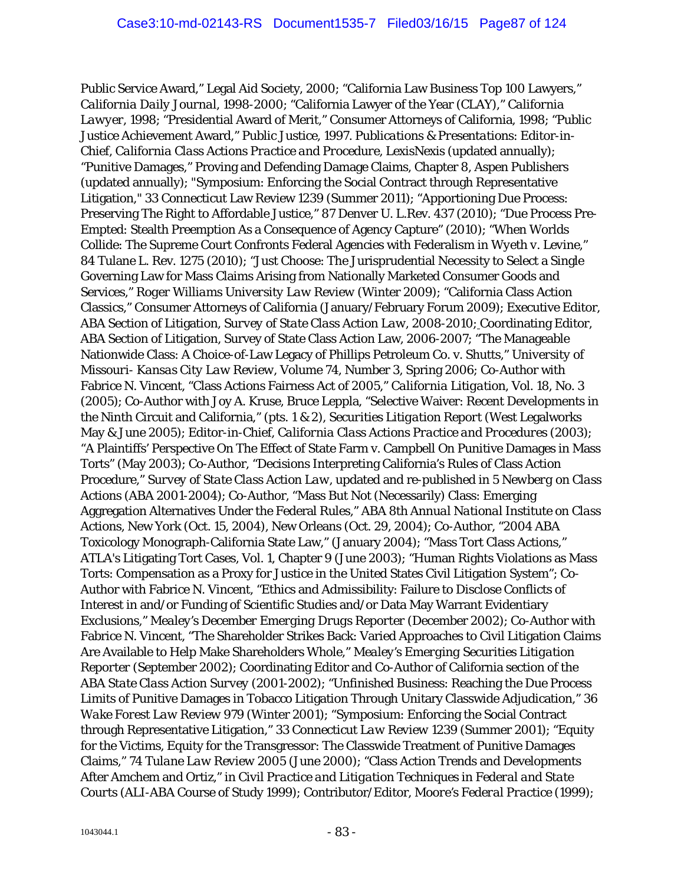Public Service Award," Legal Aid Society, 2000; "California Law Business Top 100 Lawyers," *California Daily Journal*, 1998-2000; "California Lawyer of the Year (CLAY)," *California Lawyer*, 1998; "Presidential Award of Merit," Consumer Attorneys of California, 1998; "Public Justice Achievement Award," Public Justice, 1997. *Publications & Presentations*: Editor-in-Chief, *California Class Actions Practice and Procedure*, LexisNexis (updated annually); "Punitive Damages," Proving and Defending Damage Claims, Chapter 8, Aspen Publishers (updated annually); "Symposium: Enforcing the Social Contract through Representative Litigation," 33 Connecticut Law Review 1239 (Summer 2011); "Apportioning Due Process: Preserving The Right to Affordable Justice," 87 Denver U. L.Rev. 437 (2010); "Due Process Pre-Empted: Stealth Preemption As a Consequence of Agency Capture" (2010); "When Worlds Collide: The Supreme Court Confronts Federal Agencies with Federalism in *Wyeth v. Levine*," 84 Tulane L. Rev. 1275 (2010); "Just Choose: The Jurisprudential Necessity to Select a Single Governing Law for Mass Claims Arising from Nationally Marketed Consumer Goods and Services," *Roger Williams University Law Review* (Winter 2009); "California Class Action Classics," Consumer Attorneys of California (January/February Forum 2009); Executive Editor, ABA Section of Litigation, *Survey of State Class Action Law*, 2008-2010; Coordinating Editor, ABA Section of Litigation, Survey of State Class Action Law, 2006-2007; "The Manageable Nationwide Class: A Choice-of-Law Legacy of Phillips Petroleum Co. v. Shutts," *University of Missouri- Kansas City Law Review*, Volume 74, Number 3, Spring 2006; Co-Author with Fabrice N. Vincent, "Class Actions Fairness Act of 2005," *California Litigation*, Vol. 18, No. 3 (2005); Co-Author with Joy A. Kruse, Bruce Leppla, "Selective Waiver: Recent Developments in the Ninth Circuit and California," (pts. 1 & 2), *Securities Litigation Report* (West Legalworks May & June 2005); Editor-in-Chief, *California Class Actions Practice and Procedures* (2003); "A Plaintiffs' Perspective On The Effect of State Farm v. Campbell On Punitive Damages in Mass Torts" (May 2003); Co-Author, "Decisions Interpreting California's Rules of Class Action Procedure," *Survey of State Class Action Law*, updated and re-published in *5 Newberg on Class Actions* (ABA 2001-2004); Co-Author, "Mass But Not (Necessarily) Class: Emerging Aggregation Alternatives Under the Federal Rules," *ABA 8th Annual National Institute on Class Actions*, New York (Oct. 15, 2004), New Orleans (Oct. 29, 2004); Co-Author, "2004 ABA Toxicology Monograph-California State Law," (January 2004); "Mass Tort Class Actions," ATLA's Litigating Tort Cases, Vol. 1, Chapter 9 (June 2003); "Human Rights Violations as Mass Torts: Compensation as a Proxy for Justice in the United States Civil Litigation System"; Co-Author with Fabrice N. Vincent, "Ethics and Admissibility: Failure to Disclose Conflicts of Interest in and/or Funding of Scientific Studies and/or Data May Warrant Evidentiary Exclusions," *Mealey's December Emerging Drugs Reporter* (December 2002); Co-Author with Fabrice N. Vincent, "The Shareholder Strikes Back: Varied Approaches to Civil Litigation Claims Are Available to Help Make Shareholders Whole," *Mealey's Emerging Securities Litigation Reporter* (September 2002); Coordinating Editor and Co-Author of California section of the *ABA State Class Action Survey* (2001-2002); "Unfinished Business: Reaching the Due Process Limits of Punitive Damages in Tobacco Litigation Through Unitary Classwide Adjudication," *36 Wake Forest Law Review 979* (Winter 2001); "Symposium: Enforcing the Social Contract through Representative Litigation," *33 Connecticut Law Review 1239* (Summer 2001); "Equity for the Victims, Equity for the Transgressor: The Classwide Treatment of Punitive Damages Claims," *74 Tulane Law Review 2005* (June 2000); "Class Action Trends and Developments After Amchem and Ortiz," in *Civil Practice and Litigation Techniques in Federal and State Courts* (ALI-ABA Course of Study 1999); Contributor/Editor, *Moore's Federal Practice* (1999);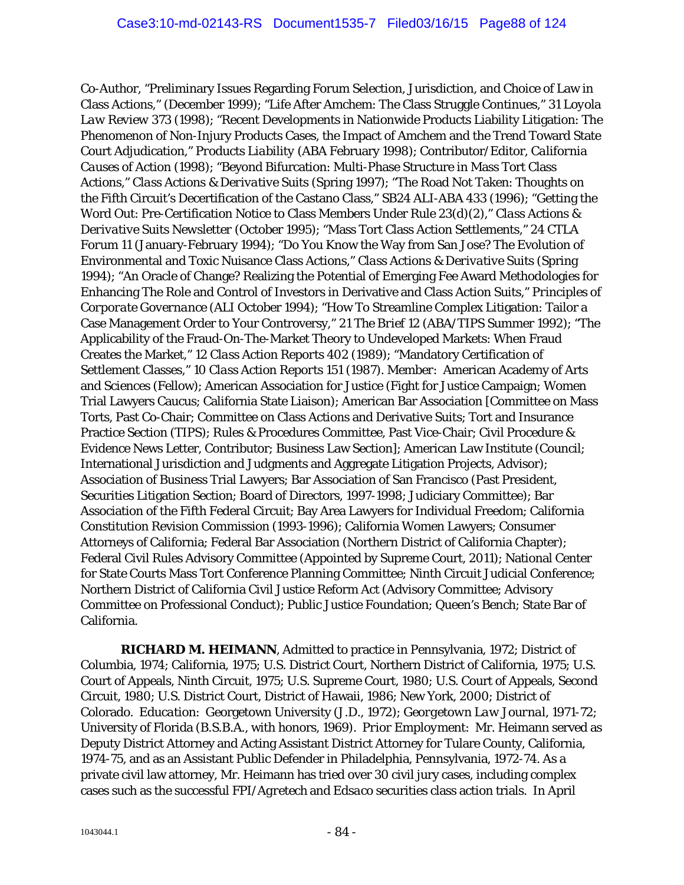Co-Author, "Preliminary Issues Regarding Forum Selection, Jurisdiction, and Choice of Law in Class Actions," (December 1999); "Life After Amchem: The Class Struggle Continues," *31 Loyola Law Review 373* (1998); "Recent Developments in Nationwide Products Liability Litigation: The Phenomenon of Non-Injury Products Cases, the Impact of Amchem and the Trend Toward State Court Adjudication," *Products Liability* (ABA February 1998); Contributor/Editor, *California Causes of Action* (1998); "Beyond Bifurcation: Multi-Phase Structure in Mass Tort Class Actions," *Class Actions & Derivative Suits* (Spring 1997); "The Road Not Taken: Thoughts on the Fifth Circuit's Decertification of the Castano Class," *SB24 ALI-ABA 433* (1996); "Getting the Word Out: Pre-Certification Notice to Class Members Under Rule 23(d)(2)," *Class Actions & Derivative Suits Newsletter* (October 1995); "Mass Tort Class Action Settlements*," 24 CTLA Forum 11* (January-February 1994); "Do You Know the Way from San Jose? The Evolution of Environmental and Toxic Nuisance Class Actions," *Class Actions & Derivative Suits* (Spring 1994); "An Oracle of Change? Realizing the Potential of Emerging Fee Award Methodologies for Enhancing The Role and Control of Investors in Derivative and Class Action Suits," *Principles of Corporate Governance* (ALI October 1994); "How To Streamline Complex Litigation: Tailor a Case Management Order to Your Controversy," *21 The Brief 12* (ABA/TIPS Summer 1992); "The Applicability of the Fraud-On-The-Market Theory to Undeveloped Markets: When Fraud Creates the Market," *12 Class Action Reports 402* (1989); "Mandatory Certification of Settlement Classes," *10 Class Action Reports 151* (1987). *Member*: American Academy of Arts and Sciences (Fellow); American Association for Justice (Fight for Justice Campaign; Women Trial Lawyers Caucus; California State Liaison); American Bar Association [Committee on Mass Torts, Past Co-Chair; Committee on Class Actions and Derivative Suits; Tort and Insurance Practice Section (TIPS); Rules & Procedures Committee, Past Vice-Chair; Civil Procedure & Evidence News Letter, Contributor; Business Law Section]; American Law Institute (Council; International Jurisdiction and Judgments and Aggregate Litigation Projects, Advisor); Association of Business Trial Lawyers; Bar Association of San Francisco (Past President, Securities Litigation Section; Board of Directors, 1997-1998; Judiciary Committee); Bar Association of the Fifth Federal Circuit; Bay Area Lawyers for Individual Freedom; California Constitution Revision Commission (1993-1996); California Women Lawyers; Consumer Attorneys of California; Federal Bar Association (Northern District of California Chapter); Federal Civil Rules Advisory Committee (Appointed by Supreme Court, 2011); National Center for State Courts Mass Tort Conference Planning Committee; Ninth Circuit Judicial Conference; Northern District of California Civil Justice Reform Act (Advisory Committee; Advisory Committee on Professional Conduct); Public Justice Foundation; Queen's Bench; State Bar of California.

*RICHARD M. HEIMANN*, Admitted to practice in Pennsylvania, 1972; District of Columbia, 1974; California, 1975; U.S. District Court, Northern District of California, 1975; U.S. Court of Appeals, Ninth Circuit, 1975; U.S. Supreme Court, 1980; U.S. Court of Appeals, Second Circuit, 1980; U.S. District Court, District of Hawaii, 1986; New York, 2000; District of Colorado. *Education*: Georgetown University (J.D., 1972); *Georgetown Law Journal*, 1971-72; University of Florida (B.S.B.A., with honors, 1969). *Prior Employment*: Mr. Heimann served as Deputy District Attorney and Acting Assistant District Attorney for Tulare County, California, 1974-75, and as an Assistant Public Defender in Philadelphia, Pennsylvania, 1972-74. As a private civil law attorney, Mr. Heimann has tried over 30 civil jury cases, including complex cases such as the successful *FPI/Agretech* and *Edsaco* securities class action trials. In April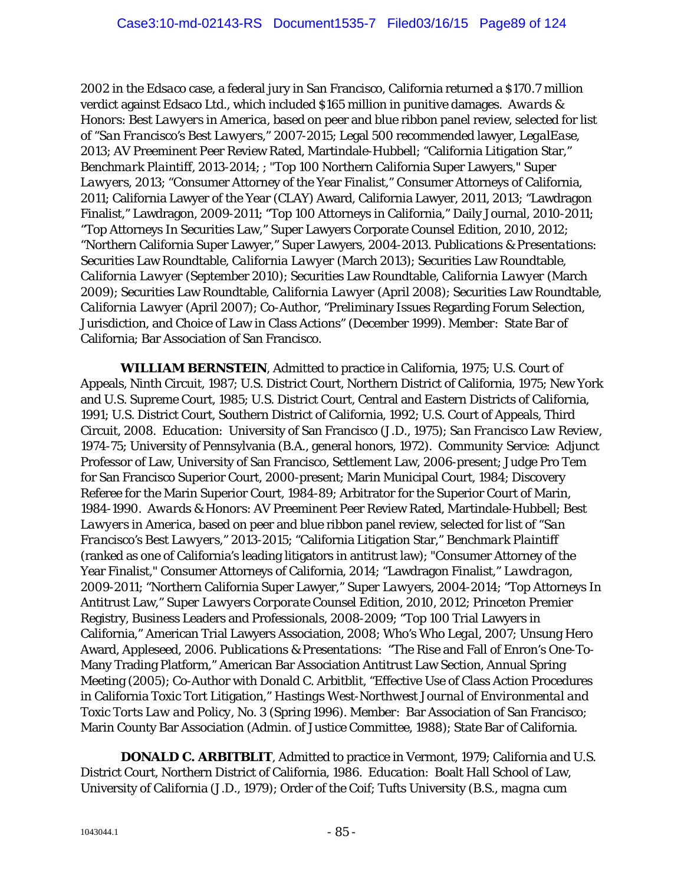2002 in the *Edsaco* case, a federal jury in San Francisco, California returned a \$170.7 million verdict against Edsaco Ltd., which included \$165 million in punitive damages. *Awards & Honors*: *Best Lawyers in America*, based on peer and blue ribbon panel review, selected for list of "*San Francisco's Best Lawyers*," 2007-2015; Legal 500 recommended lawyer, *LegalEase*, 2013; AV Preeminent Peer Review Rated, Martindale-Hubbell; "California Litigation Star," *Benchmark Plaintiff*, 2013-2014; ; "Top 100 Northern California Super Lawyers," *Super Lawyers,* 2013; "Consumer Attorney of the Year Finalist," Consumer Attorneys of California, 2011; California Lawyer of the Year (CLAY) Award, California Lawyer, 2011, 2013; "Lawdragon Finalist," Lawdragon, 2009-2011; "Top 100 Attorneys in California," Daily Journal, 2010-2011; "Top Attorneys In Securities Law," Super Lawyers Corporate Counsel Edition, 2010, 2012; "Northern California Super Lawyer," Super Lawyers, 2004-2013. *Publications & Presentations:* Securities Law Roundtable, *California Lawyer* (March 2013); Securities Law Roundtable, *California Lawyer* (September 2010); Securities Law Roundtable*, California Lawyer* (March 2009); Securities Law Roundtable, *California Lawyer* (April 2008); Securities Law Roundtable, *California Lawyer* (April 2007); Co-Author, "Preliminary Issues Regarding Forum Selection, Jurisdiction, and Choice of Law in Class Actions" (December 1999). *Member*: State Bar of California; Bar Association of San Francisco.

*WILLIAM BERNSTEIN*, Admitted to practice in California, 1975; U.S. Court of Appeals, Ninth Circuit, 1987; U.S. District Court, Northern District of California, 1975; New York and U.S. Supreme Court, 1985; U.S. District Court, Central and Eastern Districts of California, 1991; U.S. District Court, Southern District of California, 1992; U.S. Court of Appeals, Third Circuit, 2008. *Education*: University of San Francisco (J.D., 1975); *San Francisco Law Review*, 1974-75; University of Pennsylvania (B.A., general honors, 1972). *Community Service*: Adjunct Professor of Law, University of San Francisco, Settlement Law, 2006-present; Judge Pro Tem for San Francisco Superior Court, 2000-present; Marin Municipal Court, 1984; Discovery Referee for the Marin Superior Court, 1984-89; Arbitrator for the Superior Court of Marin, 1984-1990. *Awards & Honors*: AV Preeminent Peer Review Rated, Martindale-Hubbell; *Best Lawyers in America*, based on peer and blue ribbon panel review, selected for list of "*San Francisco's Best Lawyers*," 2013-2015; "California Litigation Star," *Benchmark Plaintiff* (ranked as one of California's leading litigators in antitrust law); "Consumer Attorney of the Year Finalist," Consumer Attorneys of California, 2014; "Lawdragon Finalist," *Lawdragon*, 2009-2011; "Northern California Super Lawyer," *Super Lawyers*, 2004-2014; "Top Attorneys In Antitrust Law," *Super Lawyers Corporate Counsel Edition*, 2010, 2012; Princeton Premier Registry, Business Leaders and Professionals, 2008-2009; "Top 100 Trial Lawyers in California," American Trial Lawyers Association, 2008; *Who's Who Legal*, 2007; Unsung Hero Award, Appleseed, 2006. *Publications & Presentations*: "The Rise and Fall of Enron's One-To-Many Trading Platform," American Bar Association Antitrust Law Section, Annual Spring Meeting (2005); Co-Author with Donald C. Arbitblit, "Effective Use of Class Action Procedures in California Toxic Tort Litigation," *Hastings West-Northwest Journal of Environmental and Toxic Torts Law and Policy*, No. 3 (Spring 1996). *Member*: Bar Association of San Francisco; Marin County Bar Association (Admin. of Justice Committee, 1988); State Bar of California.

**DONALD C. ARBITBLIT**, Admitted to practice in Vermont, 1979; California and U.S. District Court, Northern District of California, 1986. *Education*: Boalt Hall School of Law, University of California (J.D., 1979); Order of the Coif; Tufts University (B.S., *magna cum*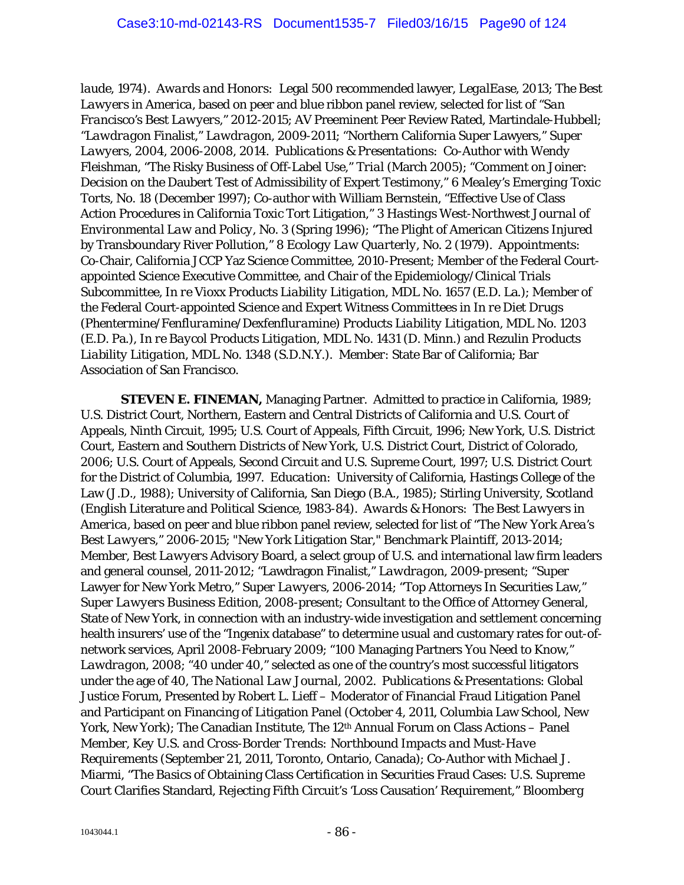*laude*, 1974). *Awards and Honors:* Legal 500 recommended lawyer, *LegalEase*, 2013; *The Best Lawyers in America,* based on peer and blue ribbon panel review, selected for list of *"San Francisco's Best Lawyers,"* 2012-2015; AV Preeminent Peer Review Rated, Martindale-Hubbell; "*Lawdragon* Finalist," *Lawdragon*, 2009-2011; "Northern California Super Lawyers," *Super Lawyers*, 2004, 2006-2008, 2014. *Publications & Presentations*: Co-Author with Wendy Fleishman, "The Risky Business of Off-Label Use," *Trial* (March 2005); "Comment on Joiner: Decision on the Daubert Test of Admissibility of Expert Testimony," *6 Mealey's Emerging Toxic Torts*, No. 18 (December 1997); Co-author with William Bernstein, "Effective Use of Class Action Procedures in California Toxic Tort Litigation," *3 Hastings West-Northwest Journal of Environmental Law and Policy*, No. 3 (Spring 1996); "The Plight of American Citizens Injured by Transboundary River Pollution," *8 Ecology Law Quarterly*, No. 2 (1979). *Appointments*: Co-Chair, California JCCP Yaz Science Committee, 2010-Present; Member of the Federal Courtappointed Science Executive Committee, and Chair of the Epidemiology/Clinical Trials Subcommittee, *In re Vioxx Products Liability Litigation*, MDL No. 1657 (E.D. La.); Member of the Federal Court-appointed Science and Expert Witness Committees in *In re Diet Drugs (Phentermine/Fenfluramine/Dexfenfluramine) Products Liability Litigation*, MDL No. 1203 (E.D. Pa.), *In re Baycol Products Litigation,* MDL No. 1431 (D. Minn.) and *Rezulin Products Liability Litigation*, MDL No. 1348 (S.D.N.Y.). *Member*: State Bar of California; Bar Association of San Francisco.

*STEVEN E. FINEMAN,* Managing Partner. Admitted to practice in California, 1989; U.S. District Court, Northern, Eastern and Central Districts of California and U.S. Court of Appeals, Ninth Circuit, 1995; U.S. Court of Appeals, Fifth Circuit, 1996; New York, U.S. District Court, Eastern and Southern Districts of New York, U.S. District Court, District of Colorado, 2006; U.S. Court of Appeals, Second Circuit and U.S. Supreme Court, 1997; U.S. District Court for the District of Columbia, 1997. *Education*: University of California, Hastings College of the Law (J.D., 1988); University of California, San Diego (B.A., 1985); Stirling University, Scotland (English Literature and Political Science, 1983-84). *Awards & Honors*: *The Best Lawyers in America*, based on peer and blue ribbon panel review, selected for list of "*The New York Area's Best Lawyers*," 2006-2015; "New York Litigation Star," *Benchmark Plaintiff*, 2013-2014; Member, *Best Lawyers* Advisory Board, a select group of U.S. and international law firm leaders and general counsel, 2011-2012; "Lawdragon Finalist," *Lawdragon*, 2009-present; "Super Lawyer for New York Metro," *Super Lawyers*, 2006-2014; "Top Attorneys In Securities Law," *Super Lawyers Business Edition*, 2008-present; Consultant to the Office of Attorney General, State of New York, in connection with an industry-wide investigation and settlement concerning health insurers' use of the "Ingenix database" to determine usual and customary rates for out-ofnetwork services, April 2008-February 2009; "100 Managing Partners You Need to Know," *Lawdragon*, 2008; "40 under 40," selected as one of the country's most successful litigators under the age of 40, *The National Law Journal*, 2002. *Publications & Presentations*: Global Justice Forum, Presented by Robert L. Lieff – Moderator of Financial Fraud Litigation Panel and Participant on Financing of Litigation Panel (October 4, 2011, Columbia Law School, New York, New York); The Canadian Institute, The 12<sup>th</sup> Annual Forum on Class Actions – Panel Member, *Key U.S. and Cross-Border Trends: Northbound Impacts and Must-Have Requirements* (September 21, 2011, Toronto, Ontario, Canada); Co-Author with Michael J. Miarmi, "The *Basic*s of Obtaining Class Certification in Securities Fraud Cases: U.S. Supreme Court Clarifies Standard, Rejecting Fifth Circuit's 'Loss Causation' Requirement," *Bloomberg*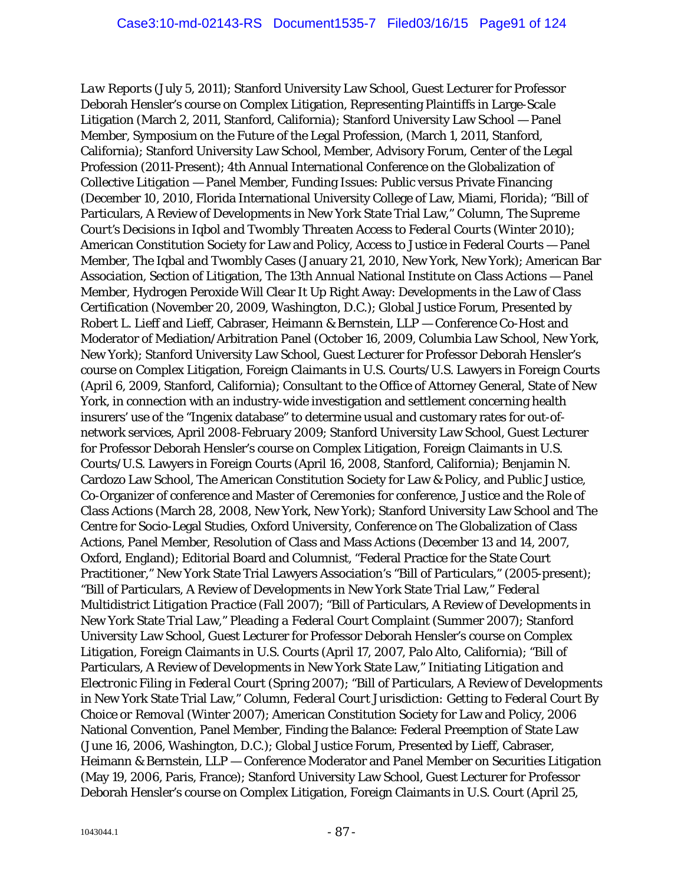*Law Reports* (July 5, 2011); Stanford University Law School, Guest Lecturer for Professor Deborah Hensler's course on Complex Litigation, Representing Plaintiffs in Large-Scale Litigation (March 2, 2011, Stanford, California); Stanford University Law School — Panel Member, Symposium on the Future of the Legal Profession, (March 1, 2011, Stanford, California); Stanford University Law School, Member, Advisory Forum, Center of the Legal Profession (2011-Present); 4th Annual International Conference on the Globalization of Collective Litigation — Panel Member, Funding Issues: Public versus Private Financing (December 10, 2010, Florida International University College of Law, Miami, Florida); "Bill of Particulars, A Review of Developments in New York State Trial Law," Column, *The Supreme Court's Decisions in Iqbol and Twombly Threaten Access to Federal Courts* (Winter 2010); American Constitution Society for Law and Policy, Access to Justice in Federal Courts — Panel Member, The Iqbal and Twombly Cases (January 21, 2010, New York, New York); American Bar Association, Section of Litigation, The 13th Annual National Institute on Class Actions — Panel Member, Hydrogen Peroxide Will Clear It Up Right Away: Developments in the Law of Class Certification (November 20, 2009, Washington, D.C.); Global Justice Forum, Presented by Robert L. Lieff and Lieff, Cabraser, Heimann & Bernstein, LLP — Conference Co-Host and Moderator of Mediation/Arbitration Panel (October 16, 2009, Columbia Law School, New York, New York); Stanford University Law School, Guest Lecturer for Professor Deborah Hensler's course on Complex Litigation, Foreign Claimants in U.S. Courts/U.S. Lawyers in Foreign Courts (April 6, 2009, Stanford, California); Consultant to the Office of Attorney General, State of New York, in connection with an industry-wide investigation and settlement concerning health insurers' use of the "Ingenix database" to determine usual and customary rates for out-ofnetwork services, April 2008-February 2009; Stanford University Law School, Guest Lecturer for Professor Deborah Hensler's course on Complex Litigation, Foreign Claimants in U.S. Courts/U.S. Lawyers in Foreign Courts (April 16, 2008, Stanford, California); Benjamin N. Cardozo Law School, The American Constitution Society for Law & Policy, and Public Justice, Co-Organizer of conference and Master of Ceremonies for conference, Justice and the Role of Class Actions (March 28, 2008, New York, New York); Stanford University Law School and The Centre for Socio-Legal Studies, Oxford University, Conference on The Globalization of Class Actions, Panel Member, Resolution of Class and Mass Actions (December 13 and 14, 2007, Oxford, England); Editorial Board and Columnist, "Federal Practice for the State Court Practitioner," New York State Trial Lawyers Association's "Bill of Particulars," (2005-present); "Bill of Particulars, A Review of Developments in New York State Trial Law," *Federal Multidistrict Litigation Practice* (Fall 2007); "Bill of Particulars, A Review of Developments in New York State Trial Law," *Pleading a Federal Court Complaint* (Summer 2007); Stanford University Law School, Guest Lecturer for Professor Deborah Hensler's course on Complex Litigation, Foreign Claimants in U.S. Courts (April 17, 2007, Palo Alto, California); "Bill of Particulars, A Review of Developments in New York State Law," *Initiating Litigation and Electronic Filing in Federal Court* (Spring 2007); "Bill of Particulars, A Review of Developments in New York State Trial Law," Column, *Federal Court Jurisdiction: Getting to Federal Court By Choice or Removal* (Winter 2007); American Constitution Society for Law and Policy, 2006 National Convention, Panel Member, Finding the Balance: Federal Preemption of State Law (June 16, 2006, Washington, D.C.); Global Justice Forum, Presented by Lieff, Cabraser, Heimann & Bernstein, LLP — Conference Moderator and Panel Member on Securities Litigation (May 19, 2006, Paris, France); Stanford University Law School, Guest Lecturer for Professor Deborah Hensler's course on Complex Litigation, Foreign Claimants in U.S. Court (April 25,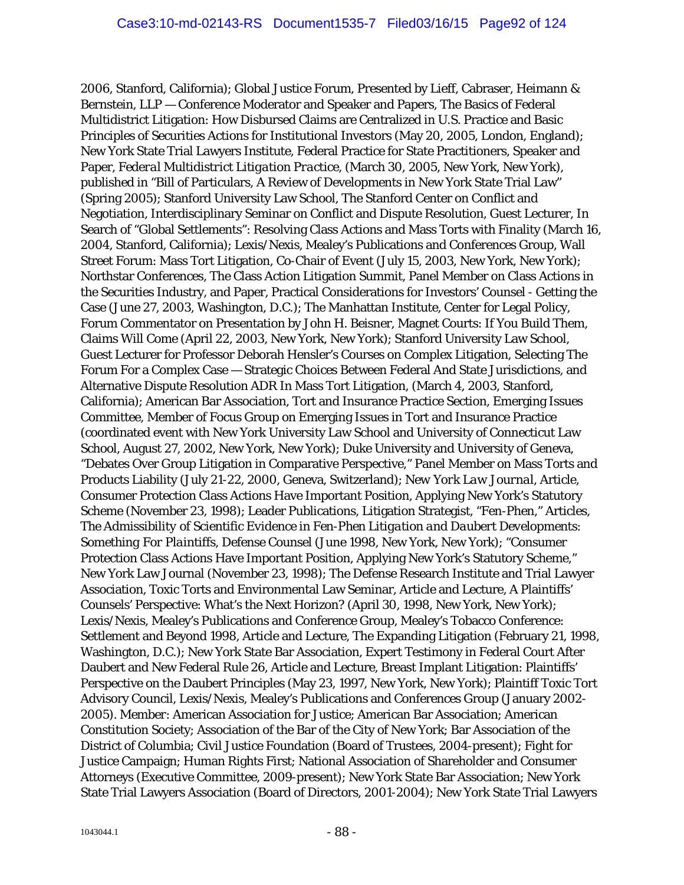2006, Stanford, California); Global Justice Forum, Presented by Lieff, Cabraser, Heimann & Bernstein, LLP — Conference Moderator and Speaker and Papers, The Basics of Federal Multidistrict Litigation: How Disbursed Claims are Centralized in U.S. Practice and Basic Principles of Securities Actions for Institutional Investors (May 20, 2005, London, England); New York State Trial Lawyers Institute, Federal Practice for State Practitioners, Speaker and Paper, *Federal Multidistrict Litigation Practice*, (March 30, 2005, New York, New York), published in "Bill of Particulars, A Review of Developments in New York State Trial Law" (Spring 2005); Stanford University Law School, The Stanford Center on Conflict and Negotiation, Interdisciplinary Seminar on Conflict and Dispute Resolution, Guest Lecturer, In Search of "Global Settlements": Resolving Class Actions and Mass Torts with Finality (March 16, 2004, Stanford, California); Lexis/Nexis, Mealey's Publications and Conferences Group, Wall Street Forum: Mass Tort Litigation, Co-Chair of Event (July 15, 2003, New York, New York); Northstar Conferences, The Class Action Litigation Summit, Panel Member on Class Actions in the Securities Industry, and Paper, Practical Considerations for Investors' Counsel - Getting the Case (June 27, 2003, Washington, D.C.); The Manhattan Institute, Center for Legal Policy, Forum Commentator on Presentation by John H. Beisner, Magnet Courts: If You Build Them, Claims Will Come (April 22, 2003, New York, New York); Stanford University Law School, Guest Lecturer for Professor Deborah Hensler's Courses on Complex Litigation, Selecting The Forum For a Complex Case — Strategic Choices Between Federal And State Jurisdictions, and Alternative Dispute Resolution ADR In Mass Tort Litigation, (March 4, 2003, Stanford, California); American Bar Association, Tort and Insurance Practice Section, Emerging Issues Committee, Member of Focus Group on Emerging Issues in Tort and Insurance Practice (coordinated event with New York University Law School and University of Connecticut Law School, August 27, 2002, New York, New York); Duke University and University of Geneva, "Debates Over Group Litigation in Comparative Perspective," Panel Member on Mass Torts and Products Liability (July 21-22, 2000, Geneva, Switzerland); *New York Law Journal*, Article, Consumer Protection Class Actions Have Important Position, Applying New York's Statutory Scheme (November 23, 1998); Leader Publications, Litigation Strategist, "Fen-Phen," Articles, *The Admissibility of Scientific Evidence in Fen-Phen Litigation and Daubert Developments: Something For Plaintiffs*, Defense Counsel (June 1998, New York, New York); "Consumer Protection Class Actions Have Important Position, Applying New York's Statutory Scheme," New York Law Journal (November 23, 1998); The Defense Research Institute and Trial Lawyer Association, Toxic Torts and Environmental Law Seminar, Article and Lecture, A Plaintiffs' Counsels' Perspective: What's the Next Horizon? (April 30, 1998, New York, New York); Lexis/Nexis, Mealey's Publications and Conference Group, Mealey's Tobacco Conference: Settlement and Beyond 1998, Article and Lecture, The Expanding Litigation (February 21, 1998, Washington, D.C.); New York State Bar Association, Expert Testimony in Federal Court After Daubert and New Federal Rule 26, Article and Lecture, Breast Implant Litigation: Plaintiffs' Perspective on the Daubert Principles (May 23, 1997, New York, New York); Plaintiff Toxic Tort Advisory Council, Lexis/Nexis, Mealey's Publications and Conferences Group (January 2002- 2005). *Member*: American Association for Justice; American Bar Association; American Constitution Society; Association of the Bar of the City of New York; Bar Association of the District of Columbia; Civil Justice Foundation (Board of Trustees, 2004-present); Fight for Justice Campaign; Human Rights First; National Association of Shareholder and Consumer Attorneys (Executive Committee, 2009-present); New York State Bar Association; New York State Trial Lawyers Association (Board of Directors, 2001-2004); New York State Trial Lawyers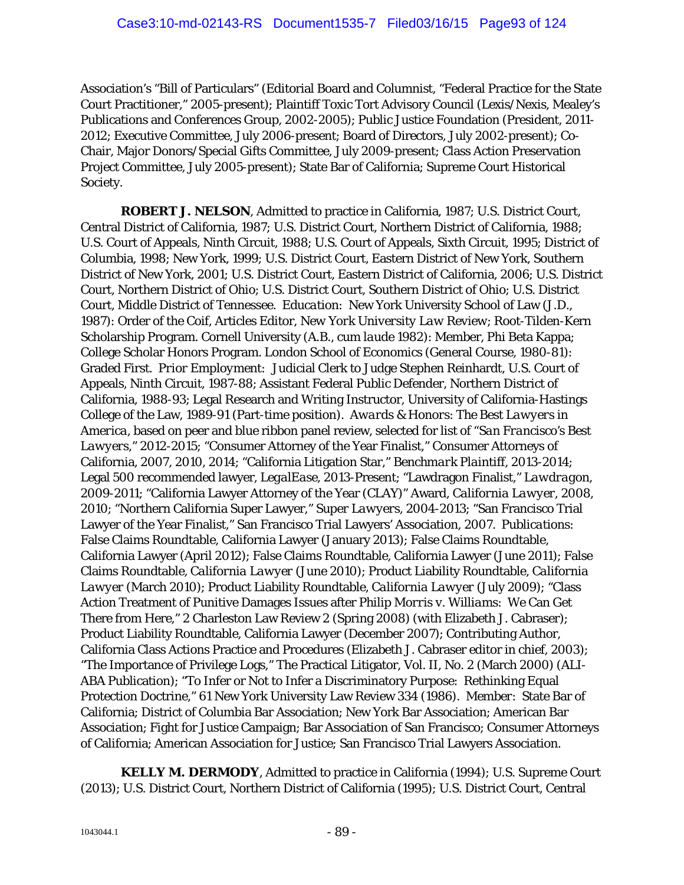Association's "Bill of Particulars" (Editorial Board and Columnist, "Federal Practice for the State Court Practitioner," 2005-present); Plaintiff Toxic Tort Advisory Council (Lexis/Nexis, Mealey's Publications and Conferences Group, 2002-2005); Public Justice Foundation (President, 2011- 2012; Executive Committee, July 2006-present; Board of Directors, July 2002-present); Co-Chair, Major Donors/Special Gifts Committee, July 2009-present; Class Action Preservation Project Committee, July 2005-present); State Bar of California; Supreme Court Historical Society.

*ROBERT J. NELSON*, Admitted to practice in California, 1987; U.S. District Court, Central District of California, 1987; U.S. District Court, Northern District of California, 1988; U.S. Court of Appeals, Ninth Circuit, 1988; U.S. Court of Appeals, Sixth Circuit, 1995; District of Columbia, 1998; New York, 1999; U.S. District Court, Eastern District of New York, Southern District of New York, 2001; U.S. District Court, Eastern District of California, 2006; U.S. District Court, Northern District of Ohio; U.S. District Court, Southern District of Ohio; U.S. District Court, Middle District of Tennessee. *Education*: New York University School of Law (J.D., 1987): Order of the Coif, Articles Editor, *New York University Law Review*; Root-Tilden-Kern Scholarship Program. Cornell University (A.B., *cum laude* 1982): Member, Phi Beta Kappa; College Scholar Honors Program. London School of Economics (General Course, 1980-81): Graded First. *Prior Employment:* Judicial Clerk to Judge Stephen Reinhardt, U.S. Court of Appeals, Ninth Circuit, 1987-88; Assistant Federal Public Defender, Northern District of California, 1988-93; Legal Research and Writing Instructor, University of California-Hastings College of the Law, 1989-91 (Part-time position). *Awards & Honors*: *The Best Lawyers in America*, based on peer and blue ribbon panel review, selected for list of "*San Francisco's Best Lawyers*," 2012-2015; "Consumer Attorney of the Year Finalist," Consumer Attorneys of California, 2007, 2010, 2014; "California Litigation Star," *Benchmark Plaintiff*, 2013-2014; Legal 500 recommended lawyer, *LegalEase*, 2013-Present; "Lawdragon Finalist," *Lawdragon*, 2009-2011; "California Lawyer Attorney of the Year (CLAY)" Award, *California Lawyer*, 2008, 2010; "Northern California Super Lawyer," *Super Lawyers*, 2004-2013; "San Francisco Trial Lawyer of the Year Finalist," San Francisco Trial Lawyers' Association, 2007. *Publications:* False Claims Roundtable, California Lawyer (January 2013); False Claims Roundtable, California Lawyer (April 2012); False Claims Roundtable, California Lawyer (June 2011); False Claims Roundtable, *California Lawyer* (June 2010); Product Liability Roundtable, *California Lawyer* (March 2010); Product Liability Roundtable, *California Lawyer* (July 2009); "Class Action Treatment of Punitive Damages Issues after *Philip Morris v. Williams*: We Can Get There from Here," 2 Charleston Law Review 2 (Spring 2008) (with Elizabeth J. Cabraser); Product Liability Roundtable, California Lawyer (December 2007); Contributing Author, California Class Actions Practice and Procedures (Elizabeth J. Cabraser editor in chief, 2003); "The Importance of Privilege Logs," The Practical Litigator, Vol. II, No. 2 (March 2000) (ALI-ABA Publication); "To Infer or Not to Infer a Discriminatory Purpose: Rethinking Equal Protection Doctrine," 61 New York University Law Review 334 (1986). *Member*: State Bar of California; District of Columbia Bar Association; New York Bar Association; American Bar Association; Fight for Justice Campaign; Bar Association of San Francisco; Consumer Attorneys of California; American Association for Justice; San Francisco Trial Lawyers Association.

*KELLY M. DERMODY*, Admitted to practice in California (1994); U.S. Supreme Court (2013); U.S. District Court, Northern District of California (1995); U.S. District Court, Central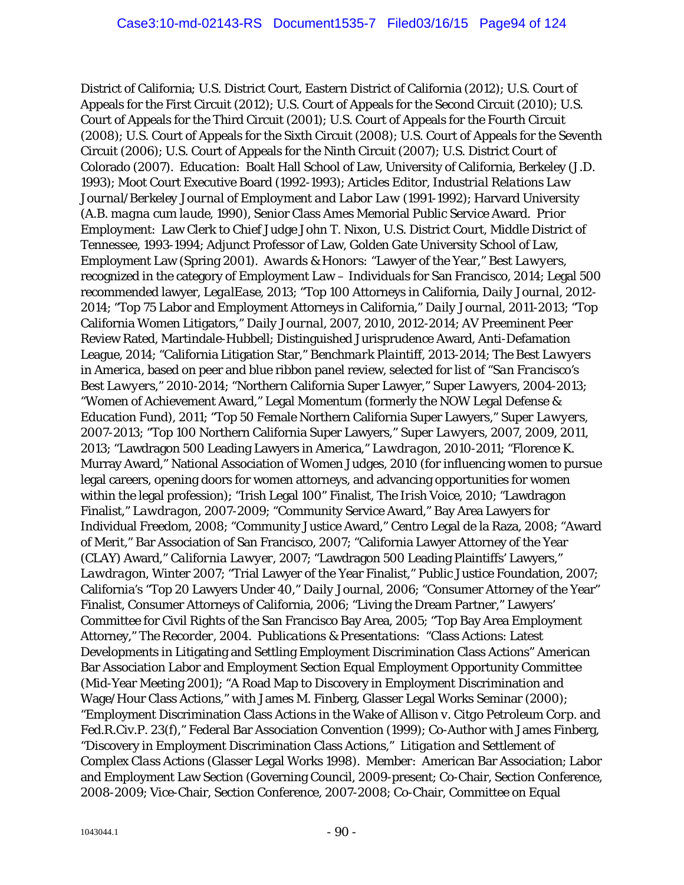District of California; U.S. District Court, Eastern District of California (2012); U.S. Court of Appeals for the First Circuit (2012); U.S. Court of Appeals for the Second Circuit (2010); U.S. Court of Appeals for the Third Circuit (2001); U.S. Court of Appeals for the Fourth Circuit (2008); U.S. Court of Appeals for the Sixth Circuit (2008); U.S. Court of Appeals for the Seventh Circuit (2006); U.S. Court of Appeals for the Ninth Circuit (2007); U.S. District Court of Colorado (2007). *Education*: Boalt Hall School of Law, University of California, Berkeley (J.D. 1993); Moot Court Executive Board (1992-1993); Articles Editor, *Industrial Relations Law Journal/Berkeley Journal of Employment and Labor Law* (1991-1992); Harvard University (A.B. *magna cum laude*, 1990), Senior Class Ames Memorial Public Service Award. *Prior Employment*: Law Clerk to Chief Judge John T. Nixon, U.S. District Court, Middle District of Tennessee, 1993-1994; Adjunct Professor of Law, Golden Gate University School of Law, Employment Law (Spring 2001). *Awards & Honors:* "Lawyer of the Year," *Best Lawyers*, recognized in the category of Employment Law – Individuals for San Francisco, 2014; Legal 500 recommended lawyer, *LegalEase*, 2013; "Top 100 Attorneys in California, *Daily Journal,* 2012- 2014; "Top 75 Labor and Employment Attorneys in California," *Daily Journal*, 2011-2013; "Top California Women Litigators," *Daily Journal*, 2007, 2010, 2012-2014; AV Preeminent Peer Review Rated, Martindale-Hubbell; Distinguished Jurisprudence Award, Anti-Defamation League, 2014; "California Litigation Star," *Benchmark Plaintiff*, 2013-2014; *The Best Lawyers in America*, based on peer and blue ribbon panel review, selected for list of "*San Francisco's Best Lawyers*," 2010-2014; "Northern California Super Lawyer," *Super Lawyers*, 2004-2013; "Women of Achievement Award," Legal Momentum (formerly the NOW Legal Defense & Education Fund), 2011; "Top 50 Female Northern California Super Lawyers," *Super Lawyers*, 2007-2013; "Top 100 Northern California Super Lawyers," *Super Lawyers*, 2007, 2009, 2011, 2013; "Lawdragon 500 Leading Lawyers in America," *Lawdragon*, 2010-2011; "Florence K. Murray Award," National Association of Women Judges, 2010 (for influencing women to pursue legal careers, opening doors for women attorneys, and advancing opportunities for women within the legal profession); "Irish Legal 100" Finalist, *The Irish Voice*, 2010; "Lawdragon Finalist," *Lawdragon*, 2007-2009; "Community Service Award," Bay Area Lawyers for Individual Freedom, 2008; "Community Justice Award," Centro Legal de la Raza, 2008; "Award of Merit," Bar Association of San Francisco, 2007; "California Lawyer Attorney of the Year (CLAY) Award," *California Lawyer*, 2007; "Lawdragon 500 Leading Plaintiffs' Lawyers," *Lawdragon*, Winter 2007; "Trial Lawyer of the Year Finalist," Public Justice Foundation, 2007; California's "Top 20 Lawyers Under 40," *Daily Journal*, 2006; "Consumer Attorney of the Year" Finalist, Consumer Attorneys of California, 2006; "Living the Dream Partner," Lawyers' Committee for Civil Rights of the San Francisco Bay Area, 2005; "Top Bay Area Employment Attorney*," The Recorder*, 2004. *Publications & Presentations*: "Class Actions: Latest Developments in Litigating and Settling Employment Discrimination Class Actions" American Bar Association Labor and Employment Section Equal Employment Opportunity Committee (Mid-Year Meeting 2001); "A Road Map to Discovery in Employment Discrimination and Wage/Hour Class Actions," with James M. Finberg, Glasser Legal Works Seminar (2000); "Employment Discrimination Class Actions in the Wake of *Allison v. Citgo Petroleum Corp*. and Fed.R.Civ.P. 23(f)," Federal Bar Association Convention (1999); Co-Author with James Finberg, "Discovery in Employment Discrimination Class Actions," *Litigation and Settlement of Complex Class Actions* (Glasser Legal Works 1998). *Member*: American Bar Association; Labor and Employment Law Section (Governing Council, 2009-present; Co-Chair, Section Conference, 2008-2009; Vice-Chair, Section Conference, 2007-2008; Co-Chair, Committee on Equal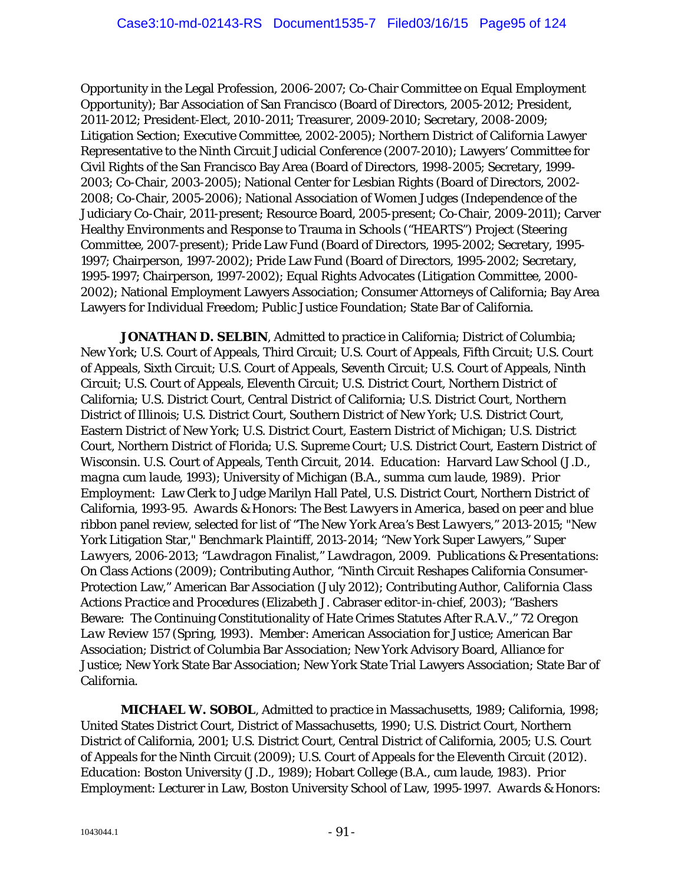Opportunity in the Legal Profession, 2006-2007; Co-Chair Committee on Equal Employment Opportunity); Bar Association of San Francisco (Board of Directors, 2005-2012; President, 2011-2012; President-Elect, 2010-2011; Treasurer, 2009-2010; Secretary, 2008-2009; Litigation Section; Executive Committee, 2002-2005); Northern District of California Lawyer Representative to the Ninth Circuit Judicial Conference (2007-2010); Lawyers' Committee for Civil Rights of the San Francisco Bay Area (Board of Directors, 1998-2005; Secretary, 1999- 2003; Co-Chair, 2003-2005); National Center for Lesbian Rights (Board of Directors, 2002- 2008; Co-Chair, 2005-2006); National Association of Women Judges (Independence of the Judiciary Co-Chair, 2011-present; Resource Board, 2005-present; Co-Chair, 2009-2011); Carver Healthy Environments and Response to Trauma in Schools ("HEARTS") Project (Steering Committee, 2007-present); Pride Law Fund (Board of Directors, 1995-2002; Secretary, 1995- 1997; Chairperson, 1997-2002); Pride Law Fund (Board of Directors, 1995-2002; Secretary, 1995-1997; Chairperson, 1997-2002); Equal Rights Advocates (Litigation Committee, 2000- 2002); National Employment Lawyers Association; Consumer Attorneys of California; Bay Area Lawyers for Individual Freedom; Public Justice Foundation; State Bar of California.

*JONATHAN D. SELBIN*, Admitted to practice in California; District of Columbia; New York; U.S. Court of Appeals, Third Circuit; U.S. Court of Appeals, Fifth Circuit; U.S. Court of Appeals, Sixth Circuit; U.S. Court of Appeals, Seventh Circuit; U.S. Court of Appeals, Ninth Circuit; U.S. Court of Appeals, Eleventh Circuit; U.S. District Court, Northern District of California; U.S. District Court, Central District of California; U.S. District Court, Northern District of Illinois; U.S. District Court, Southern District of New York; U.S. District Court, Eastern District of New York; U.S. District Court, Eastern District of Michigan; U.S. District Court, Northern District of Florida; U.S. Supreme Court; U.S. District Court, Eastern District of Wisconsin. U.S. Court of Appeals, Tenth Circuit, 2014. *Education*: Harvard Law School (J.D., *magna cum laude*, 1993); University of Michigan (B.A., *summa cum laude*, 1989). *Prior Employment*: Law Clerk to Judge Marilyn Hall Patel, U.S. District Court, Northern District of California, 1993-95. *Awards & Honors*: *The Best Lawyers in America*, based on peer and blue ribbon panel review, selected for list of "*The New York Area's Best Lawyers*," 2013-2015; "New York Litigation Star," *Benchmark Plaintiff*, 2013-2014; "New York Super Lawyers," *Super Lawyers*, 2006-2013; "*Lawdragon* Finalist," *Lawdragon*, 2009. *Publications & Presentations*: On Class Actions (2009); Contributing Author, "Ninth Circuit Reshapes California Consumer-Protection Law," American Bar Association (July 2012); Contributing Author, *California Class Actions Practice and Procedures (*Elizabeth J. Cabraser editor-in-chief, 2003); "Bashers Beware: The Continuing Constitutionality of Hate Crimes Statutes After R.A.V.," 72 *Oregon Law Review* 157 (Spring, 1993). *Member*: American Association for Justice; American Bar Association; District of Columbia Bar Association; New York Advisory Board, Alliance for Justice; New York State Bar Association; New York State Trial Lawyers Association; State Bar of California.

*MICHAEL W. SOBOL*, Admitted to practice in Massachusetts, 1989; California, 1998; United States District Court, District of Massachusetts, 1990; U.S. District Court, Northern District of California, 2001; U.S. District Court, Central District of California, 2005; U.S. Court of Appeals for the Ninth Circuit (2009); U.S. Court of Appeals for the Eleventh Circuit (2012). *Education*: Boston University (J.D., 1989); Hobart College (B.A., *cum laude*, 1983). *Prior Employment*: Lecturer in Law, Boston University School of Law, 1995-1997. *Awards & Honors:*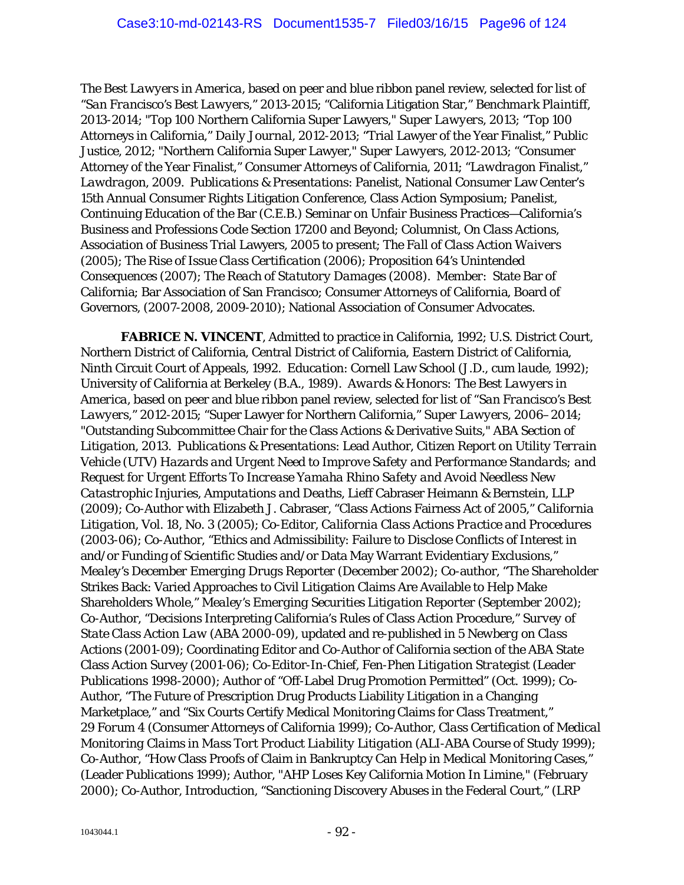*The Best Lawyers in America*, based on peer and blue ribbon panel review, selected for list of "*San Francisco's Best Lawyers*," 2013-2015; "California Litigation Star," *Benchmark Plaintiff*, 2013-2014; "Top 100 Northern California Super Lawyers," *Super Lawyers*, 2013; "Top 100 Attorneys in California," *Daily Journal*, 2012-2013; "Trial Lawyer of the Year Finalist," Public Justice, 2012; "Northern California Super Lawyer," *Super Lawyers*, 2012-2013; "Consumer Attorney of the Year Finalist," Consumer Attorneys of California, 2011; "*Lawdragon* Finalist," *Lawdragon*, 2009. *Publications & Presentations*: Panelist, National Consumer Law Center's 15th Annual Consumer Rights Litigation Conference, Class Action Symposium; Panelist, Continuing Education of the Bar (C.E.B.) Seminar on Unfair Business Practices—California's Business and Professions Code Section 17200 and Beyond; Columnist, *On Class Actions*, Association of Business Trial Lawyers, 2005 to present; *The Fall of Class Action Waivers* (2005); *The Rise of Issue Class Certification* (2006); *Proposition 64's Unintended Consequences* (2007); *The Reach of Statutory Damages* (2008). *Member*: State Bar of California; Bar Association of San Francisco; Consumer Attorneys of California, Board of Governors, (2007-2008, 2009-2010); National Association of Consumer Advocates.

*FABRICE N. VINCENT*, Admitted to practice in California, 1992; U.S. District Court, Northern District of California, Central District of California, Eastern District of California, Ninth Circuit Court of Appeals, 1992. *Education*: Cornell Law School (J.D., *cum laude*, 1992); University of California at Berkeley (B.A., 1989). *Awards & Honors: The Best Lawyers in America*, based on peer and blue ribbon panel review, selected for list of "*San Francisco's Best Lawyers*," 2012-2015; "Super Lawyer for Northern California," *Super Lawyers*, 2006–2014; "Outstanding Subcommittee Chair for the Class Actions & Derivative Suits," *ABA Section of Litigation*, 2013. *Publications & Presentations*: Lead Author, *Citizen Report on Utility Terrain Vehicle (UTV) Hazards and Urgent Need to Improve Safety and Performance Standards; and Request for Urgent Efforts To Increase Yamaha Rhino Safety and Avoid Needless New Catastrophic Injuries, Amputations and Deaths*, Lieff Cabraser Heimann & Bernstein, LLP (2009); Co-Author with Elizabeth J. Cabraser, "Class Actions Fairness Act of 2005," *California Litigation,* Vol. 18, No. 3 (2005); Co-Editor, *California Class Actions Practice and Procedures*  (2003-06); Co-Author, "Ethics and Admissibility: Failure to Disclose Conflicts of Interest in and/or Funding of Scientific Studies and/or Data May Warrant Evidentiary Exclusions," *Mealey's December Emerging Drugs Reporter* (December 2002); Co-author, "The Shareholder Strikes Back: Varied Approaches to Civil Litigation Claims Are Available to Help Make Shareholders Whole," *Mealey's Emerging Securities Litigation Reporter* (September 2002); Co-Author, "Decisions Interpreting California's Rules of Class Action Procedure," *Survey of State Class Action Law* (ABA 2000-09), updated and re-published in 5 *Newberg on Class Actions* (2001-09); Coordinating Editor and Co-Author of California section of the ABA State Class Action Survey (2001-06); Co-Editor-In-Chief, *Fen-Phen Litigation Strategist* (Leader Publications 1998-2000); Author of "Off-Label Drug Promotion Permitted" (Oct. 1999); Co-Author, "The Future of Prescription Drug Products Liability Litigation in a Changing Marketplace," and "Six Courts Certify Medical Monitoring Claims for Class Treatment," 29 *Forum* 4 (Consumer Attorneys of California 1999); Co-Author, *Class Certification of Medical Monitoring Claims in Mass Tort Product Liability Litigation* (ALI-ABA Course of Study 1999); Co-Author, "How Class Proofs of Claim in Bankruptcy Can Help in Medical Monitoring Cases," (Leader Publications 1999); Author, "AHP Loses Key California Motion In Limine," (February 2000); Co-Author, Introduction, "Sanctioning Discovery Abuses in the Federal Court," (LRP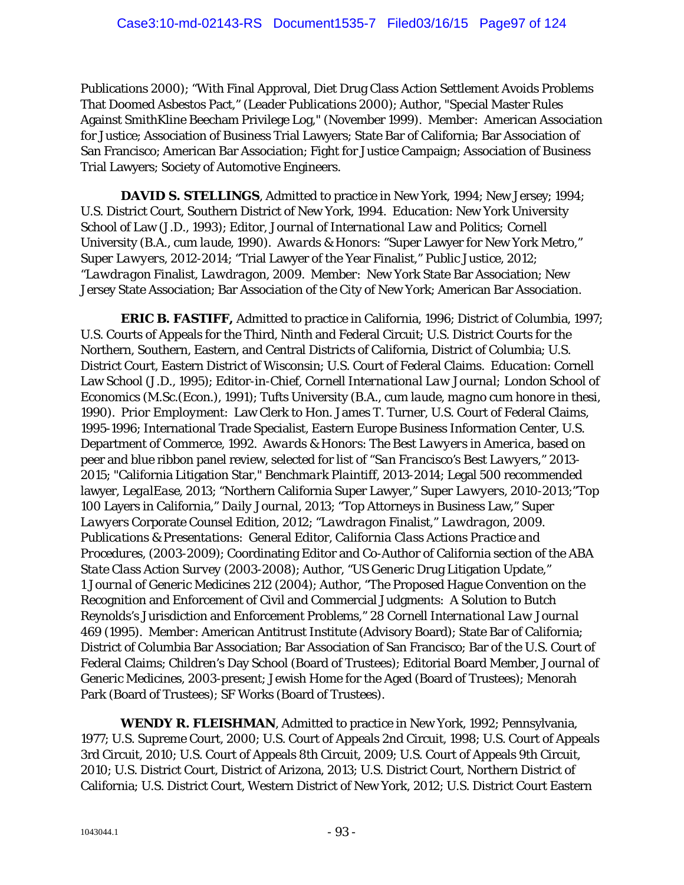Publications 2000); "With Final Approval, Diet Drug Class Action Settlement Avoids Problems That Doomed Asbestos Pact," (Leader Publications 2000); Author, "Special Master Rules Against SmithKline Beecham Privilege Log," (November 1999). *Member*: American Association for Justice; Association of Business Trial Lawyers; State Bar of California; Bar Association of San Francisco; American Bar Association; Fight for Justice Campaign; Association of Business Trial Lawyers; Society of Automotive Engineers.

**DAVID S. STELLINGS**, Admitted to practice in New York, 1994; New Jersey; 1994; U.S. District Court, Southern District of New York, 1994. *Education*: New York University School of Law (J.D., 1993); Editor, *Journal of International Law and Politics;* Cornell University (B.A., *cum laude*, 1990). *Awards & Honors*: "Super Lawyer for New York Metro," *Super Lawyers*, 2012-2014; "Trial Lawyer of the Year Finalist," Public Justice, 2012; "*Lawdragon* Finalist, *Lawdragon*, 2009. *Member*: New York State Bar Association; New Jersey State Association; Bar Association of the City of New York; American Bar Association.

*ERIC B. FASTIFF,* Admitted to practice in California, 1996; District of Columbia, 1997; U.S. Courts of Appeals for the Third, Ninth and Federal Circuit; U.S. District Courts for the Northern, Southern, Eastern, and Central Districts of California, District of Columbia; U.S. District Court, Eastern District of Wisconsin; U.S. Court of Federal Claims. *Education*: Cornell Law School (J.D., 1995); Editor-in-Chief, *Cornell International Law Journal;* London School of Economics (M.Sc.(Econ.), 1991); Tufts University (B.A., *cum laude, magno cum honore in thesi*, 1990). *Prior Employment*: Law Clerk to Hon. James T. Turner, U.S. Court of Federal Claims, 1995-1996; International Trade Specialist, Eastern Europe Business Information Center, U.S. Department of Commerce, 1992. *Awards & Honors*: *The Best Lawyers in America*, based on peer and blue ribbon panel review, selected for list of "*San Francisco's Best Lawyers*," 2013- 2015; "California Litigation Star," *Benchmark Plaintiff*, 2013-2014; Legal 500 recommended lawyer, *LegalEase*, 2013; "Northern California Super Lawyer," *Super Lawyers*, 2010-2013;"Top 100 Layers in California," *Daily Journal*, 2013; "Top Attorneys in Business Law," *Super Lawyers* Corporate Counsel Edition, 2012; "*Lawdragon* Finalist," *Lawdragon*, 2009. *Publications & Presentations*: General Editor, *California Class Actions Practice and Procedures*, (2003-2009); Coordinating Editor and Co-Author of California section of the *ABA State Class Action Survey* (2003-2008); Author, "US Generic Drug Litigation Update," 1 *Journal of Generic Medicines* 212 (2004); Author, "The Proposed Hague Convention on the Recognition and Enforcement of Civil and Commercial Judgments: A Solution to Butch Reynolds's Jurisdiction and Enforcement Problems," 28 *Cornell International Law Journal* 469 (1995). *Member*: American Antitrust Institute (Advisory Board); State Bar of California; District of Columbia Bar Association; Bar Association of San Francisco; Bar of the U.S. Court of Federal Claims; Children's Day School (Board of Trustees); Editorial Board Member, *Journal of Generic Medicines*, 2003-present; Jewish Home for the Aged (Board of Trustees); Menorah Park (Board of Trustees); SF Works (Board of Trustees).

*WENDY R. FLEISHMAN*, Admitted to practice in New York, 1992; Pennsylvania, 1977; U.S. Supreme Court, 2000; U.S. Court of Appeals 2nd Circuit, 1998; U.S. Court of Appeals 3rd Circuit, 2010; U.S. Court of Appeals 8th Circuit, 2009; U.S. Court of Appeals 9th Circuit, 2010; U.S. District Court, District of Arizona, 2013; U.S. District Court, Northern District of California; U.S. District Court, Western District of New York, 2012; U.S. District Court Eastern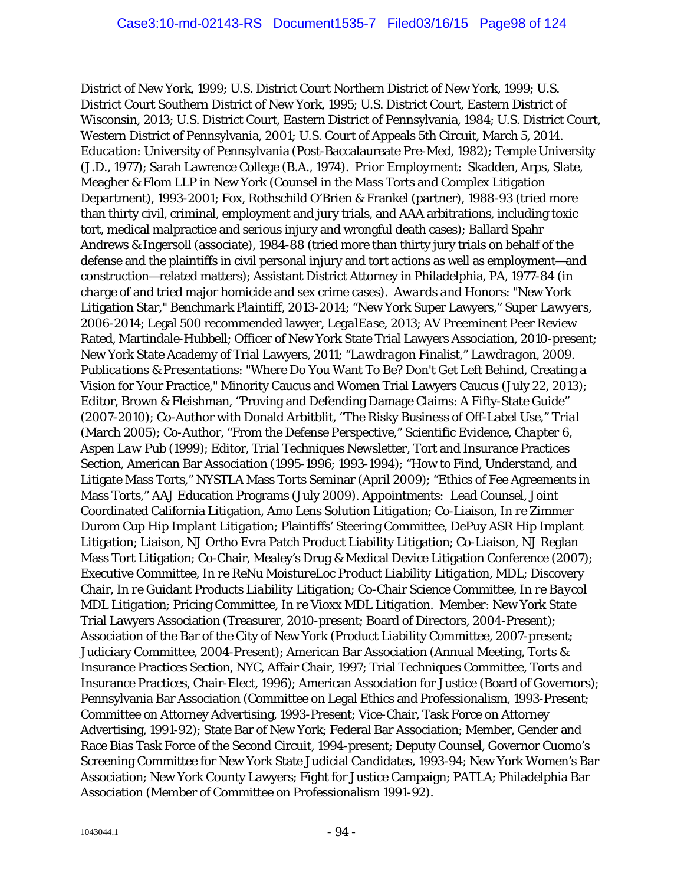District of New York, 1999; U.S. District Court Northern District of New York, 1999; U.S. District Court Southern District of New York, 1995; U.S. District Court, Eastern District of Wisconsin, 2013; U.S. District Court, Eastern District of Pennsylvania, 1984; U.S. District Court, Western District of Pennsylvania, 2001; U.S. Court of Appeals 5th Circuit, March 5, 2014. *Education*: University of Pennsylvania (Post-Baccalaureate Pre-Med, 1982); Temple University (J.D., 1977); Sarah Lawrence College (B.A., 1974). *Prior Employment*: Skadden, Arps, Slate, Meagher & Flom LLP in New York (Counsel in the Mass Torts and Complex Litigation Department), 1993-2001; Fox, Rothschild O'Brien & Frankel (partner), 1988-93 (tried more than thirty civil, criminal, employment and jury trials, and AAA arbitrations, including toxic tort, medical malpractice and serious injury and wrongful death cases); Ballard Spahr Andrews & Ingersoll (associate), 1984-88 (tried more than thirty jury trials on behalf of the defense and the plaintiffs in civil personal injury and tort actions as well as employment—and construction—related matters); Assistant District Attorney in Philadelphia, PA, 1977-84 (in charge of and tried major homicide and sex crime cases). *Awards and Honors*: "New York Litigation Star," *Benchmark Plaintiff*, 2013-2014; "New York Super Lawyers," *Super Lawyers*, 2006-2014; Legal 500 recommended lawyer, *LegalEase*, 2013; AV Preeminent Peer Review Rated, Martindale-Hubbell; Officer of New York State Trial Lawyers Association, 2010-present; New York State Academy of Trial Lawyers, 2011; "*Lawdragon* Finalist," *Lawdragon*, 2009. *Publications & Presentations*: "Where Do You Want To Be? Don't Get Left Behind, Creating a Vision for Your Practice," Minority Caucus and Women Trial Lawyers Caucus (July 22, 2013); Editor, Brown & Fleishman, "Proving and Defending Damage Claims: A Fifty-State Guide" (2007-2010); Co-Author with Donald Arbitblit, "The Risky Business of Off-Label Use," *Trial* (March 2005); Co-Author, "From the Defense Perspective," *Scientific Evidence, Chapter 6, Aspen Law Pub* (1999); Editor, *Trial Techniques Newsletter,* Tort and Insurance Practices Section, American Bar Association (1995-1996; 1993-1994); "How to Find, Understand, and Litigate Mass Torts," NYSTLA Mass Torts Seminar (April 2009); "Ethics of Fee Agreements in Mass Torts," AAJ Education Programs (July 2009). *Appointments:* Lead Counsel, Joint Coordinated California Litigation, *Amo Lens Solution Litigation*; Co-Liaison, *In re Zimmer Durom Cup Hip Implant Litigation*; Plaintiffs' Steering Committee, DePuy ASR Hip Implant Litigation; Liaison, NJ Ortho Evra Patch Product Liability Litigation; Co-Liaison, NJ Reglan Mass Tort Litigation; Co-Chair, Mealey's Drug & Medical Device Litigation Conference (2007); Executive Committee, *In re ReNu MoistureLoc Product Liability Litigation*, MDL; Discovery Chair, *In re Guidant Products Liability Litigation*; Co-Chair Science Committee, *In re Baycol MDL Litigation*; Pricing Committee, *In re Vioxx MDL Litigation*. *Member*: New York State Trial Lawyers Association (Treasurer, 2010-present; Board of Directors, 2004-Present); Association of the Bar of the City of New York (Product Liability Committee, 2007-present; Judiciary Committee, 2004-Present); American Bar Association (Annual Meeting, Torts & Insurance Practices Section, NYC, Affair Chair, 1997; Trial Techniques Committee, Torts and Insurance Practices, Chair-Elect, 1996); American Association for Justice (Board of Governors); Pennsylvania Bar Association (Committee on Legal Ethics and Professionalism, 1993-Present; Committee on Attorney Advertising, 1993-Present; Vice-Chair, Task Force on Attorney Advertising, 1991-92); State Bar of New York; Federal Bar Association; Member, Gender and Race Bias Task Force of the Second Circuit, 1994-present; Deputy Counsel, Governor Cuomo's Screening Committee for New York State Judicial Candidates, 1993-94; New York Women's Bar Association; New York County Lawyers; Fight for Justice Campaign; PATLA; Philadelphia Bar Association (Member of Committee on Professionalism 1991-92).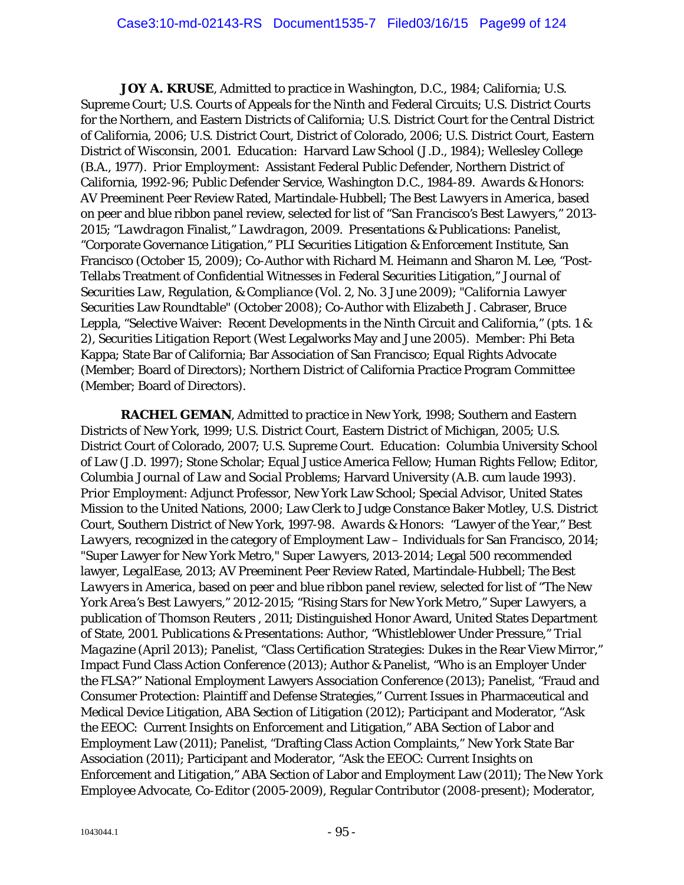*JOY A. KRUSE*, Admitted to practice in Washington, D.C., 1984; California; U.S. Supreme Court; U.S. Courts of Appeals for the Ninth and Federal Circuits; U.S. District Courts for the Northern, and Eastern Districts of California; U.S. District Court for the Central District of California, 2006; U.S. District Court, District of Colorado, 2006; U.S. District Court, Eastern District of Wisconsin, 2001. *Education*: Harvard Law School (J.D., 1984); Wellesley College (B.A., 1977). *Prior Employment*: Assistant Federal Public Defender, Northern District of California, 1992-96; Public Defender Service, Washington D.C., 1984-89. *Awards & Honors:* AV Preeminent Peer Review Rated, Martindale-Hubbell; *The Best Lawyers in America*, based on peer and blue ribbon panel review, selected for list of "*San Francisco's Best Lawyers*," 2013- 2015; "*Lawdragon* Finalist," *Lawdragon*, 2009. *Presentations & Publications*: Panelist, "Corporate Governance Litigation," PLI Securities Litigation & Enforcement Institute, San Francisco (October 15, 2009); Co-Author with Richard M. Heimann and Sharon M. Lee, "Post-*Tellabs* Treatment of Confidential Witnesses in Federal Securities Litigation," *Journal of Securities Law, Regulation, & Compliance* (Vol. 2, No. 3 June 2009); "*California Lawyer* Securities Law Roundtable" (October 2008); Co-Author with Elizabeth J. Cabraser, Bruce Leppla, "Selective Waiver: Recent Developments in the Ninth Circuit and California," (pts. 1 & 2), *Securities Litigation Report* (West Legalworks May and June 2005). *Member*: Phi Beta Kappa; State Bar of California; Bar Association of San Francisco; Equal Rights Advocate (Member; Board of Directors); Northern District of California Practice Program Committee (Member; Board of Directors).

*RACHEL GEMAN,* Admitted to practice in New York, 1998; Southern and Eastern Districts of New York, 1999; U.S. District Court, Eastern District of Michigan, 2005; U.S. District Court of Colorado, 2007; U.S. Supreme Court. *Education*: Columbia University School of Law (J.D. 1997); Stone Scholar; Equal Justice America Fellow; Human Rights Fellow; Editor, *Columbia Journal of Law and Social Problems*; Harvard University (A.B. *cum laude* 1993). *Prior Employment*: Adjunct Professor, New York Law School; Special Advisor, United States Mission to the United Nations, 2000; Law Clerk to Judge Constance Baker Motley, U.S. District Court, Southern District of New York, 1997-98. *Awards & Honors*: "Lawyer of the Year," *Best Lawyers*, recognized in the category of Employment Law – Individuals for San Francisco, 2014; "Super Lawyer for New York Metro," *Super Lawyers*, 2013-2014; Legal 500 recommended lawyer, *LegalEase*, 2013; AV Preeminent Peer Review Rated, Martindale-Hubbell; *The Best Lawyers in America*, based on peer and blue ribbon panel review, selected for list of "*The New York Area's Best Lawyers*," 2012-2015; "Rising Stars for New York Metro," *Super Lawyers*, a publication of Thomson Reuters , 2011; Distinguished Honor Award, United States Department of State, 2001. *Publications & Presentations*: Author, "Whistleblower Under Pressure," *Trial Magazine* (April 2013); Panelist, "Class Certification Strategies: Dukes in the Rear View Mirror," Impact Fund Class Action Conference (2013); Author & Panelist, "Who is an Employer Under the FLSA?" National Employment Lawyers Association Conference (2013); Panelist, "Fraud and Consumer Protection: Plaintiff and Defense Strategies," Current Issues in Pharmaceutical and Medical Device Litigation, ABA Section of Litigation (2012); Participant and Moderator, "Ask the EEOC: Current Insights on Enforcement and Litigation," ABA Section of Labor and Employment Law (2011); Panelist, "Drafting Class Action Complaints," New York State Bar Association (2011); Participant and Moderator, "Ask the EEOC: Current Insights on Enforcement and Litigation," ABA Section of Labor and Employment Law (2011); *The New York Employee Advocate*, Co-Editor (2005-2009), Regular Contributor (2008-present); Moderator,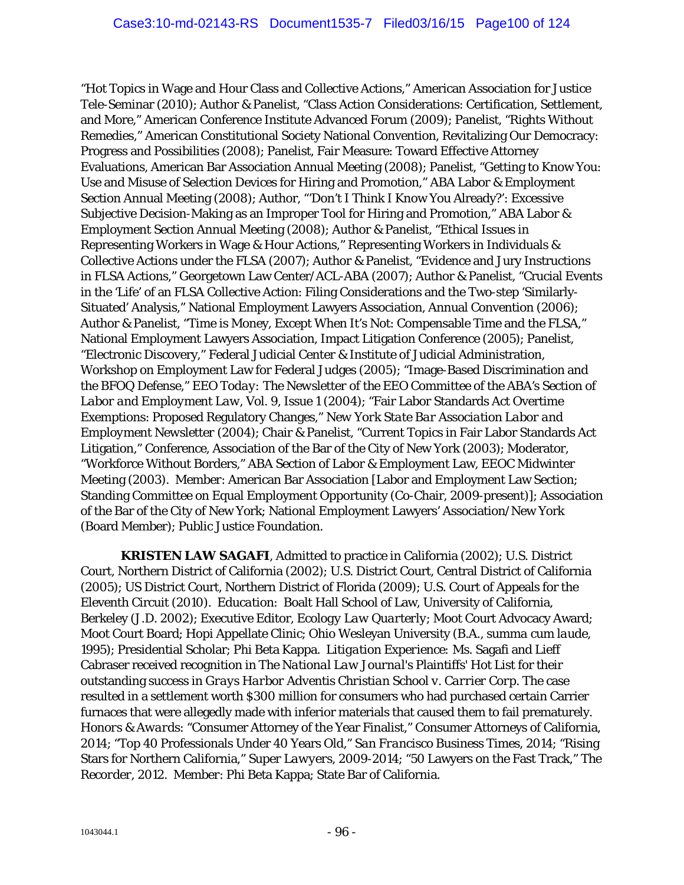"Hot Topics in Wage and Hour Class and Collective Actions," American Association for Justice Tele-Seminar (2010); Author & Panelist, "Class Action Considerations: Certification, Settlement, and More," American Conference Institute Advanced Forum (2009); Panelist, "Rights Without Remedies," American Constitutional Society National Convention, Revitalizing Our Democracy: Progress and Possibilities (2008); Panelist, Fair Measure: Toward Effective Attorney Evaluations, American Bar Association Annual Meeting (2008); Panelist, "Getting to Know You: Use and Misuse of Selection Devices for Hiring and Promotion," ABA Labor & Employment Section Annual Meeting (2008); Author, "'Don't I Think I Know You Already?': Excessive Subjective Decision-Making as an Improper Tool for Hiring and Promotion," ABA Labor & Employment Section Annual Meeting (2008); Author & Panelist, "Ethical Issues in Representing Workers in Wage & Hour Actions," Representing Workers in Individuals & Collective Actions under the FLSA (2007); Author & Panelist, "Evidence and Jury Instructions in FLSA Actions," Georgetown Law Center/ACL-ABA (2007); Author & Panelist, "Crucial Events in the 'Life' of an FLSA Collective Action: Filing Considerations and the Two-step 'Similarly-Situated' Analysis," National Employment Lawyers Association, Annual Convention (2006); Author & Panelist, "Time is Money, Except When It's Not: Compensable Time and the FLSA," National Employment Lawyers Association, Impact Litigation Conference (2005); Panelist, "Electronic Discovery," Federal Judicial Center & Institute of Judicial Administration, Workshop on Employment Law for Federal Judges (2005); "Image-Based Discrimination and the BFOQ Defense," *EEO Today: The Newsletter of the EEO Committee of the ABA's Section of Labor and Employment Law*, Vol. 9, Issue 1 (2004); "Fair Labor Standards Act Overtime Exemptions: Proposed Regulatory Changes," *New York State Bar Association Labor and Employment Newsletter* (2004); Chair & Panelist, "Current Topics in Fair Labor Standards Act Litigation," Conference, Association of the Bar of the City of New York (2003); Moderator, "Workforce Without Borders," ABA Section of Labor & Employment Law, EEOC Midwinter Meeting (2003). *Member*: American Bar Association [Labor and Employment Law Section; Standing Committee on Equal Employment Opportunity (Co-Chair, 2009-present)]; Association of the Bar of the City of New York; National Employment Lawyers' Association/New York (Board Member); Public Justice Foundation.

*KRISTEN LAW SAGAFI*, Admitted to practice in California (2002); U.S. District Court, Northern District of California (2002); U.S. District Court, Central District of California (2005); US District Court, Northern District of Florida (2009); U.S. Court of Appeals for the Eleventh Circuit (2010). *Education*: Boalt Hall School of Law, University of California, Berkeley (J.D. 2002); Executive Editor, *Ecology Law Quarterly*; Moot Court Advocacy Award; Moot Court Board; Hopi Appellate Clinic; Ohio Wesleyan University (B.A., *summa cum laude,*  1995); Presidential Scholar; Phi Beta Kappa. *Litigation Experience:* Ms. Sagafi and Lieff Cabraser received recognition in *The National Law Journal's* Plaintiffs' Hot List for their outstanding success in *Grays Harbor Adventis Christian School v. Carrier Corp*. The case resulted in a settlement worth \$300 million for consumers who had purchased certain Carrier furnaces that were allegedly made with inferior materials that caused them to fail prematurely. *Honors & Awards*: "Consumer Attorney of the Year Finalist," Consumer Attorneys of California, 2014; "Top 40 Professionals Under 40 Years Old," *San Francisco Business Times*, 2014; "Rising Stars for Northern California," *Super Lawyers*, 2009-2014; "50 Lawyers on the Fast Track," *The Recorder*, 2012. *Member*: Phi Beta Kappa; State Bar of California.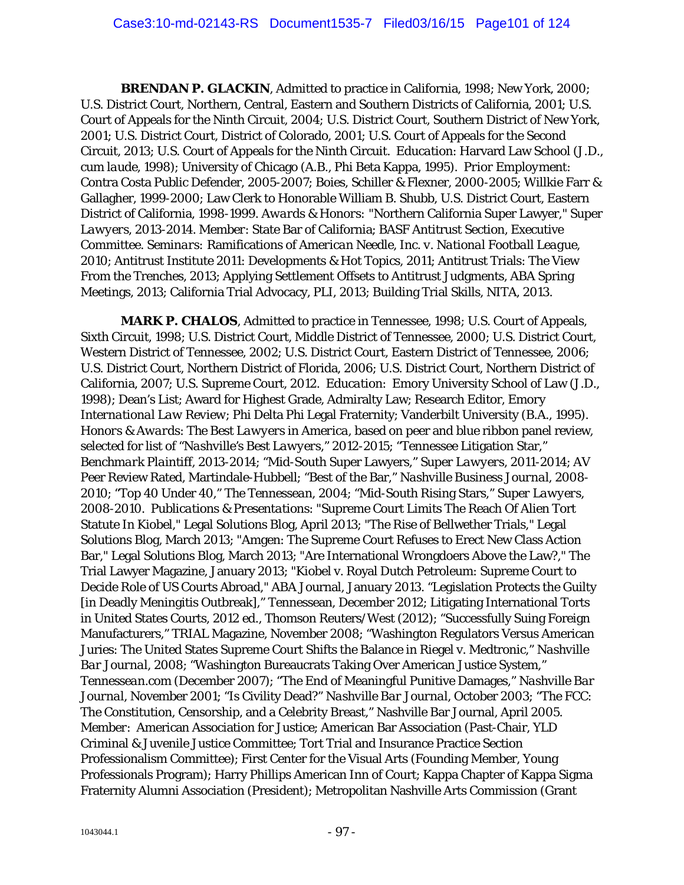**BRENDAN P. GLACKIN**, Admitted to practice in California, 1998; New York, 2000; U.S. District Court, Northern, Central, Eastern and Southern Districts of California, 2001; U.S. Court of Appeals for the Ninth Circuit, 2004; U.S. District Court, Southern District of New York, 2001; U.S. District Court, District of Colorado, 2001; U.S. Court of Appeals for the Second Circuit, 2013; U.S. Court of Appeals for the Ninth Circuit. *Education*: Harvard Law School (J.D., *cum laude*, 1998); University of Chicago (A.B., Phi Beta Kappa, 1995). *Prior Employment*: Contra Costa Public Defender, 2005-2007; Boies, Schiller & Flexner, 2000-2005; Willkie Farr & Gallagher, 1999-2000; Law Clerk to Honorable William B. Shubb, U.S. District Court, Eastern District of California, 1998-1999. *Awards & Honors:* "Northern California Super Lawyer," *Super Lawyers,* 2013-2014. *Member*: State Bar of California; BASF Antitrust Section, Executive Committee. *Seminars:* Ramifications of *American Needle, Inc. v. National Football League,*  2010; Antitrust Institute 2011: Developments & Hot Topics, 2011; Antitrust Trials: The View From the Trenches, 2013; Applying Settlement Offsets to Antitrust Judgments, ABA Spring Meetings, 2013; California Trial Advocacy, PLI, 2013; Building Trial Skills, NITA, 2013.

*MARK P. CHALOS*, Admitted to practice in Tennessee, 1998; U.S. Court of Appeals, Sixth Circuit, 1998; U.S. District Court, Middle District of Tennessee, 2000; U.S. District Court, Western District of Tennessee, 2002; U.S. District Court, Eastern District of Tennessee, 2006; U.S. District Court, Northern District of Florida, 2006; U.S. District Court, Northern District of California, 2007; U.S. Supreme Court, 2012. *Education*: Emory University School of Law (J.D., 1998); Dean's List; Award for Highest Grade, Admiralty Law; Research Editor, *Emory International Law Review*; Phi Delta Phi Legal Fraternity; Vanderbilt University (B.A., 1995). *Honors & Awards*: *The Best Lawyers in America*, based on peer and blue ribbon panel review, selected for list of "*Nashville's Best Lawyers*," 2012-2015; "Tennessee Litigation Star," *Benchmark Plaintiff,* 2013-2014; "Mid-South Super Lawyers," *Super Lawyers*, 2011-2014; AV Peer Review Rated, Martindale-Hubbell; "Best of the Bar," *Nashville Business Journal*, 2008- 2010; "Top 40 Under 40," *The Tennessean*, 2004; "Mid-South Rising Stars," *Super Lawyers*, 2008-2010. *Publications & Presentations*: "Supreme Court Limits The Reach Of Alien Tort Statute In Kiobel," Legal Solutions Blog, April 2013; "The Rise of Bellwether Trials," Legal Solutions Blog, March 2013; "Amgen: The Supreme Court Refuses to Erect New Class Action Bar," Legal Solutions Blog, March 2013; "Are International Wrongdoers Above the Law?," The Trial Lawyer Magazine, January 2013; "Kiobel v. Royal Dutch Petroleum: Supreme Court to Decide Role of US Courts Abroad," ABA Journal, January 2013. "Legislation Protects the Guilty [in Deadly Meningitis Outbreak]," Tennessean, December 2012; Litigating International Torts in United States Courts, 2012 ed., Thomson Reuters/West (2012); "Successfully Suing Foreign Manufacturers," TRIAL Magazine, November 2008; "Washington Regulators Versus American Juries: The United States Supreme Court Shifts the Balance in Riegel v. Medtronic," *Nashville Bar Journal*, 2008; "Washington Bureaucrats Taking Over American Justice System," *Tennessean.com* (December 2007); "The End of Meaningful Punitive Damages," *Nashville Bar Journal*, November 2001; "Is Civility Dead?" *Nashville Bar Journal*, October 2003; "The FCC: The Constitution, Censorship, and a Celebrity Breast," Nashville Bar Journal, April 2005. *Member*: American Association for Justice; American Bar Association (Past-Chair, YLD Criminal & Juvenile Justice Committee; Tort Trial and Insurance Practice Section Professionalism Committee); First Center for the Visual Arts (Founding Member, Young Professionals Program); Harry Phillips American Inn of Court; Kappa Chapter of Kappa Sigma Fraternity Alumni Association (President); Metropolitan Nashville Arts Commission (Grant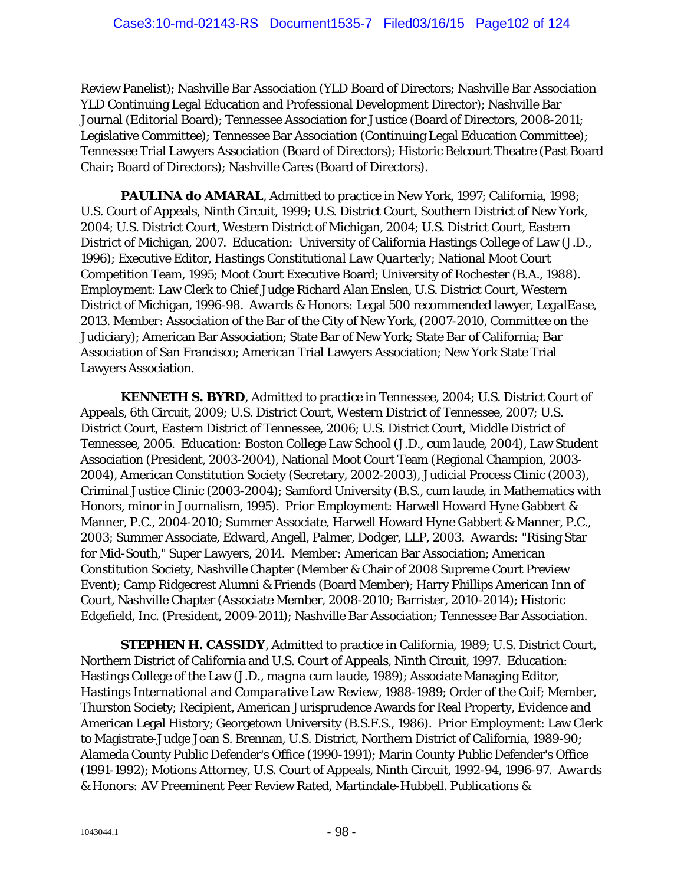Review Panelist); Nashville Bar Association (YLD Board of Directors; Nashville Bar Association YLD Continuing Legal Education and Professional Development Director); Nashville Bar Journal (Editorial Board); Tennessee Association for Justice (Board of Directors, 2008-2011; Legislative Committee); Tennessee Bar Association (Continuing Legal Education Committee); Tennessee Trial Lawyers Association (Board of Directors); Historic Belcourt Theatre (Past Board Chair; Board of Directors); Nashville Cares (Board of Directors).

PAULINA do AMARAL, Admitted to practice in New York, 1997; California, 1998; U.S. Court of Appeals, Ninth Circuit, 1999; U.S. District Court, Southern District of New York, 2004; U.S. District Court, Western District of Michigan, 2004; U.S. District Court, Eastern District of Michigan, 2007. *Education*: University of California Hastings College of Law (J.D., 1996); Executive Editor, *Hastings Constitutional Law Quarterly*; National Moot Court Competition Team, 1995; Moot Court Executive Board; University of Rochester (B.A., 1988). *Employment*: Law Clerk to Chief Judge Richard Alan Enslen, U.S. District Court, Western District of Michigan, 1996-98. *Awards & Honors:* Legal 500 recommended lawyer, *LegalEase*, 2013. *Member*: Association of the Bar of the City of New York, (2007-2010, Committee on the Judiciary); American Bar Association; State Bar of New York; State Bar of California; Bar Association of San Francisco; American Trial Lawyers Association; New York State Trial Lawyers Association.

*KENNETH S. BYRD*, Admitted to practice in Tennessee, 2004; U.S. District Court of Appeals, 6th Circuit, 2009; U.S. District Court, Western District of Tennessee, 2007; U.S. District Court, Eastern District of Tennessee, 2006; U.S. District Court, Middle District of Tennessee, 2005. *Education:* Boston College Law School (J.D., *cum laude*, 2004), Law Student Association (President, 2003-2004), National Moot Court Team (Regional Champion, 2003- 2004), American Constitution Society (Secretary, 2002-2003), Judicial Process Clinic (2003), Criminal Justice Clinic (2003-2004); Samford University (B.S., *cum laude*, in Mathematics with Honors, minor in Journalism, 1995). *Prior Employment:* Harwell Howard Hyne Gabbert & Manner, P.C., 2004-2010; Summer Associate, Harwell Howard Hyne Gabbert & Manner, P.C., 2003; Summer Associate, Edward, Angell, Palmer, Dodger, LLP, 2003. *Awards:* "Rising Star for Mid-South," Super Lawyers, 2014. *Member:* American Bar Association; American Constitution Society, Nashville Chapter (Member & Chair of 2008 Supreme Court Preview Event); Camp Ridgecrest Alumni & Friends (Board Member); Harry Phillips American Inn of Court, Nashville Chapter (Associate Member, 2008-2010; Barrister, 2010-2014); Historic Edgefield, Inc. (President, 2009-2011); Nashville Bar Association; Tennessee Bar Association.

*STEPHEN H. CASSIDY*, Admitted to practice in California, 1989; U.S. District Court, Northern District of California and U.S. Court of Appeals, Ninth Circuit, 1997. *Education*: Hastings College of the Law (J.D., *magna cum laude*, 1989); Associate Managing Editor, *Hastings International and Comparative Law Review*, 1988-1989; Order of the Coif; Member, Thurston Society; Recipient, American Jurisprudence Awards for Real Property, Evidence and American Legal History; Georgetown University (B.S.F.S., 1986). *Prior Employment*: Law Clerk to Magistrate-Judge Joan S. Brennan, U.S. District, Northern District of California, 1989-90; Alameda County Public Defender's Office (1990-1991); Marin County Public Defender's Office (1991-1992); Motions Attorney, U.S. Court of Appeals, Ninth Circuit, 1992-94, 1996-97. *Awards & Honors:* AV Preeminent Peer Review Rated, Martindale-Hubbell. *Publications &*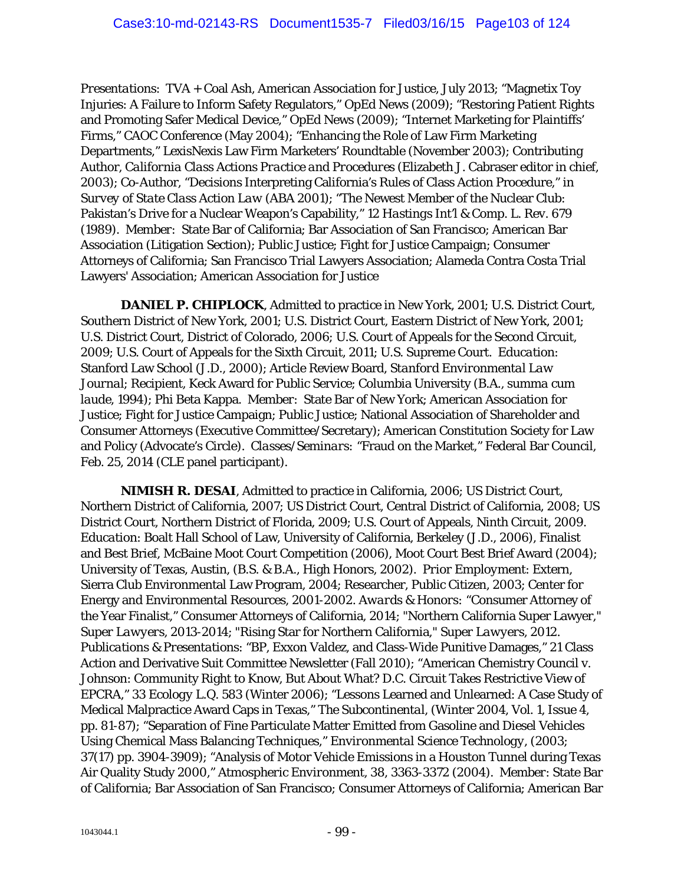*Presentations*: TVA + Coal Ash, American Association for Justice, July 2013; "Magnetix Toy Injuries: A Failure to Inform Safety Regulators," OpEd News (2009); "Restoring Patient Rights and Promoting Safer Medical Device," OpEd News (2009); "Internet Marketing for Plaintiffs' Firms," CAOC Conference (May 2004); "Enhancing the Role of Law Firm Marketing Departments," LexisNexis Law Firm Marketers' Roundtable (November 2003); Contributing Author, *California Class Actions Practice and Procedures (*Elizabeth J. Cabraser editor in chief, 2003); Co-Author, "Decisions Interpreting California's Rules of Class Action Procedure," in *Survey of State Class Action Law* (ABA 2001); "The Newest Member of the Nuclear Club: Pakistan's Drive for a Nuclear Weapon's Capability," 12 *Hastings Int'l & Comp. L. Rev.* 679 (1989). *Member*: State Bar of California; Bar Association of San Francisco; American Bar Association (Litigation Section); Public Justice; Fight for Justice Campaign; Consumer Attorneys of California; San Francisco Trial Lawyers Association; Alameda Contra Costa Trial Lawyers' Association; American Association for Justice

*DANIEL P. CHIPLOCK*, Admitted to practice in New York, 2001; U.S. District Court, Southern District of New York, 2001; U.S. District Court, Eastern District of New York, 2001; U.S. District Court, District of Colorado, 2006; U.S. Court of Appeals for the Second Circuit, 2009; U.S. Court of Appeals for the Sixth Circuit, 2011; U.S. Supreme Court. *Education*: Stanford Law School (J.D., 2000); Article Review Board, *Stanford Environmental Law Journal*; Recipient, Keck Award for Public Service; Columbia University (B.A., *summa cum laude*, 1994); Phi Beta Kappa. *Member*: State Bar of New York; American Association for Justice; Fight for Justice Campaign; Public Justice; National Association of Shareholder and Consumer Attorneys (Executive Committee/Secretary); American Constitution Society for Law and Policy (Advocate's Circle). *Classes/Seminars:* "Fraud on the Market," Federal Bar Council, Feb. 25, 2014 (CLE panel participant).

*NIMISH R. DESAI,* Admitted to practice in California, 2006; US District Court, Northern District of California, 2007; US District Court, Central District of California, 2008; US District Court, Northern District of Florida, 2009; U.S. Court of Appeals, Ninth Circuit, 2009. *Education*: Boalt Hall School of Law, University of California, Berkeley (J.D., 2006), Finalist and Best Brief, McBaine Moot Court Competition (2006), Moot Court Best Brief Award (2004); University of Texas, Austin, (B.S. & B.A., High Honors, 2002). *Prior Employment*: Extern, Sierra Club Environmental Law Program, 2004; Researcher, Public Citizen, 2003; Center for Energy and Environmental Resources, 2001-2002. *Awards & Honors:* "Consumer Attorney of the Year Finalist," Consumer Attorneys of California, 2014; "Northern California Super Lawyer," *Super Lawyers,* 2013-2014; "Rising Star for Northern California," *Super Lawyers*, 2012. *Publications & Presentations*: "BP, Exxon Valdez, and Class-Wide Punitive Damages," 21 Class Action and Derivative Suit Committee Newsletter (Fall 2010); "American Chemistry Council v. Johnson: Community Right to Know, But About What? D.C. Circuit Takes Restrictive View of EPCRA," 33 *Ecology L.Q.* 583 (Winter 2006); "Lessons Learned and Unlearned: A Case Study of Medical Malpractice Award Caps in Texas," *The Subcontinental*, (Winter 2004, Vol. 1, Issue 4, pp. 81-87); "Separation of Fine Particulate Matter Emitted from Gasoline and Diesel Vehicles Using Chemical Mass Balancing Techniques," *Environmental Science Technology*, (2003; 37(17) pp. 3904-3909); "Analysis of Motor Vehicle Emissions in a Houston Tunnel during Texas Air Quality Study 2000," *Atmospheric Environment*, 38, 3363-3372 (2004). *Member*: State Bar of California; Bar Association of San Francisco; Consumer Attorneys of California; American Bar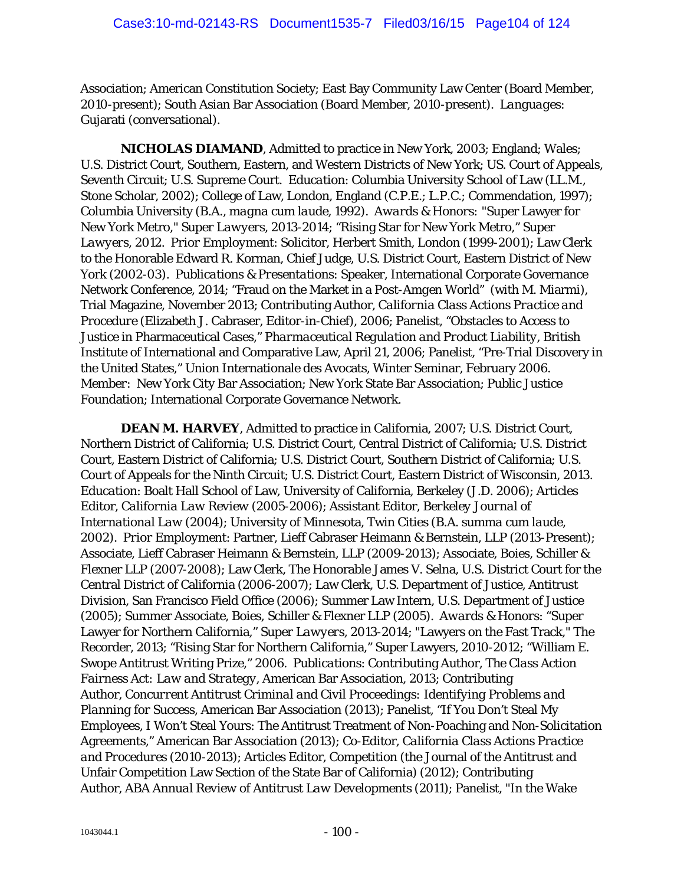Association; American Constitution Society; East Bay Community Law Center (Board Member, 2010-present); South Asian Bar Association (Board Member, 2010-present). *Languages*: Gujarati (conversational).

*NICHOLAS DIAMAND*, Admitted to practice in New York, 2003; England; Wales; U.S. District Court, Southern, Eastern, and Western Districts of New York; US. Court of Appeals, Seventh Circuit; U.S. Supreme Court. *Education*: Columbia University School of Law (LL.M., Stone Scholar, 2002); College of Law, London, England (C.P.E.; L.P.C.; Commendation, 1997); Columbia University (B.A., *magna cum laude,* 1992). *Awards & Honors:* "Super Lawyer for New York Metro," *Super Lawyers*, 2013-2014; "Rising Star for New York Metro," *Super Lawyers*, 2012. *Prior Employment*: Solicitor, Herbert Smith, London (1999-2001); Law Clerk to the Honorable Edward R. Korman, Chief Judge, U.S. District Court, Eastern District of New York (2002-03). *Publications & Presentations*: Speaker, International Corporate Governance Network Conference, 2014; "Fraud on the Market in a Post-*Amgen* World" (with M. Miarmi), Trial Magazine*,* November 2013; Contributing Author, *California Class Actions Practice and Procedure* (Elizabeth J. Cabraser, Editor-in-Chief), 2006; Panelist, "Obstacles to Access to Justice in Pharmaceutical Cases," *Pharmaceutical Regulation and Product Liability*, British Institute of International and Comparative Law, April 21, 2006; Panelist, "Pre-Trial Discovery in the United States," Union Internationale des Avocats, Winter Seminar, February 2006. *Member*: New York City Bar Association; New York State Bar Association; Public Justice Foundation; International Corporate Governance Network.

*DEAN M. HARVEY*, Admitted to practice in California, 2007; U.S. District Court, Northern District of California; U.S. District Court, Central District of California; U.S. District Court, Eastern District of California; U.S. District Court, Southern District of California; U.S. Court of Appeals for the Ninth Circuit; U.S. District Court, Eastern District of Wisconsin, 2013. *Education*: Boalt Hall School of Law, University of California, Berkeley (J.D. 2006); Articles Editor, *California Law Review* (2005-2006); Assistant Editor, *Berkeley Journal of International Law* (2004); University of Minnesota, Twin Cities (B.A. *summa cum laude*, 2002). *Prior Employment*: Partner, Lieff Cabraser Heimann & Bernstein, LLP (2013-Present); Associate, Lieff Cabraser Heimann & Bernstein, LLP (2009-2013); Associate, Boies, Schiller & Flexner LLP (2007-2008); Law Clerk, The Honorable James V. Selna, U.S. District Court for the Central District of California (2006-2007); Law Clerk, U.S. Department of Justice, Antitrust Division, San Francisco Field Office (2006); Summer Law Intern, U.S. Department of Justice (2005); Summer Associate, Boies, Schiller & Flexner LLP (2005). *Awards & Honors*: "Super Lawyer for Northern California," *Super Lawyers*, 2013-2014; "Lawyers on the Fast Track," The Recorder, 2013; "Rising Star for Northern California," Super Lawyers, 2010-2012; "William E. Swope Antitrust Writing Prize," 2006. *Publications*: Contributing Author, *The Class Action Fairness Act: Law and Strategy*, American Bar Association, 2013; Contributing Author, *Concurrent Antitrust Criminal and Civil Proceedings: Identifying Problems and Planning for Success*, American Bar Association (2013); Panelist, "If You Don't Steal My Employees, I Won't Steal Yours: The Antitrust Treatment of Non-Poaching and Non-Solicitation Agreements," American Bar Association (2013); Co-Editor, *California Class Actions Practice and Procedures* (2010-2013); Articles Editor, *Competition* (the Journal of the Antitrust and Unfair Competition Law Section of the State Bar of California) (2012); Contributing Author, *ABA Annual Review of Antitrust Law Developments* (2011); Panelist, "In the Wake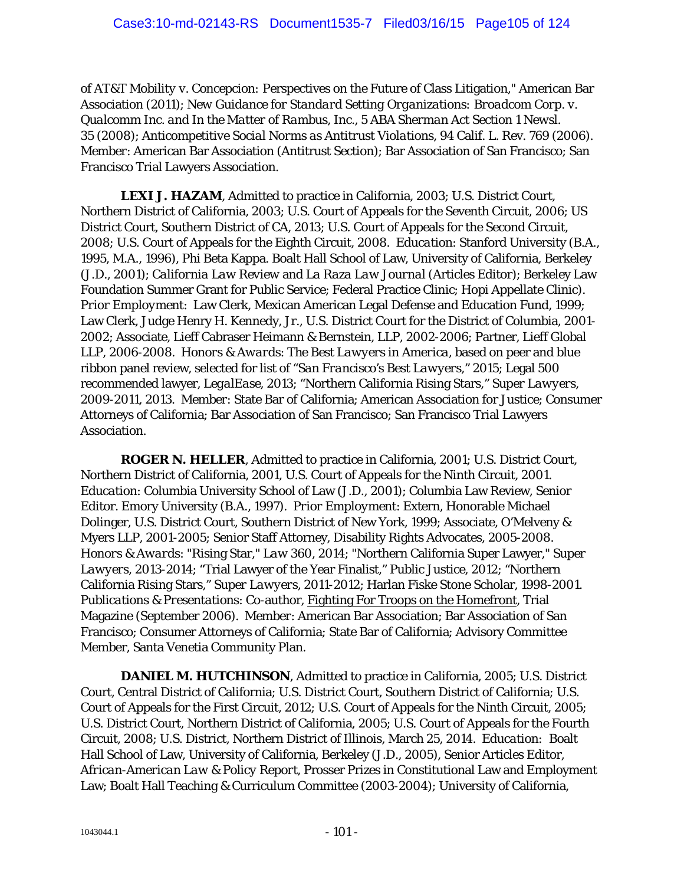of *AT&T Mobility v. Concepcion:* Perspectives on the Future of Class Litigation," American Bar Association (2011); *New Guidance for Standard Setting Organizations: Broadcom Corp. v. Qualcomm Inc. and In the Matter of Rambus, Inc., 5 ABA Sherman Act Section 1 Newsl. 35* (2008); *Anticompetitive Social Norms as Antitrust Violations,* 94 Calif. L. Rev. 769 (2006). *Member*: American Bar Association (Antitrust Section); Bar Association of San Francisco; San Francisco Trial Lawyers Association.

*LEXI J. HAZAM*, Admitted to practice in California, 2003; U.S. District Court, Northern District of California, 2003; U.S. Court of Appeals for the Seventh Circuit, 2006; US District Court, Southern District of CA, 2013; U.S. Court of Appeals for the Second Circuit, 2008; U.S. Court of Appeals for the Eighth Circuit, 2008. *Education*: Stanford University (B.A., 1995, M.A., 1996), Phi Beta Kappa. Boalt Hall School of Law, University of California, Berkeley (J.D., 2001); *California Law Review* and *La Raza Law Journal* (Articles Editor); Berkeley Law Foundation Summer Grant for Public Service; Federal Practice Clinic; Hopi Appellate Clinic). *Prior Employment*: Law Clerk, Mexican American Legal Defense and Education Fund, 1999; Law Clerk, Judge Henry H. Kennedy, Jr., U.S. District Court for the District of Columbia, 2001- 2002; Associate, Lieff Cabraser Heimann & Bernstein, LLP, 2002-2006; Partner, Lieff Global LLP, 2006-2008. *Honors & Awards*: *The Best Lawyers in America*, based on peer and blue ribbon panel review, selected for list of "*San Francisco's Best Lawyers*," 2015; Legal 500 recommended lawyer, *LegalEase*, 2013; "Northern California Rising Stars," *Super Lawyers*, 2009-2011, 2013. *Member*: State Bar of California; American Association for Justice; Consumer Attorneys of California; Bar Association of San Francisco; San Francisco Trial Lawyers Association.

*ROGER N. HELLER,* Admitted to practice in California, 2001; U.S. District Court, Northern District of California, 2001, U.S. Court of Appeals for the Ninth Circuit, 2001. *Education*: Columbia University School of Law (J.D., 2001); Columbia Law Review, Senior Editor. Emory University (B.A., 1997). *Prior Employment*: Extern, Honorable Michael Dolinger, U.S. District Court, Southern District of New York, 1999; Associate, O'Melveny & Myers LLP, 2001-2005; Senior Staff Attorney, Disability Rights Advocates, 2005-2008. *Honors & Awards*: "Rising Star," *Law 360*, 2014; "Northern California Super Lawyer," *Super Lawyers*, 2013-2014; "Trial Lawyer of the Year Finalist," Public Justice, 2012; "Northern California Rising Stars," *Super Lawyers*, 2011-2012; Harlan Fiske Stone Scholar, 1998-2001. *Publications & Presentations*: Co-author, Fighting For Troops on the Homefront, Trial Magazine (September 2006). *Member*: American Bar Association; Bar Association of San Francisco; Consumer Attorneys of California; State Bar of California; Advisory Committee Member, Santa Venetia Community Plan.

*DANIEL M. HUTCHINSON*, Admitted to practice in California, 2005; U.S. District Court, Central District of California; U.S. District Court, Southern District of California; U.S. Court of Appeals for the First Circuit, 2012; U.S. Court of Appeals for the Ninth Circuit, 2005; U.S. District Court, Northern District of California, 2005; U.S. Court of Appeals for the Fourth Circuit, 2008; U.S. District, Northern District of Illinois, March 25, 2014. *Education:* Boalt Hall School of Law, University of California, Berkeley (J.D., 2005), Senior Articles Editor, *African-American Law & Policy Report*, Prosser Prizes in Constitutional Law and Employment Law; Boalt Hall Teaching & Curriculum Committee (2003-2004); University of California,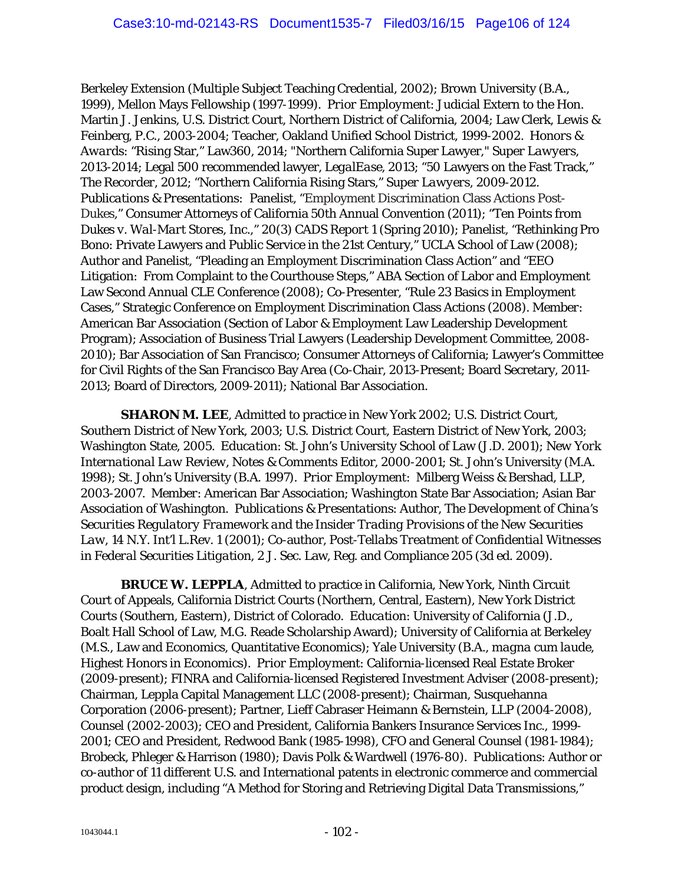Berkeley Extension (Multiple Subject Teaching Credential, 2002); Brown University (B.A., 1999), Mellon Mays Fellowship (1997-1999). *Prior Employment*: Judicial Extern to the Hon. Martin J. Jenkins, U.S. District Court, Northern District of California, 2004; Law Clerk, Lewis & Feinberg, P.C., 2003-2004; Teacher, Oakland Unified School District, 1999-2002. *Honors & Awards*: "Rising Star," Law360, 2014; "Northern California Super Lawyer," *Super Lawyers*, 2013-2014; Legal 500 recommended lawyer, *LegalEase*, 2013; "50 Lawyers on the Fast Track," *The Recorder*, 2012; "Northern California Rising Stars," *Super Lawyers*, 2009-2012. *Publications & Presentations:* Panelist, "Employment Discrimination Class Actions Post-*Dukes*," Consumer Attorneys of California 50th Annual Convention (2011); "Ten Points from *Dukes v. Wal-Mart Stores, Inc*.," 20(3) *CADS Report 1* (Spring 2010); Panelist, "Rethinking Pro Bono: Private Lawyers and Public Service in the 21st Century," UCLA School of Law (2008); Author and Panelist, "Pleading an Employment Discrimination Class Action" and "EEO Litigation: From Complaint to the Courthouse Steps," ABA Section of Labor and Employment Law Second Annual CLE Conference (2008); Co-Presenter, "Rule 23 Basics in Employment Cases," Strategic Conference on Employment Discrimination Class Actions (2008). *Member*: American Bar Association (Section of Labor & Employment Law Leadership Development Program); Association of Business Trial Lawyers (Leadership Development Committee, 2008- 2010); Bar Association of San Francisco; Consumer Attorneys of California; Lawyer's Committee for Civil Rights of the San Francisco Bay Area (Co-Chair, 2013-Present; Board Secretary, 2011- 2013; Board of Directors, 2009-2011); National Bar Association.

*SHARON M. LEE*, Admitted to practice in New York 2002; U.S. District Court, Southern District of New York, 2003; U.S. District Court, Eastern District of New York, 2003; Washington State, 2005. *Education*: St. John's University School of Law (J.D. 2001); *New York International Law Review*, Notes & Comments Editor, 2000-2001; St. John's University (M.A. 1998); St. John's University (B.A. 1997). *Prior Employment*: Milberg Weiss & Bershad, LLP, 2003-2007. *Member*: American Bar Association; Washington State Bar Association; Asian Bar Association of Washington. *Publications & Presentations*: Author, *The Development of China's Securities Regulatory Framework and the Insider Trading Provisions of the New Securities Law*, 14 N.Y. Int'l L.Rev. 1 (2001); Co-author, *Post-Tellabs Treatment of Confidential Witnesses in Federal Securities Litigation*, 2 J. Sec. Law, Reg. and Compliance 205 (3d ed. 2009).

*BRUCE W. LEPPLA*, Admitted to practice in California, New York, Ninth Circuit Court of Appeals, California District Courts (Northern, Central, Eastern), New York District Courts (Southern, Eastern), District of Colorado. *Education*: University of California (J.D., Boalt Hall School of Law, M.G. Reade Scholarship Award); University of California at Berkeley (M.S., Law and Economics, Quantitative Economics); Yale University (B.A., *magna cum laude*, Highest Honors in Economics). *Prior Employment*: California-licensed Real Estate Broker (2009-present); FINRA and California-licensed Registered Investment Adviser (2008-present); Chairman, Leppla Capital Management LLC (2008-present); Chairman, Susquehanna Corporation (2006-present); Partner, Lieff Cabraser Heimann & Bernstein, LLP (2004-2008), Counsel (2002-2003); CEO and President, California Bankers Insurance Services Inc., 1999- 2001; CEO and President, Redwood Bank (1985-1998), CFO and General Counsel (1981-1984); Brobeck, Phleger & Harrison (1980); Davis Polk & Wardwell (1976-80). *Publications*: Author or co-author of 11 different U.S. and International patents in electronic commerce and commercial product design, including "A Method for Storing and Retrieving Digital Data Transmissions,"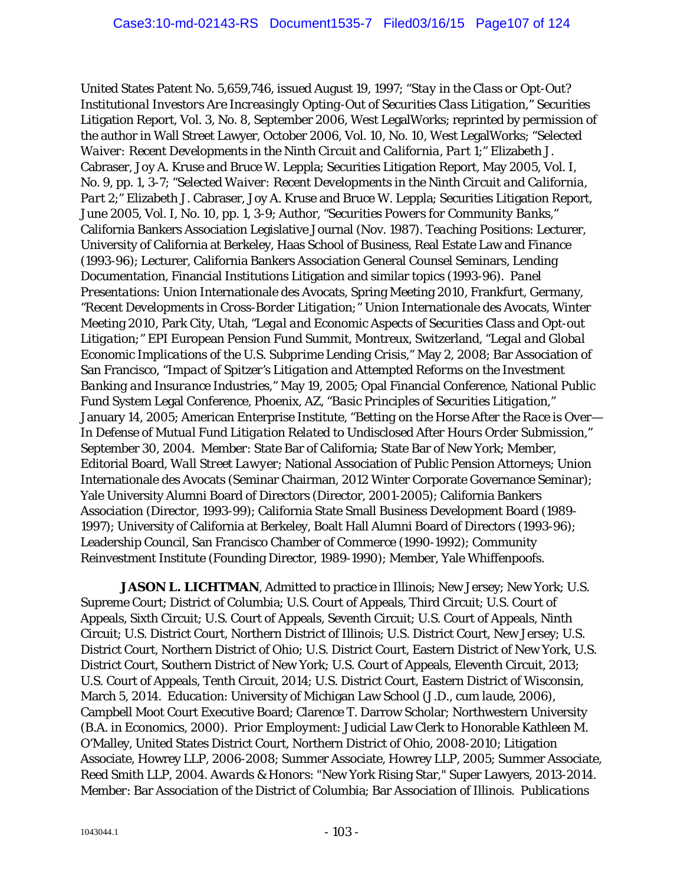United States Patent No. 5,659,746, issued August 19, 1997; "*Stay in the Class or Opt-Out? Institutional Investors Are Increasingly Opting-Out of Securities Class Litigation*," Securities Litigation Report, Vol. 3, No. 8, September 2006, West LegalWorks; reprinted by permission of the author in Wall Street Lawyer, October 2006, Vol. 10, No. 10, West LegalWorks; "*Selected Waiver: Recent Developments in the Ninth Circuit and California, Part 1*;" Elizabeth J. Cabraser, Joy A. Kruse and Bruce W. Leppla; Securities Litigation Report, May 2005, Vol. I, No. 9, pp. 1, 3-7; "*Selected Waiver: Recent Developments in the Ninth Circuit and California, Part 2*;" Elizabeth J. Cabraser, Joy A. Kruse and Bruce W. Leppla; Securities Litigation Report, June 2005, Vol. I, No. 10, pp. 1, 3-9; Author, *"Securities Powers for Community Banks,"* California Bankers Association Legislative Journal (Nov. 1987). *Teaching Positions*: Lecturer, University of California at Berkeley, Haas School of Business, Real Estate Law and Finance (1993-96); Lecturer, California Bankers Association General Counsel Seminars, Lending Documentation, Financial Institutions Litigation and similar topics (1993-96). *Panel Presentations*: Union Internationale des Avocats, Spring Meeting 2010, Frankfurt, Germany, *"Recent Developments in Cross-Border Litigation;"* Union Internationale des Avocats, Winter Meeting 2010, Park City, Utah, *"Legal and Economic Aspects of Securities Class and Opt-out Litigation;"* EPI European Pension Fund Summit, Montreux, Switzerland, "*Legal and Global Economic Implications of the U.S. Subprime Lending Crisis*," May 2, 2008; Bar Association of San Francisco, "*Impact of Spitzer's Litigation and Attempted Reforms on the Investment Banking and Insurance Industries*," May 19, 2005; Opal Financial Conference, National Public Fund System Legal Conference, Phoenix, AZ, "*Basic Principles of Securities Litigation*," January 14, 2005; American Enterprise Institute, "*Betting on the Horse After the Race is Over— In Defense of Mutual Fund Litigation Related to Undisclosed After Hours Order Submission*," September 30, 2004. *Member*: State Bar of California; State Bar of New York; Member, Editorial Board, *Wall Street Lawyer*; National Association of Public Pension Attorneys; Union Internationale des Avocats (Seminar Chairman, 2012 Winter Corporate Governance Seminar); Yale University Alumni Board of Directors (Director, 2001-2005); California Bankers Association (Director, 1993-99); California State Small Business Development Board (1989- 1997); University of California at Berkeley, Boalt Hall Alumni Board of Directors (1993-96); Leadership Council, San Francisco Chamber of Commerce (1990-1992); Community Reinvestment Institute (Founding Director, 1989-1990); Member, Yale Whiffenpoofs.

*JASON L. LICHTMAN*, Admitted to practice in Illinois; New Jersey; New York; U.S. Supreme Court; District of Columbia; U.S. Court of Appeals, Third Circuit; U.S. Court of Appeals, Sixth Circuit; U.S. Court of Appeals, Seventh Circuit; U.S. Court of Appeals, Ninth Circuit; U.S. District Court, Northern District of Illinois; U.S. District Court, New Jersey; U.S. District Court, Northern District of Ohio; U.S. District Court, Eastern District of New York, U.S. District Court, Southern District of New York; U.S. Court of Appeals, Eleventh Circuit, 2013; U.S. Court of Appeals, Tenth Circuit, 2014; U.S. District Court, Eastern District of Wisconsin, March 5, 2014. *Education*: University of Michigan Law School (J.D., *cum laude*, 2006), Campbell Moot Court Executive Board; Clarence T. Darrow Scholar; Northwestern University (B.A. in Economics, 2000). *Prior Employment*: Judicial Law Clerk to Honorable Kathleen M. O'Malley, United States District Court, Northern District of Ohio, 2008-2010; Litigation Associate, Howrey LLP, 2006-2008; Summer Associate, Howrey LLP, 2005; Summer Associate, Reed Smith LLP, 2004. *Awards & Honors*: "New York Rising Star," Super Lawyers, 2013-2014. *Member*: Bar Association of the District of Columbia; Bar Association of Illinois. *Publications*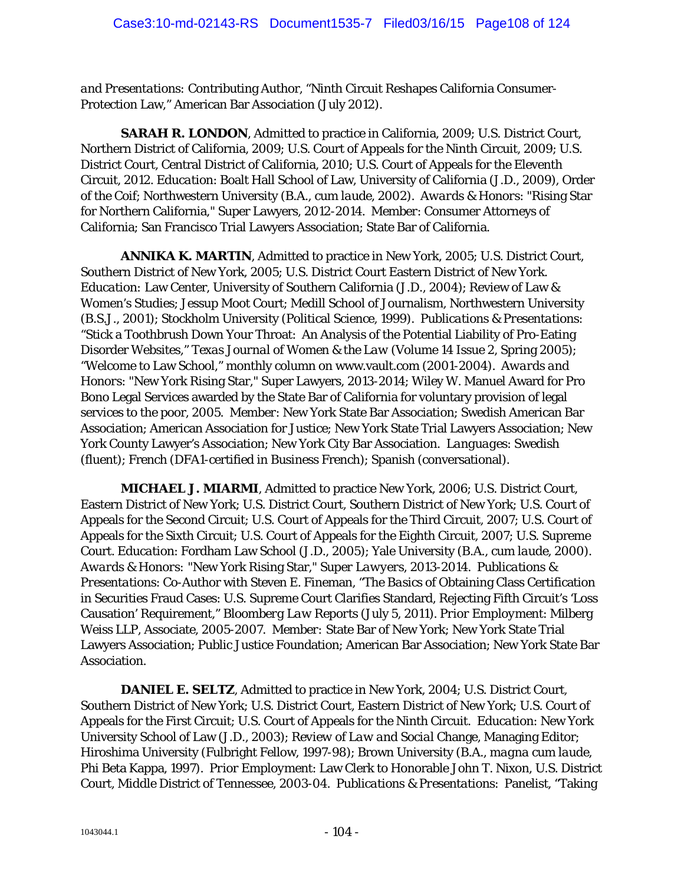*and Presentations:* Contributing Author, "Ninth Circuit Reshapes California Consumer-Protection Law," American Bar Association (July 2012).

*SARAH R. LONDON*, Admitted to practice in California, 2009; U.S. District Court, Northern District of California, 2009; U.S. Court of Appeals for the Ninth Circuit, 2009; U.S. District Court, Central District of California, 2010; U.S. Court of Appeals for the Eleventh Circuit, 2012. *Education*: Boalt Hall School of Law, University of California (J.D., 2009), Order of the Coif; Northwestern University (B.A., *cum laude*, 2002). *Awards & Honors*: "Rising Star for Northern California," Super Lawyers, 2012-2014. *Member*: Consumer Attorneys of California; San Francisco Trial Lawyers Association; State Bar of California.

*ANNIKA K. MARTIN*, Admitted to practice in New York, 2005; U.S. District Court, Southern District of New York, 2005; U.S. District Court Eastern District of New York. *Education:* Law Center, University of Southern California (J.D., 2004); Review of Law & Women's Studies; Jessup Moot Court; Medill School of Journalism, Northwestern University (B.S.J., 2001); Stockholm University (Political Science, 1999). *Publications & Presentations*: "Stick a Toothbrush Down Your Throat: An Analysis of the Potential Liability of Pro-Eating Disorder Websites," *Texas Journal of Women & the Law* (Volume 14 Issue 2, Spring 2005); "Welcome to Law School," monthly column on www.vault.com (2001-2004). *Awards and Honors*: "New York Rising Star," Super Lawyers, 2013-2014; Wiley W. Manuel Award for Pro Bono Legal Services awarded by the State Bar of California for voluntary provision of legal services to the poor, 2005. *Member*: New York State Bar Association; Swedish American Bar Association; American Association for Justice; New York State Trial Lawyers Association; New York County Lawyer's Association; New York City Bar Association. *Languages*: Swedish (fluent); French (DFA1-certified in Business French); Spanish (conversational).

*MICHAEL J. MIARMI*, Admitted to practice New York, 2006; U.S. District Court, Eastern District of New York; U.S. District Court, Southern District of New York; U.S. Court of Appeals for the Second Circuit; U.S. Court of Appeals for the Third Circuit, 2007; U.S. Court of Appeals for the Sixth Circuit; U.S. Court of Appeals for the Eighth Circuit, 2007; U.S. Supreme Court. *Education*: Fordham Law School (J.D., 2005); Yale University (B.A., *cum laude*, 2000). *Awards & Honors:* "New York Rising Star," *Super Lawyers*, 2013-2014. *Publications & Presentations*: Co-Author with Steven E. Fineman, "The *Basic*s of Obtaining Class Certification in Securities Fraud Cases: U.S. Supreme Court Clarifies Standard, Rejecting Fifth Circuit's 'Loss Causation' Requirement," *Bloomberg Law Reports* (July 5, 2011). *Prior Employment*: Milberg Weiss LLP, Associate, 2005-2007. *Member:* State Bar of New York; New York State Trial Lawyers Association; Public Justice Foundation; American Bar Association; New York State Bar Association.

**DANIEL E. SELTZ**, Admitted to practice in New York, 2004; U.S. District Court, Southern District of New York; U.S. District Court, Eastern District of New York; U.S. Court of Appeals for the First Circuit; U.S. Court of Appeals for the Ninth Circuit. *Education*: New York University School of Law (J.D., 2003); *Review of Law and Social* Change, Managing Editor; Hiroshima University (Fulbright Fellow, 1997-98); Brown University (B.A., *magna cum laude*, Phi Beta Kappa, 1997). *Prior Employment*: Law Clerk to Honorable John T. Nixon, U.S. District Court, Middle District of Tennessee, 2003-04. *Publications & Presentations*: Panelist, "Taking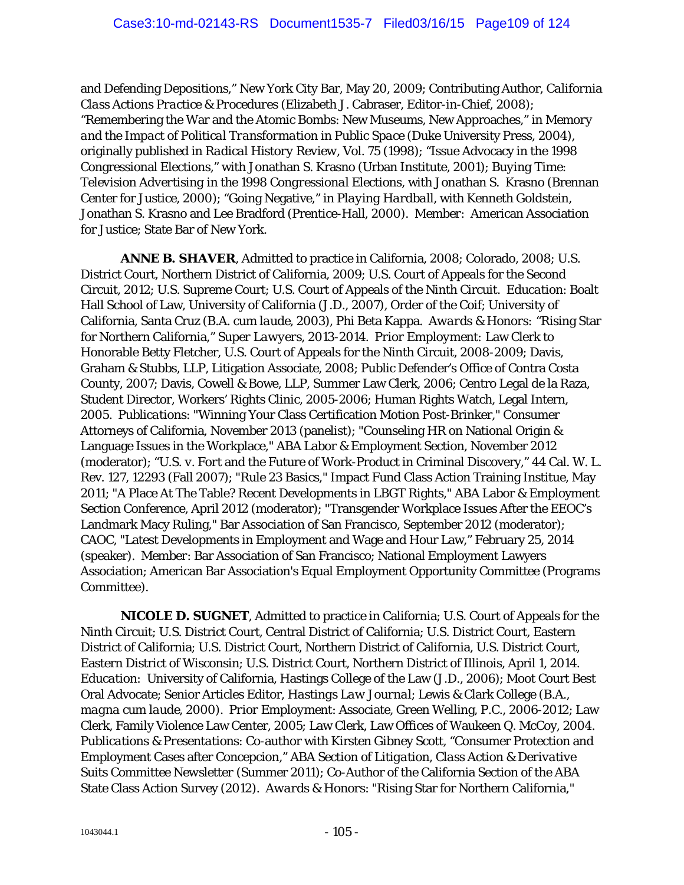and Defending Depositions," New York City Bar, May 20, 2009; Contributing Author, *California Class Actions Practice & Procedures* (Elizabeth J. Cabraser, Editor-in-Chief, 2008); "Remembering the War and the Atomic Bombs: New Museums, New Approaches," in *Memory and the Impact of Political Transformation in Public Space* (Duke University Press, 2004), originally published in *Radical History Review*, Vol. 75 (1998); "Issue Advocacy in the 1998 Congressional Elections," with Jonathan S. Krasno (Urban Institute, 2001); *Buying Time: Television Advertising in the 1998 Congressional Elections*, with Jonathan S. Krasno (Brennan Center for Justice, 2000); "Going Negative," in *Playing Hardball*, with Kenneth Goldstein, Jonathan S. Krasno and Lee Bradford (Prentice-Hall, 2000). *Member*: American Association for Justice; State Bar of New York.

*ANNE B. SHAVER*, Admitted to practice in California, 2008; Colorado, 2008; U.S. District Court, Northern District of California, 2009; U.S. Court of Appeals for the Second Circuit, 2012; U.S. Supreme Court; U.S. Court of Appeals of the Ninth Circuit. *Education*: Boalt Hall School of Law, University of California (J.D., 2007), Order of the Coif; University of California, Santa Cruz (B.A. *cum laude*, 2003), Phi Beta Kappa. *Awards & Honors:* "Rising Star for Northern California," *Super Lawyers,* 2013-2014. *Prior Employment:* Law Clerk to Honorable Betty Fletcher, U.S. Court of Appeals for the Ninth Circuit, 2008-2009; Davis, Graham & Stubbs, LLP, Litigation Associate, 2008; Public Defender's Office of Contra Costa County, 2007; Davis, Cowell & Bowe, LLP, Summer Law Clerk, 2006; Centro Legal de la Raza, Student Director, Workers' Rights Clinic, 2005-2006; Human Rights Watch, Legal Intern, 2005. *Publications*: "Winning Your Class Certification Motion Post-Brinker," Consumer Attorneys of California, November 2013 (panelist); "Counseling HR on National Origin & Language Issues in the Workplace," ABA Labor & Employment Section, November 2012 (moderator); "*U.S. v. Fort* and the Future of Work-Product in Criminal Discovery," 44 Cal. W. L. Rev. 127, 12293 (Fall 2007); "Rule 23 Basics," Impact Fund Class Action Training Institue, May 2011; "A Place At The Table? Recent Developments in LBGT Rights," ABA Labor & Employment Section Conference, April 2012 (moderator); "Transgender Workplace Issues After the EEOC's Landmark Macy Ruling," Bar Association of San Francisco, September 2012 (moderator); CAOC, "Latest Developments in Employment and Wage and Hour Law," February 25, 2014 (speaker). *Member*: Bar Association of San Francisco; National Employment Lawyers Association; American Bar Association's Equal Employment Opportunity Committee (Programs Committee).

*NICOLE D. SUGNET*, Admitted to practice in California; U.S. Court of Appeals for the Ninth Circuit; U.S. District Court, Central District of California; U.S. District Court, Eastern District of California; U.S. District Court, Northern District of California, U.S. District Court, Eastern District of Wisconsin; U.S. District Court, Northern District of Illinois, April 1, 2014. *Education*: University of California, Hastings College of the Law (J.D., 2006); Moot Court Best Oral Advocate; Senior Articles Editor, *Hastings Law Journal*; Lewis & Clark College (B.A., *magna cum laude*, 2000). *Prior Employment*: Associate, Green Welling, P.C., 2006-2012; Law Clerk, Family Violence Law Center, 2005; Law Clerk, Law Offices of Waukeen Q. McCoy, 2004. *Publications & Presentations*: Co-author with Kirsten Gibney Scott, "Consumer Protection and Employment Cases after Concepcion," *ABA Section of Litigation*, *Class Action & Derivative Suits Committee Newsletter* (Summer 2011); Co-Author of the California Section of the ABA State Class Action Survey (2012). *Awards & Honors*: "Rising Star for Northern California,"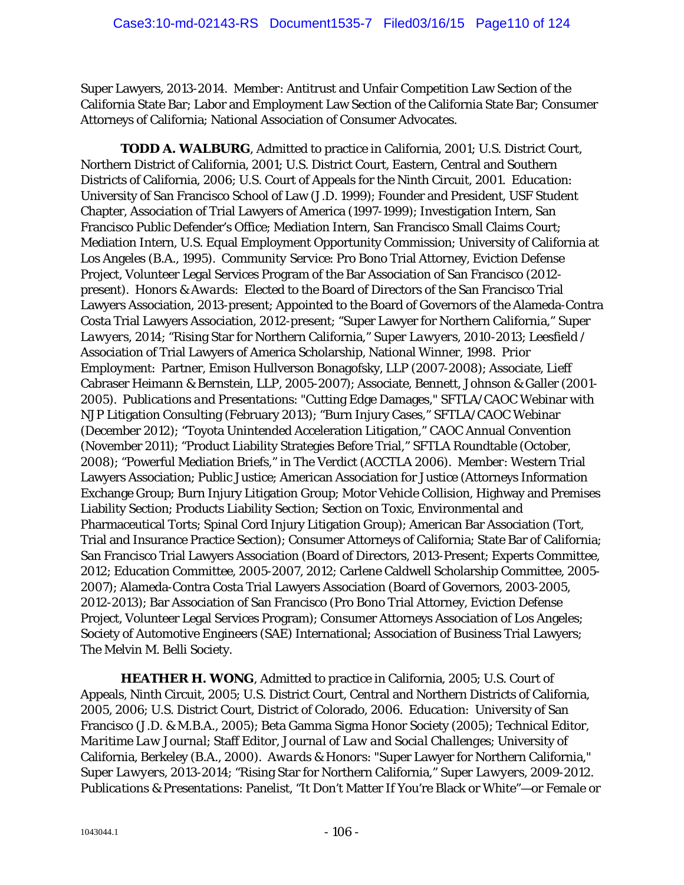Super Lawyers, 2013-2014. *Member*: Antitrust and Unfair Competition Law Section of the California State Bar; Labor and Employment Law Section of the California State Bar; Consumer Attorneys of California; National Association of Consumer Advocates.

*TODD A. WALBURG*, Admitted to practice in California, 2001; U.S. District Court, Northern District of California, 2001; U.S. District Court, Eastern, Central and Southern Districts of California, 2006; U.S. Court of Appeals for the Ninth Circuit, 2001. *Education*: University of San Francisco School of Law (J.D. 1999); Founder and President, USF Student Chapter, Association of Trial Lawyers of America (1997-1999); Investigation Intern, San Francisco Public Defender's Office; Mediation Intern, San Francisco Small Claims Court; Mediation Intern, U.S. Equal Employment Opportunity Commission; University of California at Los Angeles (B.A., 1995). *Community Service*: Pro Bono Trial Attorney, Eviction Defense Project, Volunteer Legal Services Program of the Bar Association of San Francisco (2012 present). *Honors & Awards*: Elected to the Board of Directors of the San Francisco Trial Lawyers Association, 2013-present; Appointed to the Board of Governors of the Alameda-Contra Costa Trial Lawyers Association, 2012-present; "Super Lawyer for Northern California," *Super Lawyers*, 2014; "Rising Star for Northern California," *Super Lawyers*, 2010-2013; Leesfield / Association of Trial Lawyers of America Scholarship, National Winner, 1998. *Prior Employment*: Partner, Emison Hullverson Bonagofsky, LLP (2007-2008); Associate, Lieff Cabraser Heimann & Bernstein, LLP, 2005-2007); Associate, Bennett, Johnson & Galler (2001- 2005). *Publications and Presentations*: "Cutting Edge Damages," SFTLA/CAOC Webinar with NJP Litigation Consulting (February 2013); "Burn Injury Cases," SFTLA/CAOC Webinar (December 2012); "Toyota Unintended Acceleration Litigation," CAOC Annual Convention (November 2011); "Product Liability Strategies Before Trial," SFTLA Roundtable (October, 2008); "Powerful Mediation Briefs," in The Verdict (ACCTLA 2006). *Member*: Western Trial Lawyers Association; Public Justice; American Association for Justice (Attorneys Information Exchange Group; Burn Injury Litigation Group; Motor Vehicle Collision, Highway and Premises Liability Section; Products Liability Section; Section on Toxic, Environmental and Pharmaceutical Torts; Spinal Cord Injury Litigation Group); American Bar Association (Tort, Trial and Insurance Practice Section); Consumer Attorneys of California; State Bar of California; San Francisco Trial Lawyers Association (Board of Directors, 2013-Present; Experts Committee, 2012; Education Committee, 2005-2007, 2012; Carlene Caldwell Scholarship Committee, 2005- 2007); Alameda-Contra Costa Trial Lawyers Association (Board of Governors, 2003-2005, 2012-2013); Bar Association of San Francisco (Pro Bono Trial Attorney, Eviction Defense Project, Volunteer Legal Services Program); Consumer Attorneys Association of Los Angeles; Society of Automotive Engineers (SAE) International; Association of Business Trial Lawyers; The Melvin M. Belli Society.

**HEATHER H. WONG**, Admitted to practice in California, 2005; U.S. Court of Appeals, Ninth Circuit, 2005; U.S. District Court, Central and Northern Districts of California, 2005, 2006; U.S. District Court, District of Colorado, 2006. *Education*: University of San Francisco (J.D. & M.B.A., 2005); Beta Gamma Sigma Honor Society (2005); Technical Editor, *Maritime Law Journal*; Staff Editor, *Journal of Law and Social Challenges*; University of California, Berkeley (B.A., 2000). *Awards & Honors*: "Super Lawyer for Northern California," *Super Lawyers*, 2013-2014; "Rising Star for Northern California," *Super Lawyers*, 2009-2012. *Publications & Presentations*: Panelist, "It Don't Matter If You're Black or White"—or Female or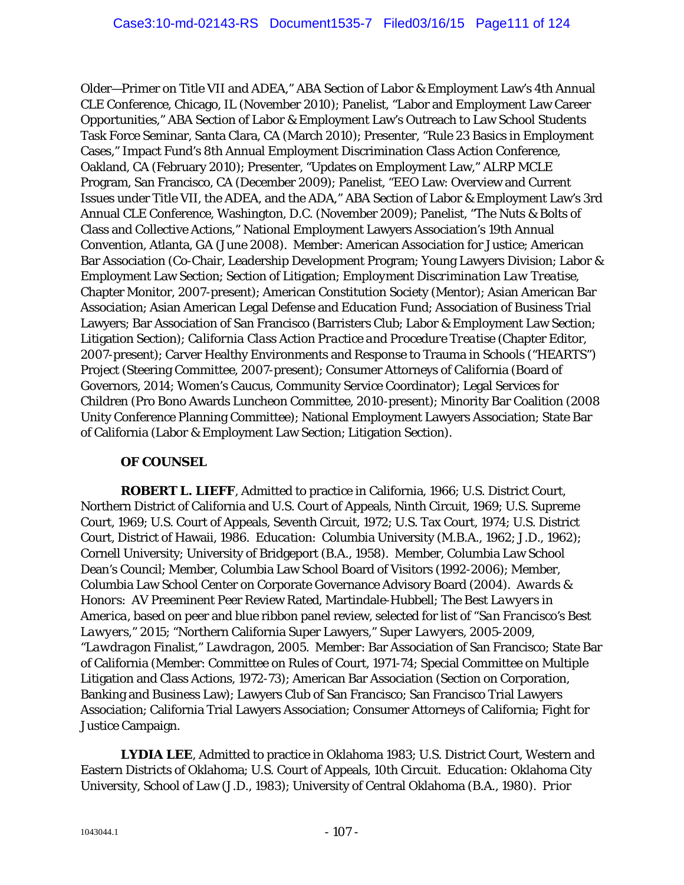Older—Primer on Title VII and ADEA," ABA Section of Labor & Employment Law's 4th Annual CLE Conference, Chicago, IL (November 2010); Panelist, "Labor and Employment Law Career Opportunities," ABA Section of Labor & Employment Law's Outreach to Law School Students Task Force Seminar, Santa Clara, CA (March 2010); Presenter, "Rule 23 Basics in Employment Cases," Impact Fund's 8th Annual Employment Discrimination Class Action Conference, Oakland, CA (February 2010); Presenter, "Updates on Employment Law," ALRP MCLE Program, San Francisco, CA (December 2009); Panelist, "EEO Law: Overview and Current Issues under Title VII, the ADEA, and the ADA," ABA Section of Labor & Employment Law's 3rd Annual CLE Conference, Washington, D.C. (November 2009); Panelist, "The Nuts & Bolts of Class and Collective Actions," National Employment Lawyers Association's 19th Annual Convention, Atlanta, GA (June 2008). *Member*: American Association for Justice; American Bar Association (Co-Chair, Leadership Development Program; Young Lawyers Division; Labor & Employment Law Section; Section of Litigation; *Employment Discrimination Law Treatise*, Chapter Monitor, 2007-present); American Constitution Society (Mentor); Asian American Bar Association; Asian American Legal Defense and Education Fund; Association of Business Trial Lawyers; Bar Association of San Francisco (Barristers Club; Labor & Employment Law Section; Litigation Section); *California Class Action Practice and Procedure Treatise* (Chapter Editor, 2007-present); Carver Healthy Environments and Response to Trauma in Schools ("HEARTS") Project (Steering Committee, 2007-present); Consumer Attorneys of California (Board of Governors, 2014; Women's Caucus, Community Service Coordinator); Legal Services for Children (Pro Bono Awards Luncheon Committee, 2010-present); Minority Bar Coalition (2008 Unity Conference Planning Committee); National Employment Lawyers Association; State Bar of California (Labor & Employment Law Section; Litigation Section).

### **OF COUNSEL**

*ROBERT L. LIEFF*, Admitted to practice in California, 1966; U.S. District Court, Northern District of California and U.S. Court of Appeals, Ninth Circuit, 1969; U.S. Supreme Court, 1969; U.S. Court of Appeals, Seventh Circuit, 1972; U.S. Tax Court, 1974; U.S. District Court, District of Hawaii, 1986. *Education*: Columbia University (M.B.A., 1962; J.D., 1962); Cornell University; University of Bridgeport (B.A., 1958). Member, Columbia Law School Dean's Council; Member, Columbia Law School Board of Visitors (1992-2006); Member, Columbia Law School Center on Corporate Governance Advisory Board (2004). *Awards & Honors*: AV Preeminent Peer Review Rated, Martindale-Hubbell; *The Best Lawyers in America*, based on peer and blue ribbon panel review, selected for list of "*San Francisco's Best Lawyers*," 2015; "Northern California Super Lawyers," *Super Lawyers*, 2005-2009, "*Lawdragon* Finalist," *Lawdragon*, 2005. *Member*: Bar Association of San Francisco; State Bar of California (Member: Committee on Rules of Court, 1971-74; Special Committee on Multiple Litigation and Class Actions, 1972-73); American Bar Association (Section on Corporation, Banking and Business Law); Lawyers Club of San Francisco; San Francisco Trial Lawyers Association; California Trial Lawyers Association; Consumer Attorneys of California; Fight for Justice Campaign.

*LYDIA LEE*, Admitted to practice in Oklahoma 1983; U.S. District Court, Western and Eastern Districts of Oklahoma; U.S. Court of Appeals, 10th Circuit. *Education*: Oklahoma City University, School of Law (J.D., 1983); University of Central Oklahoma (B.A., 1980). *Prior*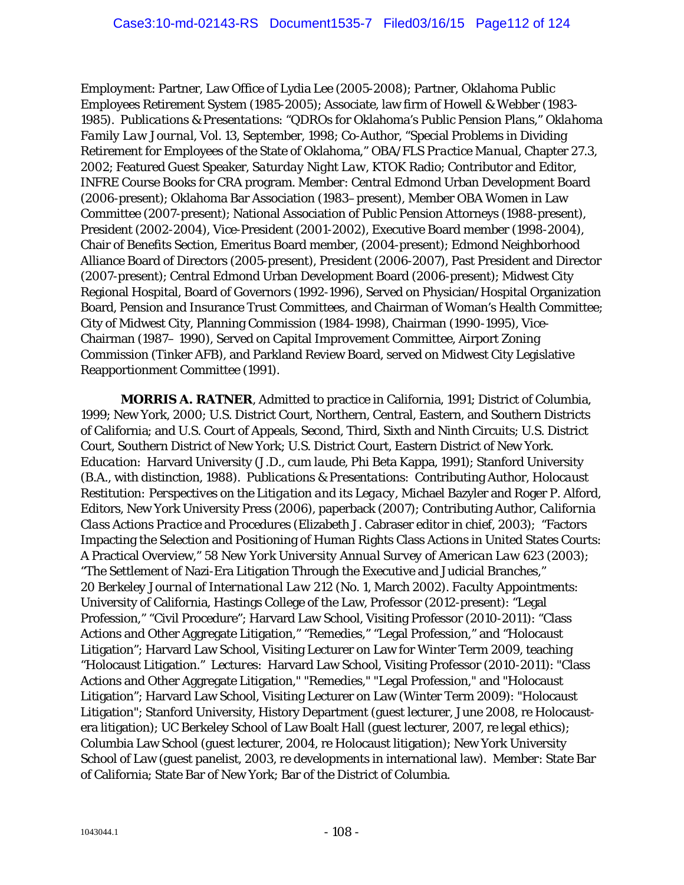*Employment*: Partner, Law Office of Lydia Lee (2005-2008); Partner, Oklahoma Public Employees Retirement System (1985-2005); Associate, law firm of Howell & Webber (1983- 1985). *Publications & Presentations*: "QDROs for Oklahoma's Public Pension Plans," *Oklahoma Family Law Journal*, Vol. 13, September, 1998; Co-Author, "Special Problems in Dividing Retirement for Employees of the State of Oklahoma," *OBA/FLS Practice Manual*, Chapter 27.3, 2002; Featured Guest Speaker, *Saturday Night Law*, KTOK Radio; Contributor and Editor, INFRE Course Books for CRA program. *Member*: Central Edmond Urban Development Board (2006-present); Oklahoma Bar Association (1983–present), Member OBA Women in Law Committee (2007-present); National Association of Public Pension Attorneys (1988-present), President (2002-2004), Vice-President (2001-2002), Executive Board member (1998-2004), Chair of Benefits Section, Emeritus Board member, (2004-present); Edmond Neighborhood Alliance Board of Directors (2005-present), President (2006-2007), Past President and Director (2007-present); Central Edmond Urban Development Board (2006-present); Midwest City Regional Hospital, Board of Governors (1992-1996), Served on Physician/Hospital Organization Board, Pension and Insurance Trust Committees, and Chairman of Woman's Health Committee; City of Midwest City, Planning Commission (1984-1998), Chairman (1990-1995), Vice-Chairman (1987– 1990), Served on Capital Improvement Committee, Airport Zoning Commission (Tinker AFB), and Parkland Review Board, served on Midwest City Legislative Reapportionment Committee (1991).

*MORRIS A. RATNER*, Admitted to practice in California, 1991; District of Columbia, 1999; New York, 2000; U.S. District Court, Northern, Central, Eastern, and Southern Districts of California; and U.S. Court of Appeals, Second, Third, Sixth and Ninth Circuits; U.S. District Court, Southern District of New York; U.S. District Court, Eastern District of New York. *Education*: Harvard University (J.D., *cum laude*, Phi Beta Kappa, 1991); Stanford University (B.A., with distinction, 1988). *Publications & Presentations*: Contributing Author, *Holocaust Restitution: Perspectives on the Litigation and its Legacy*, Michael Bazyler and Roger P. Alford, Editors, New York University Press (2006), paperback (2007); Contributing Author, *California Class Actions Practice and Procedures (*Elizabeth J. Cabraser editor in chief, 2003); "Factors Impacting the Selection and Positioning of Human Rights Class Actions in United States Courts: A Practical Overview," 58 *New York University Annual Survey of American Law* 623 (2003); "The Settlement of Nazi-Era Litigation Through the Executive and Judicial Branches," 20 *Berkeley Journal of International Law* 212 (No. 1, March 2002). *Faculty Appointments*: University of California, Hastings College of the Law, Professor (2012-present): "Legal Profession," "Civil Procedure"; Harvard Law School, Visiting Professor (2010-2011): "Class Actions and Other Aggregate Litigation," "Remedies," "Legal Profession," and "Holocaust Litigation"; Harvard Law School, Visiting Lecturer on Law for Winter Term 2009, teaching "Holocaust Litigation." *Lectures*: Harvard Law School, Visiting Professor (2010-2011): "Class Actions and Other Aggregate Litigation," "Remedies," "Legal Profession," and "Holocaust Litigation"; Harvard Law School, Visiting Lecturer on Law (Winter Term 2009): "Holocaust Litigation"; Stanford University, History Department (guest lecturer, June 2008, re Holocaustera litigation); UC Berkeley School of Law Boalt Hall (guest lecturer, 2007, re legal ethics); Columbia Law School (guest lecturer, 2004, re Holocaust litigation); New York University School of Law (guest panelist, 2003, re developments in international law). *Member*: State Bar of California; State Bar of New York; Bar of the District of Columbia.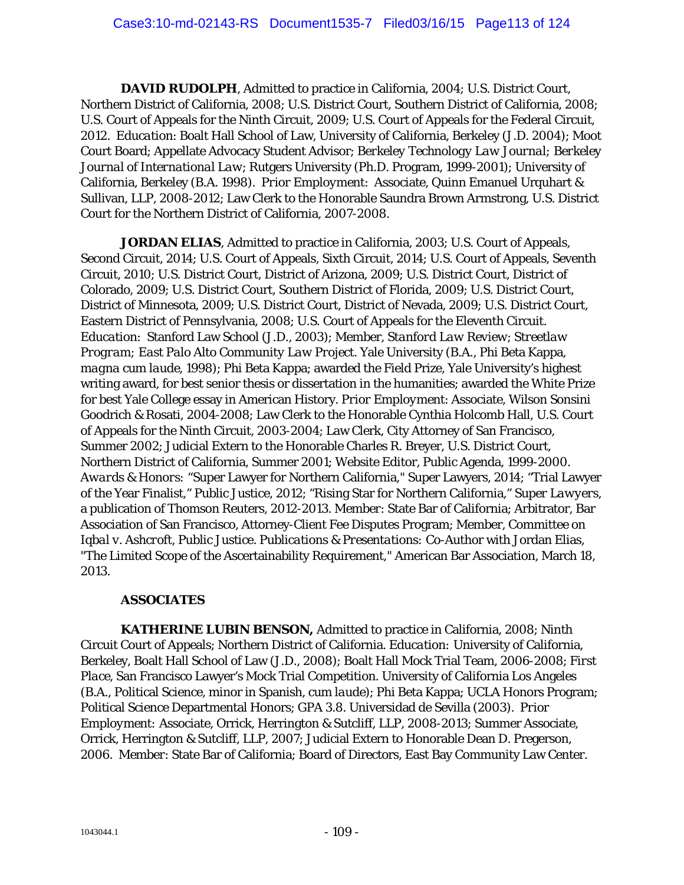*DAVID RUDOLPH*, Admitted to practice in California, 2004; U.S. District Court, Northern District of California, 2008; U.S. District Court, Southern District of California, 2008; U.S. Court of Appeals for the Ninth Circuit, 2009; U.S. Court of Appeals for the Federal Circuit, 2012. *Education*: Boalt Hall School of Law, University of California, Berkeley (J.D. 2004); Moot Court Board; Appellate Advocacy Student Advisor; *Berkeley Technology Law Journal; Berkeley Journal of International Law*; Rutgers University (Ph.D. Program, 1999-2001); University of California, Berkeley (B.A. 1998). *Prior Employment*: Associate, Quinn Emanuel Urquhart & Sullivan, LLP, 2008-2012; Law Clerk to the Honorable Saundra Brown Armstrong, U.S. District Court for the Northern District of California, 2007-2008.

*JORDAN ELIAS*, Admitted to practice in California, 2003; U.S. Court of Appeals, Second Circuit, 2014; U.S. Court of Appeals, Sixth Circuit, 2014; U.S. Court of Appeals, Seventh Circuit, 2010; U.S. District Court, District of Arizona, 2009; U.S. District Court, District of Colorado, 2009; U.S. District Court, Southern District of Florida, 2009; U.S. District Court, District of Minnesota, 2009; U.S. District Court, District of Nevada, 2009; U.S. District Court, Eastern District of Pennsylvania, 2008; U.S. Court of Appeals for the Eleventh Circuit. *Education*: Stanford Law School (J.D., 2003); Member, *Stanford Law Review*; *Streetlaw Program; East Palo Alto Community Law Project*. Yale University (B.A., Phi Beta Kappa, *magna cum laude*, 1998); Phi Beta Kappa; awarded the Field Prize, Yale University's highest writing award, for best senior thesis or dissertation in the humanities; awarded the White Prize for best Yale College essay in American History. *Prior Employment*: Associate, Wilson Sonsini Goodrich & Rosati, 2004-2008; Law Clerk to the Honorable Cynthia Holcomb Hall, U.S. Court of Appeals for the Ninth Circuit, 2003-2004; Law Clerk, City Attorney of San Francisco, Summer 2002; Judicial Extern to the Honorable Charles R. Breyer, U.S. District Court, Northern District of California, Summer 2001; Website Editor, Public Agenda, 1999-2000. *Awards & Honors:* "Super Lawyer for Northern California," Super Lawyers, 2014; "Trial Lawyer of the Year Finalist," Public Justice, 2012; "Rising Star for Northern California," *Super Lawyers*, a publication of Thomson Reuters, 2012-2013. *Member*: State Bar of California; Arbitrator, Bar Association of San Francisco, Attorney-Client Fee Disputes Program; Member, Committee on *Iqbal v. Ashcroft*, Public Justice. *Publications & Presentations:* Co-Author with Jordan Elias, "The Limited Scope of the Ascertainability Requirement," American Bar Association, March 18, 2013.

## **ASSOCIATES**

*KATHERINE LUBIN BENSON,* Admitted to practice in California, 2008; Ninth Circuit Court of Appeals; Northern District of California. *Education:* University of California, Berkeley, Boalt Hall School of Law (J.D., 2008); Boalt Hall Mock Trial Team, 2006-2008; *First Place*, San Francisco Lawyer's Mock Trial Competition. University of California Los Angeles (B.A., Political Science, minor in Spanish, *cum laude*); Phi Beta Kappa; UCLA Honors Program; Political Science Departmental Honors; GPA 3.8. Universidad de Sevilla (2003). *Prior Employment:* Associate, Orrick, Herrington & Sutcliff, LLP, 2008-2013; Summer Associate, Orrick, Herrington & Sutcliff, LLP, 2007; Judicial Extern to Honorable Dean D. Pregerson, 2006. *Member*: State Bar of California; Board of Directors, East Bay Community Law Center.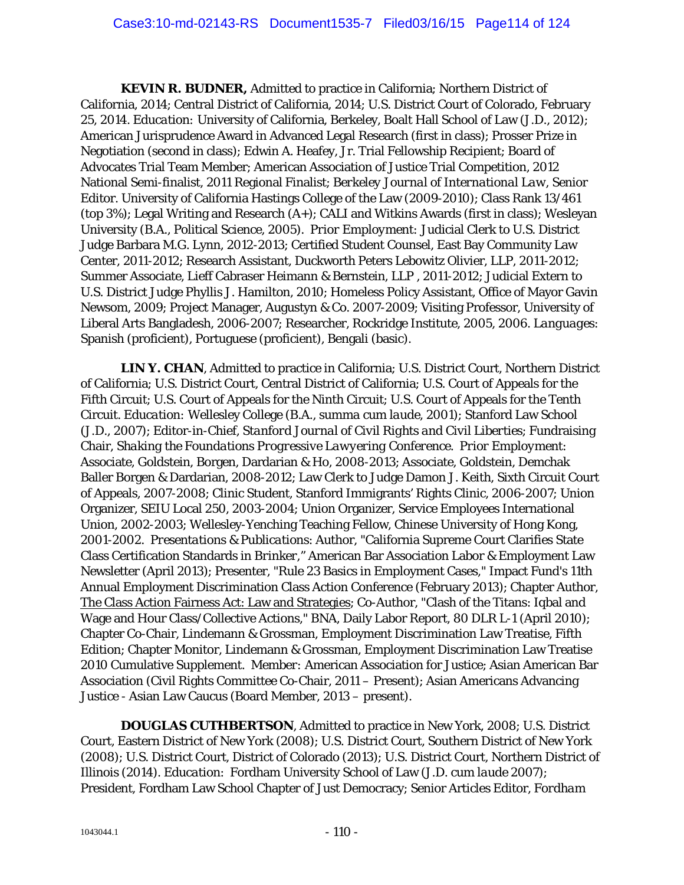*KEVIN R. BUDNER,* Admitted to practice in California; Northern District of California, 2014; Central District of California, 2014; U.S. District Court of Colorado, February 25, 2014. *Education:* University of California, Berkeley, Boalt Hall School of Law (J.D., 2012); American Jurisprudence Award in Advanced Legal Research (first in class); Prosser Prize in Negotiation (second in class); Edwin A. Heafey, Jr. Trial Fellowship Recipient; Board of Advocates Trial Team Member; American Association of Justice Trial Competition, 2012 National Semi-finalist, 2011 Regional Finalist; *Berkeley Journal of International Law,* Senior Editor. University of California Hastings College of the Law (2009-2010); Class Rank 13/461 (top 3%); Legal Writing and Research (A+); CALI and Witkins Awards (first in class); Wesleyan University (B.A., Political Science, 2005). *Prior Employment:* Judicial Clerk to U.S. District Judge Barbara M.G. Lynn, 2012-2013; Certified Student Counsel, East Bay Community Law Center, 2011-2012; Research Assistant, Duckworth Peters Lebowitz Olivier, LLP, 2011-2012; Summer Associate, Lieff Cabraser Heimann & Bernstein, LLP , 2011-2012; Judicial Extern to U.S. District Judge Phyllis J. Hamilton, 2010; Homeless Policy Assistant, Office of Mayor Gavin Newsom, 2009; Project Manager, Augustyn & Co. 2007-2009; Visiting Professor, University of Liberal Arts Bangladesh, 2006-2007; Researcher, Rockridge Institute, 2005, 2006. *Languages:*  Spanish (proficient), Portuguese (proficient), Bengali (basic).

**LIN Y. CHAN**, Admitted to practice in California; U.S. District Court, Northern District of California; U.S. District Court, Central District of California; U.S. Court of Appeals for the Fifth Circuit; U.S. Court of Appeals for the Ninth Circuit; U.S. Court of Appeals for the Tenth Circuit. *Education:* Wellesley College (B.A., *summa cum laude*, 2001); Stanford Law School (J.D., 2007); Editor-in-Chief, *Stanford Journal of Civil Rights and Civil Liberties*; Fundraising Chair, *Shaking the Foundations Progressive Lawyering Conference*. *Prior Employment:*  Associate, Goldstein, Borgen, Dardarian & Ho, 2008-2013; Associate, Goldstein, Demchak Baller Borgen & Dardarian, 2008-2012; Law Clerk to Judge Damon J. Keith, Sixth Circuit Court of Appeals, 2007-2008; Clinic Student, Stanford Immigrants' Rights Clinic, 2006-2007; Union Organizer, SEIU Local 250, 2003-2004; Union Organizer, Service Employees International Union, 2002-2003; Wellesley-Yenching Teaching Fellow, Chinese University of Hong Kong, 2001-2002. *Presentations & Publications*: Author, "California Supreme Court Clarifies State Class Certification Standards in *Brinker*," American Bar Association Labor & Employment Law Newsletter (April 2013); Presenter, "Rule 23 Basics in Employment Cases," Impact Fund's 11th Annual Employment Discrimination Class Action Conference (February 2013); Chapter Author, The Class Action Fairness Act: Law and Strategies; Co-Author, "Clash of the Titans: Iqbal and Wage and Hour Class/Collective Actions," BNA, Daily Labor Report, 80 DLR L-1 (April 2010); Chapter Co-Chair, Lindemann & Grossman, Employment Discrimination Law Treatise, Fifth Edition; Chapter Monitor, Lindemann & Grossman, Employment Discrimination Law Treatise 2010 Cumulative Supplement. *Member:* American Association for Justice; Asian American Bar Association (Civil Rights Committee Co-Chair, 2011 – Present); Asian Americans Advancing Justice - Asian Law Caucus (Board Member, 2013 – present).

*DOUGLAS CUTHBERTSON*, Admitted to practice in New York, 2008; U.S. District Court, Eastern District of New York (2008); U.S. District Court, Southern District of New York (2008); U.S. District Court, District of Colorado (2013); U.S. District Court, Northern District of Illinois (2014). *Education*: Fordham University School of Law (J.D. *cum laude* 2007); President, Fordham Law School Chapter of Just Democracy; Senior Articles Editor, *Fordham*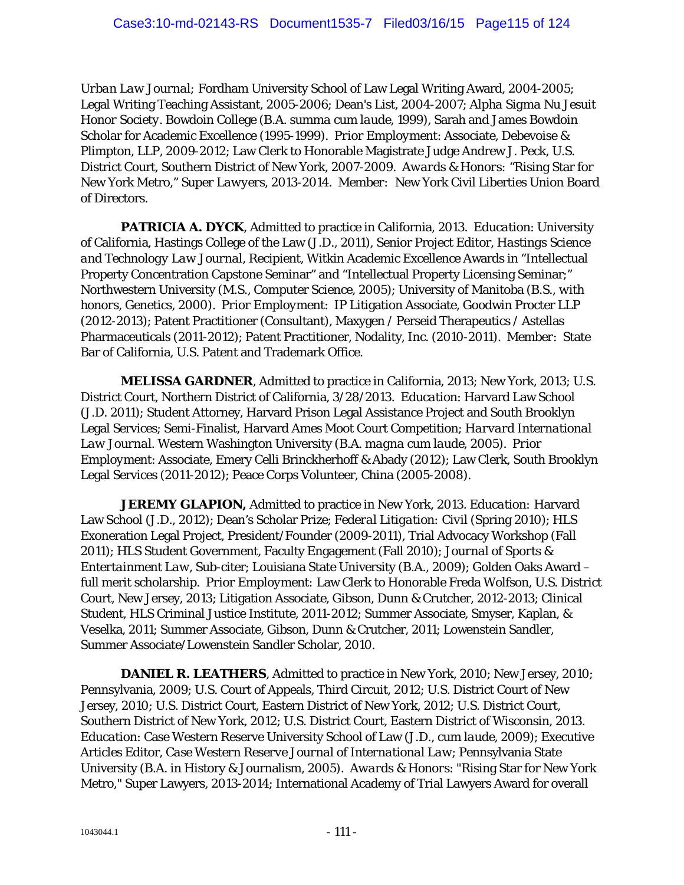*Urban Law Journal;* Fordham University School of Law Legal Writing Award, 2004-2005; Legal Writing Teaching Assistant, 2005-2006; Dean's List, 2004-2007; *Alpha Sigma Nu Jesuit Honor Society*. Bowdoin College (B.A. *summa cum laude*, 1999), Sarah and James Bowdoin Scholar for Academic Excellence (1995-1999). *Prior Employment*: Associate, Debevoise & Plimpton, LLP, 2009-2012; Law Clerk to Honorable Magistrate Judge Andrew J. Peck, U.S. District Court, Southern District of New York, 2007-2009. *Awards & Honors:* "Rising Star for New York Metro," *Super Lawyers*, 2013-2014. *Member:* New York Civil Liberties Union Board of Directors.

*PATRICIA A. DYCK*, Admitted to practice in California, 2013. *Education*: University of California, Hastings College of the Law (J.D., 2011), Senior Project Editor, *Hastings Science and Technology Law Journal*, Recipient, Witkin Academic Excellence Awards in "Intellectual Property Concentration Capstone Seminar" and "Intellectual Property Licensing Seminar;" Northwestern University (M.S., Computer Science, 2005); University of Manitoba (B.S., *with honors*, Genetics, 2000). *Prior Employment*: IP Litigation Associate, Goodwin Procter LLP (2012-2013); Patent Practitioner (Consultant), Maxygen / Perseid Therapeutics / Astellas Pharmaceuticals (2011-2012); Patent Practitioner, Nodality, Inc. (2010-2011). *Member*: State Bar of California, U.S. Patent and Trademark Office.

*MELISSA GARDNER*, Admitted to practice in California, 2013; New York, 2013; U.S. District Court, Northern District of California, 3/28/2013. *Education*: Harvard Law School (J.D. 2011); Student Attorney, Harvard Prison Legal Assistance Project and South Brooklyn Legal Services; Semi-Finalist, Harvard Ames Moot Court Competition; *Harvard International Law Journal*. Western Washington University (B.A. *magna cum laude,* 2005). *Prior Employment*: Associate, Emery Celli Brinckherhoff & Abady (2012); Law Clerk, South Brooklyn Legal Services (2011-2012); Peace Corps Volunteer, China (2005-2008).

*JEREMY GLAPION,* Admitted to practice in New York, 2013. *Education:* Harvard Law School (J.D., 2012); Dean's Scholar Prize; *Federal Litigation: Civil* (Spring 2010); HLS Exoneration Legal Project, President/Founder (2009-2011), Trial Advocacy Workshop (Fall 2011); HLS Student Government, Faculty Engagement (Fall 2010); *Journal of Sports & Entertainment Law*, Sub-citer; Louisiana State University (B.A., 2009); Golden Oaks Award – full merit scholarship. *Prior Employment:* Law Clerk to Honorable Freda Wolfson, U.S. District Court, New Jersey, 2013; Litigation Associate, Gibson, Dunn & Crutcher, 2012-2013; Clinical Student, HLS Criminal Justice Institute, 2011-2012; Summer Associate, Smyser, Kaplan, & Veselka, 2011; Summer Associate, Gibson, Dunn & Crutcher, 2011; Lowenstein Sandler, Summer Associate/Lowenstein Sandler Scholar, 2010.

**DANIEL R. LEATHERS**, Admitted to practice in New York, 2010; New Jersey, 2010; Pennsylvania, 2009; U.S. Court of Appeals, Third Circuit, 2012; U.S. District Court of New Jersey, 2010; U.S. District Court, Eastern District of New York, 2012; U.S. District Court, Southern District of New York, 2012; U.S. District Court, Eastern District of Wisconsin, 2013. *Education*: Case Western Reserve University School of Law (J.D., *cum laude*, 2009); Executive Articles Editor, *Case Western Reserve Journal of International Law*; Pennsylvania State University (B.A. in History & Journalism, 2005). *Awards & Honors*: "Rising Star for New York Metro," Super Lawyers, 2013-2014; International Academy of Trial Lawyers Award for overall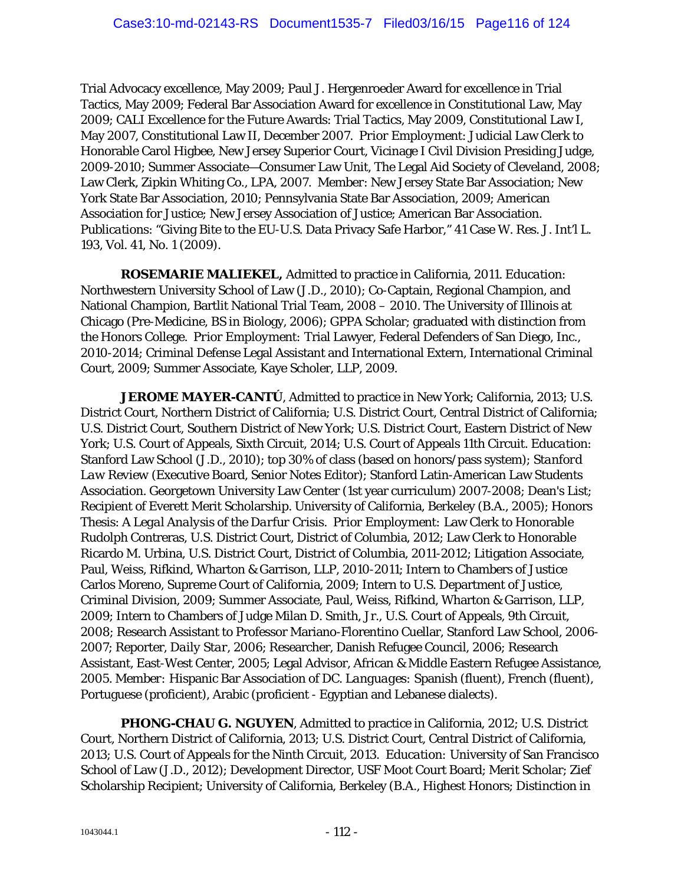Trial Advocacy excellence, May 2009; Paul J. Hergenroeder Award for excellence in Trial Tactics, May 2009; Federal Bar Association Award for excellence in Constitutional Law, May 2009; CALI Excellence for the Future Awards: Trial Tactics, May 2009, Constitutional Law I, May 2007, Constitutional Law II, December 2007. *Prior Employment*: Judicial Law Clerk to Honorable Carol Higbee, New Jersey Superior Court, Vicinage I Civil Division Presiding Judge, 2009-2010; Summer Associate—Consumer Law Unit, The Legal Aid Society of Cleveland, 2008; Law Clerk, Zipkin Whiting Co., LPA, 2007. *Member*: New Jersey State Bar Association; New York State Bar Association, 2010; Pennsylvania State Bar Association, 2009; American Association for Justice; New Jersey Association of Justice; American Bar Association. *Publications*: "Giving Bite to the EU-U.S. Data Privacy Safe Harbor," 41 Case W. Res. J. Int'l L. 193, Vol. 41, No. 1 (2009).

*ROSEMARIE MALIEKEL,* Admitted to practice in California, 2011. *Education:*  Northwestern University School of Law (J.D., 2010); Co-Captain, Regional Champion, and National Champion, Bartlit National Trial Team, 2008 – 2010. The University of Illinois at Chicago (Pre-Medicine, BS in Biology, 2006); GPPA Scholar; graduated with distinction from the Honors College. *Prior Employment:* Trial Lawyer, Federal Defenders of San Diego, Inc., 2010-2014; Criminal Defense Legal Assistant and International Extern, International Criminal Court, 2009; Summer Associate, Kaye Scholer, LLP, 2009.

*JEROME MAYER-CANTÚ*, Admitted to practice in New York; California, 2013; U.S. District Court, Northern District of California; U.S. District Court, Central District of California; U.S. District Court, Southern District of New York; U.S. District Court, Eastern District of New York; U.S. Court of Appeals, Sixth Circuit, 2014; U.S. Court of Appeals 11th Circuit. *Education:*  Stanford Law School (J.D., 2010); top 30% of class (based on honors/pass system); *Stanford Law Review* (Executive Board, Senior Notes Editor); Stanford Latin-American Law Students Association. Georgetown University Law Center (1st year curriculum) 2007-2008; Dean's List; Recipient of Everett Merit Scholarship. University of California, Berkeley (B.A., 2005); Honors Thesis: *A Legal Analysis of the Darfur Crisis*. *Prior Employment:* Law Clerk to Honorable Rudolph Contreras, U.S. District Court, District of Columbia, 2012; Law Clerk to Honorable Ricardo M. Urbina, U.S. District Court, District of Columbia, 2011-2012; Litigation Associate, Paul, Weiss, Rifkind, Wharton & Garrison, LLP, 2010-2011; Intern to Chambers of Justice Carlos Moreno, Supreme Court of California, 2009; Intern to U.S. Department of Justice, Criminal Division, 2009; Summer Associate, Paul, Weiss, Rifkind, Wharton & Garrison, LLP, 2009; Intern to Chambers of Judge Milan D. Smith, Jr., U.S. Court of Appeals, 9th Circuit, 2008; Research Assistant to Professor Mariano-Florentino Cuellar, Stanford Law School, 2006- 2007; Reporter, *Daily Star*, 2006; Researcher, Danish Refugee Council, 2006; Research Assistant, East-West Center, 2005; Legal Advisor, African & Middle Eastern Refugee Assistance, 2005. *Member:* Hispanic Bar Association of DC. *Languages:* Spanish (fluent), French (fluent), Portuguese (proficient), Arabic (proficient - Egyptian and Lebanese dialects).

*PHONG-CHAU G. NGUYEN*, Admitted to practice in California, 2012; U.S. District Court, Northern District of California, 2013; U.S. District Court, Central District of California, 2013; U.S. Court of Appeals for the Ninth Circuit, 2013. *Education:* University of San Francisco School of Law (J.D., 2012); Development Director, USF Moot Court Board; Merit Scholar; Zief Scholarship Recipient; University of California, Berkeley (B.A., Highest Honors; Distinction in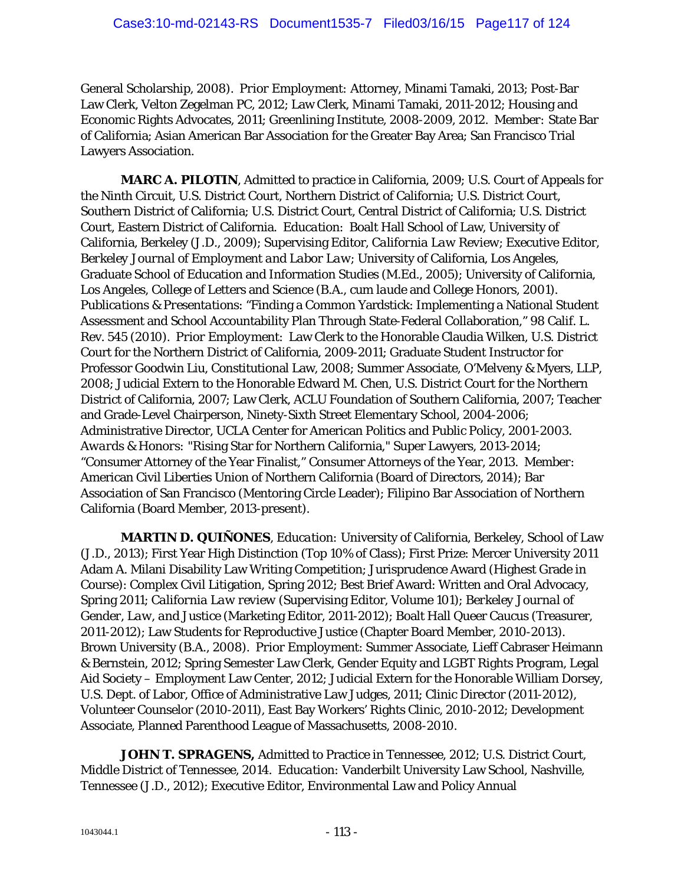General Scholarship, 2008). *Prior Employment:* Attorney, Minami Tamaki, 2013; Post-Bar Law Clerk, Velton Zegelman PC, 2012; Law Clerk, Minami Tamaki, 2011-2012; Housing and Economic Rights Advocates, 2011; Greenlining Institute, 2008-2009, 2012. *Member:* State Bar of California; Asian American Bar Association for the Greater Bay Area; San Francisco Trial Lawyers Association.

*MARC A. PILOTIN*, Admitted to practice in California, 2009; U.S. Court of Appeals for the Ninth Circuit, U.S. District Court, Northern District of California; U.S. District Court, Southern District of California; U.S. District Court, Central District of California; U.S. District Court, Eastern District of California. *Education*: Boalt Hall School of Law, University of California, Berkeley (J.D., 2009); Supervising Editor, *California Law Review*; Executive Editor, *Berkeley Journal of Employment and Labor Law*; University of California, Los Angeles, Graduate School of Education and Information Studies (M.Ed., 2005); University of California, Los Angeles, College of Letters and Science (B.A., *cum laude* and College Honors, 2001). *Publications & Presentations*: "Finding a Common Yardstick: Implementing a National Student Assessment and School Accountability Plan Through State-Federal Collaboration," 98 Calif. L. Rev. 545 (2010). *Prior Employment*: Law Clerk to the Honorable Claudia Wilken, U.S. District Court for the Northern District of California, 2009-2011; Graduate Student Instructor for Professor Goodwin Liu, Constitutional Law, 2008; Summer Associate, O'Melveny & Myers, LLP, 2008; Judicial Extern to the Honorable Edward M. Chen, U.S. District Court for the Northern District of California, 2007; Law Clerk, ACLU Foundation of Southern California, 2007; Teacher and Grade-Level Chairperson, Ninety-Sixth Street Elementary School, 2004-2006; Administrative Director, UCLA Center for American Politics and Public Policy, 2001-2003. *Awards & Honors:* "Rising Star for Northern California," Super Lawyers, 2013-2014; "Consumer Attorney of the Year Finalist," Consumer Attorneys of the Year, 2013. *Member*: American Civil Liberties Union of Northern California (Board of Directors, 2014); Bar Association of San Francisco (Mentoring Circle Leader); Filipino Bar Association of Northern California (Board Member, 2013-present).

*MARTIN D. QUIÑONES*, *Education:* University of California, Berkeley, School of Law (J.D., 2013); First Year High Distinction (Top 10% of Class); First Prize: Mercer University 2011 Adam A. Milani Disability Law Writing Competition; Jurisprudence Award (Highest Grade in Course): Complex Civil Litigation, Spring 2012; Best Brief Award: Written and Oral Advocacy, Spring 2011; *California Law review* (Supervising Editor, Volume 101); *Berkeley Journal of Gender, Law, and Justice* (Marketing Editor, 2011-2012); Boalt Hall Queer Caucus (Treasurer, 2011-2012); Law Students for Reproductive Justice (Chapter Board Member, 2010-2013). Brown University (B.A., 2008). *Prior Employment*: Summer Associate, Lieff Cabraser Heimann & Bernstein, 2012; Spring Semester Law Clerk, Gender Equity and LGBT Rights Program, Legal Aid Society – Employment Law Center, 2012; Judicial Extern for the Honorable William Dorsey, U.S. Dept. of Labor, Office of Administrative Law Judges, 2011; Clinic Director (2011-2012), Volunteer Counselor (2010-2011), East Bay Workers' Rights Clinic, 2010-2012; Development Associate, Planned Parenthood League of Massachusetts, 2008-2010.

*JOHN T. SPRAGENS,* Admitted to Practice in Tennessee, 2012; U.S. District Court, Middle District of Tennessee, 2014. *Education:* Vanderbilt University Law School, Nashville, Tennessee (J.D., 2012); Executive Editor, Environmental Law and Policy Annual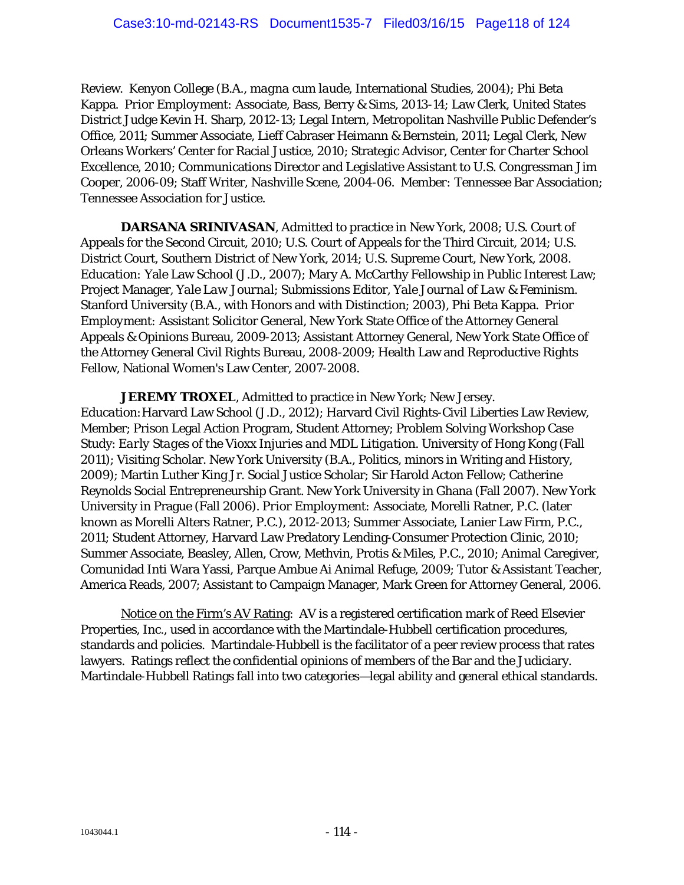Review. Kenyon College (B.A., *magna cum laude*, International Studies, 2004); Phi Beta Kappa. *Prior Employment:* Associate, Bass, Berry & Sims, 2013-14; Law Clerk, United States District Judge Kevin H. Sharp, 2012-13; Legal Intern, Metropolitan Nashville Public Defender's Office, 2011; Summer Associate, Lieff Cabraser Heimann & Bernstein, 2011; Legal Clerk, New Orleans Workers' Center for Racial Justice, 2010; Strategic Advisor, Center for Charter School Excellence, 2010; Communications Director and Legislative Assistant to U.S. Congressman Jim Cooper, 2006-09; Staff Writer, *Nashville Scene*, 2004-06. *Member:* Tennessee Bar Association; Tennessee Association for Justice.

*DARSANA SRINIVASAN*, Admitted to practice in New York, 2008; U.S. Court of Appeals for the Second Circuit, 2010; U.S. Court of Appeals for the Third Circuit, 2014; U.S. District Court, Southern District of New York, 2014; U.S. Supreme Court, New York, 2008. *Education:* Yale Law School (J.D., 2007); Mary A. McCarthy Fellowship in Public Interest Law; Project Manager, *Yale Law Journal*; Submissions Editor, *Yale Journal of Law & Feminism*. Stanford University (B.A., with Honors and with Distinction; 2003), Phi Beta Kappa. *Prior Employment:* Assistant Solicitor General, New York State Office of the Attorney General Appeals & Opinions Bureau, 2009-2013; Assistant Attorney General, New York State Office of the Attorney General Civil Rights Bureau, 2008-2009; Health Law and Reproductive Rights Fellow, National Women's Law Center, 2007-2008.

*JEREMY TROXEL*, Admitted to practice in New York; New Jersey. *Education:*Harvard Law School (J.D., 2012); Harvard Civil Rights-Civil Liberties Law Review, Member; Prison Legal Action Program, Student Attorney; Problem Solving Workshop Case Study: *Early Stages of the Vioxx Injuries and MDL Litigation*. University of Hong Kong (Fall 2011); Visiting Scholar. New York University (B.A., Politics, minors in Writing and History, 2009); Martin Luther King Jr. Social Justice Scholar; Sir Harold Acton Fellow; Catherine Reynolds Social Entrepreneurship Grant. New York University in Ghana (Fall 2007). New York University in Prague (Fall 2006). *Prior Employment:* Associate, Morelli Ratner, P.C. (later known as Morelli Alters Ratner, P.C.), 2012-2013; Summer Associate, Lanier Law Firm, P.C., 2011; Student Attorney, Harvard Law Predatory Lending-Consumer Protection Clinic, 2010; Summer Associate, Beasley, Allen, Crow, Methvin, Protis & Miles, P.C., 2010; Animal Caregiver, Comunidad Inti Wara Yassi, Parque Ambue Ai Animal Refuge, 2009; Tutor & Assistant Teacher, America Reads, 2007; Assistant to Campaign Manager, Mark Green for Attorney General, 2006.

Notice on the Firm's AV Rating: AV is a registered certification mark of Reed Elsevier Properties, Inc., used in accordance with the Martindale-Hubbell certification procedures, standards and policies. Martindale-Hubbell is the facilitator of a peer review process that rates lawyers. Ratings reflect the confidential opinions of members of the Bar and the Judiciary. Martindale-Hubbell Ratings fall into two categories—legal ability and general ethical standards.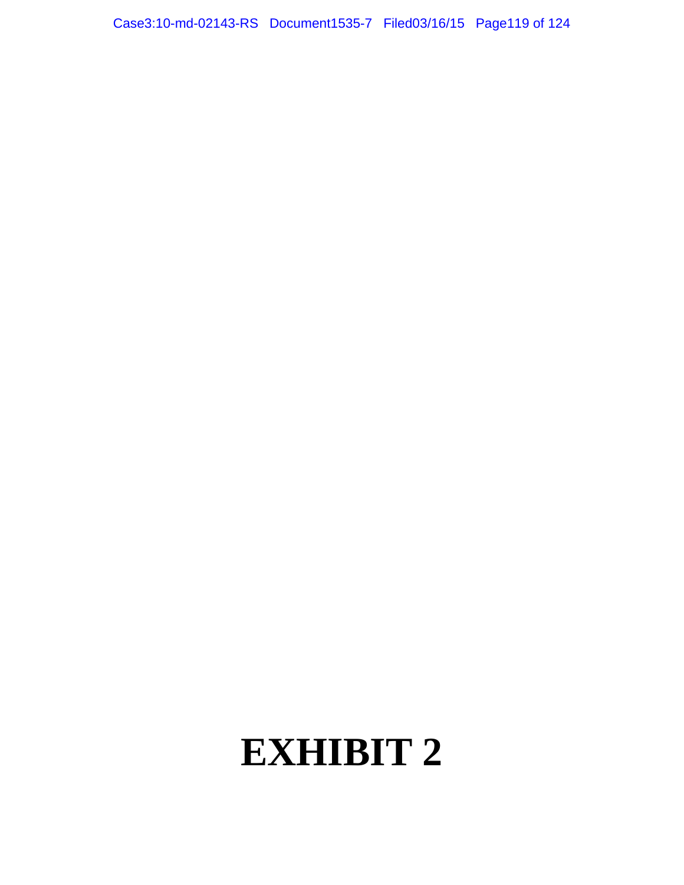Case3:10-md-02143-RS Document1535-7 Filed03/16/15 Page119 of 124

# **EXHIBIT 2**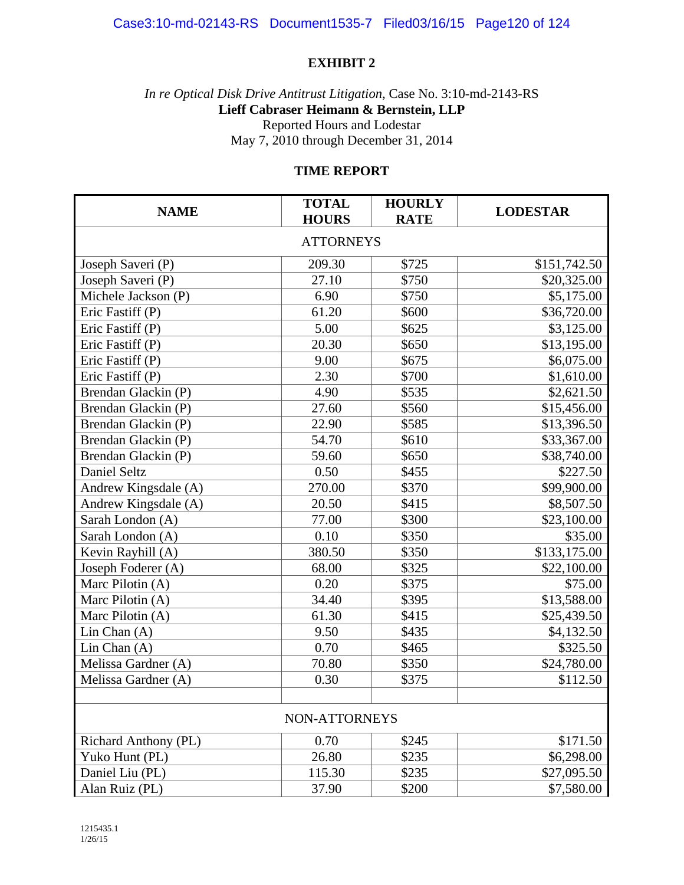## Case3:10-md-02143-RS Document1535-7 Filed03/16/15 Page120 of 124

### **EXHIBIT 2**

*In re Optical Disk Drive Antitrust Litigation*, Case No. 3:10-md-2143-RS **Lieff Cabraser Heimann & Bernstein, LLP**  Reported Hours and Lodestar May 7, 2010 through December 31, 2014

### **TIME REPORT**

| <b>NAME</b>          | <b>TOTAL</b><br><b>HOURS</b> | <b>HOURLY</b><br><b>RATE</b> | <b>LODESTAR</b> |  |  |
|----------------------|------------------------------|------------------------------|-----------------|--|--|
| <b>ATTORNEYS</b>     |                              |                              |                 |  |  |
| Joseph Saveri (P)    | 209.30                       | \$725                        | \$151,742.50    |  |  |
| Joseph Saveri (P)    | 27.10                        | \$750                        | \$20,325.00     |  |  |
| Michele Jackson (P)  | 6.90                         | \$750                        | \$5,175.00      |  |  |
| Eric Fastiff (P)     | 61.20                        | \$600                        | \$36,720.00     |  |  |
| Eric Fastiff (P)     | 5.00                         | \$625                        | \$3,125.00      |  |  |
| Eric Fastiff (P)     | 20.30                        | \$650                        | \$13,195.00     |  |  |
| Eric Fastiff (P)     | 9.00                         | \$675                        | \$6,075.00      |  |  |
| Eric Fastiff (P)     | 2.30                         | \$700                        | \$1,610.00      |  |  |
| Brendan Glackin (P)  | 4.90                         | \$535                        | \$2,621.50      |  |  |
| Brendan Glackin (P)  | 27.60                        | \$560                        | \$15,456.00     |  |  |
| Brendan Glackin (P)  | 22.90                        | \$585                        | \$13,396.50     |  |  |
| Brendan Glackin (P)  | 54.70                        | \$610                        | \$33,367.00     |  |  |
| Brendan Glackin (P)  | 59.60                        | \$650                        | \$38,740.00     |  |  |
| Daniel Seltz         | 0.50                         | \$455                        | \$227.50        |  |  |
| Andrew Kingsdale (A) | 270.00                       | \$370                        | \$99,900.00     |  |  |
| Andrew Kingsdale (A) | 20.50                        | \$415                        | \$8,507.50      |  |  |
| Sarah London (A)     | 77.00                        | \$300                        | \$23,100.00     |  |  |
| Sarah London (A)     | 0.10                         | \$350                        | \$35.00         |  |  |
| Kevin Rayhill (A)    | 380.50                       | \$350                        | \$133,175.00    |  |  |
| Joseph Foderer (A)   | 68.00                        | \$325                        | \$22,100.00     |  |  |
| Marc Pilotin (A)     | 0.20                         | \$375                        | \$75.00         |  |  |
| Marc Pilotin (A)     | 34.40                        | \$395                        | \$13,588.00     |  |  |
| Marc Pilotin (A)     | 61.30                        | \$415                        | \$25,439.50     |  |  |
| Lin Chan $(A)$       | 9.50                         | \$435                        | \$4,132.50      |  |  |
| Lin Chan $(A)$       | 0.70                         | \$465                        | \$325.50        |  |  |
| Melissa Gardner (A)  | 70.80                        | \$350                        | \$24,780.00     |  |  |
| Melissa Gardner (A)  | 0.30                         | \$375                        | \$112.50        |  |  |
|                      |                              |                              |                 |  |  |
| NON-ATTORNEYS        |                              |                              |                 |  |  |
| Richard Anthony (PL) | 0.70                         | \$245                        | \$171.50        |  |  |
| Yuko Hunt (PL)       | 26.80                        | \$235                        | \$6,298.00      |  |  |
| Daniel Liu (PL)      | 115.30                       | \$235                        | \$27,095.50     |  |  |
| Alan Ruiz (PL)       | 37.90                        | \$200                        | \$7,580.00      |  |  |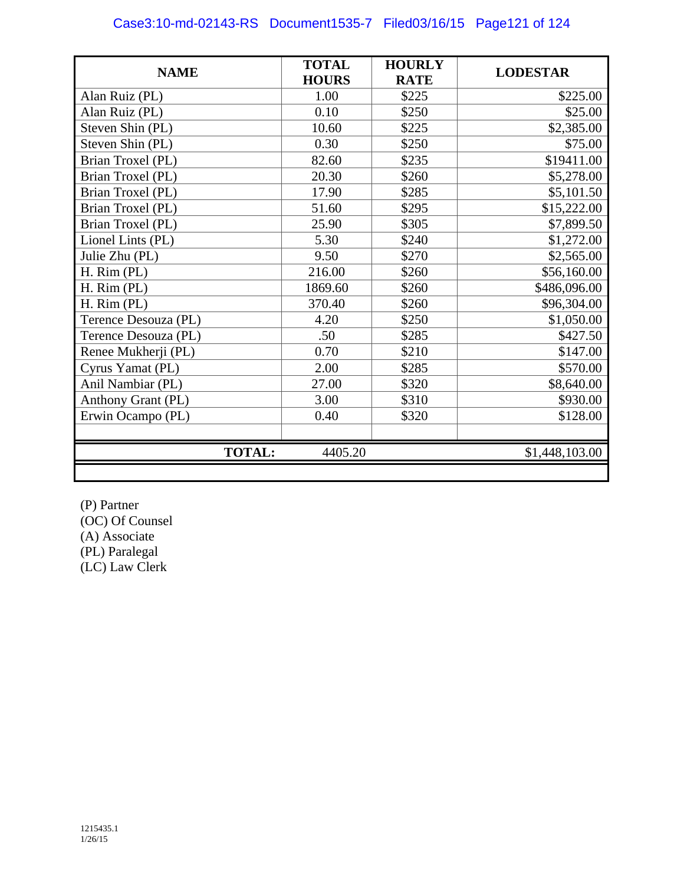| <b>NAME</b>          | <b>TOTAL</b><br><b>HOURS</b> | <b>HOURLY</b><br><b>RATE</b> | <b>LODESTAR</b> |
|----------------------|------------------------------|------------------------------|-----------------|
| Alan Ruiz (PL)       | 1.00                         | \$225                        | \$225.00        |
| Alan Ruiz (PL)       | 0.10                         | \$250                        | \$25.00         |
| Steven Shin (PL)     | 10.60                        | \$225                        | \$2,385.00      |
| Steven Shin (PL)     | 0.30                         | \$250                        | \$75.00         |
| Brian Troxel (PL)    | 82.60                        | \$235                        | \$19411.00      |
| Brian Troxel (PL)    | 20.30                        | \$260                        | \$5,278.00      |
| Brian Troxel (PL)    | 17.90                        | \$285                        | \$5,101.50      |
| Brian Troxel (PL)    | 51.60                        | \$295                        | \$15,222.00     |
| Brian Troxel (PL)    | 25.90                        | \$305                        | \$7,899.50      |
| Lionel Lints (PL)    | 5.30                         | \$240                        | \$1,272.00      |
| Julie Zhu (PL)       | 9.50                         | \$270                        | \$2,565.00      |
| H. Rim (PL)          | 216.00                       | \$260                        | \$56,160.00     |
| H. Rim (PL)          | 1869.60                      | \$260                        | \$486,096.00    |
| H. Rim (PL)          | 370.40                       | \$260                        | \$96,304.00     |
| Terence Desouza (PL) | 4.20                         | \$250                        | \$1,050.00      |
| Terence Desouza (PL) | .50                          | \$285                        | \$427.50        |
| Renee Mukherji (PL)  | 0.70                         | \$210                        | \$147.00        |
| Cyrus Yamat (PL)     | 2.00                         | \$285                        | \$570.00        |
| Anil Nambiar (PL)    | 27.00                        | \$320                        | \$8,640.00      |
| Anthony Grant (PL)   | 3.00                         | \$310                        | \$930.00        |
| Erwin Ocampo (PL)    | 0.40                         | \$320                        | \$128.00        |
| <b>TOTAL:</b>        | 4405.20                      |                              | \$1,448,103.00  |
|                      |                              |                              |                 |

(P) Partner (OC) Of Counsel (A) Associate (PL) Paralegal (LC) Law Clerk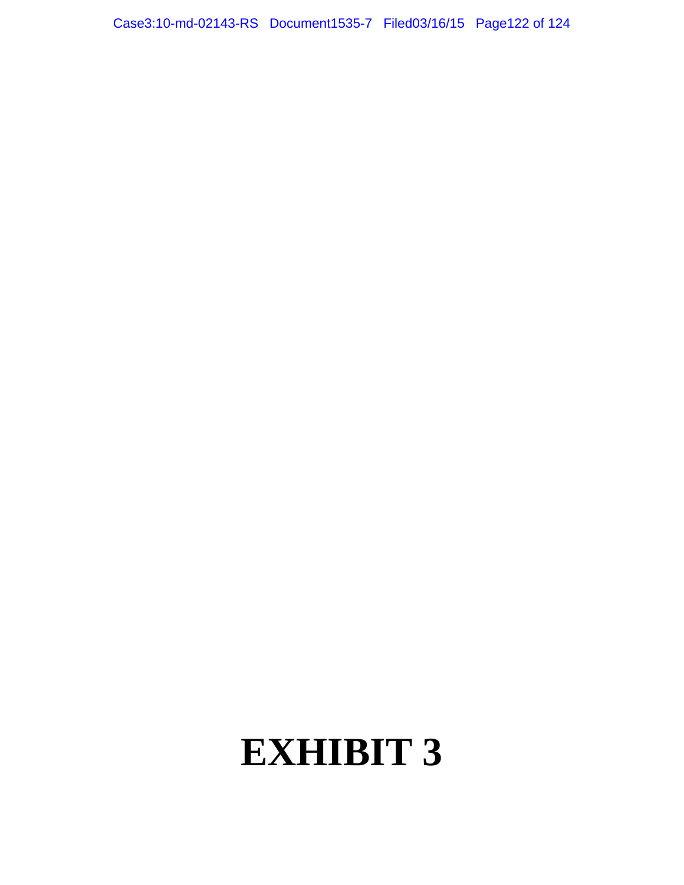Case3:10-md-02143-RS Document1535-7 Filed03/16/15 Page122 of 124

# **EXHIBIT 3**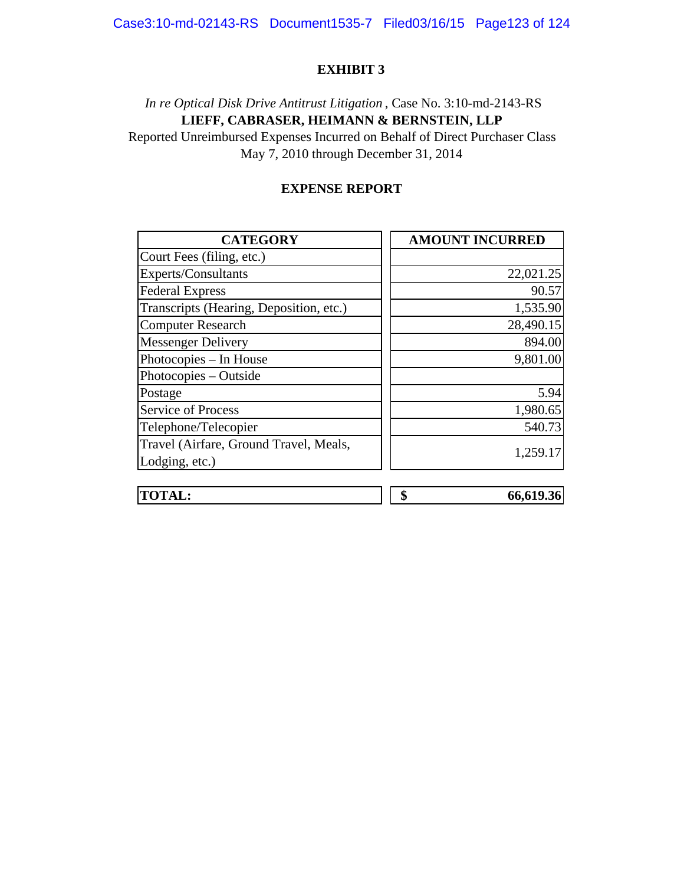### Case3:10-md-02143-RS Document1535-7 Filed03/16/15 Page123 of 124

#### **EXHIBIT 3**

# May 7, 2010 through December 31, 2014 Reported Unreimbursed Expenses Incurred on Behalf of Direct Purchaser Class **LIEFF, CABRASER, HEIMANN & BERNSTEIN, LLP**  *In re Optical Disk Drive Antitrust Litigation* , Case No. 3:10-md-2143-RS

### **EXPENSE REPORT**

| <b>CATEGORY</b>                         | <b>AMOUNT INCURRED</b> |
|-----------------------------------------|------------------------|
| Court Fees (filing, etc.)               |                        |
| Experts/Consultants                     | 22,021.25              |
| <b>Federal Express</b>                  | 90.57                  |
| Transcripts (Hearing, Deposition, etc.) | 1,535.90               |
| <b>Computer Research</b>                | 28,490.15              |
| <b>Messenger Delivery</b>               | 894.00                 |
| Photocopies - In House                  | 9,801.00               |
| Photocopies - Outside                   |                        |
| Postage                                 | 5.94                   |
| <b>Service of Process</b>               | 1,980.65               |
| Telephone/Telecopier                    | 540.73                 |
| Travel (Airfare, Ground Travel, Meals,  |                        |
| Lodging, etc.)                          | 1,259.17               |
|                                         |                        |
| <b>TOTAL:</b>                           | \$<br>66,619.36        |